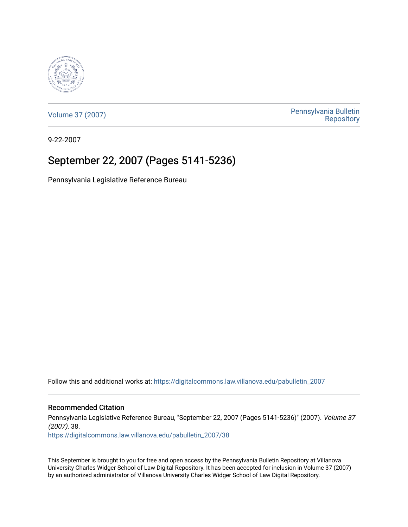

[Volume 37 \(2007\)](https://digitalcommons.law.villanova.edu/pabulletin_2007) [Pennsylvania Bulletin](https://digitalcommons.law.villanova.edu/pabulletin)  **Repository** 

9-22-2007

### September 22, 2007 (Pages 5141-5236)

Pennsylvania Legislative Reference Bureau

Follow this and additional works at: [https://digitalcommons.law.villanova.edu/pabulletin\\_2007](https://digitalcommons.law.villanova.edu/pabulletin_2007?utm_source=digitalcommons.law.villanova.edu%2Fpabulletin_2007%2F38&utm_medium=PDF&utm_campaign=PDFCoverPages) 

Recommended Citation

Pennsylvania Legislative Reference Bureau, "September 22, 2007 (Pages 5141-5236)" (2007). Volume 37 (2007). 38.

[https://digitalcommons.law.villanova.edu/pabulletin\\_2007/38](https://digitalcommons.law.villanova.edu/pabulletin_2007/38?utm_source=digitalcommons.law.villanova.edu%2Fpabulletin_2007%2F38&utm_medium=PDF&utm_campaign=PDFCoverPages)

This September is brought to you for free and open access by the Pennsylvania Bulletin Repository at Villanova University Charles Widger School of Law Digital Repository. It has been accepted for inclusion in Volume 37 (2007) by an authorized administrator of Villanova University Charles Widger School of Law Digital Repository.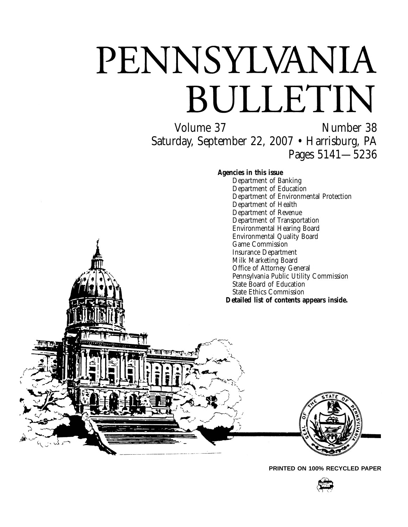# PENNSYLVANIA BULLETIN

Volume 37 Number 38 Saturday, September 22, 2007 • Harrisburg, PA Pages 5141—5236

#### **Agencies in this issue**

Department of Banking Department of Education Department of Environmental Protection Department of Health Department of Revenue Department of Transportation Environmental Hearing Board Environmental Quality Board Game Commission Insurance Department Milk Marketing Board Office of Attorney General Pennsylvania Public Utility Commission State Board of Education State Ethics Commission **Detailed list of contents appears inside.**



**PRINTED ON 100% RECYCLED PAPER**

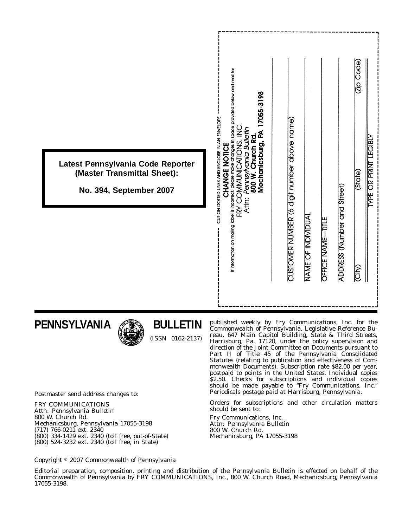| Latest Pennsylvania Code Reporter<br>(Master Transmittal Sheet):<br>No. 394, September 2007 | If information on mailing label is incorrect, please make changes in space provided below and mail to:<br>17055-3198<br>CUT ON DOTTED LINES AND ENCLOSE IN AN ENVELOPE<br>FRY COMMUNICATIONS, INC<br>Pennsylvania Bulletin<br>Mechanicsburg, PA<br>800 W. Church Rd.<br>CHANGE NOTICE<br>Attn: | (Jip Code)<br>CUSTOMER NUMBER (6 digit number above name)<br><b>YPE OR PRINT LEGIBLY</b><br>(State)<br>ADDRESS (Number and Street)<br>NAME OF INDIVIDUAL<br>OFFICE NAME-TITLE<br>(City) |
|---------------------------------------------------------------------------------------------|------------------------------------------------------------------------------------------------------------------------------------------------------------------------------------------------------------------------------------------------------------------------------------------------|-----------------------------------------------------------------------------------------------------------------------------------------------------------------------------------------|
|---------------------------------------------------------------------------------------------|------------------------------------------------------------------------------------------------------------------------------------------------------------------------------------------------------------------------------------------------------------------------------------------------|-----------------------------------------------------------------------------------------------------------------------------------------------------------------------------------------|

### **PENNSYLVANIA**



### **BULLETIN**

(ISSN 0162-2137)

published weekly by Fry Communications, Inc. for the Commonwealth of Pennsylvania, Legislative Reference Bureau, 647 Main Capitol Building, State & Third Streets, Harrisburg, Pa. 17120, under the policy supervision and direction of the Joint Committee on Documents pursuant to Part II of Title 45 of the Pennsylvania Consolidated Statutes (relating to publication and effectiveness of Commonwealth Documents). Subscription rate \$82.00 per year, postpaid to points in the United States. Individual copies \$2.50. Checks for subscriptions and individual copies should be made payable to ''*Fry Communications, Inc.*'' Periodicals postage paid at Harrisburg, Pennsylvania.

Orders for subscriptions and other circulation matters should be sent to:

Fry Communications, Inc. Attn: *Pennsylvania Bulletin* 800 W. Church Rd. Mechanicsburg, PA 17055-3198

Postmaster send address changes to:

FRY COMMUNICATIONS Attn: *Pennsylvania Bulletin* 800 W. Church Rd. Mechanicsburg, Pennsylvania 17055-3198 (717) 766-0211 ext. 2340 (800) 334-1429 ext. 2340 (toll free, out-of-State) (800) 524-3232 ext. 2340 (toll free, in State)

Copyright <sup>©</sup> 2007 Commonwealth of Pennsylvania

Editorial preparation, composition, printing and distribution of the *Pennsylvania Bulletin* is effected on behalf of the Commonwealth of Pennsylvania by FRY COMMUNICATIONS, Inc., 800 W. Church Road, Mechanicsburg, Pennsylvania 17055-3198.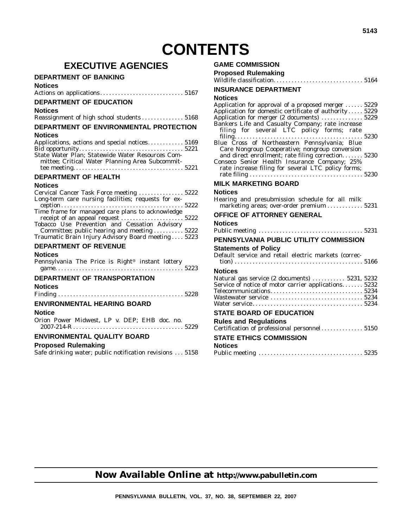### **EXECUTIVE AGENCIES**

#### **DEPARTMENT OF BANKING**

#### **Notices**

| <b>DEPARTMENT OF EDUCATION</b>           |  |
|------------------------------------------|--|
| <b>Notices</b>                           |  |
| Reassignment of high school students5168 |  |

#### **DEPARTMENT OF ENVIRONMENTAL PROTECTION**

#### **Notices**

| Applications, actions and special notices 5169   |  |
|--------------------------------------------------|--|
| State Water Plan; Statewide Water Resources Com- |  |
| mittee; Critical Water Planning Area Subcommit-  |  |

#### **DEPARTMENT OF HEALTH**

#### **Notices**

| Cervical Cancer Task Force meeting  5222<br>Long-term care nursing facilities; requests for ex- |  |
|-------------------------------------------------------------------------------------------------|--|
|                                                                                                 |  |
| Time frame for managed care plans to acknowledge                                                |  |
|                                                                                                 |  |
| Tobacco Use Prevention and Cessation Advisory                                                   |  |
| Committee; public hearing and meeting  5222                                                     |  |
| Traumatic Brain Injury Advisory Board meeting 5223                                              |  |
| <b>DEPARTMENT OF REVENUE</b>                                                                    |  |

#### **Notices**

| Pennsylvania The Price is Right <sup>®</sup> instant lottery |  |  |  |  |
|--------------------------------------------------------------|--|--|--|--|
|                                                              |  |  |  |  |

#### **DEPARTMENT OF TRANSPORTATION**

**Notices**

|--|--|

#### **ENVIRONMENTAL HEARING BOARD**

#### **Notice**

Orion Power Midwest, LP v. DEP; EHB doc. no. 2007-214-R ..................................... 5229

#### **ENVIRONMENTAL QUALITY BOARD**

#### **Proposed Rulemaking**

Safe drinking water; public notification revisions . . . 5158

#### **COMMISSION**

| GAME COMMISSION                                                                                                    |
|--------------------------------------------------------------------------------------------------------------------|
| <b>Proposed Rulemaking</b>                                                                                         |
|                                                                                                                    |
| <b>INSURANCE DEPARTMENT</b>                                                                                        |
| <b>Notices</b>                                                                                                     |
| Application for approval of a proposed merger  5229                                                                |
| Application for domestic certificate of authority 5229                                                             |
| Application for merger (2 documents)  5229                                                                         |
| Bankers Life and Casualty Company; rate increase                                                                   |
| filing for several LTC policy forms; rate                                                                          |
|                                                                                                                    |
| Blue Cross of Northeastern Pennsylvania; Blue                                                                      |
| Care Nongroup Cooperative; nongroup conversion                                                                     |
| and direct enrollment; rate filing correction 5230                                                                 |
| Conseco Senior Health Insurance Company; 25%                                                                       |
| rate increase filing for several LTC policy forms;                                                                 |
|                                                                                                                    |
| MILK MARKETING BOARD                                                                                               |
| <b>Notices</b>                                                                                                     |
| Hearing and presubmission schedule for all milk<br>marketing areas; over-order premium $\ldots \ldots \ldots 5231$ |

#### **OFFICE OF ATTORNEY GENERAL**

#### **Notices**

|--|--|--|

### **PENNSYLVANIA PUBLIC UTILITY COMMISSION**

#### **Statements of Policy**

Default service and retail electric markets (correc-

| Natural gas service (2 documents)  5231, 5232<br>Service of notice of motor carrier applications 5232 |
|-------------------------------------------------------------------------------------------------------|
|                                                                                                       |
|                                                                                                       |
|                                                                                                       |
|                                                                                                       |
|                                                                                                       |

#### **STATE BOARD OF EDUCATION**

| <b>Rules and Regulations</b>   |  |
|--------------------------------|--|
|                                |  |
| <b>STATE ETHICS COMMISSION</b> |  |
| <b>Notices</b>                 |  |
|                                |  |

### **Now Available Online at http://www.pabulletin.com**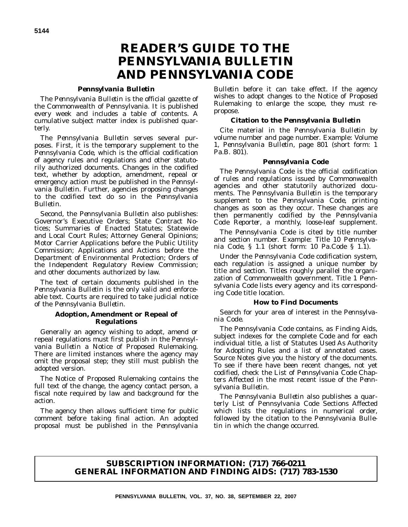### **READER'S GUIDE TO THE** *PENNSYLVANIA BULLETIN* **AND** *PENNSYLVANIA CODE*

#### *Pennsylvania Bulletin*

The *Pennsylvania Bulletin* is the official gazette of the Commonwealth of Pennsylvania. It is published every week and includes a table of contents. A cumulative subject matter index is published quarterly.

The *Pennsylvania Bulletin* serves several purposes. First, it is the temporary supplement to the *Pennsylvania Code*, which is the official codification of agency rules and regulations and other statutorily authorized documents. Changes in the codified text, whether by adoption, amendment, repeal or emergency action must be published in the *Pennsylvania Bulletin*. Further, agencies proposing changes to the codified text do so in the *Pennsylvania Bulletin*.

Second, the *Pennsylvania Bulletin* also publishes: Governor's Executive Orders; State Contract Notices; Summaries of Enacted Statutes; Statewide and Local Court Rules; Attorney General Opinions; Motor Carrier Applications before the Public Utility Commission; Applications and Actions before the Department of Environmental Protection; Orders of the Independent Regulatory Review Commission; and other documents authorized by law.

The text of certain documents published in the *Pennsylvania Bulletin* is the only valid and enforceable text. Courts are required to take judicial notice of the *Pennsylvania Bulletin*.

#### **Adoption, Amendment or Repeal of Regulations**

Generally an agency wishing to adopt, amend or repeal regulations must first publish in the *Pennsylvania Bulletin* a Notice of Proposed Rulemaking. There are limited instances where the agency may omit the proposal step; they still must publish the adopted version.

The Notice of Proposed Rulemaking contains the full text of the change, the agency contact person, a fiscal note required by law and background for the action.

The agency then allows sufficient time for public comment before taking final action. An adopted proposal must be published in the *Pennsylvania*

*Bulletin* before it can take effect. If the agency wishes to adopt changes to the Notice of Proposed Rulemaking to enlarge the scope, they must repropose.

#### **Citation to the** *Pennsylvania Bulletin*

Cite material in the *Pennsylvania Bulletin* by volume number and page number. Example: Volume 1, *Pennsylvania Bulletin*, page 801 (short form: 1 Pa.B. 801).

#### *Pennsylvania Code*

The *Pennsylvania Code* is the official codification of rules and regulations issued by Commonwealth agencies and other statutorily authorized documents. The *Pennsylvania Bulletin* is the temporary supplement to the *Pennsylvania Code*, printing changes as soon as they occur. These changes are then permanently codified by the *Pennsylvania Code Reporter*, a monthly, loose-leaf supplement.

The *Pennsylvania Code* is cited by title number and section number. Example: Title 10 *Pennsylvania Code*, § 1.1 (short form: 10 Pa.Code § 1.1).

Under the *Pennsylvania Code* codification system, each regulation is assigned a unique number by title and section. Titles roughly parallel the organization of Commonwealth government. Title 1 *Pennsylvania Code* lists every agency and its corresponding *Code* title location.

#### **How to Find Documents**

Search for your area of interest in the *Pennsylvania Code*.

The *Pennsylvania Code* contains, as Finding Aids, subject indexes for the complete *Code* and for each individual title, a list of Statutes Used As Authority for Adopting Rules and a list of annotated cases. Source Notes give you the history of the documents. To see if there have been recent changes, not yet codified, check the List of *Pennsylvania Code* Chapters Affected in the most recent issue of the *Pennsylvania Bulletin*.

The *Pennsylvania Bulletin* also publishes a quarterly List of Pennsylvania Code Sections Affected which lists the regulations in numerical order, followed by the citation to the *Pennsylvania Bulletin* in which the change occurred.

#### **SUBSCRIPTION INFORMATION: (717) 766-0211 GENERAL INFORMATION AND FINDING AIDS: (717) 783-1530**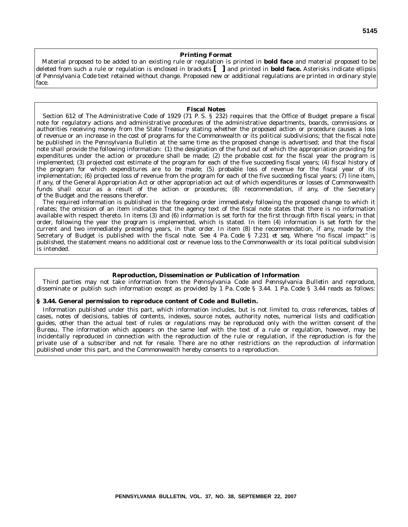#### **Printing Format**

Material proposed to be added to an existing rule or regulation is printed in **bold face** and material proposed to be deleted from such a rule or regulation is enclosed in brackets **[ ]** and printed in **bold face.** Asterisks indicate ellipsis of *Pennsylvania Code* text retained without change. Proposed new or additional regulations are printed in ordinary style face.

#### **Fiscal Notes**

Section 612 of The Administrative Code of 1929 (71 P. S. § 232) requires that the Office of Budget prepare a fiscal note for regulatory actions and administrative procedures of the administrative departments, boards, commissions or authorities receiving money from the State Treasury stating whether the proposed action or procedure causes a loss of revenue or an increase in the cost of programs for the Commonwealth or its political subdivisions; that the fiscal note be published in the *Pennsylvania Bulletin* at the same time as the proposed change is advertised; and that the fiscal note shall provide the following information: (1) the designation of the fund out of which the appropriation providing for expenditures under the action or procedure shall be made; (2) the probable cost for the fiscal year the program is implemented; (3) projected cost estimate of the program for each of the five succeeding fiscal years; (4) fiscal history of the program for which expenditures are to be made; (5) probable loss of revenue for the fiscal year of its implementation; (6) projected loss of revenue from the program for each of the five succeeding fiscal years; (7) line item, if any, of the General Appropriation Act or other appropriation act out of which expenditures or losses of Commonwealth funds shall occur as a result of the action or procedures; (8) recommendation, if any, of the Secretary of the Budget and the reasons therefor.

The required information is published in the foregoing order immediately following the proposed change to which it relates; the omission of an item indicates that the agency text of the fiscal note states that there is no information available with respect thereto. In items (3) and (6) information is set forth for the first through fifth fiscal years; in that order, following the year the program is implemented, which is stated. In item (4) information is set forth for the current and two immediately preceding years, in that order. In item (8) the recommendation, if any, made by the Secretary of Budget is published with the fiscal note. See 4 Pa. Code § 7.231 *et seq.* Where ''no fiscal impact'' is published, the statement means no additional cost or revenue loss to the Commonwealth or its local political subdivision is intended.

#### **Reproduction, Dissemination or Publication of Information**

Third parties may not take information from the *Pennsylvania Code* and *Pennsylvania Bulletin* and reproduce, disseminate or publish such information except as provided by 1 Pa. Code § 3.44. 1 Pa. Code § 3.44 reads as follows:

#### **§ 3.44. General permission to reproduce content of Code and Bulletin.**

Information published under this part, which information includes, but is not limited to, cross references, tables of cases, notes of decisions, tables of contents, indexes, source notes, authority notes, numerical lists and codification guides, other than the actual text of rules or regulations may be reproduced only with the written consent of the Bureau. The information which appears on the same leaf with the text of a rule or regulation, however, may be incidentally reproduced in connection with the reproduction of the rule or regulation, if the reproduction is for the private use of a subscriber and not for resale. There are no other restrictions on the reproduction of information published under this part, and the Commonwealth hereby consents to a reproduction.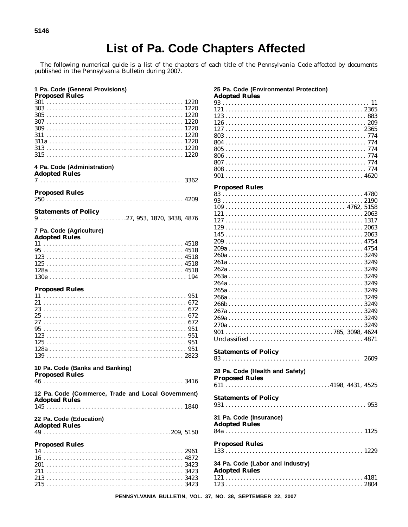### List of Pa. Code Chapters Affected

The following numerical guide is a list of the chapters of each title of the *Pennsylvania Code* affected by documents published in the *Pennsylvania Bulletin* during 2007.

| 1 Pa. Code (General Provisions)<br><b>Proposed Rules</b>                   |  |
|----------------------------------------------------------------------------|--|
|                                                                            |  |
|                                                                            |  |
|                                                                            |  |
|                                                                            |  |
|                                                                            |  |
|                                                                            |  |
| 4 Pa. Code (Administration)<br><b>Adopted Rules</b>                        |  |
|                                                                            |  |
| <b>Proposed Rules</b>                                                      |  |
| <b>Statements of Policy</b>                                                |  |
|                                                                            |  |
| 7 Pa. Code (Agriculture)<br><b>Adopted Rules</b>                           |  |
|                                                                            |  |
|                                                                            |  |
|                                                                            |  |
|                                                                            |  |
|                                                                            |  |
| <b>Proposed Rules</b>                                                      |  |
|                                                                            |  |
|                                                                            |  |
|                                                                            |  |
|                                                                            |  |
|                                                                            |  |
|                                                                            |  |
|                                                                            |  |
| 10 Pa. Code (Banks and Banking)<br><b>Proposed Rules</b>                   |  |
| 3416<br>46.                                                                |  |
| 12 Pa. Code (Commerce, Trade and Local Government)<br><b>Adopted Rules</b> |  |
|                                                                            |  |
| 22 Pa. Code (Education)<br><b>Adopted Rules</b>                            |  |
|                                                                            |  |
| <b>Proposed Rules</b>                                                      |  |
|                                                                            |  |
|                                                                            |  |
|                                                                            |  |
|                                                                            |  |

### 25 Pa. Code (Environmental Protection)<br>Adopted Rules

| Auvpleu Ruies |  |  |  |  |  |  |  |  |  |  |  |  |  |  |  |  |  |  |  |  |  |  |  |  |  |
|---------------|--|--|--|--|--|--|--|--|--|--|--|--|--|--|--|--|--|--|--|--|--|--|--|--|--|
|               |  |  |  |  |  |  |  |  |  |  |  |  |  |  |  |  |  |  |  |  |  |  |  |  |  |
| $1212365$     |  |  |  |  |  |  |  |  |  |  |  |  |  |  |  |  |  |  |  |  |  |  |  |  |  |
|               |  |  |  |  |  |  |  |  |  |  |  |  |  |  |  |  |  |  |  |  |  |  |  |  |  |
|               |  |  |  |  |  |  |  |  |  |  |  |  |  |  |  |  |  |  |  |  |  |  |  |  |  |
|               |  |  |  |  |  |  |  |  |  |  |  |  |  |  |  |  |  |  |  |  |  |  |  |  |  |
|               |  |  |  |  |  |  |  |  |  |  |  |  |  |  |  |  |  |  |  |  |  |  |  |  |  |
|               |  |  |  |  |  |  |  |  |  |  |  |  |  |  |  |  |  |  |  |  |  |  |  |  |  |
|               |  |  |  |  |  |  |  |  |  |  |  |  |  |  |  |  |  |  |  |  |  |  |  |  |  |
|               |  |  |  |  |  |  |  |  |  |  |  |  |  |  |  |  |  |  |  |  |  |  |  |  |  |
|               |  |  |  |  |  |  |  |  |  |  |  |  |  |  |  |  |  |  |  |  |  |  |  |  |  |
|               |  |  |  |  |  |  |  |  |  |  |  |  |  |  |  |  |  |  |  |  |  |  |  |  |  |
|               |  |  |  |  |  |  |  |  |  |  |  |  |  |  |  |  |  |  |  |  |  |  |  |  |  |

#### **Proposed Rules**

| <b>Statements of Policy</b>                              | 2609 |
|----------------------------------------------------------|------|
| 28 Pa. Code (Health and Safety)<br><b>Proposed Rules</b> |      |
|                                                          |      |
| <b>Statements of Policy</b>                              |      |
| 31 Pa. Code (Insurance)<br><b>Adopted Rules</b>          |      |
| <b>Proposed Rules</b>                                    |      |
|                                                          |      |
| 34 Pa. Code (Labor and Industry)<br><b>Adopted Rules</b> |      |
|                                                          |      |
|                                                          |      |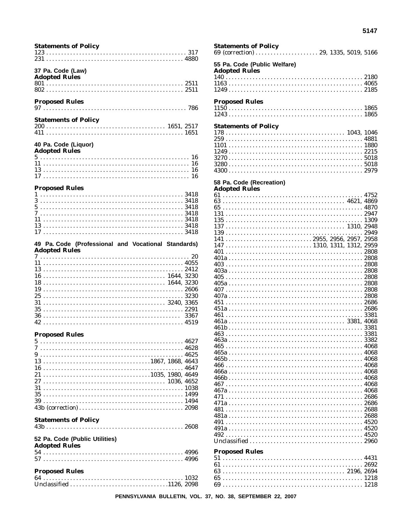| <b>Statements of Policy</b>                                                 |  |
|-----------------------------------------------------------------------------|--|
| 37 Pa. Code (Law)<br><b>Adopted Rules</b>                                   |  |
| <b>Proposed Rules</b>                                                       |  |
| <b>Statements of Policy</b>                                                 |  |
| 40 Pa. Code (Liquor)<br><b>Adopted Rules</b>                                |  |
|                                                                             |  |
| <b>Proposed Rules</b><br>7                                                  |  |
| 49 Pa. Code (Professional and Vocational Standards)<br><b>Adopted Rules</b> |  |
|                                                                             |  |
|                                                                             |  |
| <b>Proposed Rules</b>                                                       |  |
|                                                                             |  |
|                                                                             |  |
| <b>Statements of Policy</b>                                                 |  |
| 52 Pa. Code (Public Utilities)                                              |  |
| <b>Adopted Rules</b>                                                        |  |

| <b>Statements of Policy</b>                          |      |
|------------------------------------------------------|------|
| 55 Pa. Code (Public Welfare)<br><b>Adopted Rules</b> |      |
|                                                      |      |
|                                                      |      |
|                                                      |      |
| <b>Proposed Rules</b>                                |      |
|                                                      |      |
| <b>Statements of Policy</b>                          |      |
|                                                      |      |
|                                                      |      |
|                                                      |      |
|                                                      |      |
|                                                      |      |
|                                                      |      |
| 58 Pa. Code (Recreation)<br><b>Adopted Rules</b>     |      |
|                                                      |      |
|                                                      |      |
|                                                      |      |
|                                                      |      |
|                                                      |      |
|                                                      |      |
|                                                      |      |
|                                                      |      |
|                                                      |      |
|                                                      |      |
|                                                      |      |
|                                                      |      |
|                                                      |      |
|                                                      |      |
|                                                      |      |
|                                                      |      |
|                                                      |      |
|                                                      |      |
|                                                      |      |
|                                                      |      |
|                                                      |      |
|                                                      | 3382 |
|                                                      |      |
|                                                      |      |
|                                                      |      |
|                                                      |      |
|                                                      |      |
|                                                      |      |
|                                                      |      |
|                                                      |      |
|                                                      |      |
|                                                      |      |
|                                                      |      |
|                                                      |      |
|                                                      |      |
|                                                      |      |
|                                                      |      |
| <b>Proposed Rules</b>                                |      |
|                                                      |      |
|                                                      |      |
|                                                      |      |
|                                                      |      |
|                                                      |      |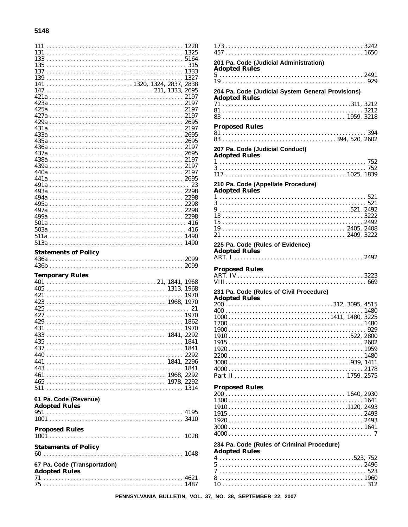#### 5148

| $147 \ldots \ldots \ldots \ldots \ldots \ldots \ldots \ldots \ldots \ldots \ldots \ldots 211, 1333, 2695$ |    |
|-----------------------------------------------------------------------------------------------------------|----|
|                                                                                                           |    |
|                                                                                                           |    |
|                                                                                                           |    |
|                                                                                                           |    |
|                                                                                                           |    |
|                                                                                                           |    |
|                                                                                                           |    |
|                                                                                                           |    |
|                                                                                                           |    |
|                                                                                                           |    |
|                                                                                                           |    |
|                                                                                                           |    |
|                                                                                                           |    |
|                                                                                                           |    |
|                                                                                                           |    |
|                                                                                                           |    |
|                                                                                                           |    |
|                                                                                                           |    |
|                                                                                                           |    |
| <b>Statements of Policy</b>                                                                               |    |
|                                                                                                           |    |
|                                                                                                           |    |
|                                                                                                           |    |
| <b>Temporary Rules</b>                                                                                    |    |
|                                                                                                           |    |
|                                                                                                           |    |
|                                                                                                           |    |
|                                                                                                           | 21 |
|                                                                                                           |    |
|                                                                                                           |    |
|                                                                                                           |    |
|                                                                                                           |    |
|                                                                                                           |    |
|                                                                                                           |    |
|                                                                                                           |    |
|                                                                                                           |    |
|                                                                                                           |    |
|                                                                                                           |    |
| 61 Pa. Code (Revenue)                                                                                     |    |
| <b>Adopted Rules</b>                                                                                      |    |
|                                                                                                           |    |
| <b>Proposed Rules</b>                                                                                     |    |
|                                                                                                           |    |
| <b>Statements of Policy</b>                                                                               |    |
|                                                                                                           |    |
|                                                                                                           |    |
| 67 Pa. Code (Transportation)<br><b>Adopted Rules</b>                                                      |    |
|                                                                                                           |    |

| 201 Pa. Code (Judicial Administration)                             |  |
|--------------------------------------------------------------------|--|
| <b>Adopted Rules</b>                                               |  |
|                                                                    |  |
| 204 Pa. Code (Judicial System General Provisions)                  |  |
| <b>Adopted Rules</b>                                               |  |
|                                                                    |  |
|                                                                    |  |
| <b>Proposed Rules</b>                                              |  |
|                                                                    |  |
| 207 Pa. Code (Judicial Conduct)<br><b>Adopted Rules</b>            |  |
|                                                                    |  |
|                                                                    |  |
| 210 Pa. Code (Appellate Procedure)                                 |  |
| <b>Adopted Rules</b>                                               |  |
|                                                                    |  |
|                                                                    |  |
|                                                                    |  |
|                                                                    |  |
| 225 Pa. Code (Rules of Evidence)                                   |  |
| <b>Adopted Rules</b>                                               |  |
| <b>Proposed Rules</b>                                              |  |
|                                                                    |  |
|                                                                    |  |
|                                                                    |  |
| 231 Pa. Code (Rules of Civil Procedure)                            |  |
| <b>Adopted Rules</b>                                               |  |
|                                                                    |  |
|                                                                    |  |
|                                                                    |  |
|                                                                    |  |
|                                                                    |  |
|                                                                    |  |
|                                                                    |  |
| <b>Proposed Rules</b>                                              |  |
|                                                                    |  |
|                                                                    |  |
|                                                                    |  |
|                                                                    |  |
|                                                                    |  |
| 234 Pa. Code (Rules of Criminal Procedure)<br><b>Adopted Rules</b> |  |
|                                                                    |  |
|                                                                    |  |
|                                                                    |  |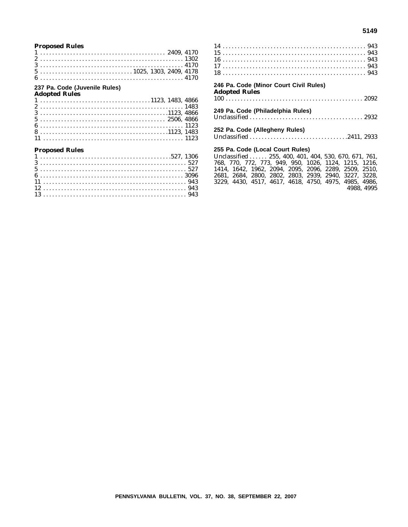#### **5149**

#### **Proposed Rules**

|  |  |  |  |  |  |  |  |  |  |  |  |  |  |  |  |  |  |  |  |  |  |  |  | $5 \ldots \ldots \ldots \ldots \ldots \ldots \ldots \ldots \ldots \ldots 1025, 1303, 2409, 4178$ |  |
|--|--|--|--|--|--|--|--|--|--|--|--|--|--|--|--|--|--|--|--|--|--|--|--|--------------------------------------------------------------------------------------------------|--|
|  |  |  |  |  |  |  |  |  |  |  |  |  |  |  |  |  |  |  |  |  |  |  |  |                                                                                                  |  |

#### **237 Pa. Code (Juvenile Rules)**

| <b>Adopted Rules</b> |  |  |  |  |  |  |  |  |  |  |  |  |  |  |  |  |  |  |  |  |  |  |  |  |
|----------------------|--|--|--|--|--|--|--|--|--|--|--|--|--|--|--|--|--|--|--|--|--|--|--|--|
|                      |  |  |  |  |  |  |  |  |  |  |  |  |  |  |  |  |  |  |  |  |  |  |  |  |
|                      |  |  |  |  |  |  |  |  |  |  |  |  |  |  |  |  |  |  |  |  |  |  |  |  |
|                      |  |  |  |  |  |  |  |  |  |  |  |  |  |  |  |  |  |  |  |  |  |  |  |  |
|                      |  |  |  |  |  |  |  |  |  |  |  |  |  |  |  |  |  |  |  |  |  |  |  |  |
|                      |  |  |  |  |  |  |  |  |  |  |  |  |  |  |  |  |  |  |  |  |  |  |  |  |
|                      |  |  |  |  |  |  |  |  |  |  |  |  |  |  |  |  |  |  |  |  |  |  |  |  |
|                      |  |  |  |  |  |  |  |  |  |  |  |  |  |  |  |  |  |  |  |  |  |  |  |  |
|                      |  |  |  |  |  |  |  |  |  |  |  |  |  |  |  |  |  |  |  |  |  |  |  |  |

#### **Proposed Rules**

| 246 Pa. Code (Minor Court Civil Rules)                |  |
|-------------------------------------------------------|--|
| <b>Adopted Rules</b>                                  |  |
|                                                       |  |
| 249 Pa. Code (Philadelphia Rules)                     |  |
|                                                       |  |
| 252 Pa. Code (Allegheny Rules)                        |  |
|                                                       |  |
| 255 Pa. Code (Local Court Rules)                      |  |
| Unclassified  255, 400, 401, 404, 530, 670, 671, 761, |  |

768, 770, 772, 773, 949, 950, 1026, 1124, 1215, 1216, 1414, 1642, 1962, 2094, 2095, 2096, 2289, 2509, 2510, 2681, 2684, 2800, 2802, 2803, 2939, 2940, 3227, 3228, 3229, 4430, 4517, 4617, 4618, 4750, 4975, 4985, 4986, 4988, 4995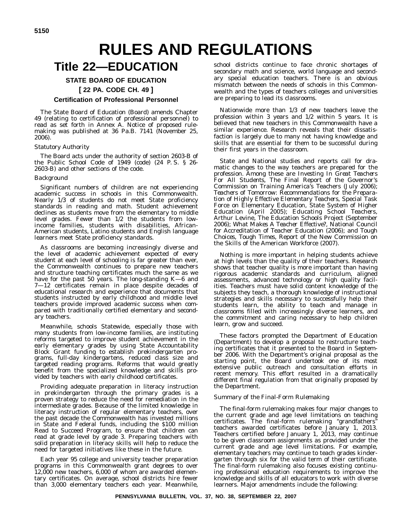# **RULES AND REGULATIONS**

### **Title 22—EDUCATION**

#### **STATE BOARD OF EDUCATION [ 22 PA. CODE CH. 49 ]**

#### **Certification of Professional Personnel**

The State Board of Education (Board) amends Chapter 49 (relating to certification of professional personnel) to read as set forth in Annex A. Notice of proposed rulemaking was published at 36 Pa.B. 7141 (November 25, 2006).

#### *Statutory Authority*

The Board acts under the authority of section 2603-B of the Public School Code of 1949 (code) (24 P. S. § 26- 2603-B) and other sections of the code.

#### *Background*

Significant numbers of children are not experiencing academic success in schools in this Commonwealth. Nearly 1/3 of students do not meet State proficiency standards in reading and math. Student achievement declines as students move from the elementary to middle level grades. Fewer than 1/2 the students from lowincome families, students with disabilities, African-American students, Latino students and English language learners meet State proficiency standards.

As classrooms are becoming increasingly diverse and the level of academic achievement expected of every student at each level of schooling is far greater than ever, the Commonwealth continues to prepare new teachers and structure teaching certificates much the same as we have for the past 50 years. The long-standing K—6 and 7—12 certificates remain in place despite decades of educational research and experience that documents that students instructed by early childhood and middle level teachers provide improved academic success when compared with traditionally certified elementary and secondary teachers.

Meanwhile, schools Statewide, especially those with many students from low-income families, are instituting reforms targeted to improve student achievement in the early elementary grades by using State Accountability Block Grant funding to establish prekindergarten programs, full-day kindergartens, reduced class size and targeted reading programs. Reforms that would greatly benefit from the specialized knowledge and skills provided by teachers with early childhood certificates.

Providing adequate preparation in literacy instruction in prekindergarten through the primary grades is a proven strategy to reduce the need for remediation in the intermediate grades. Because of the limited knowledge in literacy instruction of regular elementary teachers, over the past decade the Commonwealth has invested millions in State and Federal funds, including the \$100 million Read to Succeed Program, to ensure that children can read at grade level by grade 3. Preparing teachers with solid preparation in literacy skills will help to reduce the need for targeted initiatives like these in the future.

Each year 95 college and university teacher preparation programs in this Commonwealth grant degrees to over 12,000 new teachers, 6,000 of whom are awarded elementary certificates. On average, school districts hire fewer than 3,000 elementary teachers each year. Meanwhile,

school districts continue to face chronic shortages of secondary math and science, world language and secondary special education teachers. There is an obvious mismatch between the needs of schools in this Commonwealth and the types of teachers colleges and universities are preparing to lead its classrooms.

Nationwide more than 1/3 of new teachers leave the profession within 3 years and 1/2 within 5 years. It is believed that new teachers in this Commonwealth have a similar experience. Research reveals that their dissatisfaction is largely due to many not having knowledge and skills that are essential for them to be successful during their first years in the classroom.

State and National studies and reports call for dramatic changes to the way teachers are prepared for the profession. Among these are *Investing In Great Teachers For All Students*, The Final Report of the Governor's Commission on Training America's Teachers (July 2006); *Teachers of Tomorrow: Recommendations for the Preparation of Highly Effective Elementary Teachers*, Special Task Force on Elementary Education, State System of Higher Education (April 2005); *Educating School Teachers*, Arthur Levine, The Education Schools Project (September 2006); *What Makes A Teacher Effective?*, National Council for Accreditation of Teacher Education (2006); and *Tough Choices, Tough Times*, Report of the New Commission on the Skills of the American Workforce (2007).

Nothing is more important in helping students achieve at high levels than the quality of their teachers. Research shows that teacher quality is more important than having rigorous academic standards and curriculum, aligned assessments, advanced technology or high quality facilities. Teachers must have solid content knowledge of the subjects they teach, a thorough knowledge of instructional strategies and skills necessary to successfully help their students learn, the ability to teach and manage in classrooms filled with increasingly diverse learners, and the commitment and caring necessary to help children learn, grow and succeed.

These factors prompted the Department of Education (Department) to develop a proposal to restructure teaching certificates that it presented to the Board in September 2006. With the Department's original proposal as the starting point, the Board undertook one of its most extensive public outreach and consultation efforts in recent memory. This effort resulted in a dramatically different final regulation from that originally proposed by the Department.

#### *Summary of the Final-Form Rulemaking*

The final-form rulemaking makes four major changes to the current grade and age level limitations on teaching certificates. The final-form rulemaking ''grandfathers'' teachers awarded certificates before January 1, 2013. Teachers certified before January 1, 2013, may continue to be given classroom assignments as provided under the current grade and age level limitations. For example, elementary teachers may continue to teach grades kindergarten through six for the valid term of their certificate. The final-form rulemaking also focuses existing continuing professional education requirements to improve the knowledge and skills of all educators to work with diverse learners. Major amendments include the following: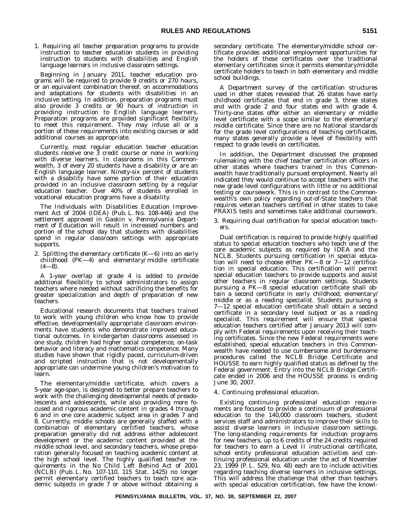1. *Requiring all teacher preparation programs to provide instruction to teacher education students in providing instruction to students with disabilities and English language learners in inclusive classroom settings.*

Beginning in January 2011, teacher education programs will be required to provide 9 credits or 270 hours, or an equivalent combination thereof, on accommodations and adaptations for students with disabilities in an inclusive setting. In addition, preparation programs must also provide 3 credits or 90 hours of instruction in providing instruction to English language learners. Preparation programs are provided significant flexibility to meet this requirement. They may infuse all or a portion of these requirements into existing courses or add additional courses as appropriate.

Currently, most regular education teacher education students receive one 3 credit course or none in working with diverse learners. In classrooms in this Commonwealth, 3 of every 20 students have a disability or are an English language learner. Ninety-six percent of students with a disability have some portion of their education provided in an inclusive classroom setting by a regular education teacher. Over 40% of students enrolled in vocational education programs have a disability.

The Individuals with Disabilities Education Improvement Act of 2004 (IDEA) (Pub. L. No. 108-446) and the settlement approved in *Gaskin v. Pennsylvania Department of Education* will result in increased numbers and portion of the school day that students with disabilities spend in regular classroom settings with appropriate supports.

2. *Splitting the elementary certificate (K—6) into an early childhood (PK—4) and elementary/middle certificate (4—8).*

A 1-year overlap at grade 4 is added to provide additional flexibility to school administrators to assign teachers where needed without sacrificing the benefits for greater specialization and depth of preparation of new teachers.

Educational research documents that teachers trained to work with young children who know how to provide effective, developmentally appropriate classroom environments have students who demonstrate improved educational outcomes. In kindergarten classrooms assessed in one study, children had higher social competence, on-task behavior and literacy and mathematics competence. Many studies have shown that rigidly paced, curriculum-driven and scripted instruction that is not developmentally appropriate can undermine young children's motivation to learn.

The elementary/middle certificate, which covers a 5-year age-span, is designed to better prepare teachers to work with the challenging developmental needs of preadolescents and adolescents, while also providing more focused and rigorous academic content in grades 4 through 6 and in one core academic subject area in grades 7 and 8. Currently, middle schools are generally staffed with a combination of elementary certified teachers, whose preparation generally did not address either adolescent development or the academic content provided at the middle school level, and secondary teachers, whose preparation generally focused on teaching academic content at the high school level. The highly qualified teacher requirements in the No Child Left Behind Act of 2001 (NCLB) (Pub. L. No. 107-110, 115 Stat. 1425) no longer permit elementary certified teachers to teach core academic subjects in grade 7 or above without obtaining a

secondary certificate. The elementary/middle school certificate provides additional employment opportunities for the holders of these certificates over the traditional elementary certificates since it permits elementary/middle certificate holders to teach in both elementary and middle school buildings.

A Department survey of the certification structures used in other states revealed that 26 states have early childhood certificates that end in grade 3, three states end with grade 2 and four states end with grade 4. Thirty-one states offer either an elementary or middle level certificate with a scope similar to the elementary/ middle certificate. Since there are no National standards for the grade level configurations of teaching certificates, many states generally provide a level of flexibility with respect to grade levels on certificates.

In addition, the Department discussed the proposed rulemaking with the chief teacher certification officers in other states where teachers trained in this Commonwealth have traditionally pursued employment. Nearly all indicated they would continue to accept teachers with the new grade level configurations with little or no additional testing or coursework. This is in contrast to the Commonwealth's own policy regarding out-of-State teachers that requires veteran teachers certified in other states to take PRAXIS tests and sometimes take additional coursework.

3. *Requiring dual certification for special education teachers.*

Dual certification is required to provide highly qualified status to special education teachers who teach one of the core academic subjects as required by IDEA and the NCLB. Students pursuing certification in special education will need to choose either PK—8 or 7—12 certification in special education. This certification will permit special education teachers to provide supports and assist other teachers in regular classroom settings. Students pursuing a PK—8 special education certificate shall obtain a second certificate in early childhood, elementary/ middle or as a reading specialist. Students pursuing a 7—12 special education certificate shall obtain a second certificate in a secondary level subject or as a reading specialist. This requirement will ensure that special education teachers certified after January 2013 will comply with Federal requirements upon receiving their teaching certificates. Since the new Federal requirements were established, special education teachers in this Commonwealth have needed to use cumbersome and burdensome procedures called the NCLB Bridge Certificate and HOUSSE to earn highly qualified status as defined by the Federal government. Entry into the NCLB Bridge Certificate ended in 2006 and the HOUSSE process is ending June 30, 2007.

#### 4. *Continuing professional education.*

Existing continuing professional education requirements are focused to provide a continuum of professional education to the 140,000 classroom teachers, student services staff and administrators to improve their skills to assist diverse learners in inclusive classroom settings. The long-standing requirements for induction programs for new teachers, up to 6 credits of the 24 credits required for teachers to earn a Level II instructional certificate, school entity professional education activities and continuing professional education under the act of November 23, 1999 (P. L. 529, No. 48) each are to include activities regarding teaching diverse learners in inclusive settings. This will address the challenge that other than teachers with special education certification, few have the knowl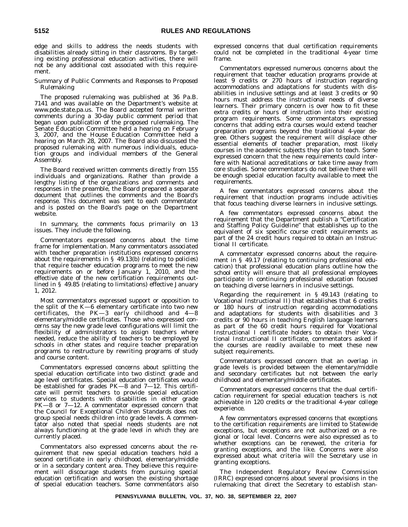edge and skills to address the needs students with disabilities already sitting in their classrooms. By targeting existing professional education activities, there will not be any additional cost associated with this requirement.

#### *Summary of Public Comments and Responses to Proposed Rulemaking*

The proposed rulemaking was published at 36 Pa.B. 7141 and was available on the Department's website at www.pde.state.pa.us. The Board accepted formal written comments during a 30-day public comment period that began upon publication of the proposed rulemaking. The Senate Education Committee held a hearing on February 3, 2007, and the House Education Committee held a hearing on March 28, 2007. The Board also discussed the proposed rulemaking with numerous individuals, education groups and individual members of the General Assembly.

The Board received written comments directly from 155 individuals and organizations. Rather than provide a lengthy listing of the organizations and comments and responses in the preamble, the Board prepared a separate document that outlines the comments and the Board's response. This document was sent to each commentator and is posted on the Board's page on the Department website.

In summary, the comments focus primarily on 13 issues. They include the following.

Commentators expressed concerns about the time frame for implementation. Many commentators associated with teacher preparation institutions expressed concerns about the requirements in § 49.13(b) (relating to policies) that require teacher education programs to meet the new requirements on or before January 1, 2010, and the effective date of the new certification requirements outlined in § 49.85 (relating to limitations) effective January 1, 2012.

Most commentators expressed support or opposition to the split of the K—6 elementary certificate into two new certificates, the PK—3 early childhood and 4—8 elementary/middle certificates. Those who expressed concerns say the new grade level configurations will limit the flexibility of administrators to assign teachers where needed, reduce the ability of teachers to be employed by schools in other states and require teacher preparation programs to restructure by rewriting programs of study and course content.

Commentators expressed concerns about splitting the special education certificate into two distinct grade and age level certificates. Special education certificates would be established for grades PK—8 and 7—12. This certificate will permit teachers to provide special education services to students with disabilities in either grade PK—8 or 7—12. A commentator expressed concern that the Council for Exceptional Children Standards does not group special needs children into grade levels. A commentator also noted that special needs students are not always functioning at the grade level in which they are currently placed.

Commentators also expressed concerns about the requirement that new special education teachers hold a second certificate in early childhood, elementary/middle or in a secondary content area. They believe this requirement will discourage students from pursuing special education certification and worsen the existing shortage of special education teachers. Some commentators also

expressed concerns that dual certification requirements could not be completed in the traditional 4-year time frame.

Commentators expressed numerous concerns about the requirement that teacher education programs provide at least 9 credits or 270 hours of instruction regarding accommodations and adaptations for students with disabilities in inclusive settings and at least 3 credits or 90 hours must address the instructional needs of diverse learners. Their primary concern is over how to fit these extra credits or hours of instruction into their existing program requirements. Some commentators expressed concerns that adding extra courses would extend teacher preparation programs beyond the traditional 4-year degree. Others suggest the requirement will displace other essential elements of teacher preparation, most likely courses in the academic subjects they plan to teach. Some expressed concern that the new requirements could interfere with National accreditations or take time away from core studies. Some commentators do not believe there will be enough special education faculty available to meet the requirements.

A few commentators expressed concerns about the requirement that induction programs include activities that focus teaching diverse learners in inclusive settings.

A few commentators expressed concerns about the requirement that the Department publish a "Certification" and Staffing Policy Guideline'' that establishes up to the equivalent of six specific course credit requirements as part of the 24 credit hours required to obtain an Instructional II certificate.

A commentator expressed concerns about the requirement in § 49.17 (relating to continuing professional education) that professional education plans outline how the school entity will ensure that all professional employees participate in continuing professional education focused on teaching diverse learners in inclusive settings.

Regarding the requirement in § 49.143 (relating to Vocational Instructional II) that establishes that 6 credits or 180 hours of instruction regarding accommodations and adaptations for students with disabilities and 3 credits or 90 hours in teaching English language learners as part of the 60 credit hours required for Vocational Instructional I certificate holders to obtain their Vocational Instructional II certificate, commentators asked if the courses are readily available to meet these new subject requirements.

Commentators expressed concern that an overlap in grade levels is provided between the elementary/middle and secondary certificates but not between the early childhood and elementary/middle certificates.

Commentators expressed concerns that the dual certification requirement for special education teachers is not achievable in 120 credits or the traditional 4-year college experience.

A few commentators expressed concerns that exceptions to the certification requirements are limited to Statewide exceptions, but exceptions are not authorized on a regional or local level. Concerns were also expressed as to whether exceptions can be renewed, the criteria for granting exceptions, and the like. Concerns were also expressed about what criteria will the Secretary use in granting exceptions.

The Independent Regulatory Review Commission (IRRC) expressed concerns about several provisions in the rulemaking that direct the Secretary to establish stan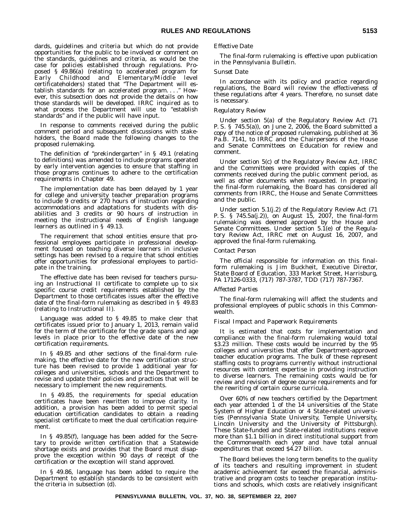dards, guidelines and criteria but which do not provide opportunities for the public to be involved or comment on the standards, guidelines and criteria, as would be the case for policies established through regulations. Proposed § 49.86(a) (relating to accelerated program for Early Childhood and Elementary/Middle level certificateholders) stated that ''The Department will establish standards for an accelerated program....'' However, this subsection does not provide the details on how those standards will be developed. IRRC inquired as to what process the Department will use to "establish standards'' and if the public will have input.

In response to comments received during the public comment period and subsequent discussions with stakeholders, the Board made the following changes to the proposed rulemaking.

The definition of ''prekindergarten'' in § 49.1 (relating to definitions) was amended to include programs operated by early intervention agencies to ensure that staffing in those programs continues to adhere to the certification requirements in Chapter 49.

The implementation date has been delayed by 1 year for college and university teacher preparation programs to include 9 credits or 270 hours of instruction regarding accommodations and adaptations for students with disabilities and 3 credits or 90 hours of instruction in meeting the instructional needs of English language learners as outlined in § 49.13.

The requirement that school entities ensure that professional employees participate in professional development focused on teaching diverse learners in inclusive settings has been revised to a require that school entities offer opportunities for professional employees to participate in the training.

The effective date has been revised for teachers pursuing an Instructional II certificate to complete up to six specific course credit requirements established by the Department to those certificates issues after the effective date of the final-form rulemaking as described in § 49.83 (relating to Instructional II).

Language was added to § 49.85 to make clear that certificates issued prior to January 1, 2013, remain valid for the term of the certificate for the grade spans and age levels in place prior to the effective date of the new certification requirements.

In § 49.85 and other sections of the final-form rulemaking, the effective date for the new certification structure has been revised to provide 1 additional year for colleges and universities, schools and the Department to revise and update their policies and practices that will be necessary to implement the new requirements.

In § 49.85, the requirements for special education certificates have been rewritten to improve clarity. In addition, a provision has been added to permit special education certification candidates to obtain a reading specialist certificate to meet the dual certification requirement.

In § 49.85(f), language has been added for the Secretary to provide written certification that a Statewide shortage exists and provides that the Board must disapprove the exception within 90 days of receipt of the certification or the exception will stand approved.

In § 49.86, language has been added to require the Department to establish standards to be consistent with the criteria in subsection (d).

#### *Effective Date*

The final-form rulemaking is effective upon publication in the *Pennsylvania Bulletin*.

#### *Sunset Date*

In accordance with its policy and practice regarding regulations, the Board will review the effectiveness of these regulations after 4 years. Therefore, no sunset date is necessary.

#### *Regulatory Review*

Under section 5(a) of the Regulatory Review Act (71 P. S. § 745.5(a)), on June 2, 2006, the Board submitted a copy of the notice of proposed rulemaking, published at 36 Pa.B. 7141, to IRRC and the Chairpersons of the House and Senate Committees on Education for review and comment.

Under section 5(c) of the Regulatory Review Act, IRRC and the Committees were provided with copies of the comments received during the public comment period, as well as other documents when requested. In preparing the final-form rulemaking, the Board has considered all comments from IRRC, the House and Senate Committees and the public.

Under section 5.1(j.2) of the Regulatory Review Act (71 P. S. § 745.5a(j.2)), on August 15, 2007, the final-form rulemaking was deemed approved by the House and Senate Committees. Under section 5.1(e) of the Regulatory Review Act, IRRC met on August 16, 2007, and approved the final-form rulemaking.

#### *Contact Person*

The official responsible for information on this finalform rulemaking is Jim Buckheit, Executive Director, State Board of Education, 333 Market Street, Harrisburg, PA 17126-0333, (717) 787-3787, TDD (717) 787-7367.

#### *Affected Parties*

The final-form rulemaking will affect the students and professional employees of public schools in this Commonwealth.

#### *Fiscal Impact and Paperwork Requirements*

It is estimated that costs for implementation and compliance with the final-form rulemaking would total \$3.23 million. These costs would be incurred by the 95 colleges and universities that offer Department-approved teacher education programs. The bulk of these represent staffing costs to programs currently without instructional resources with content expertise in providing instruction to diverse learners. The remaining costs would be for review and revision of degree course requirements and for the rewriting of certain course curricula.

Over 60% of new teachers certified by the Department each year attended 1 of the 14 universities of the State System of Higher Education or 4 State-related universities (Pennsylvania State University, Temple University, Lincoln University and the University of Pittsburgh). These State-funded and State-related institutions receive more than \$1.1 billion in direct institutional support from the Commonwealth each year and have total annual expenditures that exceed \$4.27 billion.

The Board believes the long term benefits to the quality of its teachers and resulting improvement in student academic achievement far exceed the financial, administrative and program costs to teacher preparation institutions and schools, which costs are relatively insignificant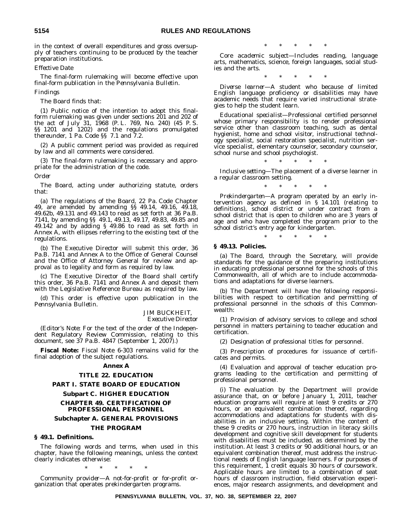in the context of overall expenditures and gross oversupply of teachers continuing to be produced by the teacher preparation institutions.

#### *Effective Date*

The final-form rulemaking will become effective upon final-form publication in the *Pennsylvania Bulletin*.

#### *Findings*

The Board finds that:

(1) Public notice of the intention to adopt this finalform rulemaking was given under sections 201 and 202 of the act of July 31, 1968 (P. L. 769, No. 240) (45 P. S. §§ 1201 and 1202) and the regulations promulgated thereunder, 1 Pa. Code §§ 7.1 and 7.2.

(2) A public comment period was provided as required by law and all comments were considered.

(3) The final-form rulemaking is necessary and appropriate for the administration of the code.

*Order*

The Board, acting under authorizing statute, orders that:

(a) The regulations of the Board, 22 Pa. Code Chapter 49, are amended by amending §§ 49.14, 49.16, 49.18, 49.62b, 49.131 and 49.143 to read as set forth at 36 Pa.B. 7141, by amending §§ 49.1, 49.13, 49.17, 49.83, 49.85 and 49.142 and by adding § 49.86 to read as set forth in Annex A, with ellipses referring to the existing text of the regulations.

(b) The Executive Director will submit this order, 36 Pa.B. 7141 and Annex A to the Office of General Counsel and the Office of Attorney General for review and approval as to legality and form as required by law.

(c) The Executive Director of the Board shall certify this order, 36 Pa.B. 7141 and Annex A and deposit them with the Legislative Reference Bureau as required by law.

(d) This order is effective upon publication in the *Pennsylvania Bulletin*.

#### JIM BUCKHEIT,

*Executive Director*

(*Editor's Note*: For the text of the order of the Independent Regulatory Review Commission, relating to this document, see 37 Pa.B. 4847 (September 1, 2007).)

**Fiscal Note:** Fiscal Note 6-303 remains valid for the final adoption of the subject regulations.

#### **Annex A**

#### **TITLE 22. EDUCATION**

#### **PART I. STATE BOARD OF EDUCATION**

#### **Subpart C. HIGHER EDUCATION**

#### **CHAPTER 49. CERTIFICATION OF PROFESSIONAL PERSONNEL**

#### **Subchapter A. GENERAL PROVISIONS**

#### **THE PROGRAM**

#### **§ 49.1. Definitions.**

The following words and terms, when used in this chapter, have the following meanings, unless the context clearly indicates otherwise:

\*\*\*\*\*

*Community provider*—A not-for-profit or for-profit organization that operates prekindergarten programs.

\*\*\*\*\*

*Core academic subject*—Includes reading, language arts, mathematics, science, foreign languages, social studies and the arts.

\*\*\*\*\*

*Diverse learner*—A student who because of limited English language proficiency or disabilities may have academic needs that require varied instructional strategies to help the student learn.

*Educational specialist*—Professional certified personnel whose primary responsibility is to render professional service other than classroom teaching, such as dental hygienist, home and school visitor, instructional technology specialist, social restoration specialist, nutrition service specialist, elementary counselor, secondary counselor, school nurse and school psychologist.

\*\*\*\*\*

*Inclusive setting*—The placement of a diverse learner in a regular classroom setting.

\*\*\*\*\*

*Prekindergarten*—A program operated by an early intervention agency as defined in § 14.101 (relating to definitions), school district or under contract from a school district that is open to children who are 3 years of age and who have completed the program prior to the school district's entry age for kindergarten.

\*\*\*\*\*

#### **§ 49.13. Policies.**

(a) The Board, through the Secretary, will provide standards for the guidance of the preparing institutions in educating professional personnel for the schools of this Commonwealth, all of which are to include accommodations and adaptations for diverse learners.

(b) The Department will have the following responsibilities with respect to certification and permitting of professional personnel in the schools of this Commonwealth:

(1) Provision of advisory services to college and school personnel in matters pertaining to teacher education and certification.

(2) Designation of professional titles for personnel.

(3) Prescription of procedures for issuance of certificates and permits.

(4) Evaluation and approval of teacher education programs leading to the certification and permitting of professional personnel.

(i) The evaluation by the Department will provide assurance that, on or before January 1, 2011, teacher education programs will require at least 9 credits or 270 hours, or an equivalent combination thereof, regarding accommodations and adaptations for students with disabilities in an inclusive setting. Within the content of these 9 credits or 270 hours, instruction in literacy skills development and cognitive skill development for students with disabilities must be included, as determined by the institution. At least 3 credits or 90 additional hours, or an equivalent combination thereof, must address the instructional needs of English language learners. For purposes of this requirement, 1 credit equals 30 hours of coursework. Applicable hours are limited to a combination of seat hours of classroom instruction, field observation experiences, major research assignments, and development and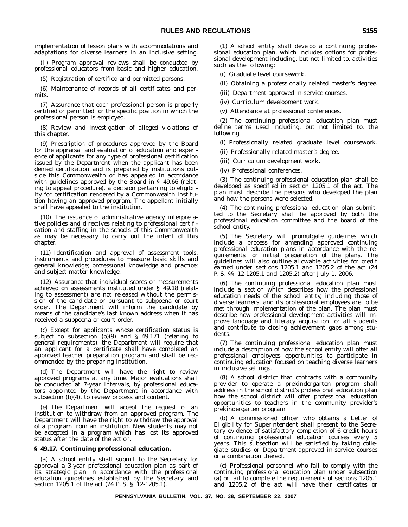implementation of lesson plans with accommodations and adaptations for diverse learners in an inclusive setting.

(ii) Program approval reviews shall be conducted by professional educators from basic and higher education.

(5) Registration of certified and permitted persons.

(6) Maintenance of records of all certificates and permits.

(7) Assurance that each professional person is properly certified or permitted for the specific position in which the professional person is employed.

(8) Review and investigation of alleged violations of this chapter.

(9) Prescription of procedures approved by the Board for the appraisal and evaluation of education and experience of applicants for any type of professional certification issued by the Department when the applicant has been denied certification and is prepared by institutions outside this Commonwealth or has appealed in accordance with guidelines approved by the Board in § 49.66 (relating to appeal procedure), a decision pertaining to eligibility for certification rendered by a Commonwealth institution having an approved program. The appellant initially shall have appealed to the institution.

(10) The issuance of administrative agency interpretative policies and directives relating to professional certification and staffing in the schools of this Commonwealth as may be necessary to carry out the intent of this chapter.

(11) Identification and approval of assessment tools, instruments and procedures to measure basic skills and general knowledge; professional knowledge and practice; and subject matter knowledge.

(12) Assurance that individual scores or measurements achieved on assessments instituted under § 49.18 (relating to assessment) are not released without the permission of the candidate or pursuant to subpoena or court order. The Department will inform the candidate by means of the candidate's last known address when it has received a subpoena or court order.

(c) Except for applicants whose certification status is subject to subsection (b)(9) and § 49.171 (relating to general requirements), the Department will require that an applicant for a certificate shall have completed an approved teacher preparation program and shall be recommended by the preparing institution.

(d) The Department will have the right to review approved programs at any time. Major evaluations shall be conducted at 7-year intervals, by professional educators appointed by the Department in accordance with subsection (b)(4), to review process and content.

(e) The Department will accept the request of an institution to withdraw from an approved program. The Department will have the right to withdraw the approval of a program from an institution. New students may not be accepted in a program which has lost its approved status after the date of the action.

#### **§ 49.17. Continuing professional education.**

(a) A school entity shall submit to the Secretary for approval a 3-year professional education plan as part of its strategic plan in accordance with the professional education guidelines established by the Secretary and section 1205.1 of the act (24 P. S. § 12-1205.1).

(1) A school entity shall develop a continuing professional education plan, which includes options for professional development including, but not limited to, activities such as the following:

(i) Graduate level coursework.

(ii) Obtaining a professionally related master's degree.

(iii) Department-approved in-service courses.

(iv) Curriculum development work.

(v) Attendance at professional conferences.

(2) The continuing professional education plan must define terms used including, but not limited to, the following:

(i) Professionally related graduate level coursework.

(ii) Professionally related master's degree.

(iii) Curriculum development work.

(iv) Professional conferences.

(3) The continuing professional education plan shall be developed as specified in section 1205.1 of the act. The plan must describe the persons who developed the plan and how the persons were selected.

(4) The continuing professional education plan submitted to the Secretary shall be approved by both the professional education committee and the board of the school entity.

(5) The Secretary will promulgate guidelines which include a process for amending approved continuing professional education plans in accordance with the requirements for initial preparation of the plans. The guidelines will also outline allowable activities for credit earned under sections 1205.1 and 1205.2 of the act (24 P. S. §§ 12-1205.1 and 1205.2) after July 1, 2006.

(6) The continuing professional education plan must include a section which describes how the professional education needs of the school entity, including those of diverse learners, and its professional employees are to be met through implementation of the plan. The plan must describe how professional development activities will improve language and literacy acquisition for all students and contribute to closing achievement gaps among students.

(7) The continuing professional education plan must include a description of how the school entity will offer all professional employees opportunities to participate in continuing education focused on teaching diverse learners in inclusive settings.

(8) A school district that contracts with a community provider to operate a prekindergarten program shall address in the school district's professional education plan how the school district will offer professional education opportunities to teachers in the community provider's prekindergarten program.

(b) A commissioned officer who obtains a Letter of Eligibility for Superintendent shall present to the Secretary evidence of satisfactory completion of 6 credit hours of continuing professional education courses every 5 years. This subsection will be satisfied by taking collegiate studies or Department-approved in-service courses or a combination thereof.

(c) Professional personnel who fail to comply with the continuing professional education plan under subsection (a) or fail to complete the requirements of sections 1205.1 and 1205.2 of the act will have their certificates or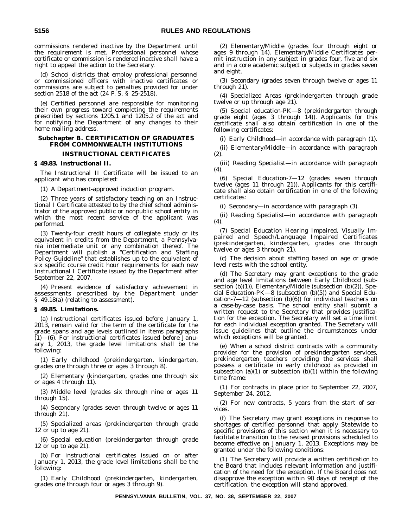commissions rendered inactive by the Department until the requirement is met. Professional personnel whose certificate or commission is rendered inactive shall have a right to appeal the action to the Secretary.

(d) School districts that employ professional personnel or commissioned officers with inactive certificates or commissions are subject to penalties provided for under section 2518 of the act (24 P. S. § 25-2518).

(e) Certified personnel are responsible for monitoring their own progress toward completing the requirements prescribed by sections 1205.1 and 1205.2 of the act and for notifying the Department of any changes to their home mailing address.

#### **Subchapter B. CERTIFICATION OF GRADUATES FROM COMMONWEALTH INSTITUTIONS**

#### **INSTRUCTIONAL CERTIFICATES**

#### **§ 49.83. Instructional II.**

The Instructional II Certificate will be issued to an applicant who has completed:

(1) A Department-approved induction program.

(2) Three years of satisfactory teaching on an Instructional I Certificate attested to by the chief school administrator of the approved public or nonpublic school entity in which the most recent service of the applicant was performed.

(3) Twenty-four credit hours of collegiate study or its equivalent in credits from the Department, a Pennsylvania intermediate unit or any combination thereof. The Department will publish a ''Certification and Staffing Policy Guideline'' that establishes up to the equivalent of six specific course credit hour requirements for each new Instructional I Certificate issued by the Department after September 22, 2007.

(4) Present evidence of satisfactory achievement in assessments prescribed by the Department under § 49.18(a) (relating to assessment).

#### **§ 49.85. Limitations.**

(a) Instructional certificates issued before January 1, 2013, remain valid for the term of the certificate for the grade spans and age levels outlined in items paragraphs  $(1)$ — $(6)$ . For instructional certificates issued before January 1, 2013, the grade level limitations shall be the following:

(1) Early childhood (prekindergarten, kindergarten, grades one through three or ages 3 through 8).

(2) Elementary (kindergarten, grades one through six or ages 4 through 11).

(3) Middle level (grades six through nine or ages 11 through 15).

(4) Secondary (grades seven through twelve or ages 11 through 21).

(5) Specialized areas (prekindergarten through grade 12 or up to age 21).

(6) Special education (prekindergarten through grade 12 or up to age 21).

(b) For instructional certificates issued on or after January 1, 2013, the grade level limitations shall be the following:

(1) Early Childhood (prekindergarten, kindergarten, grades one through four or ages 3 through 9).

(2) Elementary/Middle (grades four through eight or ages 9 through 14). Elementary/Middle Certificates permit instruction in any subject in grades four, five and six and in a core academic subject or subjects in grades seven and eight.

(3) Secondary (grades seven through twelve or ages 11 through 21).

(4) Specialized Areas (prekindergarten through grade twelve or up through age 21).

(5) Special education-PK—8 (prekindergarten through grade eight (ages 3 through 14)). Applicants for this certificate shall also obtain certification in one of the following certificates:

(i) Early Childhood—in accordance with paragraph (1).

(ii) Elementary/Middle—in accordance with paragraph (2).

(iii) Reading Specialist—in accordance with paragraph (4).

(6) Special Education-7—12 (grades seven through twelve (ages 11 through 21)). Applicants for this certificate shall also obtain certification in one of the following certificates:

(i) Secondary—in accordance with paragraph (3).

(ii) Reading Specialist—in accordance with paragraph (4).

(7) Special Education Hearing Impaired, Visually Impaired and Speech/Language Impaired Certificates (prekindergarten, kindergarten, grades one through twelve or ages 3 through 21).

(c) The decision about staffing based on age or grade level rests with the school entity.

(d) The Secretary may grant exceptions to the grade and age level limitations between Early Childhood (subsection (b)(1)), Elementary/Middle (subsection (b)(2)), Special Education-PK—8 (subsection (b)(5)) and Special Education-7-12 (subsection  $(b)(6)$ ) for individual teachers on a case-by-case basis. The school entity shall submit a written request to the Secretary that provides justification for the exception. The Secretary will set a time limit for each individual exception granted. The Secretary will issue guidelines that outline the circumstances under which exceptions will be granted.

(e) When a school district contracts with a community provider for the provision of prekindergarten services, prekindergarten teachers providing the services shall possess a certificate in early childhood as provided in subsection (a)(1) or subsection (b)(1) within the following time frame:

(1) For contracts in place prior to September 22, 2007, September 24, 2012.

(2) For new contracts, 5 years from the start of services.

(f) The Secretary may grant exceptions in response to shortages of certified personnel that apply Statewide to specific provisions of this section when it is necessary to facilitate transition to the revised provisions scheduled to become effective on January 1, 2013. Exceptions may be granted under the following conditions:

(1) The Secretary will provide a written certification to the Board that includes relevant information and justification of the need for the exception. If the Board does not disapprove the exception within 90 days of receipt of the certification, the exception will stand approved.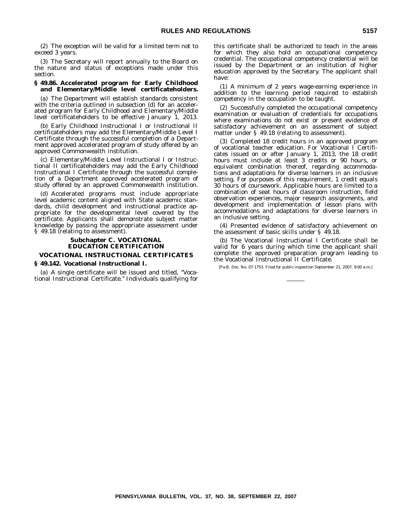(2) The exception will be valid for a limited term not to exceed 3 years.

(3) The Secretary will report annually to the Board on the nature and status of exceptions made under this section.

#### **§ 49.86. Accelerated program for Early Childhood and Elementary/Middle level certificateholders.**

(a) The Department will establish standards consistent with the criteria outlined in subsection (d) for an accelerated program for Early Childhood and Elementary/Middle level certificateholders to be effective January 1, 2013.

(b) Early Childhood Instructional I or Instructional II certificateholders may add the Elementary/Middle Level I Certificate through the successful completion of a Department approved accelerated program of study offered by an approved Commonwealth institution.

(c) Elementary/Middle Level Instructional I or Instructional II certificateholders may add the Early Childhood Instructional I Certificate through the successful completion of a Department approved accelerated program of study offered by an approved Commonwealth institution.

(d) Accelerated programs must include appropriate level academic content aligned with State academic standards, child development and instructional practice appropriate for the developmental level covered by the certificate. Applicants shall demonstrate subject matter knowledge by passing the appropriate assessment under § 49.18 (relating to assessment).

#### **Subchapter C. VOCATIONAL EDUCATION CERTIFICATION**

#### **VOCATIONAL INSTRUCTIONAL CERTIFICATES**

#### **§ 49.142. Vocational Instructional I.**

(a) A single certificate will be issued and titled, ''Vocational Instructional Certificate.'' Individuals qualifying for this certificate shall be authorized to teach in the areas for which they also hold an occupational competency credential. The occupational competency credential will be issued by the Department or an institution of higher education approved by the Secretary. The applicant shall have:

(1) A minimum of 2 years wage-earning experience in addition to the learning period required to establish competency in the occupation to be taught.

(2) Successfully completed the occupational competency examination or evaluation of credentials for occupations where examinations do not exist or present evidence of satisfactory achievement on an assessment of subject matter under § 49.18 (relating to assessment).

(3) Completed 18 credit hours in an approved program of vocational teacher education. For Vocational I Certificates issued on or after January 1, 2013, the 18 credit hours must include at least 3 credits or 90 hours, or equivalent combination thereof, regarding accommodations and adaptations for diverse learners in an inclusive setting. For purposes of this requirement, 1 credit equals 30 hours of coursework. Applicable hours are limited to a combination of seat hours of classroom instruction, field observation experiences, major research assignments, and development and implementation of lesson plans with accommodations and adaptations for diverse learners in an inclusive setting.

(4) Presented evidence of satisfactory achievement on the assessment of basic skills under  $\S$  49.18.

(b) The Vocational Instructional I Certificate shall be valid for 6 years during which time the applicant shall complete the approved preparation program leading to the Vocational Instructional II Certificate.

[Pa.B. Doc. No. 07-1753. Filed for public inspection September 21, 2007, 9:00 a.m.]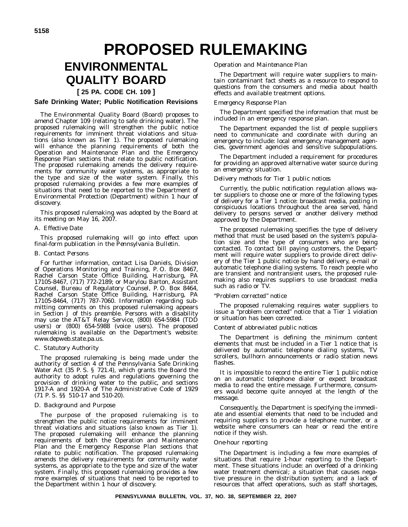# **PROPOSED RULEMAKING**

### **ENVIRONMENTAL QUALITY BOARD**

#### **[ 25 PA. CODE CH. 109 ]**

#### **Safe Drinking Water; Public Notification Revisions**

The Environmental Quality Board (Board) proposes to amend Chapter 109 (relating to safe drinking water). The proposed rulemaking will strengthen the public notice requirements for imminent threat violations and situations (also known as Tier 1). The proposed rulemaking will enhance the planning requirements of both the Operation and Maintenance Plan and the Emergency Response Plan sections that relate to public notification. The proposed rulemaking amends the delivery requirements for community water systems, as appropriate to the type and size of the water system. Finally, this proposed rulemaking provides a few more examples of situations that need to be reported to the Department of Environmental Protection (Department) within 1 hour of discovery.

This proposed rulemaking was adopted by the Board at its meeting on May 16, 2007.

#### A. *Effective Date*

This proposed rulemaking will go into effect upon final-form publication in the *Pennsylvania Bulletin*.

#### B. *Contact Persons*

For further information, contact Lisa Daniels, Division of Operations Monitoring and Training, P. O. Box 8467, Rachel Carson State Office Building, Harrisburg, PA 17105-8467, (717) 772-2189; or Marylou Barton, Assistant Counsel, Bureau of Regulatory Counsel, P. O. Box 8464, Rachel Carson State Office Building, Harrisburg, PA 17105-8464, (717) 787-7060. Information regarding submitting comments on this proposed rulemaking appears in Section J of this preamble. Persons with a disability may use the AT&T Relay Service, (800) 654-5984 (TDD users) or (800) 654-5988 (voice users). The proposed rulemaking is available on the Department's website: www.depweb.state.pa.us.

#### C. *Statutory Authority*

The proposed rulemaking is being made under the authority of section 4 of the Pennsylvania Safe Drinking Water Act (35 P. S. § 721.4), which grants the Board the authority to adopt rules and regulations governing the provision of drinking water to the public, and sections 1917-A and 1920-A of The Administrative Code of 1929 (71 P. S. §§ 510-17 and 510-20).

#### D. *Background and Purpose*

The purpose of the proposed rulemaking is to strengthen the public notice requirements for imminent threat violations and situations (also known as Tier 1). The proposed rulemaking will enhance the planning requirements of both the Operation and Maintenance Plan and the Emergency Response Plan sections that relate to public notification. The proposed rulemaking amends the delivery requirements for community water systems, as appropriate to the type and size of the water system. Finally, this proposed rulemaking provides a few more examples of situations that need to be reported to the Department within 1 hour of discovery.

#### *Operation and Maintenance Plan*

The Department will require water suppliers to maintain contaminant fact sheets as a resource to respond to questions from the consumers and media about health effects and available treatment options.

#### *Emergency Response Plan*

The Department specified the information that must be included in an emergency response plan.

The Department expanded the list of people suppliers need to communicate and coordinate with during an emergency to include: local emergency management agencies, government agencies and sensitive subpopulations.

The Department included a requirement for procedures for providing an approved alternative water source during an emergency situation.

#### *Delivery methods for Tier 1 public notices*

Currently, the public notification regulation allows water suppliers to choose one or more of the following types of delivery for a Tier 1 notice: broadcast media, posting in conspicuous locations throughout the area served, hand delivery to persons served or another delivery method approved by the Department.

The proposed rulemaking specifies the type of delivery method that must be used based on the system's population size and the type of consumers who are being contacted. To contact bill paying customers, the Department will require water suppliers to provide direct delivery of the Tier 1 public notice by hand delivery, e-mail or automatic telephone dialing systems. To reach people who are transient and nontransient users, the proposed rulemaking also requires suppliers to use broadcast media such as radio or TV.

#### *''Problem corrected'' notice*

The proposed rulemaking requires water suppliers to issue a "problem corrected" notice that a Tier 1 violation or situation has been corrected.

#### *Content of abbreviated public notices*

The Department is defining the minimum content elements that must be included in a Tier 1 notice that is delivered by automatic telephone dialing systems, TV scrollers, bullhorn announcements or radio station news flashes.

It is impossible to record the entire Tier 1 public notice on an automatic telephone dialer or expect broadcast media to read the entire message. Furthermore, consumers would become quite annoyed at the length of the message.

Consequently, the Department is specifying the immediate and essential elements that need to be included and requiring suppliers to provide a telephone number, or a website where consumers can hear or read the entire notice if they wish.

#### *One-hour reporting*

The Department is including a few more examples of situations that require 1-hour reporting to the Department. These situations include: an overfeed of a drinking water treatment chemical; a situation that causes negative pressure in the distribution system; and a lack of resources that affect operations, such as staff shortages,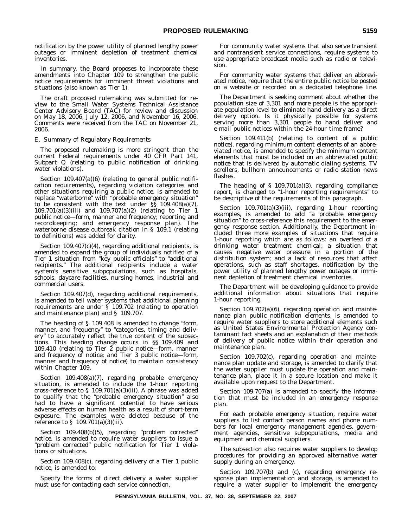notification by the power utility of planned lengthy power outages or imminent depletion of treatment chemical inventories.

In summary, the Board proposes to incorporate these amendments into Chapter 109 to strengthen the public notice requirements for imminent threat violations and situations (also known as Tier 1).

The draft proposed rulemaking was submitted for review to the Small Water Systems Technical Assistance Center Advisory Board (TAC) for review and discussion on May 18, 2006, July 12, 2006, and November 16, 2006. Comments were received from the TAC on November 21, 2006.

#### E. *Summary of Regulatory Requirements*

The proposed rulemaking is more stringent than the current Federal requirements under 40 CFR Part 141, Subpart Q (relating to public notification of drinking water violations).

Section 109.407(a)(6) (relating to general public notification requirements), regarding violation categories and other situations requiring a public notice, is amended to replace ''waterborne'' with ''probable emergency situation'' to be consistent with the text under §§ 109.408(a)(7), 109.701(a)(3)(iii) and 109.707(a)(2) (relating to Tier 1 public notice—form, manner and frequency; reporting and recordkeeping; and emergency response plan). The waterborne disease outbreak citation in § 109.1 (relating to definitions) was added for clarity.

Section 109.407(c)(4), regarding additional recipients, is amended to expand the group of individuals notified of a Tier 1 situation from "key public officials" to "additional recipients.'' The additional recipients include a water system's sensitive subpopulations, such as hospitals, schools, daycare facilities, nursing homes, industrial and commercial users.

Section 109.407(d), regarding additional requirements, is amended to tell water systems that additional planning requirements are under  $\overline{S}$  109.702 (relating to operation and maintenance plan) and § 109.707.

The heading of § 109.408 is amended to change "form, manner, and frequency" to "categories, timing and delivery'' to accurately reflect the true content of the subsections. This heading change occurs in §§ 109.409 and 109.410 (relating to Tier 2 public notice—form, manner and frequency of notice; and Tier 3 public notice—form, manner and frequency of notice) to maintain consistency within Chapter 109.

Section 109.408(a)(7), regarding probable emergency situation, is amended to include the 1-hour reporting cross-reference to § 109.701(a)(3)(iii). A phrase was added to qualify that the ''probable emergency situation'' also had to have a significant potential to have serious adverse effects on human health as a result of short-term exposure. The examples were deleted because of the reference to  $\S$  109.701(a)(3)(iii).

Section 109.408(b)(5), regarding ''problem corrected'' notice, is amended to require water suppliers to issue a "problem corrected" public notification for Tier 1 violations or situations.

Section 109.408(c), regarding delivery of a Tier 1 public notice, is amended to:

Specify the forms of direct delivery a water supplier must use for contacting each service connection.

For community water systems that also serve transient and nontransient service connections, require systems to use appropriate broadcast media such as radio or television.

For community water systems that deliver an abbreviated notice, require that the entire public notice be posted on a website or recorded on a dedicated telephone line.

The Department is seeking comment about whether the population size of 3,301 and more people is the appropriate population level to eliminate hand delivery as a direct delivery option. Is it physically possible for systems serving more than 3,301 people to hand deliver and e-mail public notices within the 24-hour time frame?

Section 109.411(b) (relating to content of a public notice), regarding minimum content elements of an abbreviated notice, is amended to specify the minimum content elements that must be included on an abbreviated public notice that is delivered by automatic dialing systems, TV scrollers, bullhorn announcements or radio station news flashes.

The heading of § 109.701(a)(3), regarding compliance report, is changed to "1-hour reporting requirements" to be descriptive of the requirements of this paragraph.

Section 109.701(a)(3)(iii), regarding 1-hour reporting examples, is amended to add ''a probable emergency situation'' to cross-reference this requirement to the emergency response section. Additionally, the Department included three more examples of situations that require 1-hour reporting which are as follows: an overfeed of a drinking water treatment chemical; a situation that causes negative water pressure in a portion of the distribution system; and a lack of resources that affect operations, such as staff shortages, notification by the power utility of planned lengthy power outages or imminent depletion of treatment chemical inventories.

The Department will be developing guidance to provide additional information about situations that require 1-hour reporting.

Section 109.702(a)(6), regarding operation and maintenance plan public notification elements, is amended to require water suppliers to store additional elements such as United States Environmental Protection Agency contaminant fact sheets and an explanation of their methods of delivery of public notice within their operation and maintenance plan.

Section 109.702(c), regarding operation and maintenance plan update and storage, is amended to clarify that the water supplier must update the operation and maintenance plan, place it in a secure location and make it available upon request to the Department.

Section 109.707(a) is amended to specify the information that must be included in an emergency response plan.

For each probable emergency situation, require water suppliers to list contact person names and phone numbers for local emergency management agencies, government agencies, sensitive subpopulations, media and equipment and chemical suppliers.

The subsection also requires water suppliers to develop procedures for providing an approved alternative water supply during an emergency.

Section 109.707(b) and (c), regarding emergency response plan implementation and storage, is amended to require a water supplier to implement the emergency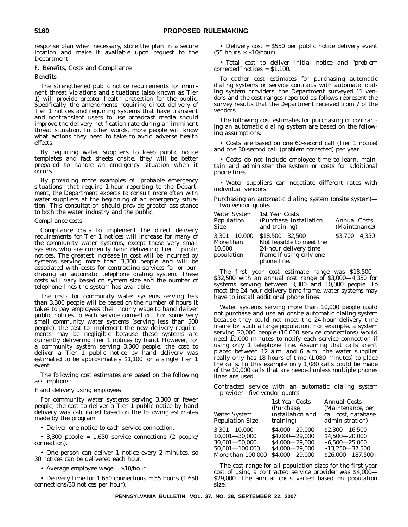response plan when necessary, store the plan in a secure location and make it available upon request to the Department.

#### F. *Benefits, Costs and Compliance*

*Benefits*

The strengthened public notice requirements for imminent threat violations and situations (also known as Tier 1) will provide greater health protection for the public. Specifically, the amendments requiring direct delivery of Tier 1 notices and requiring systems that have transient and nontransient users to use broadcast media should improve the delivery notification rate during an imminent threat situation. In other words, more people will know what actions they need to take to avoid adverse health effects.

By requiring water suppliers to keep public notice templates and fact sheets onsite, they will be better prepared to handle an emergency situation when it occurs.

By providing more examples of ''probable emergency situations'' that require 1-hour reporting to the Department, the Department expects to consult more often with water suppliers at the beginning of an emergency situation. This consultation should provide greater assistance to both the water industry and the public.

#### *Compliance costs*

Compliance costs to implement the direct delivery requirements for Tier 1 notices will increase for many of the community water systems, except those very small systems who are currently hand delivering Tier 1 public notices. The greatest increase in cost will be incurred by systems serving more than 3,300 people and will be associated with costs for contracting services for or purchasing an automatic telephone dialing system. These costs will vary based on system size and the number of telephone lines the system has available.

The costs for community water systems serving less than 3,300 people will be based on the number of hours it takes to pay employees their hourly wage to hand deliver public notices to each service connection. For some very small community water systems (serving less than 500 people), the cost to implement the new delivery requirements may be negligible because these systems are currently delivering Tier 1 notices by hand. However, for a community system serving 3,300 people, the cost to deliver a Tier 1 public notice by hand delivery was estimated to be approximately \$1,100 for a single Tier 1 event.

The following cost estimates are based on the following assumptions:

#### *Hand delivery using employees*

For community water systems serving 3,300 or fewer people, the cost to deliver a Tier 1 public notice by hand delivery was calculated based on the following estimates made by the program:

• Deliver one notice to each service connection.

• 3,300 people =  $1,650$  service connections (2 people/ connection).

• One person can deliver 1 notice every 2 minutes, so 30 notices can be delivered each hour.

• Average employee wage = \$10/hour.

• Delivery time for  $1,650$  connections = 55 hours  $(1,650)$ connections/30 notices per hour).

• Delivery cost = \$550 per public notice delivery event  $(55 \text{ hours} \times \$10/\text{hour})$ .

• Total cost to deliver initial notice and ''problem corrected'' notices = \$1,100.

To gather cost estimates for purchasing automatic dialing systems or service contracts with automatic dialing system providers, the Department surveyed 11 vendors and the cost ranges reported as follows represent the survey results that the Department received from 7 of the vendors.

The following cost estimates for purchasing or contracting an automatic dialing system are based on the following assumptions:

• Costs are based on one 60-second call (Tier 1 notice) and one 30-second call (problem corrected) per year.

• Costs do not include employee time to learn, maintain and administer the system or costs for additional phone lines.

• Water suppliers can negotiate different rates with individual vendors.

*Purchasing an automatic dialing system (onsite system) two vendor quotes*

| <b>Water System</b><br>Population<br><b>Size</b>      | 1st Year Costs<br>(Purchase, installation<br>and training)                                                       | Annual Costs<br><i>(Maintenance)</i> |
|-------------------------------------------------------|------------------------------------------------------------------------------------------------------------------|--------------------------------------|
| $3,301 - 10,000$<br>More than<br>10.000<br>population | \$18.500 - 32.500<br>Not feasible to meet the<br>24-hour delivery time<br>frame if using only one<br>phone line. | $$3.700 - 4.350$                     |

The first year cost estimate range was \$18,500— \$32,500 with an annual cost range of \$3,000—4,350 for systems serving between 3,300 and 10,000 people. To meet the 24-hour delivery time frame, water systems may have to install additional phone lines.

Water systems serving more than 10,000 people could not purchase and use an onsite automatic dialing system because they could not meet the 24-hour delivery time frame for such a large population. For example, a system serving 20,000 people (10,000 service connections) would need 10,000 minutes to notify each service connection if using only 1 telephone line. Assuming that calls aren't placed between 12 a.m. and 6 a.m., the water supplier really only has 18 hours of time (1,080 minutes) to place the calls. In this example only 1,080 calls could be made of the 10,000 calls that are needed unless multiple phones lines are used.

*Contracted service with an automatic dialing system provider—five vendor quotes*

| Water System<br><b>Population Size</b>                                           | 1st Year Costs<br>(Purchase,<br><i>installation and</i><br><i>training</i> ) | Annual Costs<br>(Maintenance, per<br>call cost, database<br>administration)   |
|----------------------------------------------------------------------------------|------------------------------------------------------------------------------|-------------------------------------------------------------------------------|
| $3,301 - 10,000$<br>$10.001 - 30.000$<br>$30,001 - 50,000$<br>$50,001 - 100,000$ | \$4.000 - 29.000<br>\$4.000 - 29.000<br>\$4.000 - 29.000<br>\$4.000 - 29.000 | $$2,300-16,500$<br>\$4.500 - 20.000<br>\$6.500 - 25.000<br>$$13,250 - 37,500$ |
| More than 100.000                                                                | \$4.000 - 29.000                                                             | $$26.000 - 187.500+$                                                          |

The cost range for all population sizes for the first year cost of using a contracted service provider was \$4,000— \$29,000. The annual costs varied based on population size.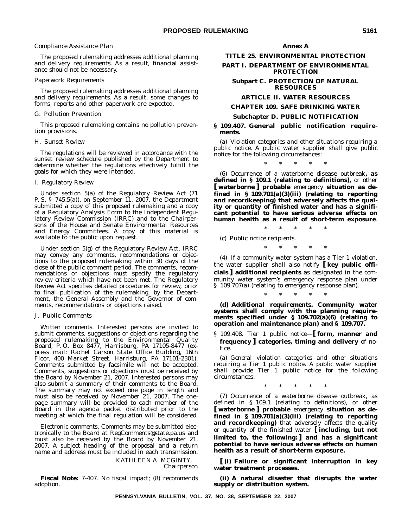#### *Compliance Assistance Plan*

The proposed rulemaking addresses additional planning and delivery requirements. As a result, financial assistance should not be necessary.

#### *Paperwork Requirements*

The proposed rulemaking addresses additional planning and delivery requirements. As a result, some changes to forms, reports and other paperwork are expected.

#### G. *Pollution Prevention*

This proposed rulemaking contains no pollution prevention provisions.

#### H. *Sunset Review*

The regulations will be reviewed in accordance with the sunset review schedule published by the Department to determine whether the regulations effectively fulfill the goals for which they were intended.

#### I. *Regulatory Review*

Under section 5(a) of the Regulatory Review Act (71 P. S. § 745.5(a)), on September 11, 2007, the Department submitted a copy of this proposed rulemaking and a copy of a Regulatory Analysis Form to the Independent Regulatory Review Commission (IRRC) and to the Chairpersons of the House and Senate Environmental Resources and Energy Committees. A copy of this material is available to the public upon request.

Under section 5(g) of the Regulatory Review Act, IRRC may convey any comments, recommendations or objections to the proposed rulemaking within 30 days of the close of the public comment period. The comments, recommendations or objections must specify the regulatory review criteria which have not been met. The Regulatory Review Act specifies detailed procedures for review, prior to final publication of the rulemaking, by the Department, the General Assembly and the Governor of comments, recommendations or objections raised.

#### J. *Public Comments*

*Written comments*. Interested persons are invited to submit comments, suggestions or objections regarding the proposed rulemaking to the Environmental Quality Board, P. O. Box 8477, Harrisburg, PA 17105-8477 (express mail: Rachel Carson State Office Building, 16th Floor, 400 Market Street, Harrisburg, PA 17101-2301). Comments submitted by facsimile will not be accepted. Comments, suggestions or objections must be received by the Board by November 21, 2007. Interested persons may also submit a summary of their comments to the Board. The summary may not exceed one page in length and must also be received by November 21, 2007. The onepage summary will be provided to each member of the Board in the agenda packet distributed prior to the meeting at which the final regulation will be considered.

*Electronic comments*. Comments may be submitted electronically to the Board at RegComments@state.pa.us and must also be received by the Board by November 21, 2007. A subject heading of the proposal and a return name and address must be included in each transmission.

KATHLEEN A. MCGINTY, *Chairperson*

**Fiscal Note:** 7-407. No fiscal impact; (8) recommends adoption.

#### **Annex A**

#### **TITLE 25. ENVIRONMENTAL PROTECTION**

**PART I. DEPARTMENT OF ENVIRONMENTAL PROTECTION**

**Subpart C. PROTECTION OF NATURAL RESOURCES**

#### **ARTICLE II. WATER RESOURCES**

#### **CHAPTER 109. SAFE DRINKING WATER**

#### **Subchapter D. PUBLIC NOTIFICATION**

#### **§ 109.407. General public notification requirements.**

(a) *Violation categories and other situations requiring a public notice*. A public water supplier shall give public notice for the following circumstances:

\*\*\*\*\*

(6) Occurrence of a waterborne disease outbreak**, as defined in § 109.1 (relating to definitions),** or other **[ waterborne ] probable** emergency **situation as defined in § 109.701(a)(3)(iii) (relating to reporting and recordkeeping) that adversely affects the quality or quantity of finished water and has a significant potential to have serious adverse effects on human health as a result of short-term exposure**.

\*\*\*\*\*

(c) *Public notice recipients.* \*\*\*\*\*

(4) If a community water system has a Tier 1 violation, the water supplier shall also notify **[ key public officials ] additional recipients** as designated in the community water system's emergency response plan under § 109.707(a) (relating to emergency response plan).

\*\*\*\*\*

**(d)** *Additional requirements.* **Community water systems shall comply with the planning requirements specified under § 109.702(a)(6) (relating to operation and maintenance plan) and § 109.707.**

§ 109.408. Tier 1 public notice—**[ form, manner and frequency ] categories, timing and delivery** of notice.

(a) *General violation categories and other situations requiring a Tier 1 public notice.* A public water supplier shall provide Tier 1 public notice for the following circumstances:

\*\*\*\*\*

(7) Occurrence of a waterborne disease outbreak, as defined in § 109.1 (relating to definitions), or other **[ waterborne ] probable** emergency **situation as defined in § 109.701(a)(3)(iii) (relating to reporting and recordkeeping)** that adversely affects the quality or quantity of the finished water **[ including, but not limited to, the following: ] and has a significant potential to have serious adverse effects on human health as a result of short-term exposure.**

**[ (i) Failure or significant interruption in key water treatment processes.**

**(ii) A natural disaster that disrupts the water supply or distribution system.**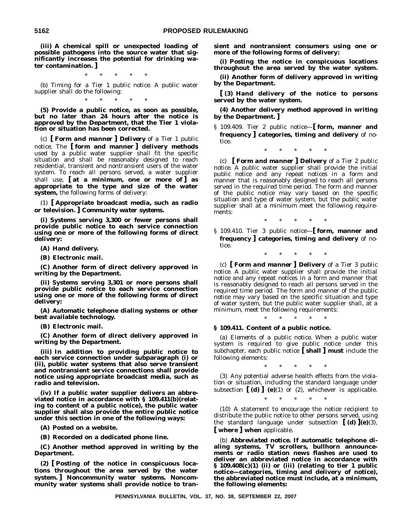**(iii) A chemical spill or unexpected loading of possible pathogens into the source water that significantly increases the potential for drinking water contamination. ]**

\*\*\*\*\*

(b) *Timing for a Tier 1 public notice.* A public water supplier shall do the following:

\*\*\*\*\*

**(5) Provide a public notice, as soon as possible, but no later than 24 hours after the notice is approved by the Department, that the Tier 1 violation or situation has been corrected.**

(c) **[** *Form and manner* **]** *Delivery of a Tier 1 public notice.* The **[ form and manner ] delivery methods** used by a public water supplier shall fit the specific situation and shall be reasonably designed to reach residential, transient and nontransient users of the water system. To reach all persons served, a water supplier shall use, **[ at a minimum, one or more of ] as appropriate to the type and size of the water system,** the following forms of delivery:

(1) **[ Appropriate broadcast media, such as radio or television. ]** *Community water systems.*

**(i) Systems serving 3,300 or fewer persons shall provide public notice to each service connection using one or more of the following forms of direct delivery:**

**(A) Hand delivery.**

**(B) Electronic mail.**

**(C) Another form of direct delivery approved in writing by the Department.**

**(ii) Systems serving 3,301 or more persons shall provide public notice to each service connection using one or more of the following forms of direct delivery:**

**(A) Automatic telephone dialing systems or other best available technology.**

**(B) Electronic mail.**

**(C) Another form of direct delivery approved in writing by the Department.**

**(iii) In addition to providing public notice to each service connection under subparagraph (i) or (ii), public water systems that also serve transient and nontransient service connections shall provide notice using appropriate broadcast media, such as radio and television.**

**(iv) If a public water supplier delivers an abbreviated notice in accordance with § 109.411(b)(relating to content of a public notice), the public water supplier shall also provide the entire public notice under this section in one of the following ways:**

**(A) Posted on a website.**

**(B) Recorded on a dedicated phone line.**

**(C) Another method approved in writing by the Department.**

**(2) [ Posting of the notice in conspicuous locations throughout the area served by the water system. ]** *Noncommunity water systems.* **Noncommunity water systems shall provide notice to tran-** **sient and nontransient consumers using one or more of the following forms of delivery:**

**(i) Posting the notice in conspicuous locations throughout the area served by the water system.**

**(ii) Another form of delivery approved in writing by the Department.**

**[ (3) Hand delivery of the notice to persons served by the water system.**

**(4) Another delivery method approved in writing by the Department. ]**

§ 109.409. Tier 2 public notice—**[ form, manner and frequency ] categories, timing and delivery** of notice.

\*\*\*\*\*

(c) **[** *Form and manner* **] Delivery** *of a Tier 2 public notice*. A public water supplier shall provide the initial public notice and any repeat notices in a form and manner that is reasonably designed to reach all persons served in the required time period. The form and manner of the public notice may vary based on the specific situation and type of water system, but the public water supplier shall at a minimum meet the following requirements:

\*\*\*\*\*

§ 109.410. Tier 3 public notice—**[ form, manner and frequency ] categories, timing and delivery** of notice.

\*\*\*\*\*

(c) **[** *Form and manner* **] Delivery** *of a Tier 3 public notice*. A public water supplier shall provide the initial notice and any repeat notices in a form and manner that is reasonably designed to reach all persons served in the required time period. The form and manner of the public notice may vary based on the specific situation and type of water system, but the public water supplier shall, at a minimum, meet the following requirements:

**§ 109.411. Content of a public notice.**

(a) *Elements of a public notice*. When a public water system is required to give public notice under this subchapter, each public notice **[ shall ] must** include the following elements:

\*\*\*\*\*

\*\*\*\*\*

(3) Any potential adverse health effects from the violation or situation, including the standard language under subsection  $\begin{bmatrix} \mathbf{d} \end{bmatrix}$   $\begin{bmatrix} \mathbf{e} \end{bmatrix}$  (1) or (2), whichever is applicable.

\*\*\*\*\*

(10) A statement to encourage the notice recipient to distribute the public notice to other persons served, using the standard language under subsection **[ (d) ](e)**(3), **[ where ] when** applicable.

(b) *Abbreviated notice***. If automatic telephone dialing systems, TV scrollers, bullhorn announcements or radio station news flashes are used to deliver an abbreviated notice in accordance with § 109.408(c)(1) (ii) or (iii) (relating to tier 1 public notice—categories, timing and delivery of notice), the abbreviated notice must include, at a minimum, the following elements:**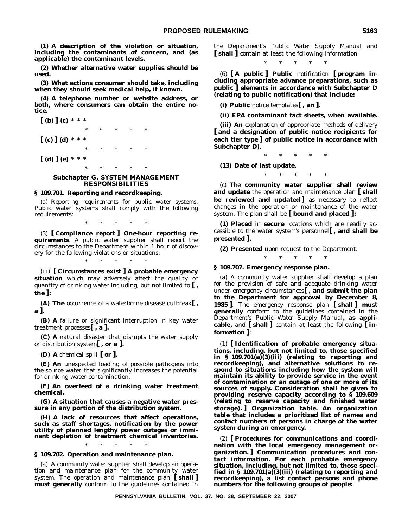**(1) A description of the violation or situation, including the contaminants of concern, and (as applicable) the contaminant levels.**

**(2) Whether alternative water supplies should be used.**

**(3) What actions consumer should take, including when they should seek medical help, if known.**

**(4) A telephone number or website address, or both, where consumers can obtain the entire notice.**

**[ (b) ] (c) \* \* \*** \*\*\*\*\* **[ (c) ] (d) \* \* \*** \*\*\*\*\* **[ (d) ] (e) \* \* \*** \*\*\*\*\*

#### **Subchapter G. SYSTEM MANAGEMENT RESPONSIBILITIES**

#### **§ 109.701. Reporting and recordkeeping.**

(a) *Reporting requirements for public water systems.* Public water systems shall comply with the following requirements:

\*\*\*\*\* (3) **[** *Compliance report* **]** *One-hour reporting requirements.* A public water supplier shall report the

circumstances to the Department within 1 hour of discovery for the following violations or situations: \*\*\*\*\*

(iii) **[ Circumstances exist ] A probable emergency situation** which may adversely affect the quality or quantity of drinking water including, but not limited to **[ , the ]:**

**(A) The** occurrence of a waterborne disease outbreak**[ , a ].**

**(B) A** failure or significant interruption in key water treatment processes**[ , a ].**

**(C) A** natural disaster that disrupts the water supply or distribution system**[ , or a ].**

**(D) A** chemical spill **[ or ].**

**(E) An** unexpected loading of possible pathogens into the source water that significantly increases the potential for drinking water contamination.

**(F) An overfeed of a drinking water treatment chemical.**

**(G) A situation that causes a negative water pressure in any portion of the distribution system.**

**(H) A lack of resources that affect operations, such as staff shortages, notification by the power utility of planned lengthy power outages or imminent depletion of treatment chemical inventories.**

\*\*\*\*\*

#### **§ 109.702. Operation and maintenance plan.**

(a) A community water supplier shall develop an operation and maintenance plan for the community water system. The operation and maintenance plan **[ shall ] must generally** conform to the guidelines contained in the Department's *Public Water Supply Manual* and **[ shall ]** contain at least the following information:

\*\*\*\*\*

(6) **[ A public ] Public** notification **[ program including appropriate advance preparations, such as public ] elements in accordance with Subchapter D (relating to public notification) that include:**

**(i) Public** notice templates**[ , an ].**

**(ii) EPA contaminant fact sheets, when available.**

**(iii) An** explanation of appropriate methods of delivery **[ and a designation of public notice recipients for each tier type ] of public notice in accordance with Subchapter D)**.

\*\*\*\*\*

**(13) Date of last update.**

\*\*\*\*\*

(c) The **community water supplier shall review and update** the operation and maintenance plan **[ shall be reviewed and updated** as necessary to reflect changes in the operation or maintenance of the water system. The plan shall be **[ bound and placed ]:**

**(1) Placed** in **secure** locations which are readily accessible to the water system's personnel**[ , and shall be presented ].**

\*\*\*\*\*

**(2) Presented** upon request to the Department.

**§ 109.707. Emergency response plan.**

(a) A community water supplier shall develop a plan for the provision of safe and adequate drinking water under emergency circumstances**[ , and submit the plan to the Department for approval by December 8, 1985 ]**. The emergency response plan **[ shall ] must generally** conform to the guidelines contained in the Department's *Public Water Supply Manual***, as applicable,** and **[ shall ]** contain at least the following **[ information ]**:

(1) **[ Identification of probable emergency situations, including, but not limited to, those specified in § 109.701(a)(3)(iii) (relating to reporting and recordkeeping), and alternative solutions to respond to situations including how the system will maintain its ability to provide service in the event of contamination or an outage of one or more of its sources of supply. Consideration shall be given to providing reserve capacity according to § 109.609 (relating to reserve capacity and finished water storage). ]** *Organization table***. An organization table that includes a prioritized list of names and contact numbers of persons in charge of the water system during an emergency.**

(2) **[ Procedures for communications and coordination with the local emergency management organization. ]** *Communication procedures and contact information***. For each probable emergency situation, including, but not limited to, those specified in § 109.701(a)(3)(iii) (relating to reporting and recordkeeping), a list contact persons and phone numbers for the following groups of people:**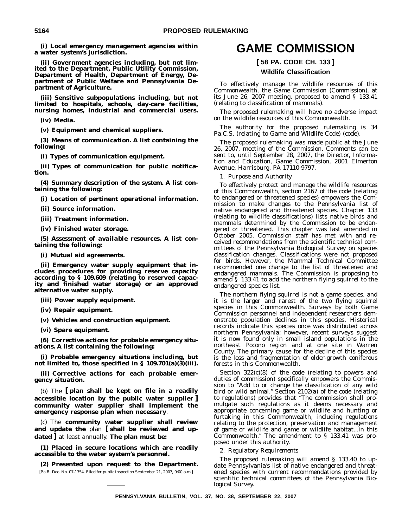**(i) Local emergency management agencies within a water system's jurisdiction.**

**(ii) Government agencies including, but not limited to the Department, Public Utility Commission, Department of Health, Department of Energy, Department of Public Welfare and Pennsylvania Department of Agriculture.**

**(iii) Sensitive subpopulations including, but not limited to hospitals, schools, day-care facilities, nursing homes, industrial and commercial users.**

**(iv) Media.**

**(v) Equipment and chemical suppliers.**

**(3)** *Means of communication***. A list containing the following:**

**(i) Types of communication equipment.**

**(ii) Types of communication for public notification.**

**(4)** *Summary description of the system***. A list containing the following:**

**(i) Location of pertinent operational information.**

**(ii) Source information.**

**(iii) Treatment information.**

**(iv) Finished water storage.**

**(5)** *Assessment of available resources***. A list containing the following:**

**(i) Mutual aid agreements.**

**(ii) Emergency water supply equipment that includes procedures for providing reserve capacity according to § 109.609 (relating to reserved capacity and finished water storage) or an approved alternative water supply.**

**(iii) Power supply equipment.**

**(iv) Repair equipment.**

**(v) Vehicles and construction equipment.**

**(vi) Spare equipment.**

**(6)** *Corrective actions for probable emergency situations***. A list containing the following:**

**(i) Probable emergency situations including, but not limited to, those specified in § 109.701(a)(3)(iii).**

**(ii) Corrective actions for each probable emergency situation.**

(b) The **[ plan shall be kept on file in a readily accessible location by the public water supplier ] community water supplier shall implement the emergency response plan when necessary**.

(c) The **community water supplier shall review and update the** plan **[ shall be reviewed and updated ]** at least annually. **The plan must be:**

**(1) Placed in secure locations which are readily accessible to the water system's personnel.**

**(2) Presented upon request to the Department.** [Pa.B. Doc. No. 07-1754. Filed for public inspection September 21, 2007, 9:00 a.m.]

### **GAME COMMISSION**

#### **[ 58 PA. CODE CH. 133 ]**

#### **Wildlife Classification**

To effectively manage the wildlife resources of this Commonwealth, the Game Commission (Commission), at its June 26, 2007 meeting, proposed to amend § 133.41 (relating to classification of mammals).

The proposed rulemaking will have no adverse impact on the wildlife resources of this Commonwealth.

The authority for the proposed rulemaking is 34 Pa.C.S. (relating to Game and Wildlife Code) (code).

The proposed rulemaking was made public at the June 26, 2007, meeting of the Commission. Comments can be sent to, until September 28, 2007, the Director, Information and Education, Game Commission, 2001 Elmerton Avenue, Harrisburg, PA 17110-9797.

1. *Purpose and Authority*

To effectively protect and manage the wildlife resources of this Commonwealth, section 2167 of the code (relating to endangered or threatened species) empowers the Commission to make changes to the Pennsylvania list of native endangered and threatened species. Chapter 133 (relating to wildlife classifications) lists native birds and mammals determined by the Commission to be endangered or threatened. This chapter was last amended in October 2005. Commission staff has met with and received recommendations from the scientific technical committees of the Pennsylvania Biological Survey on species classification changes. Classifications were not proposed for birds. However, the Mammal Technical Committee recommended one change to the list of threatened and endangered mammals. The Commission is proposing to amend § 133.41 to add the northern flying squirrel to the endangered species list.

The northern flying squirrel is not a game species, and it is the larger and rarest of the two flying squirrel species in this Commonwealth. Surveys by both Game Commission personnel and independent researchers demonstrate population declines in this species. Historical records indicate this species once was distributed across northern Pennsylvania; however, recent surveys suggest it is now found only in small island populations in the northeast Pocono region and at one site in Warren County. The primary cause for the decline of this species is the loss and fragmentation of older-growth coniferous forests in this Commonwealth.

Section 322(c)(8) of the code (relating to powers and duties of commission) specifically empowers the Commission to "Add to or change the classification of any wild bird or wild animal.'' Section 2102(a) of the code (relating to regulations) provides that ''The commission shall promulgate such regulations as it deems necessary and appropriate concerning game or wildlife and hunting or furtaking in this Commonwealth, including regulations relating to the protection, preservation and management of game or wildlife and game or wildlife habitat...in this Commonwealth.'' The amendment to § 133.41 was proposed under this authority.

2. *Regulatory Requirements*

The proposed rulemaking will amend § 133.40 to update Pennsylvania's list of native endangered and threatened species with current recommendations provided by scientific technical committees of the Pennsylvania Biological Survey.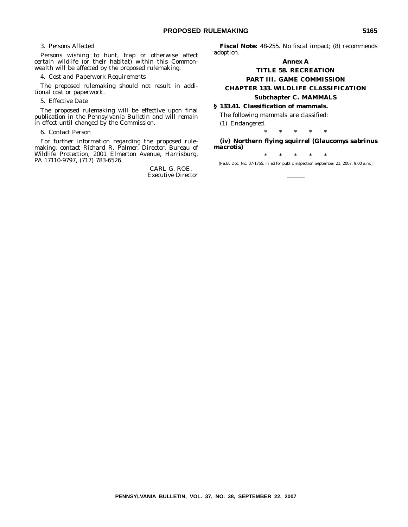#### 3. *Persons Affected*

Persons wishing to hunt, trap or otherwise affect certain wildlife (or their habitat) within this Commonwealth will be affected by the proposed rulemaking.

#### 4. *Cost and Paperwork Requirements*

The proposed rulemaking should not result in additional cost or paperwork.

#### 5. *Effective Date*

The proposed rulemaking will be effective upon final publication in the *Pennsylvania Bulletin* and will remain in effect until changed by the Commission.

#### 6. *Contact Person*

For further information regarding the proposed rulemaking, contact Richard R. Palmer, Director, Bureau of Wildlife Protection, 2001 Elmerton Avenue, Harrisburg, PA 17110-9797, (717) 783-6526.

> CARL G. ROE, *Executive Director*

**Fiscal Note:** 48-255. No fiscal impact; (8) recommends adoption.

#### **Annex A**

#### **TITLE 58. RECREATION PART III. GAME COMMISSION CHAPTER 133. WILDLIFE CLASSIFICATION Subchapter C. MAMMALS**

#### **§ 133.41. Classification of mammals.**

The following mammals are classified:

(1) *Endangered.*

\*\*\*\*\*

**(iv) Northern flying squirrel (***Glaucomys sabrinus macrotis***)**

\*\*\*\*\*

[Pa.B. Doc. No. 07-1755. Filed for public inspection September 21, 2007, 9:00 a.m.]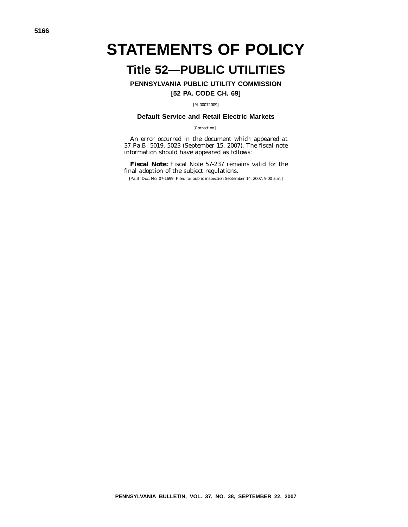# **STATEMENTS OF POLICY**

### **Title 52—PUBLIC UTILITIES**

**PENNSYLVANIA PUBLIC UTILITY COMMISSION**

**[52 PA. CODE CH. 69]**

[M-00072009]

#### **Default Service and Retail Electric Markets**

[Correction]

An error occurred in the document which appeared at 37 Pa.B. 5019, 5023 (September 15, 2007). The fiscal note information should have appeared as follows:

**Fiscal Note:** Fiscal Note 57-237 remains valid for the final adoption of the subject regulations.

[Pa.B. Doc. No. 07-1699. Filed for public inspection September 14, 2007, 9:00 a.m.]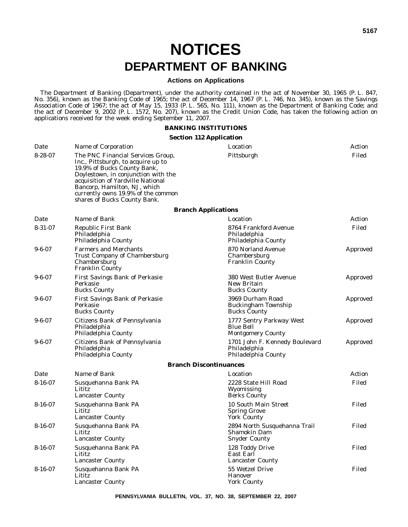## **NOTICES DEPARTMENT OF BANKING**

#### **Actions on Applications**

The Department of Banking (Department), under the authority contained in the act of November 30, 1965 (P. L. 847, No. 356), known as the Banking Code of 1965; the act of December 14, 1967 (P. L. 746, No. 345), known as the Savings Association Code of 1967; the act of May 15, 1933 (P. L. 565, No. 111), known as the Department of Banking Code; and the act of December 9, 2002 (P. L. 1572, No. 207), known as the Credit Union Code, has taken the following action on applications received for the week ending September 11, 2007.

#### **BANKING INSTITUTIONS**

#### **Section 112 Application**

| Date          | Name of Corporation                                                                                                                                                                                                                                                                      | Location                                                                    | Action   |
|---------------|------------------------------------------------------------------------------------------------------------------------------------------------------------------------------------------------------------------------------------------------------------------------------------------|-----------------------------------------------------------------------------|----------|
| $8 - 28 - 07$ | The PNC Financial Services Group,<br>Inc., Pittsburgh, to acquire up to<br>19.9% of Bucks County Bank,<br>Doylestown, in conjunction with the<br>acquisition of Yardville National<br>Bancorp, Hamilton, NJ, which<br>currently owns 19.9% of the common<br>shares of Bucks County Bank. | Pittsburgh                                                                  | Filed    |
|               |                                                                                                                                                                                                                                                                                          | <b>Branch Applications</b>                                                  |          |
| Date          | Name of Bank                                                                                                                                                                                                                                                                             | Location                                                                    | Action   |
| $8 - 31 - 07$ | <b>Republic First Bank</b><br>Philadelphia<br>Philadelphia County                                                                                                                                                                                                                        | 8764 Frankford Avenue<br>Philadelphia<br>Philadelphia County                | Filed    |
| $9 - 6 - 07$  | <b>Farmers and Merchants</b><br>Trust Company of Chambersburg<br>Chambersburg<br><b>Franklin County</b>                                                                                                                                                                                  | 870 Norland Avenue<br>Chambersburg<br><b>Franklin County</b>                | Approved |
| $9 - 6 - 07$  | <b>First Savings Bank of Perkasie</b><br>Perkasie<br><b>Bucks County</b>                                                                                                                                                                                                                 | 380 West Butler Avenue<br>New Britain<br><b>Bucks County</b>                | Approved |
| $9 - 6 - 07$  | <b>First Savings Bank of Perkasie</b><br>Perkasie<br><b>Bucks County</b>                                                                                                                                                                                                                 | 3969 Durham Road<br>Buckingham Township<br><b>Bucks County</b>              | Approved |
| $9 - 6 - 07$  | Citizens Bank of Pennsylvania<br>Philadelphia<br>Philadelphia County                                                                                                                                                                                                                     | 1777 Sentry Parkway West<br><b>Blue Bell</b><br><b>Montgomery County</b>    | Approved |
| $9 - 6 - 07$  | Citizens Bank of Pennsylvania<br>Philadelphia<br>Philadelphia County                                                                                                                                                                                                                     | 1701 John F. Kennedy Boulevard<br>Philadelphia<br>Philadelphia County       | Approved |
|               |                                                                                                                                                                                                                                                                                          | <b>Branch Discontinuances</b>                                               |          |
| Date          | Name of Bank                                                                                                                                                                                                                                                                             | Location                                                                    | Action   |
| $8 - 16 - 07$ | Susquehanna Bank PA<br>Lititz<br><b>Lancaster County</b>                                                                                                                                                                                                                                 | 2228 State Hill Road<br>Wyomissing<br><b>Berks County</b>                   | Filed    |
| $8 - 16 - 07$ | Susquehanna Bank PA<br>Lititz<br><b>Lancaster County</b>                                                                                                                                                                                                                                 | 10 South Main Street<br><b>Spring Grove</b><br><b>York County</b>           | Filed    |
| $8 - 16 - 07$ | Susquehanna Bank PA<br>Lititz<br><b>Lancaster County</b>                                                                                                                                                                                                                                 | 2894 North Susquehanna Trail<br><b>Shamokin Dam</b><br><b>Snyder County</b> | Filed    |
| $8 - 16 - 07$ | Susquehanna Bank PA<br>Lititz<br><b>Lancaster County</b>                                                                                                                                                                                                                                 | 128 Toddy Drive<br>East Earl<br><b>Lancaster County</b>                     | Filed    |
| $8 - 16 - 07$ | Susquehanna Bank PA<br>Lititz<br><b>Lancaster County</b>                                                                                                                                                                                                                                 | 55 Wetzel Drive<br><b>Hanover</b><br><b>York County</b>                     | Filed    |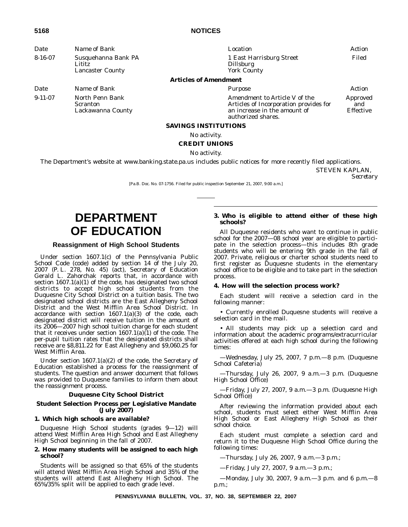#### **5168 NOTICES**

| Date                                                                      | Name of Bank                                            | Location                                                                                                                      | Action                       |
|---------------------------------------------------------------------------|---------------------------------------------------------|-------------------------------------------------------------------------------------------------------------------------------|------------------------------|
| $8 - 16 - 07$<br>Susquehanna Bank PA<br>Lititz<br><b>Lancaster County</b> |                                                         | 1 East Harrisburg Street<br><b>Dillsburg</b><br><b>York County</b>                                                            | Filed                        |
|                                                                           |                                                         | <b>Articles of Amendment</b>                                                                                                  |                              |
| Date                                                                      | Name of Bank                                            | Purpose                                                                                                                       | Action                       |
| $9-11-07$                                                                 | North Penn Bank<br><b>Scranton</b><br>Lackawanna County | Amendment to Article V of the<br>Articles of Incorporation provides for<br>an increase in the amount of<br>authorized shares. | Approved<br>and<br>Effective |
|                                                                           |                                                         | <b>SAVINGS INSTITUTIONS</b>                                                                                                   |                              |
|                                                                           |                                                         | No activity.                                                                                                                  |                              |

#### **CREDIT UNIONS**

#### No activity.

The Department's website at www.banking.state.pa.us includes public notices for more recently filed applications.

STEVEN KAPLAN,

*Secretary*

[Pa.B. Doc. No. 07-1756. Filed for public inspection September 21, 2007, 9:00 a.m.]

### **DEPARTMENT OF EDUCATION**

#### **Reassignment of High School Students**

Under section 1607.1(c) of the Pennsylvania Public School Code (code) added by section 14 of the July 20, 2007 (P. L. 278, No. 45) (act), Secretary of Education Gerald L. Zahorchak reports that, in accordance with section 1607.1(a)(1) of the code, has designated two school districts to accept high school students from the Duquesne City School District on a tuition basis. The two designated school districts are the East Allegheny School District and the West Mifflin Area School District. In accordance with section 1607.1(a)(3) of the code, each designated district will receive tuition in the amount of its 2006—2007 high school tuition charge for each student that it receives under section 1607.1(a)(1) of the code. The per-pupil tuition rates that the designated districts shall receive are \$8,811.22 for East Allegheny and \$9,060.25 for West Mifflin Area.

Under section 1607.1(a)(2) of the code, the Secretary of Education established a process for the reassignment of students. The question and answer document that follows was provided to Duquesne families to inform them about the reassignment process.

#### **Duquesne City School District**

#### **Student Selection Process per Legislative Mandate (July 2007)**

#### **1. Which high schools are available?**

Duquesne High School students (grades 9—12) will attend West Mifflin Area High School and East Allegheny High School beginning in the fall of 2007.

#### **2. How many students will be assigned to each high school?**

Students will be assigned so that 65% of the students will attend West Mifflin Area High School and 35% of the students will attend East Allegheny High School. The 65%/35% split will be applied to each grade level.

#### **3. Who is eligible to attend either of these high schools?**

All Duquesne residents who want to continue in public school for the 2007—08 school year are eligible to participate in the selection process—this includes 8th grade students who will be entering 9th grade in the fall of 2007. Private, religious or charter school students need to first register as Duquesne students in the elementary school office to be eligible and to take part in the selection process.

#### **4. How will the selection process work?**

Each student will receive a selection card in the following manner:

• Currently enrolled Duquesne students will receive a selection card in the mail.

• All students may pick up a selection card and information about the academic programs/extracurricular activities offered at each high school during the following times:

—Wednesday, July 25, 2007, 7 p.m.—8 p.m. (Duquesne School Cafeteria)

—Thursday, July 26, 2007, 9 a.m.—3 p.m. (Duquesne High School Office)

—Friday, July 27, 2007, 9 a.m.—3 p.m. (Duquesne High School Office)

After reviewing the information provided about each school, students must select either West Mifflin Area High School or East Allegheny High School as their school choice.

Each student must complete a selection card and return it to the Duquesne High School Office during the following times:

—Thursday, July 26, 2007, 9 a.m.—3 p.m.;

—Friday, July 27, 2007, 9 a.m.—3 p.m.;

—Monday, July 30, 2007, 9 a.m.—3 p.m. and 6 p.m.—8 p.m.;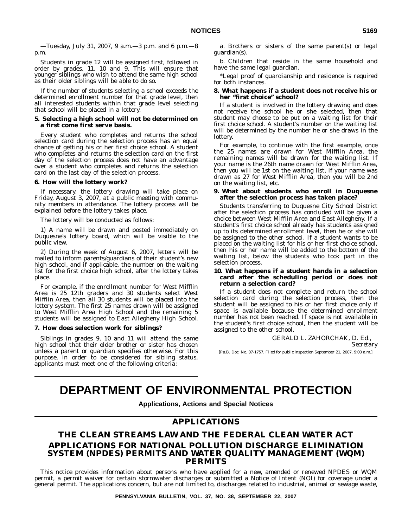Students in grade 12 will be assigned first, followed in order by grades, 11, 10 and 9. This will ensure that younger siblings who wish to attend the same high school as their older siblings will be able to do so.

If the number of students selecting a school exceeds the determined enrollment number for that grade level, then all interested students within that grade level selecting that school will be placed in a lottery.

#### **5. Selecting a high school will not be determined on a first come first serve basis.**

Every student who completes and returns the school selection card during the selection process has an equal chance of getting his or her first choice school. A student who completes and returns the selection card on the first day of the selection process does not have an advantage over a student who completes and returns the selection card on the last day of the selection process.

#### **6. How will the lottery work?**

If necessary, the lottery drawing will take place on Friday, August 3, 2007, at a public meeting with community members in attendance. The lottery process will be explained before the lottery takes place.

The lottery will be conducted as follows:

1) A name will be drawn and posted immediately on Duquesne's lottery board, which will be visible to the public view.

2) During the week of August 6, 2007, letters will be mailed to inform parents/guardians of their student's new high school, and if applicable, the number on the waiting list for the first choice high school, after the lottery takes place.

For example, if the enrollment number for West Mifflin Area is 25 12th graders and 30 students select West Mifflin Area, then all 30 students will be placed into the lottery system. The first 25 names drawn will be assigned to West Mifflin Area High School and the remaining 5 students will be assigned to East Allegheny High School.

#### **7. How does selection work for siblings?**

Siblings in grades 9, 10 and 11 will attend the same high school that their older brother or sister has chosen unless a parent or guardian specifies otherwise. For this purpose, in order to be considered for sibling status, applicants must meet one of the following criteria:

a. Brothers or sisters of the same parent(s) or legal guardian(s).

b. Children that reside in the same household and have the same legal guardian.

\*Legal proof of guardianship and residence is required for both instances.

#### **8. What happens if a student does not receive his or her ''first choice'' school?**

If a student is involved in the lottery drawing and does not receive the school he or she selected, then that student may choose to be put on a waiting list for their first choice school. A student's number on the waiting list will be determined by the number he or she draws in the lottery.

For example, to continue with the first example, once the 25 names are drawn for West Mifflin Area, the remaining names will be drawn for the waiting list. If your name is the 26th name drawn for West Mifflin Area, then you will be 1st on the waiting list, if your name was drawn as 27 for West Mifflin Area, then you will be 2nd on the waiting list, etc.

#### **9. What about students who enroll in Duquesne after the selection process has taken place?**

Students transferring to Duquesne City School District after the selection process has concluded will be given a choice between West Mifflin Area and East Allegheny. If a student's first choice school already has students assigned up to its determined enrollment level, then he or she will be assigned to the other school. If a student wants to be placed on the waiting list for his or her first choice school, then his or her name will be added to the bottom of the waiting list, below the students who took part in the selection process.

#### **10. What happens if a student hands in a selection card after the scheduling period or does not return a selection card?**

If a student does not complete and return the school selection card during the selection process, then the student will be assigned to his or her first choice only if space is available because the determined enrollment number has not been reached. If space is not available in the student's first choice school, then the student will be assigned to the other school.

> GERALD L. ZAHORCHAK, D. Ed., *Secretary*

[Pa.B. Doc. No. 07-1757. Filed for public inspection September 21, 2007, 9:00 a.m.]

### **DEPARTMENT OF ENVIRONMENTAL PROTECTION**

**Applications, Actions and Special Notices**

#### **APPLICATIONS**

#### **THE CLEAN STREAMS LAW AND THE FEDERAL CLEAN WATER ACT APPLICATIONS FOR NATIONAL POLLUTION DISCHARGE ELIMINATION SYSTEM (NPDES) PERMITS AND WATER QUALITY MANAGEMENT (WQM) PERMITS**

This notice provides information about persons who have applied for a new, amended or renewed NPDES or WQM permit, a permit waiver for certain stormwater discharges or submitted a Notice of Intent (NOI) for coverage under a general permit. The applications concern, but are not limited to, discharges related to industrial, animal or sewage waste,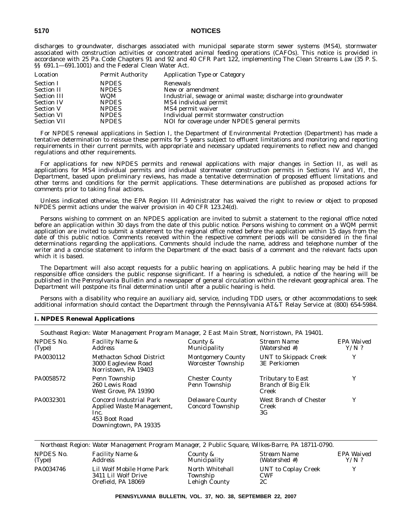#### **5170 NOTICES**

discharges to groundwater, discharges associated with municipal separate storm sewer systems (MS4), stormwater associated with construction activities or concentrated animal feeding operations (CAFOs). This notice is provided in accordance with 25 Pa. Code Chapters 91 and 92 and 40 CFR Part 122, implementing The Clean Streams Law (35 P. S. §§ 691.1—691.1001) and the Federal Clean Water Act.

| Location           | <b>Permit Authority</b> | <b>Application Type or Category</b>                            |
|--------------------|-------------------------|----------------------------------------------------------------|
| <b>Section I</b>   | <b>NPDES</b>            | Renewals                                                       |
| <b>Section II</b>  | <b>NPDES</b>            | New or amendment                                               |
| <b>Section III</b> | WQM                     | Industrial, sewage or animal waste; discharge into groundwater |
| <b>Section IV</b>  | <b>NPDES</b>            | MS4 individual permit                                          |
| <b>Section V</b>   | <b>NPDES</b>            | MS4 permit waiver                                              |
| <b>Section VI</b>  | <b>NPDES</b>            | Individual permit stormwater construction                      |
| <b>Section VII</b> | <b>NPDES</b>            | NOI for coverage under NPDES general permits                   |

For NPDES renewal applications in Section I, the Department of Environmental Protection (Department) has made a tentative determination to reissue these permits for 5 years subject to effluent limitations and monitoring and reporting requirements in their current permits, with appropriate and necessary updated requirements to reflect new and changed regulations and other requirements.

For applications for new NPDES permits and renewal applications with major changes in Section II, as well as applications for MS4 individual permits and individual stormwater construction permits in Sections IV and VI, the Department, based upon preliminary reviews, has made a tentative determination of proposed effluent limitations and other terms and conditions for the permit applications. These determinations are published as proposed actions for comments prior to taking final actions.

Unless indicated otherwise, the EPA Region III Administrator has waived the right to review or object to proposed NPDES permit actions under the waiver provision in 40 CFR 123.24(d).

Persons wishing to comment on an NPDES application are invited to submit a statement to the regional office noted before an application within 30 days from the date of this public notice. Persons wishing to comment on a WQM permit application are invited to submit a statement to the regional office noted before the application within 15 days from the date of this public notice. Comments received within the respective comment periods will be considered in the final determinations regarding the applications. Comments should include the name, address and telephone number of the writer and a concise statement to inform the Department of the exact basis of a comment and the relevant facts upon which it is based.

The Department will also accept requests for a public hearing on applications. A public hearing may be held if the responsible office considers the public response significant. If a hearing is scheduled, a notice of the hearing will be published in the *Pennsylvania Bulletin* and a newspaper of general circulation within the relevant geographical area. The Department will postpone its final determination until after a public hearing is held.

Persons with a disability who require an auxiliary aid, service, including TDD users, or other accommodations to seek additional information should contact the Department through the Pennsylvania AT&T Relay Service at (800) 654-5984.

#### **I. NPDES Renewal Applications**

*Southeast Region: Water Management Program Manager, 2 East Main Street, Norristown, PA 19401.*

| NPDES No.<br>(Type) | <i>Facility Name &amp;</i><br><i>Address</i>                                                           | County &<br>Municipality                              | Stream Name<br>(Watershed #)                           | EPA Waived<br>$Y/N$ ? |
|---------------------|--------------------------------------------------------------------------------------------------------|-------------------------------------------------------|--------------------------------------------------------|-----------------------|
| PA0030112           | <b>Methacton School District</b><br>3000 Eagleview Road<br>Norristown, PA 19403                        | <b>Montgomery County</b><br><b>Worcester Township</b> | UNT to Skippack Creek<br><b>3E</b> Perkiomen           | Y                     |
| PA0058572           | Penn Township<br>260 Lewis Road<br>West Grove, PA 19390                                                | <b>Chester County</b><br>Penn Township                | Tributary to East<br><b>Branch of Big Elk</b><br>Creek |                       |
| PA0032301           | Concord Industrial Park<br>Applied Waste Management,<br>Inc.<br>453 Boot Road<br>Downingtown, PA 19335 | <b>Delaware County</b><br>Concord Township            | West Branch of Chester<br>Creek<br>3G                  | v                     |

|                     | Northeast Region: Water Management Program Manager, 2 Public Square, Wilkes-Barre, PA 18711-0790. |                                              |                                         |                       |
|---------------------|---------------------------------------------------------------------------------------------------|----------------------------------------------|-----------------------------------------|-----------------------|
| NPDES No.<br>(Type) | <i>Facility Name &amp;</i><br><i>Address</i>                                                      | County &<br><i>Municipality</i>              | Stream Name<br>(Watershed #)            | EPA Waived<br>$Y/N$ ? |
| PA0034746           | Lil Wolf Mobile Home Park<br>3411 Lil Wolf Drive<br>Orefield, PA 18069                            | North Whitehall<br>Township<br>Lehigh County | UNT to Coplay Creek<br><b>CWF</b><br>2C | v                     |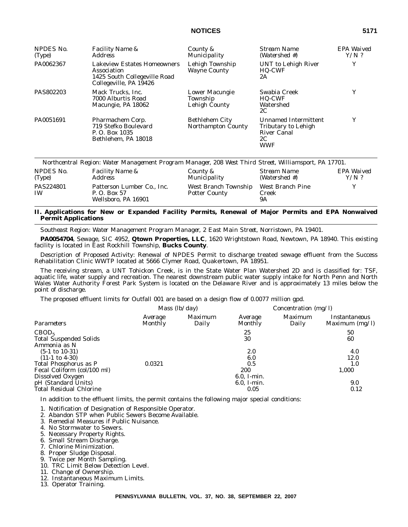#### **NOTICES 5171**

| NPDES No.<br>(Type) | <i>Facility Name &amp;</i><br><i>Address</i>                                                                | County &<br>Municipality                           | <i>Stream Name</i><br>(Watershed #)                                                          | EPA Waived<br>$Y/N$ ? |
|---------------------|-------------------------------------------------------------------------------------------------------------|----------------------------------------------------|----------------------------------------------------------------------------------------------|-----------------------|
| PA0062367           | <b>Lakeview Estates Homeowners</b><br>Association<br>1425 South Collegeville Road<br>Collegeville, PA 19426 | Lehigh Township<br><b>Wayne County</b>             | UNT to Lehigh River<br><b>HQ-CWF</b><br>2A                                                   | Y                     |
| PAS802203           | Mack Trucks. Inc.<br>7000 Alburtis Road<br>Macungie, PA 18062                                               | Lower Macungie<br>Township<br>Lehigh County        | Swabia Creek<br><b>HQ-CWF</b><br>Watershed<br>2C                                             | Y                     |
| PA0051691           | Pharmachem Corp.<br>719 Stefko Boulevard<br>P. O. Box 1035<br>Bethlehem, PA 18018                           | <b>Bethlehem City</b><br><b>Northampton County</b> | <b>Unnamed Intermittent</b><br>Tributary to Lehigh<br><b>River Canal</b><br>2C<br><b>WWF</b> | Y                     |

|                        | Northcentral Region: Water Management Program Manager, 208 West Third Street, Williamsport, PA 17701. |                                              |                                 |                       |
|------------------------|-------------------------------------------------------------------------------------------------------|----------------------------------------------|---------------------------------|-----------------------|
| NPDES No.<br>(Type)    | <i>Facility Name &amp;</i><br>Address                                                                 | County &<br>Municipality                     | Stream Name<br>(Watershed #)    | EPA Waived<br>$Y/N$ ? |
| PAS224801<br><b>IW</b> | Patterson Lumber Co., Inc.<br>P. O. Box 57<br>Wellsboro, PA 16901                                     | West Branch Township<br><b>Potter County</b> | West Branch Pine<br>Creek<br>9Α |                       |

#### **II. Applications for New or Expanded Facility Permits, Renewal of Major Permits and EPA Nonwaived Permit Applications**

*Southeast Region: Water Management Program Manager, 2 East Main Street, Norristown, PA 19401.*

**PA0054704**, Sewage, SIC 4952, **Qtown Properties, LLC**, 1620 Wrightstown Road, Newtown, PA 18940. This existing facility is located in East Rockhill Township, **Bucks County**.

Description of Proposed Activity: Renewal of NPDES Permit to discharge treated sewage effluent from the Success Rehabilitation Clinic WWTP located at 5666 Clymer Road, Quakertown, PA 18951.

The receiving stream, a UNT Tohickon Creek, is in the State Water Plan Watershed 2D and is classified for: TSF, aquatic life, water supply and recreation. The nearest downstream public water supply intake for North Penn and North Wales Water Authority Forest Park System is located on the Delaware River and is approximately 13 miles below the point of discharge.

The proposed effluent limits for Outfall 001 are based on a design flow of 0.0077 million gpd.

| <i>Mass</i> $(lb/day)$ |                  | Concentration $(mg/l)$           |                         |                                          |
|------------------------|------------------|----------------------------------|-------------------------|------------------------------------------|
| Average<br>Monthly     | Maximum<br>Daily | Average<br>Monthly               | <i>Maximum</i><br>Daily | <i>Instantaneous</i><br>Maximum $(mg/l)$ |
|                        |                  | 25<br>30                         |                         | 50<br>60                                 |
| 0.0321                 |                  | 2.0<br>6.0<br>0.5                |                         | 4.0<br>12.0<br>1.0                       |
|                        |                  | $6.0$ , I-min.<br>$6.0$ , I-min. |                         | 1,000<br>9.0<br>0.12                     |
|                        |                  |                                  | <b>200</b><br>0.05      |                                          |

In addition to the effluent limits, the permit contains the following major special conditions:

- 1. Notification of Designation of Responsible Operator.
- 2. Abandon STP when Public Sewers Become Available.
- 3. Remedial Measures if Public Nuisance.
- 4. No Stormwater to Sewers.
- 5. Necessary Property Rights.
- 6. Small Stream Discharge.
- 7. Chlorine Minimization.
- 8. Proper Sludge Disposal.
- 9. Twice per Month Sampling.
- 10. TRC Limit Below Detection Level.
- 11. Change of Ownership.
- 12. Instantaneous Maximum Limits.
- 13. Operator Training.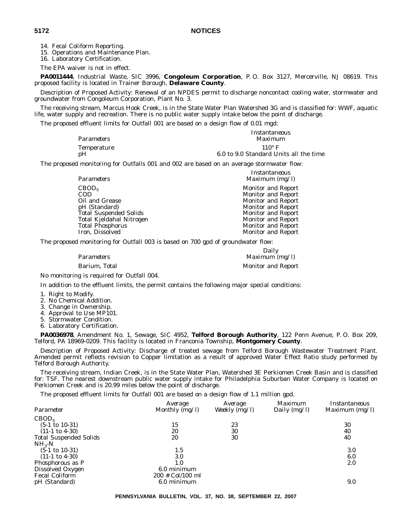14. Fecal Coliform Reporting.

15. Operations and Maintenance Plan.

16. Laboratory Certification.

The EPA waiver is not in effect.

**PA0011444**, Industrial Waste, SIC 3996, **Congoleum Corporation**, P. O. Box 3127, Mercerville, NJ 08619. This proposed facility is located in Trainer Borough, **Delaware County**.

Description of Proposed Activity: Renewal of an NPDES permit to discharge noncontact cooling water, stormwater and groundwater from Congoleum Corporation, Plant No. 3.

The receiving stream, Marcus Hook Creek, is in the State Water Plan Watershed 3G and is classified for: WWF, aquatic life, water supply and recreation. There is no public water supply intake below the point of discharge.

The proposed effluent limits for Outfall 001 are based on a design flow of 0.01 mgd:

|                   | Instantaneous                          |
|-------------------|----------------------------------------|
| <i>Parameters</i> | Maximum                                |
| Temperature       | $110^\circ$ F                          |
| pH                | 6.0 to 9.0 Standard Units all the time |

The proposed monitoring for Outfalls 001 and 002 are based on an average stormwater flow:

| Instantaneous             |
|---------------------------|
| Maximum $(mg/l)$          |
| <b>Monitor and Report</b> |
| <b>Monitor and Report</b> |
| <b>Monitor and Report</b> |
| <b>Monitor and Report</b> |
| <b>Monitor and Report</b> |
| <b>Monitor and Report</b> |
| <b>Monitor and Report</b> |
| <b>Monitor and Report</b> |
|                           |

The proposed monitoring for Outfall 003 is based on 700 gpd of groundwater flow:

|               | Daily                     |
|---------------|---------------------------|
| Parameters    | Maximum $(mg/l)$          |
| Barium, Total | <b>Monitor and Report</b> |

No monitoring is required for Outfall 004.

In addition to the effluent limits, the permit contains the following major special conditions:

- 1. Right to Modify.
- 2. No Chemical Addition.
- 3. Change in Ownership.
- 4. Approval to Use MP101.
- 5. Stormwater Condition.
- 6. Laboratory Certification.

**PA0036978**, Amendment No. 1, Sewage, SIC 4952, **Telford Borough Authority**, 122 Penn Avenue, P. O. Box 209, Telford, PA 18969-0209. This facility is located in Franconia Township, **Montgomery County**.

Description of Proposed Activity: Discharge of treated sewage from Telford Borough Wastewater Treatment Plant. Amended permit reflects revision to Copper limitation as a result of approved Water Effect Ratio study performed by Telford Borough Authority.

The receiving stream, Indian Creek, is in the State Water Plan, Watershed 3E Perkiomen Creek Basin and is classified for: TSF. The nearest downstream public water supply intake for Philadelphia Suburban Water Company is located on Perkiomen Creek and is 20.99 miles below the point of discharge.

The proposed effluent limits for Outfall 001 are based on a design flow of 1.1 million gpd.

| Parameter                 | Average<br>Monthly $(mg/l)$ | Average<br>Weekly $(mg/l)$ | Maximum<br>Daily $(mg/l)$ | Instantaneous<br>Maximum $(mg/l)$ |
|---------------------------|-----------------------------|----------------------------|---------------------------|-----------------------------------|
| CBOD <sub>5</sub>         |                             |                            |                           |                                   |
| $(5-1 \text{ to } 10-31)$ | 15                          | 23                         |                           | 30                                |
| $(11-1 \text{ to } 4-30)$ | 20                          | 30                         |                           | 40                                |
| Total Suspended Solids    | 20                          | 30                         |                           | 40                                |
| $NH_{3}$ -N               |                             |                            |                           |                                   |
| $(5-1 \text{ to } 10-31)$ | 1.5                         |                            |                           | 3.0                               |
| $(11-1 \text{ to } 4-30)$ | 3.0                         |                            |                           | 6.0                               |
| Phosphorous as P          | 1.0                         |                            |                           | 2.0                               |
| Dissolved Oxygen          | 6.0 minimum                 |                            |                           |                                   |
| Fecal Coliform            | $200 \#$ Col/100 ml         |                            |                           |                                   |
| pH (Standard)             | 6.0 minimum                 |                            |                           | 9.0                               |
|                           |                             |                            |                           |                                   |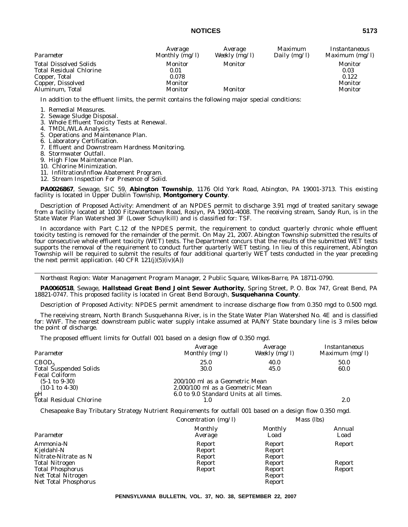#### **NOTICES 5173**

| Parameter                                                                                                                | Average                                        | Average            | <i>Maximum</i> | Instantaneous                                  |
|--------------------------------------------------------------------------------------------------------------------------|------------------------------------------------|--------------------|----------------|------------------------------------------------|
|                                                                                                                          | Monthly $(mg/l)$                               | Weekly $(mg/l)$    | Daily $(mg/l)$ | Maximum (mg/l)                                 |
| <b>Total Dissolved Solids</b><br><b>Total Residual Chlorine</b><br>Copper, Total<br>Copper, Dissolved<br>Aluminum, Total | Monitor<br>0.01<br>0.078<br>Monitor<br>Monitor | Monitor<br>Monitor |                | Monitor<br>0.03<br>0.122<br>Monitor<br>Monitor |

In addition to the effluent limits, the permit contains the following major special conditions:

1. Remedial Measures.

- 2. Sewage Sludge Disposal.
- 3. Whole Effluent Toxicity Tests at Renewal.
- 4. TMDL/WLA Analysis.
- 5. Operations and Maintenance Plan.
- 6. Laboratory Certification.
- 7. Effluent and Downstream Hardness Monitoring.
- 8. Stormwater Outfall.
- 9. High Flow Maintenance Plan.
- 10. Chlorine Minimization.
- 11. Infiltration/Inflow Abatement Program.
- 12. Stream Inspection For Presence of Solid.

**PA0026867**, Sewage, SIC 59, **Abington Township**, 1176 Old York Road, Abington, PA 19001-3713. This existing facility is located in Upper Dublin Township, **Montgomery County**.

Description of Proposed Activity: Amendment of an NPDES permit to discharge 3.91 mgd of treated sanitary sewage from a facility located at 1000 Fitzwatertown Road, Roslyn, PA 19001-4008. The receiving stream, Sandy Run, is in the State Water Plan Watershed 3F (Lower Schuylkill) and is classified for: TSF.

In accordance with Part C.12 of the NPDES permit, the requirement to conduct quarterly chronic whole effluent toxicity testing is removed for the remainder of the permit. On May 21, 2007. Abington Township submitted the results of four consecutive whole effluent toxicity (WET) tests. The Department concurs that the results of the submitted WET tests supports the removal of the requirement to conduct further quarterly WET testing. In lieu of this requirement, Abington Township will be required to submit the results of four additional quarterly WET tests conducted in the year preceding the next permit application.  $(40 \text{ CFR } 121(j)(5)(iv)(A))$ 

*Northeast Region: Water Management Program Manager, 2 Public Square, Wilkes-Barre, PA 18711-0790.*

**PA0060518**, Sewage, **Hallstead Great Bend Joint Sewer Authority**, Spring Street, P. O. Box 747, Great Bend, PA 18821-0747. This proposed facility is located in Great Bend Borough, **Susquehanna County**.

Description of Proposed Activity: NPDES permit amendment to increase discharge flow from 0.350 mgd to 0.500 mgd.

The receiving stream, North Branch Susquehanna River, is in the State Water Plan Watershed No. 4E and is classified for: WWF. The nearest downstream public water supply intake assumed at PA/NY State boundary line is 3 miles below the point of discharge.

The proposed effluent limits for Outfall 001 based on a design flow of 0.350 mgd.

| Parameter                                              | Average<br>Monthly $(mg/l)$                                        | Average<br>Weekly (mg/l) | Instantaneous<br>Maximum $(mg/l)$ |
|--------------------------------------------------------|--------------------------------------------------------------------|--------------------------|-----------------------------------|
| CBOD <sub>5</sub>                                      | 25.0                                                               | 40.0                     | 50.0                              |
| <b>Total Suspended Solids</b><br><b>Fecal Coliform</b> | 30.0                                                               | 45.0                     | 60.0                              |
| $(5-1 \text{ to } 9-30)$<br>$(10-1 \text{ to } 4-30)$  | 200/100 ml as a Geometric Mean<br>2,000/100 ml as a Geometric Mean |                          |                                   |
| pH<br>Total Residual Chlorine                          | 6.0 to 9.0 Standard Units at all times.                            |                          | 2.0                               |

Chesapeake Bay Tributary Strategy Nutrient Requirements for outfall 001 based on a design flow 0.350 mgd.

|                                                 | Concentration $(mg/l)$     | Mass (lbs)                 |                |
|-------------------------------------------------|----------------------------|----------------------------|----------------|
| Parameter                                       | <b>Monthly</b><br>Average  | <b>Monthly</b><br>Load     | Annual<br>Load |
| Ammonia-N<br>Kjeldahl-N<br>Nitrate-Nitrate as N | Report<br>Report<br>Report | Report<br>Report<br>Report | Report         |
| <b>Total Nitrogen</b>                           | Report                     | Report                     | Report         |
| <b>Total Phosphorus</b><br>Net Total Nitrogen   | Report                     | Report<br>Report           | Report         |
| Net Total Phosphorus                            |                            | Report                     |                |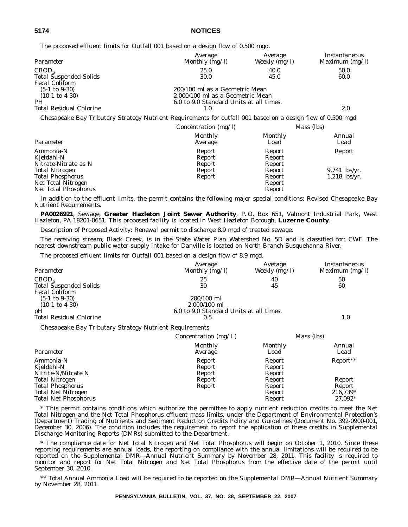**5174 NOTICES**

The proposed effluent limits for Outfall 001 based on a design flow of 0.500 mgd.

| Parameter                      | Average<br>Monthly (mg/l)               | Average<br>Weekly (mg/l) | Instantaneous<br>Maximum $(mg/l)$ |
|--------------------------------|-----------------------------------------|--------------------------|-----------------------------------|
| CBOD <sub>5</sub>              | 25.0                                    | 40.0                     | 50.0                              |
| <b>Total Suspended Solids</b>  | 30.0                                    | 45.0                     | 60.0                              |
| <b>Fecal Coliform</b>          |                                         |                          |                                   |
| $(5-1 \text{ to } 9-30)$       | 200/100 ml as a Geometric Mean          |                          |                                   |
| $(10-1 \text{ to } 4-30)$      | 2,000/100 ml as a Geometric Mean        |                          |                                   |
| PH                             | 6.0 to 9.0 Standard Units at all times. |                          |                                   |
| <b>Total Residual Chlorine</b> |                                         |                          | 2.0                               |

Chesapeake Bay Tributary Strategy Nutrient Requirements for outfall 001 based on a design flow of 0.500 mgd.

|                                            | Concentration $(mg/l)$ | Mass (lbs)       |                 |
|--------------------------------------------|------------------------|------------------|-----------------|
| Parameter                                  | <b>Monthly</b>         | <b>Monthly</b>   | Annual          |
|                                            | Average                | Load             | Load            |
| Ammonia-N                                  | Report                 | Report           | Report          |
| Kjeldahl-N                                 | Report                 | Report           |                 |
| Nitrate-Nitrate as N                       | Report                 | Report           |                 |
| <b>Total Nitrogen</b>                      | Report                 | Report           | $9,741$ lbs/yr. |
| <b>Total Phosphorus</b>                    | Report                 | Report           | $1,218$ lbs/yr. |
| Net Total Nitrogen<br>Net Total Phosphorus |                        | Report<br>Report |                 |

In addition to the effluent limits, the permit contains the following major special conditions: Revised Chesapeake Bay Nutrient Requirements.

**PA0026921**, Sewage, **Greater Hazleton Joint Sewer Authority**, P. O. Box 651, Valmont Industrial Park, West Hazleton, PA 18201-0651. This proposed facility is located in West Hazleton Borough, **Luzerne County**.

Description of Proposed Activity: Renewal permit to discharge 8.9 mgd of treated sewage.

The receiving stream, Black Creek, is in the State Water Plan Watershed No. 5D and is classified for: CWF. The nearest downstream public water supply intake for Danville is located on North Branch Susquehanna River.

The proposed effluent limits for Outfall 001 based on a design flow of 8.9 mgd.

Total Net Phosphorus **Report** 27,092\* 27,092\* 27,092\* 27,092\* 27,092\* 27,092\* 27,092\* 27,092\* 27,092\* 27,092\* 27,092\* 27,092\* 27,092\* 27,092\* 27,092\* 27,092\* 27,092\* 27,092\* 27,092\* 27,092\* 27,092\* 27,092\* 27,092\* 27,092\*

| Parameter                                               | Average<br>Monthly (mg/l)               | Average<br>Weekly (mg/l) | Instantaneous<br>Maximum (mg/l) |
|---------------------------------------------------------|-----------------------------------------|--------------------------|---------------------------------|
| CBOD <sub>5</sub>                                       | 25                                      | 40                       | 50                              |
| <b>Total Suspended Solids</b>                           | 30                                      | 45                       | 60                              |
| <b>Fecal Coliform</b>                                   |                                         |                          |                                 |
| $(5-1 \text{ to } 9-30)$                                | 200/100 ml                              |                          |                                 |
| $(10-1 \text{ to } 4-30)$                               | 2,000/100 ml                            |                          |                                 |
| pH                                                      | 6.0 to 9.0 Standard Units at all times. |                          |                                 |
| Total Residual Chlorine                                 | 0.5                                     |                          | 1.0                             |
| Chesapeake Bay Tributary Strategy Nutrient Requirements |                                         |                          |                                 |
|                                                         | Concentration ( $mg/L$ )                |                          | Mass (lbs)                      |
|                                                         | Monthly                                 | Monthly                  | Annual                          |
| Parameter                                               | Average                                 | Load                     | Load                            |
| Ammonia-N                                               | Report                                  | Report                   | Report**                        |
| Kjeldahl-N                                              | Report                                  | Report                   |                                 |
| Nitrite-N/Nitrate N                                     | Report                                  | Report                   |                                 |
| <b>Total Nitrogen</b>                                   | Report                                  | Report                   | Report                          |

\* This permit contains conditions which authorize the permittee to apply nutrient reduction credits to meet the Net Total Nitrogen and the Net Total Phosphorus effluent mass limits, under the Department of Environmental Protection's (Department) Trading of Nutrients and Sediment Reduction Credits Policy and Guidelines (Document No. 392-0900-001, December 30, 2006). The condition includes the requirement to report the application of these credits in Supplemental Discharge Monitoring Reports (DMRs) submitted to the Department.

Total Phosphorus Report Report Report Report Report Report Report Report Report Report Report Report Report Report Report Report Report Report Report Report Report Report Report Report Report Report 216,739\* Total Net Nitrogen Report 216,739\*

\* The compliance date for Net Total Nitrogen and Net Total Phosphorus will begin on October 1, 2010. Since these reporting requirements are annual loads, the reporting on compliance with the annual limitations will be required to be reported on the Supplemental DMR—Annual Nutrient Summary by November 28, 2011. This facility is required to monitor and report for Net Total Nitrogen and Net Total Phosphorus from the effective date of the permit until September 30, 2010.

\*\* Total Annual Ammonia Load will be required to be reported on the Supplemental DMR—Annual Nutrient Summary by November 28, 2011.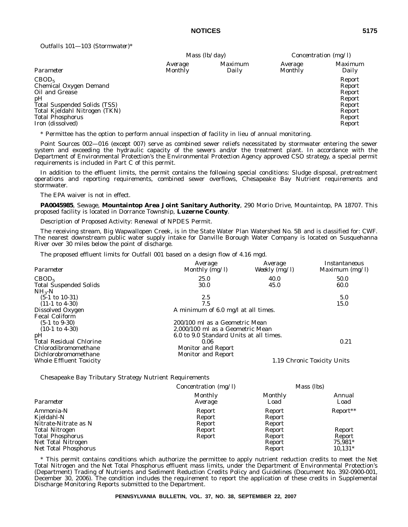*Outfalls 101—103 (Stormwater)\**

|                                                                                                                                                                                            | <i>Mass</i> $(lb/day)$    |                         | Concentration $(mg/l)$ |                                                                              |
|--------------------------------------------------------------------------------------------------------------------------------------------------------------------------------------------|---------------------------|-------------------------|------------------------|------------------------------------------------------------------------------|
| Parameter                                                                                                                                                                                  | Average<br><b>Monthly</b> | <i>Maximum</i><br>Daily | Average<br>Monthly     | <i>Maximum</i><br>Daily                                                      |
| CBOD <sub>5</sub><br>Chemical Oxygen Demand<br>Oil and Grease<br>pH<br><b>Total Suspended Solids (TSS)</b><br>Total Kjeldahl Nitrogen (TKN)<br><b>Total Phosphorus</b><br>Iron (dissolved) |                           |                         |                        | Report<br>Report<br>Report<br>Report<br>Report<br>Report<br>Report<br>Report |

\* Permittee has the option to perform annual inspection of facility in lieu of annual monitoring.

Point Sources 002—016 (except 007) serve as combined sewer reliefs necessitated by stormwater entering the sewer system and exceeding the hydraulic capacity of the sewers and/or the treatment plant. In accordance with the Department of Environmental Protection's the Environmental Protection Agency approved CSO strategy, a special permit requirements is included in Part C of this permit.

In addition to the effluent limits, the permit contains the following special conditions: Sludge disposal, pretreatment operations and reporting requirements, combined sewer overflows, Chesapeake Bay Nutrient requirements and stormwater.

The EPA waiver is not in effect.

**PA0045985**, Sewage, **Mountaintop Area Joint Sanitary Authority**, 290 Morio Drive, Mountaintop, PA 18707. This proposed facility is located in Dorrance Township, **Luzerne County**.

Description of Proposed Activity: Renewal of NPDES Permit.

The receiving stream, Big Wapwallopen Creek, is in the State Water Plan Watershed No. 5B and is classified for: CWF. The nearest downstream public water supply intake for Danville Borough Water Company is located on Susquehanna River over 30 miles below the point of discharge.

The proposed effluent limits for Outfall 001 based on a design flow of 4.16 mgd.

| Parameter                      | Average<br>Monthly $(mg/l)$             | Average<br>Weekly (mg/l) | Instantaneous<br>Maximum $(mg/l)$ |
|--------------------------------|-----------------------------------------|--------------------------|-----------------------------------|
| CBOD <sub>5</sub>              | 25.0                                    | 40.0                     | 50.0                              |
| <b>Total Suspended Solids</b>  | 30.0                                    | 45.0                     | 60.0                              |
| $NH_{3}-N$                     |                                         |                          |                                   |
| $(5-1 \text{ to } 10-31)$      | 2.5                                     |                          | 5.0                               |
| $(11-1 \text{ to } 4-30)$      | 7.5                                     |                          | 15.0                              |
| Dissolved Oxygen               | A minimum of 6.0 mg/l at all times.     |                          |                                   |
| <b>Fecal Coliform</b>          |                                         |                          |                                   |
| $(5-1 \text{ to } 9-30)$       | 200/100 ml as a Geometric Mean          |                          |                                   |
| $(10-1 \text{ to } 4-30)$      | 2,000/100 ml as a Geometric Mean        |                          |                                   |
| pH                             | 6.0 to 9.0 Standard Units at all times. |                          |                                   |
| <b>Total Residual Chlorine</b> | 0.06                                    |                          | 0.21                              |
| Chlorodibromomethane           | <b>Monitor and Report</b>               |                          |                                   |
| Dichlorobromomethane           | <b>Monitor and Report</b>               |                          |                                   |
| <b>Whole Effluent Toxicity</b> |                                         |                          | 1.19 Chronic Toxicity Units       |

Chesapeake Bay Tributary Strategy Nutrient Requirements

| Concentration $(mg/l)$     | Mass (lbs)                 |                |
|----------------------------|----------------------------|----------------|
| Monthly<br>Average         | <b>Monthly</b><br>Load     | Annual<br>Load |
| Report<br>Report<br>Report | Report<br>Report<br>Report | Report**       |
| Report                     | Report                     | Report         |
| Report                     | Report                     | Report         |
|                            | Report                     | 75,981*        |
|                            | Report                     | $10,131*$      |
|                            |                            |                |

\* This permit contains conditions which authorize the permittee to apply nutrient reduction credits to meet the Net Total Nitrogen and the Net Total Phosphorus effluent mass limits, under the Department of Environmental Protection's (Department) Trading of Nutrients and Sediment Reduction Credits Policy and Guidelines (Document No. 392-0900-001, December 30, 2006). The condition includes the requirement to report the application of these credits in Supplemental Discharge Monitoring Reports submitted to the Department.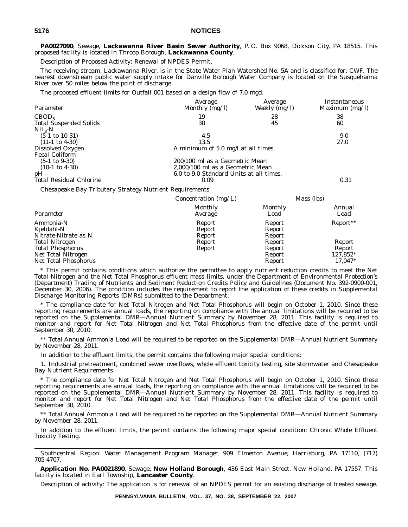**PA0027090**, Sewage, **Lackawanna River Basin Sewer Authority**, P. O. Box 9068, Dickson City, PA 18515. This proposed facility is located in Throop Borough, **Lackawanna County**.

Description of Proposed Activity: Renewal of NPDES Permit.

The receiving stream, Lackawanna River, is in the State Water Plan Watershed No. 5A and is classified for: CWF. The nearest downstream public water supply intake for Danville Borough Water Company is located on the Susquehanna River over 50 miles below the point of discharge.

The proposed effluent limits for Outfall 001 based on a design flow of 7.0 mgd.

| Parameter                                   | Average<br>Monthly $(mg/l)$             | Average<br>Weekly $(\overline{mg}/l)$ | Instantaneous<br>Maximum $(mg/l)$ |
|---------------------------------------------|-----------------------------------------|---------------------------------------|-----------------------------------|
| CBOD <sub>5</sub>                           | 19                                      | 28                                    | 38                                |
| <b>Total Suspended Solids</b><br>$NH_{3}-N$ | 30                                      | 45                                    | 60                                |
| $(5-1 \text{ to } 10-31)$                   | 4.5                                     |                                       | 9.0                               |
| $(11-1 \text{ to } 4-30)$                   | 13.5                                    |                                       | 27.0                              |
| Dissolved Oxygen                            | A minimum of 5.0 mg/l at all times.     |                                       |                                   |
| <b>Fecal Coliform</b>                       |                                         |                                       |                                   |
| $(5-1 \text{ to } 9-30)$                    | 200/100 ml as a Geometric Mean          |                                       |                                   |
| $(10-1 \text{ to } 4-30)$                   | 2,000/100 ml as a Geometric Mean        |                                       |                                   |
| pH                                          | 6.0 to 9.0 Standard Units at all times. |                                       |                                   |
| <b>Total Residual Chlorine</b>              | 0.09                                    |                                       | 0.31                              |
|                                             |                                         |                                       |                                   |

Chesapeake Bay Tributary Strategy Nutrient Requirements

|                                                 | Concentration (mg/L)       |                            | Mass (lbs)     |
|-------------------------------------------------|----------------------------|----------------------------|----------------|
| Parameter                                       | <b>Monthly</b><br>Average  | Monthly<br>Load            | Annual<br>Load |
| Ammonia-N<br>Kjeldahl-N<br>Nitrate-Nitrate as N | Report<br>Report<br>Report | Report<br>Report<br>Report | $Report**$     |
| <b>Total Nitrogen</b>                           | Report                     | Report                     | Report         |
| <b>Total Phosphorus</b>                         | Report                     | Report                     | Report         |
| Net Total Nitrogen                              |                            | Report                     | 127,852*       |
| Net Total Phosphorus                            |                            | Report                     | 17,047*        |

\* This permit contains conditions which authorize the permittee to apply nutrient reduction credits to meet the Net Total Nitrogen and the Net Total Phosphorus effluent mass limits, under the Department of Environmental Protection's (Department) Trading of Nutrients and Sediment Reduction Credits Policy and Guidelines (Document No. 392-0900-001, December 30, 2006). The condition includes the requirement to report the application of these credits in Supplemental Discharge Monitoring Reports (DMRs) submitted to the Department.

\* The compliance date for Net Total Nitrogen and Net Total Phosphorus will begin on October 1, 2010. Since these reporting requirements are annual loads, the reporting on compliance with the annual limitations will be required to be reported on the Supplemental DMR—Annual Nutrient Summary by November 28, 2011. This facility is required to monitor and report for Net Total Nitrogen and Net Total Phosphorus from the effective date of the permit until September 30, 2010.

\*\* Total Annual Ammonia Load will be required to be reported on the Supplemental DMR—Annual Nutrient Summary by November 28, 2011.

In addition to the effluent limits, the permit contains the following major special conditions:

1. Industrial pretreatment, combined sewer overflows, whole effluent toxicity testing, site stormwater and Chesapeake Bay Nutrient Requirements.

\* The compliance date for Net Total Nitrogen and Net Total Phosphorus will begin on October 1, 2010. Since these reporting requirements are annual loads, the reporting on compliance with the annual limitations will be required to be reported on the Supplemental DMR—Annual Nutrient Summary by November 28, 2011. This facility is required to monitor and report for Net Total Nitrogen and Net Total Phosphorus from the effective date of the permit until September 30, 2010.

\*\* Total Annual Ammonia Load will be required to be reported on the Supplemental DMR—Annual Nutrient Summary by November 28, 2011.

In addition to the effluent limits, the permit contains the following major special condition: Chronic Whole Effluent Toxicity Testing.

*Southcentral Region: Water Management Program Manager, 909 Elmerton Avenue, Harrisburg, PA 17110, (717) 705-4707.*

**Application No. PA0021890**, Sewage, **New Holland Borough**, 436 East Main Street, New Holland, PA 17557. This facility is located in Earl Township, **Lancaster County**.

Description of activity: The application is for renewal of an NPDES permit for an existing discharge of treated sewage.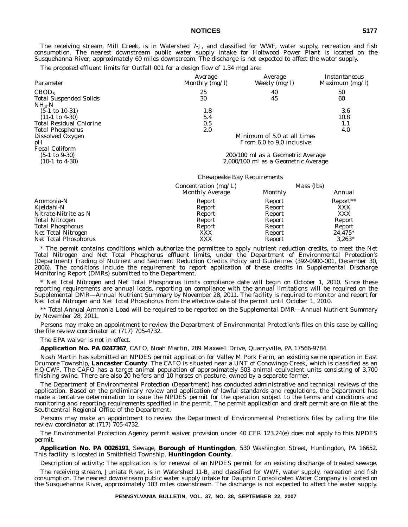The receiving stream, Mill Creek, is in Watershed 7-J, and classified for WWF, water supply, recreation and fish consumption. The nearest downstream public water supply intake for Holtwood Power Plant is located on the Susquehanna River, approximately 60 miles downstream. The discharge is not expected to affect the water supply.

The proposed effluent limits for Outfall 001 for a design flow of 1.34 mgd are:

| Parameter                      | <i>Average</i><br>Monthly (mg/l)  | Average<br>Weekly (mg/l)            | Instantaneous<br>Maximum $(mg/l)$ |  |
|--------------------------------|-----------------------------------|-------------------------------------|-----------------------------------|--|
| CBOD <sub>5</sub>              | 25                                | 40                                  | 50                                |  |
| <b>Total Suspended Solids</b>  | 30                                | 45                                  | 60                                |  |
| $NH_{3}-N$                     |                                   |                                     |                                   |  |
| $(5-1 \text{ to } 10-31)$      | 1.8                               |                                     | 3.6                               |  |
| $(11-1 \text{ to } 4-30)$      | 5.4                               |                                     | 10.8                              |  |
| <b>Total Residual Chlorine</b> | 0.5                               |                                     | 1.1                               |  |
| <b>Total Phosphorus</b>        | 2.0                               |                                     | 4.0                               |  |
| Dissolved Oxygen               | Minimum of 5.0 at all times       |                                     |                                   |  |
| pH                             | From 6.0 to 9.0 inclusive         |                                     |                                   |  |
| <b>Fecal Coliform</b>          |                                   |                                     |                                   |  |
| $(5-1 \text{ to } 9-30)$       | 200/100 ml as a Geometric Average |                                     |                                   |  |
| $(10-1 \text{ to } 4-30)$      |                                   | 2,000/100 ml as a Geometric Average |                                   |  |

#### *Chesapeake Bay Requirements*

|                         | Concentration (mg/L) |                | Mass (lbs) |
|-------------------------|----------------------|----------------|------------|
|                         | Monthly Average      | <b>Monthly</b> | Annual     |
| Ammonia-N               | Report               | Report         | Report**   |
| Kjeldahl-N              | Report               | Report         | <b>XXX</b> |
| Nitrate-Nitrite as N    | Report               | Report         | XXX        |
| <b>Total Nitrogen</b>   | Report               | Report         | Report     |
| <b>Total Phosphorus</b> | Report               | Report         | Report     |
| Net Total Nitrogen      | XXX                  | Report         | $24.475*$  |
| Net Total Phosphorus    | XXX                  | Report         | $3.263*$   |

\* The permit contains conditions which authorize the permittee to apply nutrient reduction credits, to meet the Net Total Nitrogen and Net Total Phosphorus effluent limits, under the Department of Environmental Protection's (Department) Trading of Nutrient and Sediment Reduction Credits Policy and Guidelines (392-0900-001, December 30, 2006). The conditions include the requirement to report application of these credits in Supplemental Discharge Monitoring Report (DMRs) submitted to the Department.

\* Net Total Nitrogen and Net Total Phosphorus limits compliance date will begin on October 1, 2010. Since these reporting requirements are annual loads, reporting on compliance with the annual limitations will be required on the Supplemental DMR—Annual Nutrient Summary by November 28, 2011. The facility is required to monitor and report for Net Total Nitrogen and Net Total Phosphorus from the effective date of the permit until October 1, 2010.

\*\* Total Annual Ammonia Load will be required to be reported on the Supplemental DMR—Annual Nutrient Summary by November 28, 2011.

Persons may make an appointment to review the Department of Environmental Protection's files on this case by calling the file review coordinator at (717) 705-4732.

The EPA waiver is not in effect.

**Application No. PA 0247367**, CAFO, Noah Martin, 289 Maxwell Drive, Quarryville, PA 17566-9784.

Noah Martin has submitted an NPDES permit application for Valley M Pork Farm, an existing swine operation in East Drumore Township, **Lancaster County**. The CAFO is situated near a UNT of Conowingo Creek, which is classified as an HQ-CWF. The CAFO has a target animal population of approximately 503 animal equivalent units consisting of 3,700 finishing swine. There are also 20 heifers and 10 horses on pasture, owned by a separate farmer.

The Department of Environmental Protection (Department) has conducted administrative and technical reviews of the application. Based on the preliminary review and application of lawful standards and regulations, the Department has made a tentative determination to issue the NPDES permit for the operation subject to the terms and conditions and monitoring and reporting requirements specified in the permit. The permit application and draft permit are on file at the Southcentral Regional Office of the Department.

Persons may make an appointment to review the Department of Environmental Protection's files by calling the file review coordinator at (717) 705-4732.

The Environmental Protection Agency permit waiver provision under 40 CFR 123.24(e) does not apply to this NPDES permit.

**Application No. PA 0026191**, Sewage, **Borough of Huntingdon**, 530 Washington Street, Huntingdon, PA 16652. This facility is located in Smithfield Township, **Huntingdon County**.

Description of activity: The application is for renewal of an NPDES permit for an existing discharge of treated sewage.

The receiving stream, Juniata River, is in Watershed 11-B, and classified for WWF, water supply, recreation and fish consumption. The nearest downstream public water supply intake for Dauphin Consolidated Water Company is located on the Susquehanna River, approximately 103 miles downstream. The discharge is not expected to affect the water supply.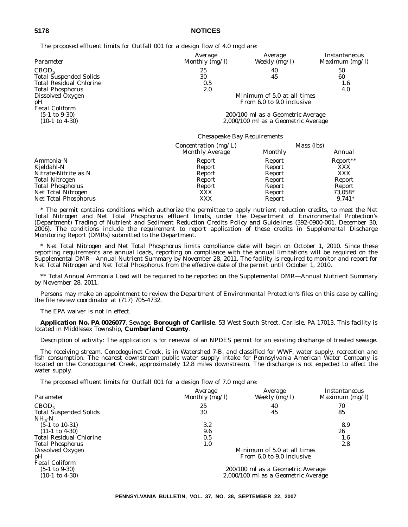| Parameter                      | Average<br>Monthly (mg/l)         | Average<br>Weekly $(mg/l)$          | Instantaneous<br>Maximum $(mg/l)$ |  |
|--------------------------------|-----------------------------------|-------------------------------------|-----------------------------------|--|
| CBOD <sub>5</sub>              | 25                                | 40                                  | 50                                |  |
| <b>Total Suspended Solids</b>  | 30                                | 45                                  | 60                                |  |
| <b>Total Residual Chlorine</b> | 0.5                               |                                     | 1.6                               |  |
| <b>Total Phosphorus</b>        | 2.0                               |                                     | 4.0                               |  |
| Dissolved Oxygen               | Minimum of 5.0 at all times       |                                     |                                   |  |
| pH                             | From 6.0 to 9.0 inclusive         |                                     |                                   |  |
| <b>Fecal Coliform</b>          |                                   |                                     |                                   |  |
| $(5-1 \text{ to } 9-30)$       | 200/100 ml as a Geometric Average |                                     |                                   |  |
| $(10-1 \text{ to } 4-30)$      |                                   | 2,000/100 ml as a Geometric Average |                                   |  |

#### *Chesapeake Bay Requirements*

|                         | Concentration (mg/L) |                | Mass (lbs) |
|-------------------------|----------------------|----------------|------------|
|                         | Monthly Average      | <b>Monthly</b> | Annual     |
| Ammonia-N               | Report               | Report         | Report**   |
| Kjeldahl-N              | Report               | Report         | XXX        |
| Nitrate-Nitrite as N    | Report               | Report         | XXX        |
| <b>Total Nitrogen</b>   | Report               | Report         | Report     |
| <b>Total Phosphorus</b> | Report               | Report         | Report     |
| Net Total Nitrogen      | XXX                  | Report         | 73,058*    |
| Net Total Phosphorus    | XXX                  | Report         | $9.741*$   |

\* The permit contains conditions which authorize the permittee to apply nutrient reduction credits, to meet the Net Total Nitrogen and Net Total Phosphorus effluent limits, under the Department of Environmental Protection's (Department) Trading of Nutrient and Sediment Reduction Credits Policy and Guidelines (392-0900-001, December 30, 2006). The conditions include the requirement to report application of these credits in Supplemental Discharge Monitoring Report (DMRs) submitted to the Department.

\* Net Total Nitrogen and Net Total Phosphorus limits compliance date will begin on October 1, 2010. Since these reporting requirements are annual loads, reporting on compliance with the annual limitations will be required on the Supplemental DMR—Annual Nutrient Summary by November 28, 2011. The facility is required to monitor and report for Net Total Nitrogen and Net Total Phosphorus from the effective date of the permit until October 1, 2010.

\*\* Total Annual Ammonia Load will be required to be reported on the Supplemental DMR—Annual Nutrient Summary by November 28, 2011.

Persons may make an appointment to review the Department of Environmental Protection's files on this case by calling the file review coordinator at (717) 705-4732.

The EPA waiver is not in effect.

**Application No. PA 0026077**, Sewage, **Borough of Carlisle**, 53 West South Street, Carlisle, PA 17013. This facility is located in Middlesex Township, **Cumberland County**.

Description of activity: The application is for renewal of an NPDES permit for an existing discharge of treated sewage.

The receiving stream, Conodoguinet Creek, is in Watershed 7-B, and classified for WWF, water supply, recreation and fish consumption. The nearest downstream public water supply intake for Pennsylvania American Water Company is located on the Conodoguinet Creek, approximately 12.8 miles downstream. The discharge is not expected to affect the water supply.

The proposed effluent limits for Outfall 001 for a design flow of 7.0 mgd are:

| Parameter                      | Average<br>Monthly $(mg/l)$ | Average<br>Weekly (mg/l)            | Instantaneous<br>Maximum $(mg/l)$ |
|--------------------------------|-----------------------------|-------------------------------------|-----------------------------------|
| CBOD <sub>5</sub>              | 25                          | 40                                  | 70                                |
| <b>Total Suspended Solids</b>  | 30                          | 45                                  | 85                                |
| $NH_{3}-N$                     |                             |                                     |                                   |
| $(5-1 \text{ to } 10-31)$      | $3.2\,$                     |                                     | 8.9                               |
| $(11-1 \text{ to } 4-30)$      | 9.6                         |                                     | 26                                |
| <b>Total Residual Chlorine</b> | 0.5                         |                                     | 1.6                               |
| <b>Total Phosphorus</b>        | 1.0                         |                                     | 2.8                               |
| Dissolved Oxygen               |                             | Minimum of 5.0 at all times         |                                   |
| pH                             | From 6.0 to 9.0 inclusive   |                                     |                                   |
| <b>Fecal Coliform</b>          |                             |                                     |                                   |
| $(5-1 \text{ to } 9-30)$       |                             | 200/100 ml as a Geometric Average   |                                   |
| $(10-1 \text{ to } 4-30)$      |                             | 2,000/100 ml as a Geometric Average |                                   |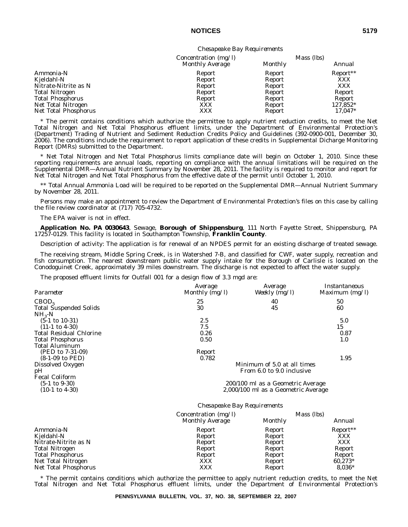#### *Chesapeake Bay Requirements*

|                         | Concentration $(mg/l)$ |                | Mass (lbs)           |
|-------------------------|------------------------|----------------|----------------------|
|                         | Monthly Average        | <b>Monthly</b> | Annual               |
| Ammonia-N               | Report                 | Report         | Report <sup>**</sup> |
| Kjeldahl-N              | Report                 | Report         | XXX                  |
| Nitrate-Nitrite as N    | Report                 | Report         | XXX                  |
| <b>Total Nitrogen</b>   | Report                 | Report         | Report               |
| <b>Total Phosphorus</b> | Report                 | Report         | Report               |
| Net Total Nitrogen      | XXX                    | Report         | 127,852*             |
| Net Total Phosphorus    | XXX                    | Report         | $17.047*$            |

\* The permit contains conditions which authorize the permittee to apply nutrient reduction credits, to meet the Net Total Nitrogen and Net Total Phosphorus effluent limits, under the Department of Environmental Protection's (Department) Trading of Nutrient and Sediment Reduction Credits Policy and Guidelines (392-0900-001, December 30, 2006). The conditions include the requirement to report application of these credits in Supplemental Dicharge Monitoring Report (DMRs) submitted to the Department.

\* Net Total Nitrogen and Net Total Phosphorus limits compliance date will begin on October 1, 2010. Since these reporting requirements are annual loads, reporting on compliance with the annual limitations will be required on the Supplemental DMR—Annual Nutrient Summary by November 28, 2011. The facility is required to monitor and report for Net Total Nitrogen and Net Total Phosphorus from the effective date of the permit until October 1, 2010.

\*\* Total Annual Ammonia Load will be required to be reported on the Supplemental DMR—Annual Nutrient Summary by November 28, 2011.

Persons may make an appointment to review the Department of Environmental Protection's files on this case by calling the file review coordinator at (717) 705-4732.

The EPA waiver is not in effect.

**Application No. PA 0030643**, Sewage, **Borough of Shippensburg**, 111 North Fayette Street, Shippensburg, PA 17257-0129. This facility is located in Southampton Township, **Franklin County**.

Description of activity: The application is for renewal of an NPDES permit for an existing discharge of treated sewage.

The receiving stream, Middle Spring Creek, is in Watershed 7-B, and classified for CWF, water supply, recreation and fish consumption. The nearest downstream public water supply intake for the Borough of Carlisle is located on the Conodoguinet Creek, approximately 39 miles downstream. The discharge is not expected to affect the water supply.

The proposed effluent limits for Outfall 001 for a design flow of 3.3 mgd are:

| Parameter                      | Average<br>Monthly $(mg/l)$ | Average<br>Weekly (mg/l)            | Instantaneous<br>Maximum $(mg/l)$ |
|--------------------------------|-----------------------------|-------------------------------------|-----------------------------------|
| CBOD <sub>5</sub>              | 25                          | 40                                  | 50                                |
| <b>Total Suspended Solids</b>  | 30                          | 45                                  | 60                                |
| $NH3-N$                        |                             |                                     |                                   |
| $(5-1 \text{ to } 10-31)$      | 2.5                         |                                     | 5.0                               |
| $(11-1 \text{ to } 4-30)$      | 7.5                         |                                     | 15                                |
| <b>Total Residual Chlorine</b> | 0.26                        |                                     | 0.87                              |
| <b>Total Phosphorus</b>        | 0.50                        |                                     | 1.0                               |
| <b>Total Aluminum</b>          |                             |                                     |                                   |
| (PED to 7-31-09)               | Report                      |                                     |                                   |
| $(8-1-09)$ to PED)             | 0.782                       |                                     | 1.95                              |
| Dissolved Oxygen               |                             | Minimum of 5.0 at all times         |                                   |
| pH                             |                             | From 6.0 to 9.0 inclusive           |                                   |
| <b>Fecal Coliform</b>          |                             |                                     |                                   |
| $(5-1 \text{ to } 9-30)$       |                             | 200/100 ml as a Geometric Average   |                                   |
| $(10-1 \text{ to } 4-30)$      |                             | 2,000/100 ml as a Geometric Average |                                   |
|                                |                             |                                     |                                   |

#### *Chesapeake Bay Requirements*

|                         | Concentration $(mg/l)$ |         | Mass (lbs) |
|-------------------------|------------------------|---------|------------|
|                         | Monthly Average        | Monthly | Annual     |
| Ammonia-N               | Report                 | Report  | Report**   |
| Kjeldahl-N              | Report                 | Report  | XXX        |
| Nitrate-Nitrite as N    | Report                 | Report  | XXX        |
| <b>Total Nitrogen</b>   | Report                 | Report  | Report     |
| <b>Total Phosphorus</b> | Report                 | Report  | Report     |
| Net Total Nitrogen      | XXX                    | Report  | $60.273*$  |
| Net Total Phosphorus    | XXX                    | Report  | $8.036*$   |

\* The permit contains conditions which authorize the permittee to apply nutrient reduction credits, to meet the Net Total Nitrogen and Net Total Phosphorus effluent limits, under the Department of Environmental Protection's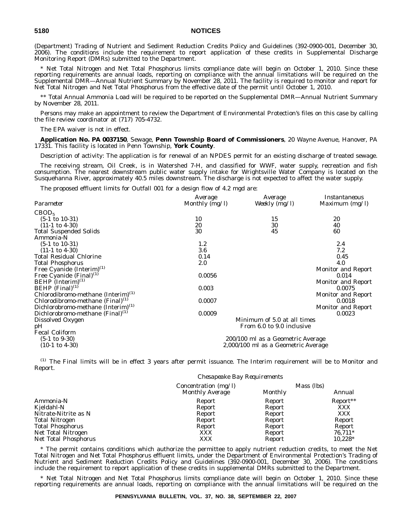(Department) Trading of Nutrient and Sediment Reduction Credits Policy and Guidelines (392-0900-001, December 30, 2006). The conditions include the requirement to report application of these credits in Supplemental Discharge Monitoring Report (DMRs) submitted to the Department.

\* Net Total Nitrogen and Net Total Phosphorus limits compliance date will begin on October 1, 2010. Since these reporting requirements are annual loads, reporting on compliance with the annual limitations will be required on the Supplemental DMR—Annual Nutrient Summary by November 28, 2011. The facility is required to monitor and report for Net Total Nitrogen and Net Total Phosphorus from the effective date of the permit until October 1, 2010.

\*\* Total Annual Ammonia Load will be required to be reported on the Supplemental DMR—Annual Nutrient Summary by November 28, 2011.

Persons may make an appointment to review the Department of Environmental Protection's files on this case by calling the file review coordinator at (717) 705-4732.

The EPA waiver is not in effect.

**Application No. PA 0037150**, Sewage, **Penn Township Board of Commissioners**, 20 Wayne Avenue, Hanover, PA 17331. This facility is located in Penn Township, **York County**.

Description of activity: The application is for renewal of an NPDES permit for an existing discharge of treated sewage.

The receiving stream, Oil Creek, is in Watershed 7-H, and classified for WWF, water supply, recreation and fish consumption. The nearest downstream public water supply intake for Wrightsville Water Company is located on the Susquehanna River, approximately 40.5 miles downstream. The discharge is not expected to affect the water supply.

The proposed effluent limits for Outfall 001 for a design flow of 4.2 mgd are:

|                                                | Average                           | Average                             | Instantaneous             |  |
|------------------------------------------------|-----------------------------------|-------------------------------------|---------------------------|--|
| Parameter                                      | Monthly (mg/l)                    | Weekly $(mg/l)$                     | Maximum $(mg/l)$          |  |
| CBOD <sub>5</sub>                              |                                   |                                     |                           |  |
| $(5-1 \text{ to } 10-31)$                      | 10                                | 15                                  | 20                        |  |
| $(11-1 \text{ to } 4-30)$                      | 20                                | 30                                  | 40                        |  |
| <b>Total Suspended Solids</b>                  | 30                                | 45                                  | 60                        |  |
| Ammonia-N                                      |                                   |                                     |                           |  |
| $(5-1 \text{ to } 10-31)$                      | 1.2                               |                                     | 2.4                       |  |
| $(11-1 \text{ to } 4-30)$                      | 3.6                               |                                     | 7.2                       |  |
| <b>Total Residual Chlorine</b>                 | 0.14                              |                                     | 0.45                      |  |
| <b>Total Phosphorus</b>                        | 2.0                               |                                     | 4.0                       |  |
| Free Cyanide $(Interior)^{(1)}$                |                                   |                                     | <b>Monitor and Report</b> |  |
| Free Cyanide $(Final)^{(1)}$                   | 0.0056                            |                                     | 0.014                     |  |
| $BEHP$ (Interim) <sup>(1)</sup>                |                                   |                                     | <b>Monitor and Report</b> |  |
| BEHP $(Final)^{(1)}$                           | 0.003                             |                                     | 0.0075                    |  |
| Chlorodibromo-methane (Interim) <sup>(1)</sup> |                                   |                                     | <b>Monitor and Report</b> |  |
| Chlorodibromo-methane (Final) <sup>(1)</sup>   | 0.0007                            |                                     | 0.0018                    |  |
| Dichlorobromo-methane (Interim) <sup>(1)</sup> |                                   |                                     | <b>Monitor and Report</b> |  |
| Dichlorobromo-methane (Final) <sup>(1)</sup>   | 0.0009                            |                                     | 0.0023                    |  |
| Dissolved Oxygen                               |                                   | Minimum of 5.0 at all times         |                           |  |
| pН                                             | From 6.0 to 9.0 inclusive         |                                     |                           |  |
| <b>Fecal Coliform</b>                          |                                   |                                     |                           |  |
| $(5-1 \text{ to } 9-30)$                       | 200/100 ml as a Geometric Average |                                     |                           |  |
| $(10-1 \text{ to } 4-30)$                      |                                   | 2,000/100 ml as a Geometric Average |                           |  |
|                                                |                                   |                                     |                           |  |

(1) The Final limits will be in effect 3 years after permit issuance. The Interim requirement will be to Monitor and Report.

|                         | Chesapeake Bay Requirements               |         |                      |
|-------------------------|-------------------------------------------|---------|----------------------|
|                         | Concentration $(mg/l)$<br>Monthly Average | Monthly | Mass (lbs)<br>Annual |
| Ammonia-N               | Report                                    | Report  | Report**             |
| Kjeldahl-N              | Report                                    | Report  | XXX                  |
| Nitrate-Nitrite as N    | Report                                    | Report  | <b>XXX</b>           |
| <b>Total Nitrogen</b>   | Report                                    | Report  | Report               |
| <b>Total Phosphorus</b> | Report                                    | Report  | Report               |
| Net Total Nitrogen      | XXX                                       | Report  | 76,711*              |
| Net Total Phosphorus    | XXX                                       | Report  | $10.228*$            |

\* The permit contains conditions which authorize the permittee to apply nutrient reduction credits, to meet the Net Total Nitrogen and Net Total Phosphorus effluent limits, under the Department of Environmental Protection's Trading of Nutrient and Sediment Reduction Credits Policy and Guidelines (392-0900-001, December 30, 2006). The conditions include the requirement to report application of these credits in supplemental DMRs submitted to the Department.

\* Net Total Nitrogen and Net Total Phosphorus limits compliance date will begin on October 1, 2010. Since these reporting requirements are annual loads, reporting on compliance with the annual limitations will be required on the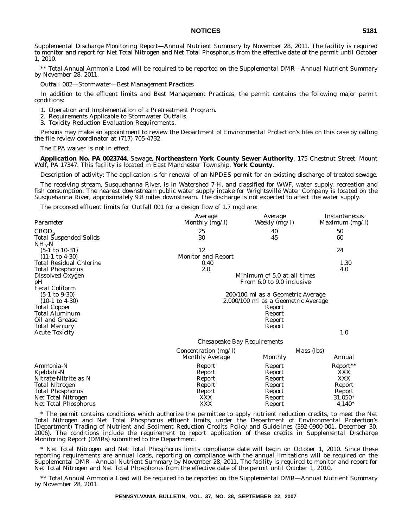Supplemental Discharge Monitoring Report—Annual Nutrient Summary by November 28, 2011. The facility is required to monitor and report for Net Total Nitrogen and Net Total Phosphorus from the effective date of the permit until October 1, 2010.

\*\* Total Annual Ammonia Load will be required to be reported on the Supplemental DMR—Annual Nutrient Summary by November 28, 2011.

*Outfall 002—Stormwater—Best Management Practices*

In addition to the effluent limits and Best Management Practices, the permit contains the following major permit conditions:

1. Operation and Implementation of a Pretreatment Program.

2. Requirements Applicable to Stormwater Outfalls.

3. Toxicity Reduction Evaluation Requirements.

Persons may make an appointment to review the Department of Environmental Protection's files on this case by calling the file review coordinator at (717) 705-4732.

The EPA waiver is not in effect.

**Application No. PA 0023744**, Sewage, **Northeastern York County Sewer Authority**, 175 Chestnut Street, Mount Wolf, PA 17347. This facility is located in East Manchester Township, **York County**.

Description of activity: The application is for renewal of an NPDES permit for an existing discharge of treated sewage.

The receiving stream, Susquehanna River, is in Watershed 7-H, and classified for WWF, water supply, recreation and fish consumption. The nearest downstream public water supply intake for Wrightsville Water Company is located on the Susquehanna River, approximately 9.8 miles downstream. The discharge is not expected to affect the water supply.

The proposed effluent limits for Outfall 001 for a design flow of 1.7 mgd are:

| Parameter                                   | Average<br>Monthly (mg/l)   | Average<br>Weekly (mg/l)            | Instantaneous<br>Maximum (mg/l) |
|---------------------------------------------|-----------------------------|-------------------------------------|---------------------------------|
| CBOD <sub>5</sub>                           | 25                          | 40                                  | 50                              |
| <b>Total Suspended Solids</b><br>$NH_{3}-N$ | 30                          | 45                                  | 60                              |
| $(5-1 \text{ to } 10-31)$                   | 12                          |                                     | 24                              |
| $(11-1 \text{ to } 4-30)$                   | <b>Monitor and Report</b>   |                                     |                                 |
| <b>Total Residual Chlorine</b>              | 0.40                        |                                     | 1.30                            |
| Total Phosphorus                            | 2.0                         |                                     | 4.0                             |
| Dissolved Oxygen                            |                             | Minimum of 5.0 at all times         |                                 |
| pН                                          |                             | From 6.0 to 9.0 inclusive           |                                 |
| <b>Fecal Coliform</b>                       |                             |                                     |                                 |
| $(5-1 \text{ to } 9-30)$                    |                             | 200/100 ml as a Geometric Average   |                                 |
| $(10-1 \text{ to } 4-30)$                   |                             | 2,000/100 ml as a Geometric Average |                                 |
| <b>Total Copper</b>                         |                             | Report                              |                                 |
| Total Aluminum                              |                             | Report                              |                                 |
| Oil and Grease                              |                             | Report                              |                                 |
| <b>Total Mercury</b>                        |                             | Report                              |                                 |
| <b>Acute Toxicity</b>                       |                             |                                     | 1.0                             |
|                                             | Chesapeake Bay Requirements |                                     |                                 |
|                                             | Concentration (mg/l)        |                                     | Mass (lbs)                      |
|                                             | Monthly Average             | Monthly                             | Annual                          |
| Ammonia-N                                   | Report                      | Report                              | Report**                        |
| Kjeldahl-N                                  | Report                      | Report                              | XXX                             |
| Nitrate-Nitrite as N                        | Report                      | Report                              | XXX                             |
| Total Nitrogen                              | Report                      | Report                              | Report                          |
| <b>Total Phosphorus</b>                     | Report                      | Report                              | Report                          |
| Net Total Nitrogen                          | XXX                         | Report                              | $31,050*$                       |
| Net Total Phosphorus                        | <b>XXX</b>                  | Report                              | $4,140*$                        |
|                                             |                             |                                     |                                 |

\* The permit contains conditions which authorize the permittee to apply nutrient reduction credits, to meet the Net Total Nitrogen and Net Total Phosphorus effluent limits, under the Department of Environmental Protection's (Department) Trading of Nutrient and Sediment Reduction Credits Policy and Guidelines (392-0900-001, December 30, 2006). The conditions include the requirement to report application of these credits in Supplemental Discharge Monitoring Report (DMRs) submitted to the Department.

\* Net Total Nitrogen and Net Total Phosphorus limits compliance date will begin on October 1, 2010. Since these reporting requirements are annual loads, reporting on compliance with the annual limitations will be required on the Supplemental DMR—Annual Nutrient Summary by November 28, 2011. The facility is required to monitor and report for Net Total Nitrogen and Net Total Phosphorus from the effective date of the permit until October 1, 2010.

\*\* Total Annual Ammonia Load will be required to be reported on the Supplemental DMR—Annual Nutrient Summary by November 28, 2011.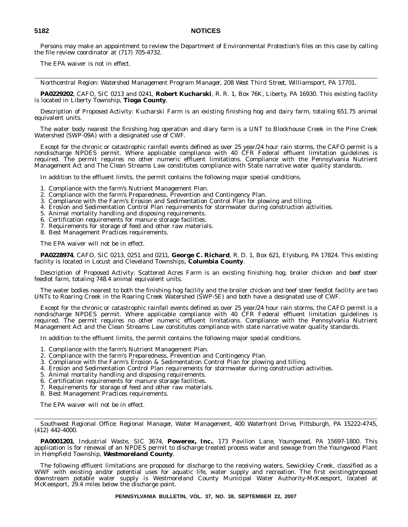Persons may make an appointment to review the Department of Environmental Protection's files on this case by calling the file review coordinator at (717) 705-4732.

The EPA waiver is not in effect.

*Northcentral Region: Watershed Management Program Manager, 208 West Third Street, Williamsport, PA 17701.*

**PA0229202**, CAFO, SIC 0213 and 0241, **Robert Kucharski**, R. R. 1, Box 76K, Liberty, PA 16930. This existing facility is located in Liberty Township, **Tioga County**.

Description of Proposed Activity: Kucharski Farm is an existing finishing hog and dairy farm, totaling 651.75 animal equivalent units.

The water body nearest the finishing hog operation and diary farm is a UNT to Blockhouse Creek in the Pine Creek Watershed (SWP-09A) with a designated use of CWF.

Except for the chronic or catastrophic rainfall events defined as over 25 year/24 hour rain storms, the CAFO permit is a nondischarge NPDES permit. Where applicable compliance with 40 CFR Federal effluent limitation guidelines is required. The permit requires no other numeric effluent limitations. Compliance with the Pennsylvania Nutrient Management Act and The Clean Streams Law constitutes compliance with State narrative water quality standards.

In addition to the effluent limits, the permit contains the following major special conditions.

- 1. Compliance with the farm's Nutrient Management Plan.
- 2. Compliance with the farm's Preparedness, Prevention and Contingency Plan.
- 3. Compliance with the Farm's Erosion and Sedimentation Control Plan for plowing and tilling.
- 4. Erosion and Sedimentation Control Plan requirements for stormwater during construction activities.
- 5. Animal mortality handling and disposing requirements.
- 6. Certification requirements for manure storage facilities.
- 7. Requirements for storage of feed and other raw materials.
- 8. Best Management Practices requirements.

The EPA waiver will not be in effect.

**PA0228974**, CAFO, SIC 0213, 0251 and 0211, **George C. Richard**, R. D. 1, Box 621, Elysburg, PA 17824. This existing facility is located in Locust and Cleveland Townships, **Columbia County**.

Description of Proposed Activity: Scattered Acres Farm is an existing finishing hog, broiler chicken and beef steer feedlot farm, totaling 748.4 animal equivalent units.

The water bodies nearest to both the finishing hog facility and the broiler chicken and beef steer feedlot facility are two UNTs to Roaring Creek in the Roaring Creek Watershed (SWP-5E) and both have a designated use of CWF.

Except for the chronic or catastrophic rainfall events defined as over 25 year/24 hour rain storms, the CAFO permit is a nondischarge NPDES permit. Where applicable compliance with 40 CFR Federal effluent limitation guidelines is required. The permit requires no other numeric effluent limitations. Compliance with the Pennsylvania Nutrient Management Act and the Clean Streams Law constitutes compliance with state narrative water quality standards.

In addition to the effluent limits, the permit contains the following major special conditions.

- 1. Compliance with the farm's Nutrient Management Plan.
- 2. Compliance with the farm's Preparedness, Prevention and Contingency Plan.
- 3. Compliance with the Farm's Erosion & Sedimentation Control Plan for plowing and tilling.
- 4. Erosion and Sedimentation Control Plan requirements for stormwater during construction activities.
- 5. Animal mortality handling and disposing requirements.
- 6. Certification requirements for manure storage facilities.
- 7. Requirements for storage of feed and other raw materials.
- 8. Best Management Practices requirements.

The EPA waiver will not be in effect.

*Southwest Regional Office: Regional Manager, Water Management, 400 Waterfront Drive, Pittsburgh, PA 15222-4745, (412) 442-4000.*

**PA0001201**, Industrial Waste, SIC 3674, **Powerex, Inc.**, 173 Pavilion Lane, Youngwood, PA 15697-1800. This application is for renewal of an NPDES permit to discharge treated process water and sewage from the Youngwood Plant in Hempfield Township, **Westmoreland County**.

The following effluent limitations are proposed for discharge to the receiving waters, Sewickley Creek, classified as a WWF with existing and/or potential uses for aquatic life, water supply and recreation. The first existing/proposed downstream potable water supply is Westmoreland County Municipal Water Authority-McKeesport, located at McKeesport, 29.4 miles below the discharge point.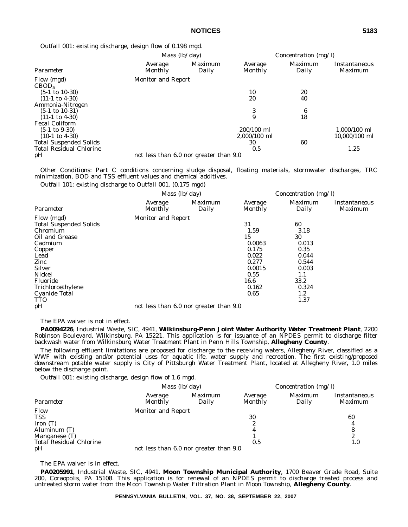*Outfall 001:* existing discharge, design flow of 0.198 mgd.

|                                 |                           | Mass $(lb/day)$                        |                    | Concentration (mg/l)    |                          |  |
|---------------------------------|---------------------------|----------------------------------------|--------------------|-------------------------|--------------------------|--|
| Parameter                       | Average<br>Monthly        | Maximum<br>Daily                       | Average<br>Monthly | <i>Maximum</i><br>Daily | Instantaneous<br>Maximum |  |
| Flow (mgd)<br>CBOD <sub>5</sub> | <b>Monitor and Report</b> |                                        |                    |                         |                          |  |
| $(5-1 \text{ to } 10-30)$       |                           |                                        | 10                 | 20                      |                          |  |
| $(11-1 \text{ to } 4-30)$       |                           |                                        | 20                 | 40                      |                          |  |
| Ammonia-Nitrogen                |                           |                                        |                    |                         |                          |  |
| $(5-1 \text{ to } 10-31)$       |                           |                                        | 3                  | 6                       |                          |  |
| $(11-1 \text{ to } 4-30)$       |                           |                                        | 9                  | 18                      |                          |  |
| <b>Fecal Coliform</b>           |                           |                                        |                    |                         |                          |  |
| $(5-1 \text{ to } 9-30)$        |                           |                                        | 200/100 ml         |                         | $1.000/100$ ml           |  |
| $(10-1 \text{ to } 4-30)$       |                           |                                        | 2,000/100 ml       |                         | 10,000/100 ml            |  |
| <b>Total Suspended Solids</b>   |                           |                                        | 30                 | 60                      |                          |  |
| <b>Total Residual Chlorine</b>  |                           |                                        | 0.5                |                         | 1.25                     |  |
| pH                              |                           | not less than 6.0 nor greater than 9.0 |                    |                         |                          |  |

*Other Conditions:* Part C conditions concerning sludge disposal, floating materials, stormwater discharges, TRC minimization, BOD and TSS effluent values and chemical additives.

*Outfall 101:* existing discharge to Outfall 001. (0.175 mgd)

|                                                                                                                                                                                                           | Mass $(lb/day)$           |                                        | Concentration (mg/l)                                                                             |                                                                                                     |                          |
|-----------------------------------------------------------------------------------------------------------------------------------------------------------------------------------------------------------|---------------------------|----------------------------------------|--------------------------------------------------------------------------------------------------|-----------------------------------------------------------------------------------------------------|--------------------------|
| Parameter                                                                                                                                                                                                 | Average<br>Monthly        | Maximum<br>Daily                       | Average<br>Monthly                                                                               | Maximum<br>Daily                                                                                    | Instantaneous<br>Maximum |
| Flow (mgd)<br><b>Total Suspended Solids</b><br>Chromium<br>Oil and Grease<br>Cadmium<br>Copper<br>Lead<br>Zinc<br><b>Silver</b><br>Nickel<br>Fluoride<br>Trichloroethylene<br>Cyanide Total<br><b>TTO</b> | <b>Monitor and Report</b> |                                        | 31<br>1.59<br>15<br>0.0063<br>0.175<br>0.022<br>0.277<br>0.0015<br>0.55<br>16.6<br>0.162<br>0.65 | 60<br>3.18<br>30<br>0.013<br>0.35<br>0.044<br>0.544<br>0.003<br>1.1<br>33.2<br>0.324<br>1.2<br>1.37 |                          |
| pH                                                                                                                                                                                                        |                           | not less than 6.0 nor greater than 9.0 |                                                                                                  |                                                                                                     |                          |

The EPA waiver is not in effect.

**PA0094226**, Industrial Waste, SIC, 4941, **Wilkinsburg-Penn Joint Water Authority Water Treatment Plant**, 2200 Robinson Boulevard, Wilkinsburg, PA 15221. This application is for issuance of an NPDES permit to discharge filter backwash water from Wilkinsburg Water Treatment Plant in Penn Hills Township, **Allegheny County**.

The following effluent limitations are proposed for discharge to the receiving waters, Allegheny River, classified as a WWF with existing and/or potential uses for aquatic life, water supply and recreation. The first existing/proposed downstream potable water supply is City of Pittsburgh Water Treatment Plant, located at Allegheny River, 1.0 miles below the discharge point.

*Outfall 001:* existing discharge, design flow of 1.6 mgd.

|                                | <i>Mass</i> $(lb/day)$    |                                        | Concentration $(mg/l)$    |                  |                          |
|--------------------------------|---------------------------|----------------------------------------|---------------------------|------------------|--------------------------|
| Parameter                      | Average<br>Monthly        | <i>Maximum</i><br>Daily                | Average<br><b>Monthly</b> | Maximum<br>Daily | Instantaneous<br>Maximum |
| Flow                           | <b>Monitor and Report</b> |                                        |                           |                  |                          |
| <b>TSS</b>                     |                           |                                        | 30                        |                  | 60                       |
| Iron $(T)$                     |                           |                                        | 2                         |                  | 4                        |
| Aluminum (T)                   |                           |                                        |                           |                  | 8                        |
| Manganese (T)                  |                           |                                        |                           |                  | 2                        |
| <b>Total Residual Chlorine</b> |                           |                                        | 0.5                       |                  | 1.0                      |
| pH                             |                           | not less than 6.0 nor greater than 9.0 |                           |                  |                          |

The EPA waiver is in effect.

**PA0205991**, Industrial Waste, SIC, 4941, **Moon Township Municipal Authority**, 1700 Beaver Grade Road, Suite 200, Coraopolis, PA 15108. This application is for renewal of an NPDES permit to discharge treated process and untreated storm water from the Moon Township Water Filtration Plant in Moon Township, **Allegheny County**.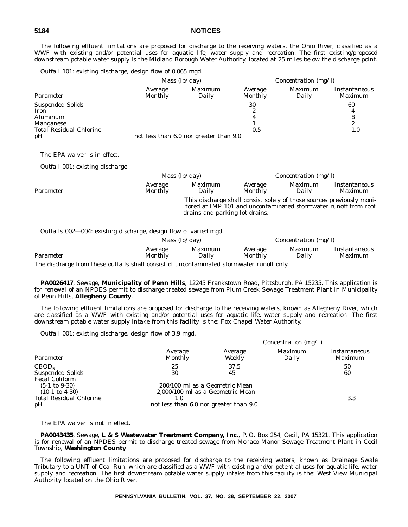The following effluent limitations are proposed for discharge to the receiving waters, the Ohio River, classified as a WWF with existing and/or potential uses for aquatic life, water supply and recreation. The first existing/proposed downstream potable water supply is the Midland Borough Water Authority, located at 25 miles below the discharge point.

*Outfall 101:* existing discharge, design flow of 0.065 mgd.

|                                |                    | <i>Mass</i> $(lb/day)$                 |                           | Concentration (mg/l)    |                          |
|--------------------------------|--------------------|----------------------------------------|---------------------------|-------------------------|--------------------------|
| Parameter                      | Average<br>Monthly | <i>Maximum</i><br>Daily                | Average<br><b>Monthly</b> | <i>Maximum</i><br>Daily | Instantaneous<br>Maximum |
| <b>Suspended Solids</b>        |                    |                                        | 30                        |                         | 60                       |
| Iron                           |                    |                                        | 2                         |                         |                          |
| Aluminum                       |                    |                                        |                           |                         | 8                        |
| Manganese                      |                    |                                        |                           |                         | 2                        |
| <b>Total Residual Chlorine</b> |                    |                                        | 0.5                       |                         | 1.0                      |
| pH                             |                    | not less than 6.0 nor greater than 9.0 |                           |                         |                          |

The EPA waiver is in effect.

*Outfall 001:* existing discharge

|           |                           | <i>Mass</i> $(lb/day)$         |                           | <i>Concentration</i> ( $mg/l$ ) |                                                                                                                                          |  |
|-----------|---------------------------|--------------------------------|---------------------------|---------------------------------|------------------------------------------------------------------------------------------------------------------------------------------|--|
| Parameter | Average<br><b>Monthly</b> | <i>Maximum</i><br>Daily        | Average<br><b>Monthly</b> | <i>Maximum</i><br>Daily         | Instantaneous<br><i>Maximum</i>                                                                                                          |  |
|           |                           | drains and parking lot drains. |                           |                                 | This discharge shall consist solely of those sources previously moni-<br>tored at IMP 101 and uncontaminated stormwater runoff from roof |  |

*Outfalls 002—004:* existing discharge, design flow of varied mgd.

|           | <i>Mass</i> $(lb/day)$    |                  | <i>Concentration</i> (mg/l) |                         |                                        |
|-----------|---------------------------|------------------|-----------------------------|-------------------------|----------------------------------------|
| Parameter | <i>Average</i><br>Monthly | Maximum<br>Dailv | <i>Average</i><br>Monthly   | <i>Maximum</i><br>Dailv | <i>Instantaneous</i><br><i>Maximum</i> |
|           |                           |                  |                             |                         |                                        |

The discharge from these outfalls shall consist of uncontaminated stormwater runoff only.

**PA0026417**, Sewage, **Municipality of Penn Hills**, 12245 Frankstown Road, Pittsburgh, PA 15235. This application is for renewal of an NPDES permit to discharge treated sewage from Plum Creek Sewage Treatment Plant in Municipality of Penn Hills, **Allegheny County**.

The following effluent limitations are proposed for discharge to the receiving waters, known as Allegheny River, which are classified as a WWF with existing and/or potential uses for aquatic life, water supply and recreation. The first downstream potable water supply intake from this facility is the: Fox Chapel Water Authority.

*Outfall 001:* existing discharge, design flow of 3.9 mgd.

| Parameter                                                                                     | Concentration $(mg/l)$                                                                                       |                   |                  |                                        |
|-----------------------------------------------------------------------------------------------|--------------------------------------------------------------------------------------------------------------|-------------------|------------------|----------------------------------------|
|                                                                                               | Average<br><b>Monthly</b>                                                                                    | Average<br>Weekly | Maximum<br>Daily | <i>Instantaneous</i><br><b>Maximum</b> |
| CBOD <sub>5</sub><br><b>Suspended Solids</b><br><b>Fecal Coliform</b>                         | 25<br>30                                                                                                     | 37.5<br>45        |                  | 50<br>60                               |
| $(5-1 \text{ to } 9-30)$<br>$(10-1 \text{ to } 4-30)$<br><b>Total Residual Chlorine</b><br>pH | 200/100 ml as a Geometric Mean<br>2,000/100 ml as a Geometric Mean<br>not less than 6.0 nor greater than 9.0 |                   |                  | 3.3                                    |

The EPA waiver is not in effect.

**PA0043435**, Sewage, **L & S Wastewater Treatment Company, Inc.**, P. O. Box 254, Cecil, PA 15321. This application is for renewal of an NPDES permit to discharge treated sewage from Monaco Manor Sewage Treatment Plant in Cecil Township, **Washington County**.

The following effluent limitations are proposed for discharge to the receiving waters, known as Drainage Swale Tributary to a UNT of Coal Run, which are classified as a WWF with existing and/or potential uses for aquatic life, water supply and recreation. The first downstream potable water supply intake from this facility is the: West View Municipal Authority located on the Ohio River.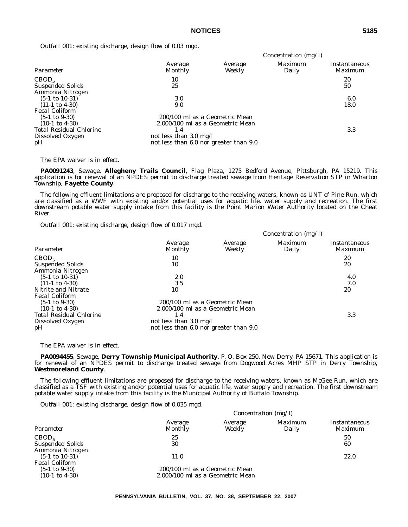*Outfall 001:* existing discharge, design flow of 0.03 mgd.

|                                | Concentration (mg/l)                   |                   |                  |                                        |  |
|--------------------------------|----------------------------------------|-------------------|------------------|----------------------------------------|--|
| Parameter                      | Average<br>Monthly                     | Average<br>Weekly | Maximum<br>Daily | <i>Instantaneous</i><br><i>Maximum</i> |  |
| CBOD <sub>5</sub>              | 10                                     |                   |                  | 20                                     |  |
| <b>Suspended Solids</b>        | 25                                     |                   |                  | 50                                     |  |
| Ammonia Nitrogen               |                                        |                   |                  |                                        |  |
| $(5-1 \text{ to } 10-31)$      | 3.0                                    |                   |                  | 6.0                                    |  |
| $(11-1 \text{ to } 4-30)$      | 9.0                                    |                   |                  | 18.0                                   |  |
| <b>Fecal Coliform</b>          |                                        |                   |                  |                                        |  |
| $(5-1 \text{ to } 9-30)$       | 200/100 ml as a Geometric Mean         |                   |                  |                                        |  |
| $(10-1 \text{ to } 4-30)$      | 2,000/100 ml as a Geometric Mean       |                   |                  |                                        |  |
| <b>Total Residual Chlorine</b> | 1.4                                    |                   |                  | 3.3                                    |  |
| Dissolved Oxygen               | not less than 3.0 mg/l                 |                   |                  |                                        |  |
| pH                             | not less than 6.0 nor greater than 9.0 |                   |                  |                                        |  |

The EPA waiver is in effect.

**PA0091243**, Sewage, **Allegheny Trails Council**, Flag Plaza, 1275 Bedford Avenue, Pittsburgh, PA 15219. This application is for renewal of an NPDES permit to discharge treated sewage from Heritage Reservation STP in Wharton Township, **Fayette County**.

The following effluent limitations are proposed for discharge to the receiving waters, known as UNT of Pine Run, which are classified as a WWF with existing and/or potential uses for aquatic life, water supply and recreation. The first downstream potable water supply intake from this facility is the Point Marion Water Authority located on the Cheat River.

*Outfall 001:* existing discharge, design flow of 0.017 mgd.

|                                                                                         | Concentration $(mg/l)$                                                     |                   |                         |                                 |
|-----------------------------------------------------------------------------------------|----------------------------------------------------------------------------|-------------------|-------------------------|---------------------------------|
| Parameter                                                                               | Average<br>Monthly                                                         | Average<br>Weekly | <i>Maximum</i><br>Daily | <i>Instantaneous</i><br>Maximum |
| CBOD <sub>5</sub><br><b>Suspended Solids</b><br>Ammonia Nitrogen                        | 10<br>10                                                                   |                   |                         | 20<br>20                        |
| $(5-1 \text{ to } 10-31)$<br>$(11-1 \text{ to } 4-30)$                                  | 2.0<br>3.5                                                                 |                   |                         | 4.0<br>7.0                      |
| Nitrite and Nitrate<br><b>Fecal Coliform</b>                                            | 10                                                                         |                   |                         | 20                              |
| $(5-1 \text{ to } 9-30)$<br>$(10-1 \text{ to } 4-30)$<br><b>Total Residual Chlorine</b> | 200/100 ml as a Geometric Mean<br>2,000/100 ml as a Geometric Mean<br>1.4  |                   |                         | 3.3                             |
| Dissolved Oxygen<br>pH                                                                  | not less than $3.0 \text{ mg/l}$<br>not less than 6.0 nor greater than 9.0 |                   |                         |                                 |

The EPA waiver is in effect.

**PA0094455**, Sewage, **Derry Township Municipal Authority**, P. O. Box 250, New Derry, PA 15671. This application is for renewal of an NPDES permit to discharge treated sewage from Dogwood Acres MHP STP in Derry Township, **Westmoreland County**.

The following effluent limitations are proposed for discharge to the receiving waters, known as McGee Run, which are classified as a TSF with existing and/or potential uses for aquatic life, water supply and recreation. The first downstream potable water supply intake from this facility is the Municipal Authority of Buffalo Township.

*Outfall 001:* existing discharge, design flow of 0.035 mgd.

|                                                                        |                                                                    | Concentration $(mg/l)$ |                  |                          |  |  |
|------------------------------------------------------------------------|--------------------------------------------------------------------|------------------------|------------------|--------------------------|--|--|
| Parameter                                                              | Average<br>Monthly                                                 | Average<br>Weekly      | Maximum<br>Daily | Instantaneous<br>Maximum |  |  |
| CBOD <sub>5</sub><br><b>Suspended Solids</b>                           | 25<br>30                                                           |                        |                  | 50<br>60                 |  |  |
| Ammonia Nitrogen<br>$(5-1 \text{ to } 10-31)$<br><b>Fecal Coliform</b> | 11.0                                                               |                        |                  | 22.0                     |  |  |
| $(5-1 \text{ to } 9-30)$<br>$(10-1 \text{ to } 4-30)$                  | 200/100 ml as a Geometric Mean<br>2,000/100 ml as a Geometric Mean |                        |                  |                          |  |  |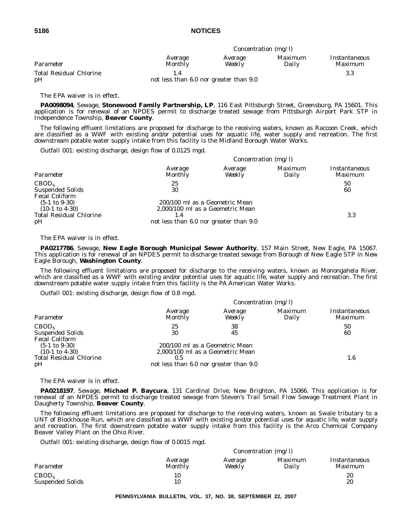|                                      | <i>Concentration</i> ( $mg/l$ )        |                   |                  |                          |  |
|--------------------------------------|----------------------------------------|-------------------|------------------|--------------------------|--|
| Parameter                            | Average<br><b>Monthly</b>              | Average<br>Weekly | Maximum<br>Daily | Instantaneous<br>Maximum |  |
| <b>Total Residual Chlorine</b><br>pH | not less than 6.0 nor greater than 9.0 |                   |                  | 3.3                      |  |

The EPA waiver is in effect.

**PA0098094**, Sewage, **Stonewood Family Partnership, LP**, 116 East Pittsburgh Street, Greensburg, PA 15601. This application is for renewal of an NPDES permit to discharge treated sewage from Pittsburgh Airport Park STP in Independence Township, **Beaver County**.

The following effluent limitations are proposed for discharge to the receiving waters, known as Raccoon Creek, which are classified as a WWF with existing and/or potential uses for aquatic life, water supply and recreation. The first downstream potable water supply intake from this facility is the Midland Borough Water Works.

*Outfall 001:* existing discharge, design flow of 0.0125 mgd.

|                                                                                               | Concentration $(mg/l)$                                                                                       |                   |                  |                                 |
|-----------------------------------------------------------------------------------------------|--------------------------------------------------------------------------------------------------------------|-------------------|------------------|---------------------------------|
| Parameter                                                                                     | Average<br>Monthly                                                                                           | Average<br>Weekly | Maximum<br>Daily | Instantaneous<br><b>Maximum</b> |
| CBOD <sub>5</sub><br><b>Suspended Solids</b><br><b>Fecal Coliform</b>                         | 25<br>30                                                                                                     |                   |                  | 50<br>60                        |
| $(5-1 \text{ to } 9-30)$<br>$(10-1 \text{ to } 4-30)$<br><b>Total Residual Chlorine</b><br>pH | 200/100 ml as a Geometric Mean<br>2,000/100 ml as a Geometric Mean<br>not less than 6.0 nor greater than 9.0 |                   |                  | 3.3                             |

The EPA waiver is in effect.

**PA0217786**, Sewage, **New Eagle Borough Municipal Sewer Authority**, 157 Main Street, New Eagle, PA 15067. This application is for renewal of an NPDES permit to discharge treated sewage from Borough of New Eagle STP in New Eagle Borough, **Washington County**.

The following effluent limitations are proposed for discharge to the receiving waters, known as Monongahela River, which are classified as a WWF with existing and/or potential uses for aquatic life, water supply and recreation. The first downstream potable water supply intake from this facility is the PA American Water Works.

*Outfall 001:* existing discharge, design flow of 0.8 mgd.

|                                | Concentration $(mg/l)$                 |                   |                  |                          |
|--------------------------------|----------------------------------------|-------------------|------------------|--------------------------|
| Parameter                      | Average<br><b>Monthly</b>              | Average<br>Weekly | Maximum<br>Daily | Instantaneous<br>Maximum |
| CBOD <sub>5</sub>              | 25                                     | 38                |                  | 50                       |
| <b>Suspended Solids</b>        | 30                                     | 45                |                  | 60                       |
| <b>Fecal Coliform</b>          |                                        |                   |                  |                          |
| $(5-1 \text{ to } 9-30)$       | 200/100 ml as a Geometric Mean         |                   |                  |                          |
| $(10-1 \text{ to } 4-30)$      | 2,000/100 ml as a Geometric Mean       |                   |                  |                          |
| <b>Total Residual Chlorine</b> | 0.5                                    |                   |                  | 1.6                      |
| pH                             | not less than 6.0 nor greater than 9.0 |                   |                  |                          |

The EPA waiver is in effect.

**PA0218197**, Sewage, **Michael P. Baycura**, 131 Cardinal Drive, New Brighton, PA 15066. This application is for renewal of an NPDES permit to discharge treated sewage from Steven's Trail Small Flow Sewage Treatment Plant in Daugherty Township, **Beaver County**.

The following effluent limitations are proposed for discharge to the receiving waters, known as Swale tributary to a UNT of Blockhouse Run, which are classified as a WWF with existing and/or potential uses for aquatic life, water supply and recreation. The first downstream potable water supply intake from this facility is the Arco Chemical Company Beaver Valley Plant on the Ohio River.

*Outfall 001:* existing discharge, design flow of 0.0015 mgd.

|                                              | <i>Concentration</i> ( $mg/l$ ) |                   |                         |                          |
|----------------------------------------------|---------------------------------|-------------------|-------------------------|--------------------------|
| Parameter                                    | Average<br>Monthly              | Average<br>Weekly | <i>Maximum</i><br>Daily | Instantaneous<br>Maximum |
| CBOD <sub>5</sub><br><b>Suspended Solids</b> | 10<br>10                        |                   |                         | 20<br>20                 |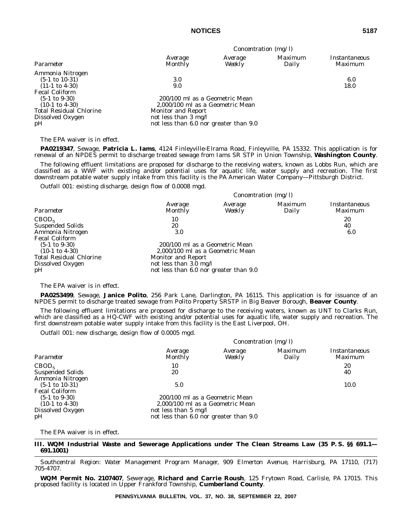| ×  |    |
|----|----|
|    | I  |
| ×  | ×  |
| ۰, |    |
|    | ۰, |

|                                | Concentration $(mg/l)$                 |                                  |                  |                                 |
|--------------------------------|----------------------------------------|----------------------------------|------------------|---------------------------------|
| Parameter                      | Average<br>Monthly                     | Average<br>Weekly                | Maximum<br>Daily | Instantaneous<br><i>Maximum</i> |
| Ammonia Nitrogen               |                                        |                                  |                  |                                 |
| $(5-1 \text{ to } 10-31)$      | 3.0                                    |                                  |                  | 6.0                             |
| $(11-1 \text{ to } 4-30)$      | 9.0                                    |                                  |                  | 18.0                            |
| <b>Fecal Coliform</b>          |                                        |                                  |                  |                                 |
| $(5-1 \text{ to } 9-30)$       | 200/100 ml as a Geometric Mean         |                                  |                  |                                 |
| $(10-1 \text{ to } 4-30)$      |                                        | 2,000/100 ml as a Geometric Mean |                  |                                 |
| <b>Total Residual Chlorine</b> | <b>Monitor and Report</b>              |                                  |                  |                                 |
| Dissolved Oxygen               | not less than $3 \text{ mg/l}$         |                                  |                  |                                 |
| pH                             | not less than 6.0 nor greater than 9.0 |                                  |                  |                                 |

The EPA waiver is in effect.

**PA0219347**, Sewage, **Patricia L. Iams**, 4124 Finleyville-Elrama Road, Finleyville, PA 15332. This application is for renewal of an NPDES permit to discharge treated sewage from Iams SR STP in Union Township, **Washington County**.

The following effluent limitations are proposed for discharge to the receiving waters, known as Lobbs Run, which are classified as a WWF with existing and/or potential uses for aquatic life, water supply and recreation. The first downstream potable water supply intake from this facility is the PA American Water Company—Pittsburgh District.

*Outfall 001:* existing discharge, design flow of 0.0008 mgd.

|                                | Concentration $(mg/l)$                 |                   |                         |                          |
|--------------------------------|----------------------------------------|-------------------|-------------------------|--------------------------|
| Parameter                      | Average<br><b>Monthly</b>              | Average<br>Weekly | <i>Maximum</i><br>Daily | Instantaneous<br>Maximum |
| CBOD <sub>5</sub>              | 10                                     |                   |                         | 20                       |
| <b>Suspended Solids</b>        | 20                                     |                   |                         | 40                       |
| Ammonia Nitrogen               | 3.0                                    |                   |                         | 6.0                      |
| <b>Fecal Coliform</b>          |                                        |                   |                         |                          |
| $(5-1 \text{ to } 9-30)$       | 200/100 ml as a Geometric Mean         |                   |                         |                          |
| $(10-1 \text{ to } 4-30)$      | 2,000/100 ml as a Geometric Mean       |                   |                         |                          |
| <b>Total Residual Chlorine</b> | <b>Monitor and Report</b>              |                   |                         |                          |
| Dissolved Oxygen               | not less than $3.0 \text{ mg/l}$       |                   |                         |                          |
| pH                             | not less than 6.0 nor greater than 9.0 |                   |                         |                          |

The EPA waiver is in effect.

**PA0253499**, Sewage, **Janice Polito**, 256 Park Lane, Darlington, PA 16115. This application is for issuance of an NPDES permit to discharge treated sewage from Polito Property SRSTP in Big Beaver Borough, **Beaver County**.

The following effluent limitations are proposed for discharge to the receiving waters, known as UNT to Clarks Run, which are classified as a HQ-CWF with existing and/or potential uses for aquatic life, water supply and recreation. The first downstream potable water supply intake from this facility is the East Liverpool, OH.

*Outfall 001:* new discharge, design flow of 0.0005 mgd.

|                                                                                 | Concentration $(mg/l)$                                                                                                               |                   |                         |                          |
|---------------------------------------------------------------------------------|--------------------------------------------------------------------------------------------------------------------------------------|-------------------|-------------------------|--------------------------|
| Parameter                                                                       | Average<br>Monthly                                                                                                                   | Average<br>WeekIy | <i>Maximum</i><br>Daily | Instantaneous<br>Maximum |
| CBOD <sub>5</sub><br><b>Suspended Solids</b><br>Ammonia Nitrogen                | 10<br>20                                                                                                                             |                   |                         | 20<br>40                 |
| $(5-1 \text{ to } 10-31)$<br><b>Fecal Coliform</b>                              | 5.0                                                                                                                                  |                   |                         | 10.0                     |
| $(5-1 \text{ to } 9-30)$<br>$(10-1 \text{ to } 4-30)$<br>Dissolved Oxygen<br>pH | 200/100 ml as a Geometric Mean<br>2,000/100 ml as a Geometric Mean<br>not less than 5 mg/l<br>not less than 6.0 nor greater than 9.0 |                   |                         |                          |

The EPA waiver is in effect.

**III. WQM Industrial Waste and Sewerage Applications under The Clean Streams Law (35 P. S. §§ 691.1— 691.1001)**

*Southcentral Region: Water Management Program Manager, 909 Elmerton Avenue, Harrisburg, PA 17110, (717) 705-4707.*

**WQM Permit No. 2107407**, Sewerage, **Richard and Carrie Roush**, 125 Frytown Road, Carlisle, PA 17015. This proposed facility is located in Upper Frankford Township, **Cumberland County**.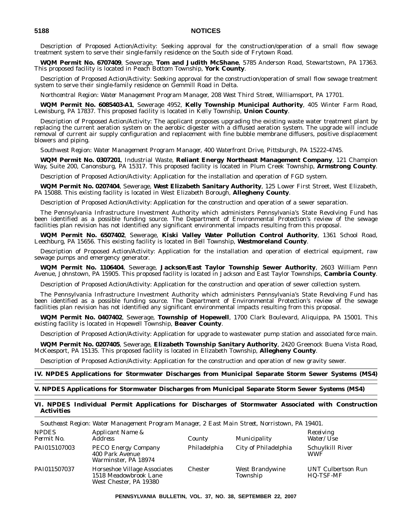Description of Proposed Action/Activity: Seeking approval for the construction/operation of a small flow sewage treatment system to serve their single-family residence on the South side of Frytown Road.

**WQM Permit No. 6707409**, Sewerage, **Tom and Judith McShane**, 5785 Anderson Road, Stewartstown, PA 17363. This proposed facility is located in Peach Bottom Township, **York County**.

Description of Proposed Action/Activity: Seeking approval for the construction/operation of small flow sewage treatment system to serve their single-family residence on Gemmill Road in Delta.

*Northcentral Region: Water Management Program Manager, 208 West Third Street, Williamsport, PA 17701.*

**WQM Permit No. 6085403-A1**, Sewerage 4952, **Kelly Township Municipal Authority**, 405 Winter Farm Road, Lewisburg, PA 17837. This proposed facility is located in Kelly Township, **Union County**.

Description of Proposed Action/Activity: The applicant proposes upgrading the existing waste water treatment plant by replacing the current aeration system on the aerobic digester with a diffused aeration system. The upgrade will include removal of current air supply configuration and replacement with fine bubble membrane diffusers, positive displacement blowers and piping.

*Southwest Region: Water Management Program Manager, 400 Waterfront Drive, Pittsburgh, PA 15222-4745.*

**WQM Permit No. 0307201**, Industrial Waste, **Reliant Energy Northeast Management Company**, 121 Champion Way, Suite 200, Canonsburg, PA 15317. This proposed facility is located in Plum Creek Township, **Armstrong County**.

Description of Proposed Action/Activity: Application for the installation and operation of FGD system.

**WQM Permit No. 0207404**, Sewerage, **West Elizabeth Sanitary Authority**, 125 Lower First Street, West Elizabeth, PA 15088. This existing facility is located in West Elizabeth Borough, **Allegheny County**.

Description of Proposed Action/Activity: Application for the construction and operation of a sewer separation.

The Pennsylvania Infrastructure Investment Authority which administers Pennsylvania's State Revolving Fund has been identified as a possible funding source. The Department of Environmental Protection's review of the sewage facilities plan revision has not identified any significant environmental impacts resulting from this proposal.

**WQM Permit No. 6507402**, Sewerage, **Kiski Valley Water Pollution Control Authority**, 1361 School Road, Leechburg, PA 15656. This existing facility is located in Bell Township, **Westmoreland County**.

Description of Proposed Action/Activity: Application for the installation and operation of electrical equipment, raw sewage pumps and emergency generator.

**WQM Permit No. 1106404**, Sewerage, **Jackson/East Taylor Township Sewer Authority**, 2603 William Penn Avenue, Johnstown, PA 15905. This proposed facility is located in Jackson and East Taylor Townships, **Cambria County**.

Description of Proposed Action/Activity: Application for the construction and operation of sewer collection system.

The Pennsylvania Infrastructure Investment Authority which administers Pennsylvania's State Revolving Fund has been identified as a possible funding source. The Department of Environmental Protection's review of the sewage facilities plan revision has not identified any significant environmental impacts resulting from this proposal.

**WQM Permit No. 0407402**, Sewerage, **Township of Hopewell**, 1700 Clark Boulevard, Aliquippa, PA 15001. This existing facility is located in Hopewell Township, **Beaver County**.

Description of Proposed Action/Activity: Application for upgrade to wastewater pump station and associated force main.

**WQM Permit No. 0207405**, Sewerage, **Elizabeth Township Sanitary Authority**, 2420 Greenock Buena Vista Road, McKeesport, PA 15135. This proposed facility is located in Elizabeth Township, **Allegheny County**.

Description of Proposed Action/Activity: Application for the construction and operation of new gravity sewer.

# **IV. NPDES Applications for Stormwater Discharges from Municipal Separate Storm Sewer Systems (MS4)**

#### **V. NPDES Applications for Stormwater Discharges from Municipal Separate Storm Sewer Systems (MS4)**

#### **VI. NPDES Individual Permit Applications for Discharges of Stormwater Associated with Construction Activities**

*Southeast Region: Water Management Program Manager, 2 East Main Street, Norristown, PA 19401.*

| <b>NPDES</b><br>Permit No. | Applicant Name &<br><i>Address</i>                                              | County         | Municipality                | Receiving<br><i>Water/Use</i>                 |
|----------------------------|---------------------------------------------------------------------------------|----------------|-----------------------------|-----------------------------------------------|
| PAI015107003               | <b>PECO Energy Company</b><br>400 Park Avenue<br>Warminster, PA 18974           | Philadelphia   | City of Philadelphia        | Schuylkill River<br><b>WWF</b>                |
| PAI011507037               | Horseshoe Village Associates<br>1518 Meadowbrook Lane<br>West Chester, PA 19380 | <b>Chester</b> | West Brandywine<br>Township | <b>UNT Culbertson Run</b><br><b>HQ-TSF-MF</b> |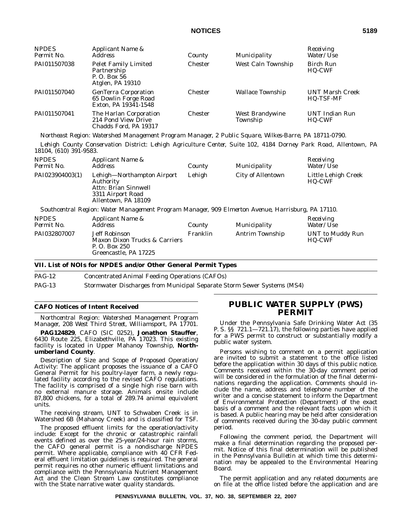| <b>NPDES</b><br>Permit No. | Applicant Name &<br>Address                                                    | County         | Municipality                | Receiving<br><i>Water/Use</i>              |
|----------------------------|--------------------------------------------------------------------------------|----------------|-----------------------------|--------------------------------------------|
| PAI011507038               | <b>Pelet Family Limited</b><br>Partnership<br>P. O. Box 56<br>Atglen, PA 19310 | <b>Chester</b> | West Caln Township          | Birch Run<br><b>HQ-CWF</b>                 |
| PAI011507040               | <b>GenTerra Corporation</b><br>65 Dowlin Forge Road<br>Exton, PA 19341-1548    | <b>Chester</b> | Wallace Township            | <b>UNT Marsh Creek</b><br><b>HQ-TSF-MF</b> |
| PAI011507041               | The Harlan Corporation<br>214 Pond View Drive<br>Chadds Ford, PA 19317         | <b>Chester</b> | West Brandywine<br>Township | <b>UNT Indian Run</b><br><b>HQ-CWF</b>     |

*Northeast Region: Watershed Management Program Manager, 2 Public Square, Wilkes-Barre, PA 18711-0790.*

*Lehigh County Conservation District: Lehigh Agriculture Center, Suite 102, 4184 Dorney Park Road, Allentown, PA 18104, (610) 391-9583.*

| <b>NPDES</b><br>Permit No. | <i>Applicant Name &amp;</i><br><i>Address</i>                                                               | County | Municipality             | Receiving<br>Water/Use        |
|----------------------------|-------------------------------------------------------------------------------------------------------------|--------|--------------------------|-------------------------------|
| PAI023904003(1)            | Lehigh-Northampton Airport<br>Authority<br>Attn: Brian Sinnwell<br>3311 Airport Road<br>Allentown, PA 18109 | Lehigh | <b>City of Allentown</b> | Little Lehigh Creek<br>HQ-CWF |
|                            | Southcentral Region: Water Management Program Manager. 909 Elmerton Avenue. Harrisburg. PA 17110.           |        |                          |                               |

*Southcentral Region: Water Management Program Manager, 909 Elmerton Avenue, Harrisburg, PA 17110.*

| Permit No.<br><i>Address</i> |                                                                                                     | County   | Municipality    | <i>Water/Use</i>                  |
|------------------------------|-----------------------------------------------------------------------------------------------------|----------|-----------------|-----------------------------------|
| PAI032807007                 | Jeff Robinson<br><b>Maxon Dixon Trucks &amp; Carriers</b><br>P. O. Box 250<br>Greencastle, PA 17225 | Franklin | Antrim Township | UNT to Muddy Run<br><b>HQ-CWF</b> |

# **VII. List of NOIs for NPDES and/or Other General Permit Types**

PAG-12 Concentrated Animal Feeding Operations (CAFOs)

PAG-13 Stormwater Discharges from Municipal Separate Storm Sewer Systems (MS4)

#### **CAFO Notices of Intent Received**

*Northcentral Region: Watershed Management Program Manager, 208 West Third Street, Williamsport, PA 17701.*

**PAG124829**, CAFO (SIC 0252), **Jonathon Stauffer**, 6430 Route 225, Elizabethville, PA 17023. This existing facility is located in Upper Mahanoy Township, **Northumberland County**.

Description of Size and Scope of Proposed Operation/ Activity: The applicant proposes the issuance of a CAFO General Permit for his poultry-layer farm, a newly regulated facility according to the revised CAFO regulations. The facility is comprised of a single high rise barn with no external manure storage. Animals onsite include 87,800 chickens, for a total of 289.74 animal equivalent units.

The receiving stream, UNT to Schwaben Creek is in Watershed 6B (Mahanoy Creek) and is classified for TSF.

The proposed effluent limits for the operation/activity include: Except for the chronic or catastrophic rainfall events defined as over the 25-year/24-hour rain storms, the CAFO general permit is a nondischarge NPDES permit. Where applicable, compliance with 40 CFR Federal effluent limitation guidelines is required. The general permit requires no other numeric effluent limitations and compliance with the Pennsylvania Nutrient Management Act and the Clean Stream Law constitutes compliance with the State narrative water quality standards.

# **PUBLIC WATER SUPPLY (PWS) PERMIT**

Under the Pennsylvania Safe Drinking Water Act (35 P. S. §§ 721.1—721.17), the following parties have applied for a PWS permit to construct or substantially modify a public water system.

Persons wishing to comment on a permit application are invited to submit a statement to the office listed before the application within 30 days of this public notice. Comments received within the 30-day comment period will be considered in the formulation of the final determinations regarding the application. Comments should include the name, address and telephone number of the writer and a concise statement to inform the Department of Environmental Protection (Department) of the exact basis of a comment and the relevant facts upon which it is based. A public hearing may be held after consideration of comments received during the 30-day public comment period.

Following the comment period, the Department will make a final determination regarding the proposed permit. Notice of this final determination will be published in the *Pennsylvania Bulletin* at which time this determination may be appealed to the Environmental Hearing Board.

The permit application and any related documents are on file at the office listed before the application and are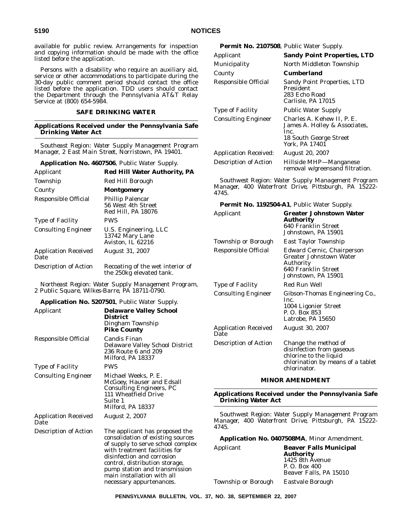available for public review. Arrangements for inspection and copying information should be made with the office listed before the application.

Persons with a disability who require an auxiliary aid, service or other accommodations to participate during the 30-day public comment period should contact the office listed before the application. TDD users should contact the Department through the Pennsylvania AT&T Relay Service at (800) 654-5984.

#### **SAFE DRINKING WATER**

#### **Applications Received under the Pennsylvania Safe Drinking Water Act**

*Southeast Region: Water Supply Management Program Manager, 2 East Main Street, Norristown, PA 19401.*

#### **Application No. 4607506**, Public Water Supply.

| Applicant                           | <b>Red Hill Water Authority, PA</b>                                 |
|-------------------------------------|---------------------------------------------------------------------|
| Township                            | Red Hill Borough                                                    |
| County                              | Montgomery                                                          |
| <b>Responsible Official</b>         | <b>Phillip Palencar</b><br>56 West 4th Street<br>Red Hill, PA 18076 |
| <b>Type of Facility</b>             | <b>PWS</b>                                                          |
| <b>Consulting Engineer</b>          | U.S. Engineering, LLC<br>13742 Mary Lane<br>Aviston, IL 62216       |
| <b>Application Received</b><br>Date | August 31, 2007                                                     |
| Description of Action               | Recoating of the wet interior of<br>the 250kg elevated tank.        |

*Northeast Region: Water Supply Management Program, 2 Public Square, Wilkes-Barre, PA 18711-0790.*

#### **Application No. 5207501**, Public Water Supply.

| Applicant                           | <b>Delaware Valley School</b><br>District<br>Dingham Township<br><b>Pike County</b>                                                                                                                                                                                                                  |
|-------------------------------------|------------------------------------------------------------------------------------------------------------------------------------------------------------------------------------------------------------------------------------------------------------------------------------------------------|
| Responsible Official                | Candis Finan<br>Delaware Valley School District<br>236 Route 6 and 209<br>Milford, PA 18337                                                                                                                                                                                                          |
| Type of Facility                    | <b>PWS</b>                                                                                                                                                                                                                                                                                           |
| <b>Consulting Engineer</b>          | Michael Weeks, P. E.<br>McGoey, Hauser and Edsall<br><b>Consulting Engineers, PC</b><br>111 Wheatfield Drive<br>Suite 1<br>Milford, PA 18337                                                                                                                                                         |
| <b>Application Received</b><br>Date | August 2, 2007                                                                                                                                                                                                                                                                                       |
| Description of Action               | The applicant has proposed the<br>consolidation of existing sources<br>of supply to serve school complex<br>with treatment facilities for<br>disinfection and corrosion<br>control, distribution storage,<br>pump station and transmission<br>main installation with all<br>necessary appurtenances. |

## **Permit No. 2107508**, Public Water Supply.

| Applicant                    | <b>Sandy Point Properties, LTD</b>                                                                              |
|------------------------------|-----------------------------------------------------------------------------------------------------------------|
| Municipality                 | North Middleton Township                                                                                        |
| County                       | Cumberland                                                                                                      |
| Responsible Official         | <b>Sandy Point Properties, LTD</b><br>President<br>283 Echo Road<br>Carlisle, PA 17015                          |
| <b>Type of Facility</b>      | <b>Public Water Supply</b>                                                                                      |
| <b>Consulting Engineer</b>   | Charles A. Kehew II, P. E.<br>James A. Holley & Associates,<br>Inc.<br>18 South George Street<br>York. PA 17401 |
| <b>Application Received:</b> | <b>August 20, 2007</b>                                                                                          |
| Description of Action        | Hillside MHP-Manganese<br>removal w/greensand filtration.                                                       |

*Southwest Region: Water Supply Management Program Manager, 400 Waterfront Drive, Pittsburgh, PA 15222- 4745.*

# **Permit No. 1192504-A1**, Public Water Supply.

| Applicant                           | Greater Johnstown Water<br>Authority<br>640 Franklin Street<br>Johnstown, PA 15901                                               |
|-------------------------------------|----------------------------------------------------------------------------------------------------------------------------------|
| Township or Borough                 | East Taylor Township                                                                                                             |
| Responsible Official                | Edward Cernic, Chairperson<br><b>Greater Johnstown Water</b><br>Authority<br>640 Franklin Street<br>Johnstown, PA 15901          |
| <b>Type of Facility</b>             | Red Run Well                                                                                                                     |
| <b>Consulting Engineer</b>          | Gibson-Thomas Engineering Co.,<br>Inc.<br>1004 Ligonier Street<br>P. O. Box 853<br>Latrobe, PA 15650                             |
| <b>Application Received</b><br>Date | August 30, 2007                                                                                                                  |
| Description of Action               | Change the method of<br>disinfection from gaseous<br>chlorine to the liquid<br>chlorination by means of a tablet<br>chlorinator. |

## **MINOR AMENDMENT**

**Applications Received under the Pennsylvania Safe Drinking Water Act**

*Southwest Region: Water Supply Management Program Manager, 400 Waterfront Drive, Pittsburgh, PA 15222- 4745.*

#### **Application No. 0407508MA**, Minor Amendment.

| Applicant           | <b>Beaver Falls Municipal</b> |
|---------------------|-------------------------------|
|                     | <b>Authority</b>              |
|                     | 1425 8th Avenue               |
|                     | P. O. Box 400                 |
|                     | Beaver Falls, PA 15010        |
| Township or Borough | Eastvale Borough              |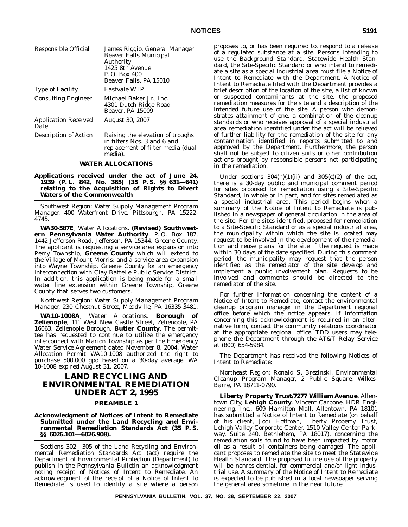| Responsible Official                | James Riggio, General Manager<br><b>Beaver Falls Municipal</b><br>Authority<br>1425 8th Avenue<br>P. O. Box 400<br>Beaver Falls, PA 15010 |
|-------------------------------------|-------------------------------------------------------------------------------------------------------------------------------------------|
| <b>Type of Facility</b>             | <b>Eastvale WTP</b>                                                                                                                       |
| <b>Consulting Engineer</b>          | Michael Baker Jr., Inc.<br>4301 Dutch Ridge Road<br>Beaver. PA 15009                                                                      |
| <b>Application Received</b><br>Date | <b>August 30, 2007</b>                                                                                                                    |
| <b>Description of Action</b>        | Raising the elevation of troughs<br>in filters Nos. 3 and 6 and<br>replacement of filter media (dual<br>media).                           |

#### **WATER ALLOCATIONS**

**Applications received under the act of June 24, 1939 (P. L. 842, No. 365) (35 P. S. §§ 631—641) relating to the Acquisition of Rights to Divert Waters of the Commonwealth**

*Southwest Region: Water Supply Management Program Manager, 400 Waterfront Drive, Pittsburgh, PA 15222- 4745.*

**WA30-587E**, Water Allocations. **(Revised) Southwestern Pennsylvania Water Authority**, P. O. Box 187, 1442 Jefferson Road, Jefferson, PA 15344, Greene County. The applicant is requesting a service area expansion into Perry Township, **Greene County** which will extend to the Village of Mount Morris; and a service area expansion into Wayne Township, Greene County for an emergency interconnection with Clay Battelle Public Service District. In addition, this application is being made for a small water line extension within Greene Township, Greene County that serves two customers.

*Northwest Region: Water Supply Management Program Manager, 230 Chestnut Street, Meadville, PA 16335-3481.*

**WA10-1008A**, Water Allocations. **Borough of Zelienople**, 111 West New Castle Street, Zelienople, PA 16063, Zelienople Borough, **Butler County**. The permittee has requested to continue to utilize the emergency interconnect with Marion Township as per the Emergency Water Service Agreement dated November 8, 2004. Water Allocation Permit WA10-1008 authorized the right to purchase 500,000 gpd based on a 30-day average. WA 10-1008 expired August 31, 2007.

# **LAND RECYCLING AND ENVIRONMENTAL REMEDIATION UNDER ACT 2, 1995**

## **PREAMBLE 1**

**Acknowledgment of Notices of Intent to Remediate Submitted under the Land Recycling and Environmental Remediation Standards Act (35 P. S. §§ 6026.101—6026.908).**

Sections 302—305 of the Land Recycling and Environmental Remediation Standards Act (act) require the Department of Environmental Protection (Department) to publish in the *Pennsylvania Bulletin* an acknowledgment noting receipt of Notices of Intent to Remediate. An acknowledgment of the receipt of a Notice of Intent to Remediate is used to identify a site where a person

proposes to, or has been required to, respond to a release of a regulated substance at a site. Persons intending to use the Background Standard, Statewide Health Standard, the Site-Specific Standard or who intend to remediate a site as a special industrial area must file a Notice of Intent to Remediate with the Department. A Notice of Intent to Remediate filed with the Department provides a brief description of the location of the site, a list of known or suspected contaminants at the site, the proposed remediation measures for the site and a description of the intended future use of the site. A person who demonstrates attainment of one, a combination of the cleanup standards or who receives approval of a special industrial area remediation identified under the act will be relieved of further liability for the remediation of the site for any contamination identified in reports submitted to and approved by the Department. Furthermore, the person shall not be subject to citizen suits or other contribution actions brought by responsible persons not participating in the remediation.

Under sections  $304(n)(1)(ii)$  and  $305(c)(2)$  of the act, there is a 30-day public and municipal comment period for sites proposed for remediation using a Site-Specific Standard, in whole or in part, and for sites remediated as a special industrial area. This period begins when a summary of the Notice of Intent to Remediate is published in a newspaper of general circulation in the area of the site. For the sites identified, proposed for remediation to a Site-Specific Standard or as a special industrial area, the municipality within which the site is located may request to be involved in the development of the remediation and reuse plans for the site if the request is made within 30 days of the date specified. During this comment period, the municipality may request that the person identified as the remediator of the site develop and implement a public involvement plan. Requests to be involved and comments should be directed to the remediator of the site.

For further information concerning the content of a Notice of Intent to Remediate, contact the environmental cleanup program manager in the Department regional office before which the notice appears. If information concerning this acknowledgment is required in an alternative form, contact the community relations coordinator at the appropriate regional office. TDD users may telephone the Department through the AT&T Relay Service at (800) 654-5984.

The Department has received the following Notices of Intent to Remediate:

*Northeast Region: Ronald S. Brezinski, Environmental Cleanup Program Manager, 2 Public Square, Wilkes-Barre, PA 18711-0790.*

**Liberty Property Trust/7277 William Avenue**, Allentown City, **Lehigh County**. Vincent Carbone, HDR Engineering, Inc., 609 Hamilton Mall, Allentown, PA 18101 has submitted a Notice of Intent to Remediate (on behalf of his client, Jodi Hoffman, Liberty Property Trust, Lehigh Valley Corporate Center, 1510 Valley Center Parkway, Suite 240, Bethlehem, PA 18017), concerning the remediation soils found to have been impacted by motor oil as a result oil containers being damaged. The applicant proposes to remediate the site to meet the Statewide Health Standard. The proposed future use of the property will be nonresidential, for commercial and/or light industrial use. A summary of the Notice of Intent to Remediate is expected to be published in a local newspaper serving the general area sometime in the near future.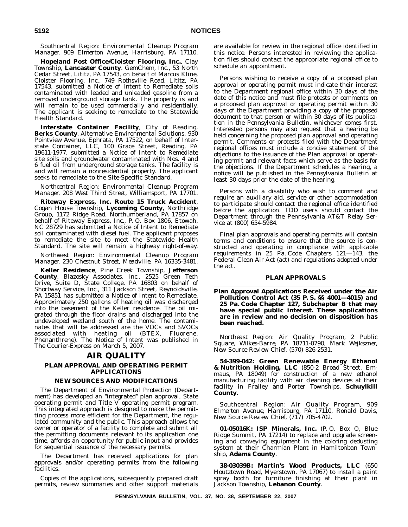*Southcentral Region: Environmental Cleanup Program Manager, 909 Elmerton Avenue, Harrisburg, PA 17110.*

**Hopeland Post Office/Cloister Flooring, Inc.**, Clay Township, **Lancaster County**. GemChem, Inc., 53 North Cedar Street, Lititz, PA 17543, on behalf of Marcus Kline, Cloister Flooring, Inc., 749 Rothsville Road, Lititz, PA 17543, submitted a Notice of Intent to Remediate soils contaminated with leaded and unleaded gasoline from a removed underground storage tank. The property is and will remain to be used commercially and residentially. The applicant is seeking to remediate to the Statewide Health Standard.

**Interstate Container Facility**, City of Reading, **Berks County**. Alternative Environmental Solutions, 930 Pointview Avenue, Ephrata, PA 17522, on behalf of Interstate Container, LLC, 100 Grace Street, Reading, PA 19611-1977, submitted a Notice of Intent to Remediate site soils and groundwater contaminated with Nos. 4 and 6 fuel oil from underground storage tanks. The facility is and will remain a nonresidential property. The applicant seeks to remediate to the Site-Specific Standard.

*Northcentral Region: Environmental Cleanup Program Manager, 208 West Third Street, Williamsport, PA 17701.*

**Riteway Express, Inc. Route 15 Truck Accident**, Cogan House Township, **Lycoming County**, Northridge Group, 1172 Ridge Road, Northumberland, PA 17857 on behalf of Riteway Express, Inc., P. O. Box 1806, Etowah, NC 28729 has submitted a Notice of Intent to Remediate soil contaminated with diesel fuel. The applicant proposes to remediate the site to meet the Statewide Health Standard. The site will remain a highway right-of-way.

*Northwest Region: Environmental Cleanup Program Manager, 230 Chestnut Street, Meadville, PA 16335-3481.*

**Keller Residence**, Pine Creek Township, **Jefferson County**. Blazosky Associates, Inc., 2525 Green Tech Drive, Suite D, State College, PA 16803 on behalf of Shortway Service, Inc., 311 Jackson Street, Reynoldsville, PA 15851 has submitted a Notice of Intent to Remediate. Approximately 250 gallons of heating oil was discharged into the basement of the Keller residence. The oil migrated through the floor drains and discharged into the undeveloped wetland south of the home. The contaminates that will be addressed are the VOCs and SVOCs associated with heating oil (BTEX, Fluorene, Phenanthrene). The Notice of Intent was published in *The Courier-Express* on March 5, 2007.

## **AIR QUALITY**

# **PLAN APPROVAL AND OPERATING PERMIT APPLICATIONS**

#### **NEW SOURCES AND MODIFICATIONS**

The Department of Environmental Protection (Department) has developed an ''integrated'' plan approval, State operating permit and Title V operating permit program. This integrated approach is designed to make the permitting process more efficient for the Department, the regulated community and the public. This approach allows the owner or operator of a facility to complete and submit all the permitting documents relevant to its application one time, affords an opportunity for public input and provides for sequential issuance of the necessary permits.

The Department has received applications for plan approvals and/or operating permits from the following facilities.

Copies of the applications, subsequently prepared draft permits, review summaries and other support materials

are available for review in the regional office identified in this notice. Persons interested in reviewing the application files should contact the appropriate regional office to schedule an appointment.

Persons wishing to receive a copy of a proposed plan approval or operating permit must indicate their interest to the Department regional office within 30 days of the date of this notice and must file protests or comments on a proposed plan approval or operating permit within 30 days of the Department providing a copy of the proposed document to that person or within 30 days of its publication in the *Pennsylvania Bulletin*, whichever comes first. Interested persons may also request that a hearing be held concerning the proposed plan approval and operating permit. Comments or protests filed with the Department regional offices must include a concise statement of the objections to the issuance of the Plan approval or operating permit and relevant facts which serve as the basis for the objections. If the Department schedules a hearing, a notice will be published in the *Pennsylvania Bulletin* at least 30 days prior the date of the hearing.

Persons with a disability who wish to comment and require an auxiliary aid, service or other accommodation to participate should contact the regional office identified before the application. TDD users should contact the Department through the Pennsylvania AT&T Relay Service at (800) 654-5984.

Final plan approvals and operating permits will contain terms and conditions to ensure that the source is constructed and operating in compliance with applicable requirements in 25 Pa. Code Chapters 121—143, the Federal Clean Air Act (act) and regulations adopted under the act.

#### **PLAN APPROVALS**

**Plan Approval Applications Received under the Air Pollution Control Act (35 P. S. §§ 4001—4015) and 25 Pa. Code Chapter 127, Subchapter B that may have special public interest. These applications are in review and no decision on disposition has been reached.**

*Northeast Region: Air Quality Program, 2 Public Square, Wilkes-Barre, PA 18711-0790, Mark Wejkszner, New Source Review Chief, (570) 826-2531.*

**54-399-042: Green Renewable Energy Ethanol & Nutrition Holding, LLC** (850-2 Broad Street, Emmaus, PA 18049) for construction of a new ethanol manufacturing facility with air cleaning devices at their facility in Frailey and Porter Townships, **Schuylkill County**.

*Southcentral Region: Air Quality Program, 909 Elmerton Avenue, Harrisburg, PA 17110, Ronald Davis, New Source Review Chief, (717) 705-4702.*

**01-05016K: ISP Minerals, Inc.** (P. O. Box O, Blue Ridge Summit, PA 17214) to replace and upgrade screening and conveying equipment in the coloring dedusting system at their Charmian Plant in Hamiltonban Township, **Adams County**.

**38-03039B: Martin's Wood Products, LLC** (650 Houtztown Road, Myerstown, PA 17067) to install a paint spray booth for furniture finishing at their plant in Jackson Township, **Lebanon County**.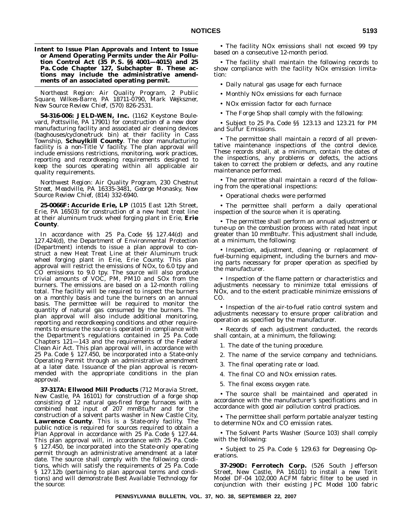**Intent to Issue Plan Approvals and Intent to Issue or Amend Operating Permits under the Air Pollution Control Act (35 P. S. §§ 4001—4015) and 25 Pa. Code Chapter 127, Subchapter B. These actions may include the administrative amendments of an associated operating permit.**

*Northeast Region: Air Quality Program, 2 Public Square, Wilkes-Barre, PA 18711-0790, Mark Wejkszner, New Source Review Chief, (570) 826-2531.*

**54-316-006: JELD-WEN, Inc.** (1162 Keystone Boulevard, Pottsville, PA 17901) for construction of a new door manufacturing facility and associated air cleaning devices (baghouses/cyclone/truck bin) at their facility in Cass Township, **Schuylkill County**. The door manufacturing facility is a non-Title V facility. The plan approval will include emissions restrictions, monitoring, work practices, reporting and recordkeeping requirements designed to keep the sources operating within all applicable air quality requirements.

*Northwest Region: Air Quality Program, 230 Chestnut Street, Meadville, PA 16335-3481, George Monasky, New Source Review Chief, (814) 332-6940.*

**25-0066F: Accuride Erie, LP** (1015 East 12th Street, Erie, PA 16503) for construction of a new heat treat line at their aluminum truck wheel forging plant in Erie, **Erie County**.

In accordance with 25 Pa. Code §§ 127.44(d) and 127.424(d), the Department of Environmental Protection (Department) intends to issue a plan approval to construct a new Heat Treat Line at their Aluminum truck wheel forging plant in Erie, Erie County. This plan approval will restrict the emissions of NOx, to 6.0 tpy and CO emissions to 9.0 tpy. The source will also produce trivial amounts of VOC, PM, PM10 and SOx from the burners. The emissions are based on a 12-month rolling total. The facility will be required to inspect the burners on a monthly basis and tune the burners on an annual basis. The permittee will be required to monitor the quantity of natural gas consumed by the burners. The plan approval will also include additional monitoring, reporting and recordkeeping conditions and other requirements to ensure the source is operated in compliance with the Department's regulations contained in 25 Pa. Code Chapters 121—143 and the requirements of the Federal Clean Air Act. This plan approval will, in accordance with 25 Pa. Code § 127.450, be incorporated into a State-only Operating Permit through an administrative amendment at a later date. Issuance of the plan approval is recommended with the appropriate conditions in the plan approval.

**37-317A: Ellwood Mill Products** (712 Moravia Street, New Castle, PA 16101) for construction of a forge shop consisting of 12 natural gas-fired forge furnaces with a combined heat input of 207 mmBtu/hr and for the construction of a solvent parts washer in New Castle City, **Lawrence County**. This is a State-only facility. The public notice is required for sources required to obtain a Plan Approval in accordance with 25 Pa. Code § 127.44. This plan approval will, in accordance with 25 Pa. Code § 127.450, be incorporated into the State-only operating permit through an administrative amendment at a later date. The source shall comply with the following conditions, which will satisfy the requirements of 25 Pa. Code § 127.12b (pertaining to plan approval terms and conditions) and will demonstrate Best Available Technology for the source:

• The facility NOx emissions shall not exceed 99 tpy based on a consecutive 12-month period.

• The facility shall maintain the following records to show compliance with the facility NOx emission limitation:

• Daily natural gas usage for each furnace

• Monthly NOx emissions for each furnace

• NOx emission factor for each furnace

• The Forge Shop shall comply with the following:

• Subject to 25 Pa. Code §§ 123.13 and 123.21 for PM and Sulfur Emissions.

• The permittee shall maintain a record of all preventative maintenance inspections of the control device. These records shall, at a minimum, contain the dates of the inspections, any problems or defects, the actions taken to correct the problem or defects, and any routine maintenance performed.

• The permittee shall maintain a record of the following from the operational inspections:

• Operational checks were performed

• The permittee shall perform a daily operational inspection of the source when it is operating.

• The permittee shall perform an annual adjustment or tune-up on the combustion process with rated heat input greater than 10 mmBtu/hr. This adjustment shall include, at a minimum, the following:

• Inspection, adjustment, cleaning or replacement of fuel-burning equipment, including the burners and moving parts necessary for proper operation as specified by the manufacturer.

• Inspection of the flame pattern or characteristics and adjustments necessary to minimize total emissions of NOx, and to the extent practicable minimize emissions of CO.

• Inspection of the air-to-fuel ratio control system and adjustments necessary to ensure proper calibration and operation as specified by the manufacturer.

• Records of each adjustment conducted, the records shall contain, at a minimum, the following:

1. The date of the tuning procedure.

2. The name of the service company and technicians.

- 3. The final operating rate or load.
- 4. The final CO and NOx emission rates.
- 5. The final excess oxygen rate.

• The source shall be maintained and operated in accordance with the manufacturer's specifications and in accordance with good air pollution control practices.

• The permittee shall perform portable analyzer testing to determine NOx and CO emission rates.

• The Solvent Parts Washer (Source 103) shall comply with the following:

• Subject to 25 Pa. Code § 129.63 for Degreasing Operations.

**37-290D: Ferrotech Corp.** (526 South Jefferson Street, New Castle, PA 16101) to install a new Torit Model DF-04 102,000 ACFM fabric filter to be used in conjunction with their existing JPC Model 100 fabric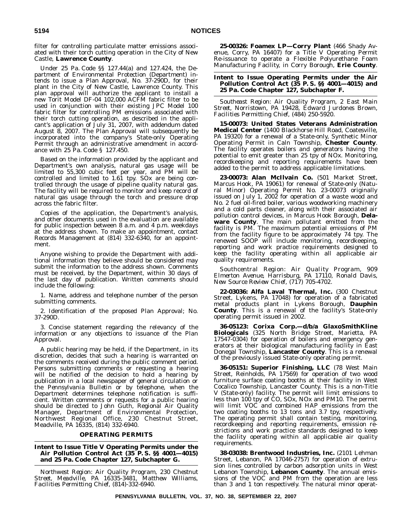filter for controlling particulate matter emissions associated with their torch cutting operation in the City of New Castle, **Lawrence County**.

Under 25 Pa. Code §§ 127.44(a) and 127.424, the Department of Environmental Protection (Department) intends to issue a Plan Approval, No. 37-290D, for their plant in the City of New Castle, Lawrence County. This plan approval will authorize the applicant to install a new Torit Model DF-04 102,000 ACFM fabric filter to be used in conjunction with their existing JPC Model 100 fabric filter for controlling PM emissions associated with their torch cutting operation, as described in the applicant's application of July 31, 2007, with addendum dated August 8, 2007. The Plan Approval will subsequently be incorporated into the company's State-only Operating Permit through an administrative amendment in accordance with 25 Pa. Code § 127.450.

Based on the information provided by the applicant and Department's own analysis, natural gas usage will be limited to 55,300 cubic feet per year, and PM will be controlled and limited to 1.61 tpy. SOx are being controlled through the usage of pipeline quality natural gas. The facility will be required to monitor and keep record of natural gas usage through the torch and pressure drop across the fabric filter.

Copies of the application, the Department's analysis, and other documents used in the evaluation are available for public inspection between 8 a.m. and 4 p.m. weekdays at the address shown. To make an appointment, contact Records Management at (814) 332-6340, for an appointment.

Anyone wishing to provide the Department with additional information they believe should be considered may submit the information to the address shown. Comments must be received, by the Department, within 30 days of the last day of publication. Written comments should include the following:

1. Name, address and telephone number of the person submitting comments.

2. Identification of the proposed Plan Approval; No. 37-290D.

3. Concise statement regarding the relevancy of the information or any objections to issuance of the Plan Approval.

A public hearing may be held, if the Department, in its discretion, decides that such a hearing is warranted on the comments received during the public comment period. Persons submitting comments or requesting a hearing will be notified of the decision to hold a hearing by publication in a local newspaper of general circulation or the *Pennsylvania Bulletin* or by telephone, when the Department determines telephone notification is sufficient. Written comments or requests for a public hearing should be directed to John Guth, Regional Air Quality Manager, Department of Environmental Protection, Northwest Regional Office, 230 Chestnut Street, Meadville, PA 16335, (814) 332-6940.

### **OPERATING PERMITS**

#### **Intent to Issue Title V Operating Permits under the Air Pollution Control Act (35 P. S. §§ 4001—4015) and 25 Pa. Code Chapter 127, Subchapter G.**

*Northwest Region: Air Quality Program, 230 Chestnut Street, Meadville, PA 16335-3481, Matthew Williams, Facilities Permitting Chief, (814)-332-6940.*

**25-00326: Foamex LP—Corry Plant** (466 Shady Avenue, Corry, PA 16407) for a Title V Operating Permit Re-issuance to operate a Flexible Polyurethane Foam Manufacturing Facility, in Corry Borough, **Erie County**.

#### **Intent to Issue Operating Permits under the Air Pollution Control Act (35 P. S. §§ 4001—4015) and 25 Pa. Code Chapter 127, Subchapter F.**

*Southeast Region: Air Quality Program, 2 East Main Street, Norristown, PA 19428, Edward Jurdones Brown, Facilities Permitting Chief, (484) 250-5920.*

**15-00073: United States Veterans Administration Medical Center** (1400 Blackhorse Hill Road, Coatesville, PA 19320) for a renewal of a State-only, Synthetic Minor Operating Permit in Caln Township, **Chester County**. The facility operates boilers and generators having the potential to emit greater than 25 tpy of NOx. Monitoring, recordkeeping and reporting requirements have been added to the permit to address applicable limitations.

**23-00073: Alan McIlvain Co.** (501 Market Street, Marcus Hook, PA 19061) for renewal of State-only (Natural Minor) Operating Permit No. 23-00073 originally issued on July 1, 2002 for operation of a waste wood and No. 2 fuel oil-fired boiler, various woodworking machinery and a cold parts cleaner, along with their associated air pollution control devices, in Marcus Hook Borough, **Delaware County**. The main pollutant emitted from the facility is PM. The maximum potential emissions of PM from the facility figure to be approximately 74 tpy. The renewed SOOP will include monitoring, recordkeeping, reporting and work practice requirements designed to keep the facility operating within all applicable air quality requirements.

*Southcentral Region: Air Quality Program, 909 Elmerton Avenue, Harrisburg, PA 17110, Ronald Davis, New Source Review Chief, (717) 705-4702.*

**22-03036: Alfa Laval Thermal, Inc.** (300 Chestnut Street, Lykens, PA 17048) for operation of a fabricated metal products plant in Lykens Borough, **Dauphin County**. This is a renewal of the facility's State-only operating permit issued in 2002.

**36-05123: Corixa Corp.—d/b/a GlaxoSmithKline Biologicals** (325 North Bridge Street, Marietta, PA 17547-0304) for operation of boilers and emergency generators at their biological manufacturing facility in East Donegal Township, **Lancaster County**. This is a renewal of the previously issued State-only operating permit.

**36-05151: Superior Finishing, LLC** (78 West Main Street, Reinholds, PA 17569) for operation of two wood furniture surface coating booths at their facility in West Cocalico Township, Lancaster County. This is a non-Title V (State-only) facility. The permit will limit emissions to less than  $100$  tpy of  $CO$ ,  $SOx$ , NOx and PM10. The permit will limit VOC and combined HAP emissions from the two coating booths to 13 tons and 3.7 tpy, respectively. The operating permit shall contain testing, monitoring, recordkeeping and reporting requirements, emission restrictions and work practice standards designed to keep the facility operating within all applicable air quality requirements.

**38-03038: Brentwood Industries, Inc.** (2101 Lehman Street, Lebanon, PA 17046-2757) for operation of extrusion lines controlled by carbon adsorption units in West Lebanon Township, **Lebanon County**. The annual emissions of the VOC and PM from the operation are less than 3 and 1 ton respectively. The natural minor operat-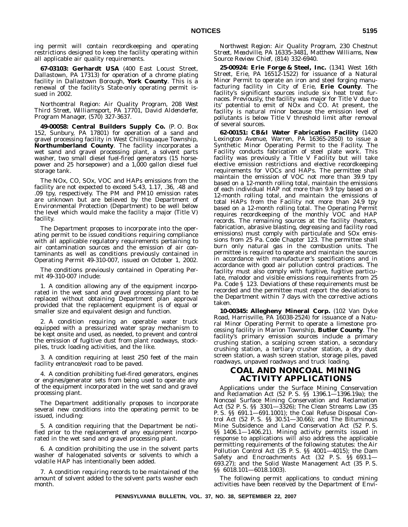ing permit will contain recordkeeping and operating restrictions designed to keep the facility operating within all applicable air quality requirements.

**67-03103: Gerhardt USA** (400 East Locust Street, Dallastown, PA 17313) for operation of a chrome plating facility in Dallastown Borough, **York County**. This is a renewal of the facility's State-only operating permit issued in 2002.

*Northcentral Region: Air Quality Program, 208 West Third Street, Williamsport, PA 17701, David Aldenderfer, Program Manager, (570) 327-3637.*

**49-00058: Central Builders Supply Co.** (P. O. Box 152, Sunbury, PA 17801) for operation of a sand and gravel processing facility in West Chillisquaque Township, **Northumberland County**. The facility incorporates a wet sand and gravel processing plant, a solvent parts washer, two small diesel fuel-fired generators (15 horsepower and 25 horsepower) and a 1,000 gallon diesel fuel storage tank.

The NOx, CO, SOx, VOC and HAPs emissions from the facility are not expected to exceed 5.43, 1.17, .36, .48 and .09 tpy, respectively. The PM and PM10 emission rates are unknown but are believed by the Department of Environmental Protection (Department) to be well below the level which would make the facility a major (Title V) facility.

The Department proposes to incorporate into the operating permit to be issued conditions requiring compliance with all applicable regulatory requirements pertaining to air contamination sources and the emission of air contaminants as well as conditions previously contained in Operating Permit 49-310-007, issued on October 1, 2002.

The conditions previously contained in Operating Permit 49-310-007 include:

1. A condition allowing any of the equipment incorporated in the wet sand and gravel processing plant to be replaced without obtaining Department plan approval provided that the replacement equipment is of equal or smaller size and equivalent design and function.

2. A condition requiring an operable water truck equipped with a pressurized water spray mechanism to be kept onsite and used, as needed, to prevent and control the emission of fugitive dust from plant roadways, stockpiles, truck loading activities, and the like.

3. A condition requiring at least 250 feet of the main facility entrance/exit road to be paved.

4. A condition prohibiting fuel-fired generators, engines or engines/generator sets from being used to operate any of the equipment incorporated in the wet sand and gravel processing plant.

The Department additionally proposes to incorporate several new conditions into the operating permit to be issued, including:

5. A condition requiring that the Department be notified prior to the replacement of any equipment incorporated in the wet sand and gravel processing plant.

6. A condition prohibiting the use in the solvent parts washer of halogenated solvents or solvents to which a volatile HAP has intentionally been added.

7. A condition requiring records to be maintained of the amount of solvent added to the solvent parts washer each month.

*Northwest Region: Air Quality Program, 230 Chestnut Street, Meadville, PA 16335-3481, Matthew Williams, New Source Review Chief, (814) 332-6940.*

**25-00924: Erie Forge & Steel, Inc.** (1341 West 16th Street, Erie, PA 16512-1522) for issuance of a Natural Minor Permit to operate an iron and steel forging manufacturing facility in City of Erie, **Erie County**. The facility's significant sources include six heat treat furnaces. Previously, the facility was major for Title V due to its' potential to emit of NOx and CO. At present, the facility is natural minor because the emission level of pollutants is below Title V threshold limit after removal of several sources.

**62-00151: CB&I Water Fabrication Facility** (1420 Lexington Avenue, Warren, PA 16365-2850) to issue a Synthetic Minor Operating Permit to the Facility. The Facility conducts fabrication of steel plate work. This facility was previously a Title V Facility but will take elective emission restrictions and elective recordkeeping requirements for VOCs and HAPs. The permittee shall maintain the emission of VOC not more than 39.9 tpy based on a 12-month rolling total, maintain the emissions of each individual HAP not more than 9.9 tpy based on a 12-month rolling total, and maintain the emissions of total HAPs from the Facility not more than 24.9 tpy based on a 12-month rolling total. The Operating Permit requires recordkeeping of the monthly VOC and HAP records. The remaining sources at the facility (heaters, fabrication, abrasive blasting, degreasing and facility road emissions) must comply with particulate and SOx emissions from 25 Pa. Code Chapter 123. The permittee shall burn only natural gas in the combustion units. The permittee is required to operate and maintain the sources in accordance with manufacturer's specifications and in accordance with good air pollution control practices. The facility must also comply with fugitive, fugitive particulate, malodor and visible emissions requirements from 25 Pa. Code § 123. Deviations of these requirements must be recorded and the permittee must report the deviations to the Department within 7 days with the corrective actions taken.

**10-00345: Allegheny Mineral Corp.** (102 Van Dyke Road, Harrisville, PA 16038-2524) for issuance of a Natural Minor Operating Permit to operate a limestone processing facility in Marion Township, **Butler County**. The facility's primary emission sources include a primary crushing station, a scalping screen station, a secondary crushing station, a tertiary crusher station, a dry dust screen station, a wash screen station, storage piles, paved roadways, unpaved roadways and truck loading.

# **COAL AND NONCOAL MINING ACTIVITY APPLICATIONS**

Applications under the Surface Mining Conservation and Reclamation Act (52 P. S. §§ 1396.1—1396.19a); the Noncoal Surface Mining Conservation and Reclamation Act (52 P. S. §§ 3301—3326); The Clean Streams Law (35 P. S. §§ 691.1—691.1001); the Coal Refuse Disposal Control Act (52 P. S. §§ 30.51—30.66); and The Bituminous Mine Subsidence and Land Conservation Act (52 P. S. §§ 1406.1—1406.21). Mining activity permits issued in response to applications will also address the applicable permitting requirements of the following statutes: the Air Pollution Control Act (35 P. S. §§ 4001—4015); the Dam Safety and Encroachments Act (32 P. S. §§ 693.1— 693.27); and the Solid Waste Management Act (35 P. S. §§ 6018.101—6018.1003).

The following permit applications to conduct mining activities have been received by the Department of Envi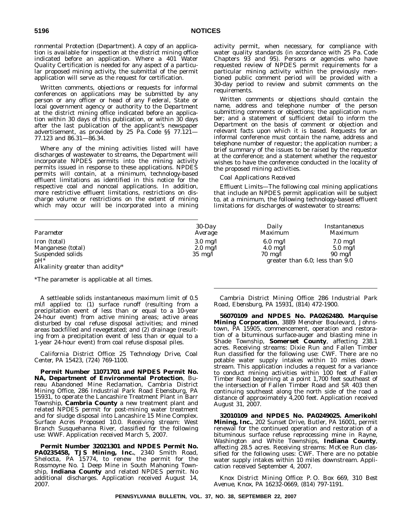ronmental Protection (Department). A copy of an application is available for inspection at the district mining office indicated before an application. Where a 401 Water Quality Certification is needed for any aspect of a particular proposed mining activity, the submittal of the permit application will serve as the request for certification.

Written comments, objections or requests for informal conferences on applications may be submitted by any person or any officer or head of any Federal, State or local government agency or authority to the Department at the district mining office indicated before an application within 30 days of this publication, or within 30 days after the last publication of the applicant's newspaper advertisement, as provided by 25 Pa. Code §§ 77.121— 77.123 and 86.31—86.34.

Where any of the mining activities listed will have discharges of wastewater to streams, the Department will incorporate NPDES permits into the mining activity permits issued in response to these applications. NPDES permits will contain, at a minimum, technology-based effluent limitations as identified in this notice for the respective coal and noncoal applications. In addition, more restrictive effluent limitations, restrictions on discharge volume or restrictions on the extent of mining which may occur will be incorporated into a mining

activity permit, when necessary, for compliance with water quality standards (in accordance with 25 Pa. Code Chapters 93 and 95). Persons or agencies who have requested review of NPDES permit requirements for a particular mining activity within the previously mentioned public comment period will be provided with a 30-day period to review and submit comments on the requirements.

Written comments or objections should contain the name, address and telephone number of the person submitting comments or objections; the application number; and a statement of sufficient detail to inform the Department on the basis of comment or objection and relevant facts upon which it is based. Requests for an informal conference must contain the name, address and telephone number of requestor; the application number; a brief summary of the issues to be raised by the requestor at the conference; and a statement whether the requestor wishes to have the conference conducted in the locality of the proposed mining activities.

#### *Coal Applications Received*

*Effluent Limits—*The following coal mining applications that include an NPDES permit application will be subject to, at a minimum, the following technology-based effluent limitations for discharges of wastewater to streams:

| Parameter                        | $30$ -Day<br>Average | Daily<br>Maximum   | Instantaneous<br><i>Maximum</i> |
|----------------------------------|----------------------|--------------------|---------------------------------|
| Iron (total)                     | $3.0 \text{ mg}/l$   | $6.0 \text{ mg}/l$ | $7.0 \text{ mg}/l$              |
| Manganese (total)                | $2.0 \text{ mg}/l$   | $4.0 \text{ mg}/l$ | $5.0 \text{ mg}/l$              |
| Suspended solids                 | $35 \text{ mg/l}$    | $70 \text{ mg}/l$  | $90 \text{ mg}/l$               |
| $pH^*$                           |                      |                    | greater than 6.0; less than 9.0 |
| Alkalinity greater than acidity* |                      |                    |                                 |

\*The parameter is applicable at all times.

A settleable solids instantaneous maximum limit of 0.5 ml/l applied to: (1) surface runoff (resulting from a precipitation event of less than or equal to a 10-year 24-hour event) from active mining areas; active areas disturbed by coal refuse disposal activities; and mined areas backfilled and revegetated; and (2) drainage (resulting from a precipitation event of less than or equal to a 1-year 24-hour event) from coal refuse disposal piles.

*California District Office: 25 Technology Drive, Coal Center, PA 15423, (724) 769-1100.*

**Permit Number 11071701 and NPDES Permit No. NA, Department of Environmental Protection**, Bureau Abandoned Mine Reclamation, Cambria District Mining Office, 286 Industrial Park Road Ebensburg, PA 15931, to operate the Lancashire Treatment Plant in Barr Township, **Cambria County** a new treatment plant and related NPDES permit for post-mining water treatment and for sludge disposal into Lancashire 15 Mine Complex. Surface Acres Proposed 10.0. Receiving stream: West Branch Susquehanna River, classified for the following use: WWF. Application received March 5, 2007.

**Permit Number 32021301 and NPDES Permit No. PA0235458, TJS Mining, Inc.**, 2340 Smith Road, Shelocta, PA 15774, to renew the permit for the Rossmoyne No. 1 Deep Mine in South Mahoning Township, **Indiana County** and related NPDES permit. No additional discharges. Application received August 14, 2007.

*Cambria District Mining Office: 286 Industrial Park Road, Ebensburg, PA 15931, (814) 472-1900.*

**56070109 and NPDES No. PA0262480. Marquise Mining Corporation**, 3889 Menoher Boulevard, Johnstown, PA 15905, commencement, operation and restoration of a bituminous surface-auger and blasting mine in Shade Township, **Somerset County**, affecting 238.1 acres. Receiving streams: Dixie Run and Fallen Timber Run classified for the following use: CWF. There are no potable water supply intakes within 10 miles downstream. This application includes a request for a variance to conduct mining activities within 100 feet of Fallen Timber Road beginning at a point 1,700 feet southeast of the intersection of Fallen Timber Road and SR 403 then continuing southeast along the north side of the road a distance of approximately 4,200 feet. Application received August 31, 2007.

**32010109 and NPDES No. PA0249025. Amerikohl Mining, Inc.**, 202 Sunset Drive, Butler, PA 16001, permit renewal for the continued operation and restoration of a bituminous surface refuse reprocessing mine in Rayne, Washington and White Townships, **Indiana County**, affecting 28.5 acres. Receiving streams: McKee Run classified for the following uses: CWF. There are no potable water supply intakes within 10 miles downstream. Application received September 4, 2007.

*Knox District Mining Office: P. O. Box 669, 310 Best Avenue, Knox, PA 16232-0669, (814) 797-1191.*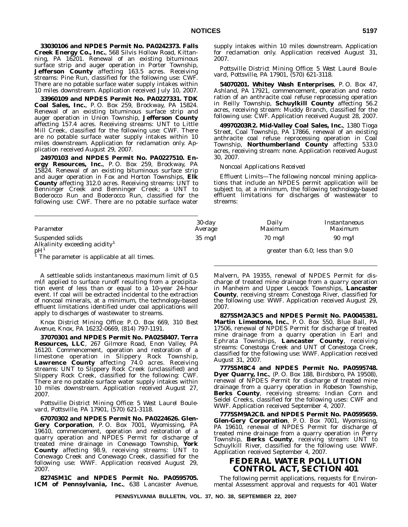**33030106 and NPDES Permit No. PA0242373. Falls Creek Energy Co., Inc.**, 568 Silvis Hollow Road, Kittanning, PA 16201. Renewal of an existing bituminous surface strip and auger operation in Porter Township, **Jefferson County** affecting 163.5 acres. Receiving streams: Pine Run, classified for the following use: CWF. There are no potable surface water supply intakes within 10 miles downstream. Application received July 10, 2007.

**33960109 and NPDES Permit No. PA0227331. TDK Coal Sales, Inc.**, P. O. Box 259, Brockway, PA 15824. Renewal of an existing bituminous surface strip and auger operation in Union Township, **Jefferson County** affecting 157.4 acres. Receiving streams: UNT to Little Mill Creek, classified for the following use: CWF. There are no potable surface water supply intakes within 10 miles downstream. Application for reclamation only. Application received August 29, 2007.

**24970103 and NPDES Permit No. PA0227510. Energy Resources, Inc.**, P. O. Box 259, Brockway, PA 15824. Renewal of an existing bituminous surface strip and auger operation in Fox and Horton Townships, **Elk County** affecting 312.0 acres. Receiving streams: UNT to Benninger Creek and Benninger Creek; a UNT to Boderocco Run and Boderocco Run, classified for the following use: CWF. There are no potable surface water supply intakes within 10 miles downstream. Application for reclamation only. Application received August 31, 2007.

*Pottsville District Mining Office: 5 West Laurel Boulevard, Pottsville, PA 17901, (570) 621-3118.*

**54070201. Whitey Wash Enterprises**, P. O. Box 47, Ashland, PA 17921, commencement, operation and restoration of an anthracite coal refuse reprocessing operation in Reilly Township, **Schuylkill County** affecting 56.2 acres, receiving stream: Muddy Branch, classified for the following use: CWF. Application received August 28, 2007.

**49970203R2. Mid-Valley Coal Sales, Inc.**, 1380 Tioga Street, Coal Township, PA 17866, renewal of an existing anthracite coal refuse reprocessing operation in Coal Township, **Northumberland County** affecting 533.0 acres, receiving stream: none. Application received August 30, 2007.

# *Noncoal Applications Received*

*Effluent Limits*—The following noncoal mining applications that include an NPDES permit application will be subject to, at a minimum, the following technology-based effluent limitations for discharges of wastewater to streams:

| Parameter                                                     | $30$ -day         | Daily             | Instantaneous     |
|---------------------------------------------------------------|-------------------|-------------------|-------------------|
|                                                               | Average           | Maximum           | Maximum           |
| Suspended solids<br>Alkalinity exceeding acidity <sup>1</sup> | $35 \text{ mg/l}$ | $70 \text{ mg}/l$ | $90 \text{ mg/l}$ |

 ${\rm pH}^1$  greater than 6.0; less than 9.0 <sup>1</sup> The parameter is applicable at all times.

A settleable solids instantaneous maximum limit of 0.5 ml/l applied to surface runoff resulting from a precipitation event of less than or equal to a 10-year 24-hour event. If coal will be extracted incidental to the extraction of noncoal minerals, at a minimum, the technology-based effluent limitations identified under coal applications will apply to discharges of wastewater to streams.

*Knox District Mining Office: P. O. Box 669, 310 Best Avenue, Knox, PA 16232-0669, (814) 797-1191.*

**37070301 and NPDES Permit No. PA0258407. Terra Resources, LLC**, 267 Gilmore Road, Enon Valley, PA 16120. Commencement, operation and restoration of a limestone operation in Slippery Rock Township, Lawrence County affecting 74.0 acres. Receiving streams: UNT to Slippery Rock Creek (unclassified) and Slippery Rock Creek, classified for the following: CWF. There are no potable surface water supply intakes within 10 miles downstream. Application received August 27, 2007.

#### *Pottsville District Mining Office: 5 West Laurel Boulevard, Pottsville, PA 17901, (570) 621-3118.*

**67070302 and NPDES Permit No. PA0224626. Glen-Gery Corporation**, P. O. Box 7001, Wyomissing, PA 19610, commencement, operation and restoration of a quarry operation and NPDES Permit for discharge of treated mine drainage in Conewago Township, **York County** affecting 98.9, receiving streams: UNT to Conewago Creek and Conewago Creek, classified for the following use: WWF. Application received August 29, 2007.

**8274SM1C and NPDES Permit No. PA0595705. ICM of Pennsylvania, Inc.**, 638 Lancaster Avenue,

Malvern, PA 19355, renewal of NPDES Permit for discharge of treated mine drainage from a quarry operation in Manheim and Upper Leacock Townships, **Lancaster County**, receiving stream: Conestoga River, classified for the following use: WWF. Application received August 29, 2007.

**8275SM2A3C5 and NPDES Permit No. PA0045381. Martin Limestone, Inc.**, P. O. Box 550, Blue Ball, PA 17506, renewal of NPDES Permit for discharge of treated mine drainage from a quarry operation in Earl and Ephrata Townships, **Lancaster County**, receiving streams: Conestoga Creek and UNT of Conestoga Creek, classified for the following use: WWF. Application received August 31, 2007.

**7775SM8C4 and NPDES Permit No. PA0595748. Dyer Quarry, Inc.**, (P. O. Box 188, Birdsboro, PA 19508), renewal of NPDES Permit for discharge of treated mine drainage from a quarry operation in Robeson Township, **Berks County**, receiving streams: Indian Corn and Seidel Creeks, classified for the following uses: CWF and WWF. Application received September 4, 2007.

**7775SM9A2C8. and NPDES Permit No. PA0595659. Glen-Gery Corporation**, P. O. Box 7001, Wyomissing, PA 19610, renewal of NPDES Permit for discharge of treated mine drainage from a quarry operation in Perry Township, **Berks County**, receiving stream: UNT to Schuylkill River, classified for the following use: WWF. Application received September 4, 2007.

# **FEDERAL WATER POLLUTION CONTROL ACT, SECTION 401**

The following permit applications, requests for Environmental Assessment approval and requests for 401 Water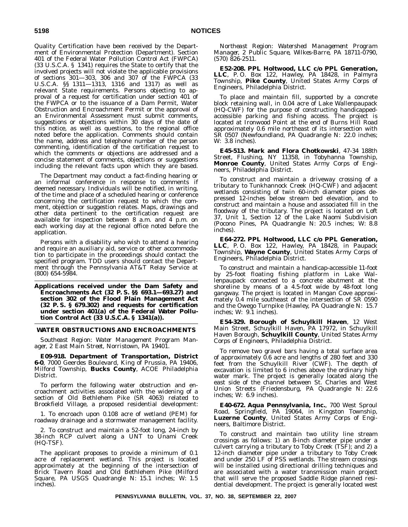Quality Certification have been received by the Department of Environmental Protection (Department). Section 401 of the Federal Water Pollution Control Act (FWPCA) (33 U.S.C.A. § 1341) requires the State to certify that the involved projects will not violate the applicable provisions of sections 301—303, 306 and 307 of the FWPCA (33 U.S.C.A. §§ 1311—1313, 1316 and 1317) as well as relevant State requirements. Persons objecting to approval of a request for certification under section 401 of the FWPCA or to the issuance of a Dam Permit, Water Obstruction and Encroachment Permit or the approval of an Environmental Assessment must submit comments, suggestions or objections within 30 days of the date of this notice, as well as questions, to the regional office noted before the application. Comments should contain the name, address and telephone number of the person commenting, identification of the certification request to which the comments or objections are addressed and a concise statement of comments, objections or suggestions including the relevant facts upon which they are based.

The Department may conduct a fact-finding hearing or an informal conference in response to comments if deemed necessary. Individuals will be notified, in writing, of the time and place of a scheduled hearing or conference concerning the certification request to which the comment, objection or suggestion relates. Maps, drawings and other data pertinent to the certification request are available for inspection between 8 a.m. and 4 p.m. on each working day at the regional office noted before the application.

Persons with a disability who wish to attend a hearing and require an auxiliary aid, service or other accommodation to participate in the proceedings should contact the specified program. TDD users should contact the Department through the Pennsylvania AT&T Relay Service at (800) 654-5984.

**Applications received under the Dam Safety and Encroachments Act (32 P. S. §§ 693.1—693.27) and section 302 of the Flood Plain Management Act (32 P. S. § 679.302) and requests for certification under section 401(a) of the Federal Water Pollution Control Act (33 U.S.C.A. § 1341(a)).**

#### **WATER OBSTRUCTIONS AND ENCROACHMENTS**

*Southeast Region: Water Management Program Manager, 2 East Main Street, Norristown, PA 19401.*

**E09-918. Department of Transportation, District 6-0**, 7000 Geerdes Boulevard, King of Prussia, PA 19406, Milford Township, **Bucks County**, ACOE Philadelphia District.

To perform the following water obstruction and encroachment activities associated with the widening of a section of Old Bethlehem Pike (SR 4063) related to Brookfield Village, a proposed residential development:

1. To encroach upon 0.108 acre of wetland (PEM) for roadway drainage and a stormwater management facility.

2. To construct and maintain a 52-foot long, 24-inch by 38-inch RCP culvert along a UNT to Unami Creek (HQ-TSF).

The applicant proposes to provide a minimum of 0.1 acre of replacement wetland. This project is located approximately at the beginning of the intersection of Brick Tavern Road and Old Bethlehem Pike (Milford Square, PA USGS Quadrangle N: 15.1 inches; W: 1.5 inches).

*Northeast Region: Watershed Management Program Manager, 2 Public Square, Wilkes-Barre, PA 18711-0790, (570) 826-2511.*

**E52-208. PPL Holtwood, LLC c/o PPL Generation, LLC**, P. O. Box 122, Hawley, PA 18428, in Palmyra Township, **Pike County**, United States Army Corps of Engineers, Philadelphia District.

To place and maintain fill, supported by a concrete block retaining wall, in 0.04 acre of Lake Wallenpaupack (HQ-CWF) for the purpose of constructing handicappedaccessible parking and fishing access. The project is located at Ironwood Point at the end of Burns Hill Road approximately 0.6 mile northeast of its intersection with SR 0507 (Newfoundland, PA Quadrangle N: 22.0 inches; W: 3.8 inches).

**E45-513. Mark and Flora Chotkowski**, 47-34 188th Street, Flushing, NY 11358, in Tobyhanna Township, **Monroe County**, United States Army Corps of Engineers, Philadelphia District.

To construct and maintain a driveway crossing of a tributary to Tunkhannock Creek (HQ-CWF) and adjacent wetlands consisting of twin 60-inch diameter pipes depressed 12-inches below stream bed elevation, and to construct and maintain a house and associated fill in the floodway of the tributary. The project is located on Loft 37, Unit 1, Section 12 of the Lake Naomi Subdivision (Pocono Pines, PA Quadrangle N: 20.5 inches; W: 8.8 inches).

**E64-272. PPL Holtwood, LLC c/o PPL Generation, LLC**, P. O. Box 122, Hawley, PA 18428, in Paupack Township, **Wayne County**, United States Army Corps of Engineers, Philadelphia District.

To construct and maintain a handicap-accessible 11-foot by 25-foot floating fishing platform in Lake Wallenpaupack connected to a concrete abutment at the shoreline by means of a 4.5-foot wide by 48-foot long gangway. The project is located in Mangan Cove approximately 0.4 mile southeast of the intersection of SR 0590 and the Owego Turnpike (Hawley, PA Quadrangle N: 15.7 inches; W: 9.1 inches).

**E54-329. Borough of Schuylkill Haven**, 12 West Main Street, Schuylkill Haven, PA 17972, in Schuylkill Haven Borough, **Schuylkill County**, United States Army Corps of Engineers, Philadelphia District.

To remove two gravel bars having a total surface area of approximately 0.6 acre and lengths of 280 feet and 330 feet from the Schuylkill River (CWF). The depth of excavation is limited to 6 inches above the ordinary high water mark. The project is generally located along the east side of the channel between St. Charles and West Union Streets (Friedensburg, PA Quadrangle N: 22.6 inches; W: 6.9 inches).

**E40-672. Aqua Pennsylvania, Inc.**, 700 West Sproul Road, Springfield, PA 19064, in Kingston Township, **Luzerne County**, United States Army Corps of Engineers, Baltimore District.

To construct and maintain two utility line stream crossings as follows: 1) an 8-inch diameter pipe under a culvert carrying a tributary to Toby Creek (TSF); and 2) a 12-inch diameter pipe under a tributary to Toby Creek and under 250 LF of PSS wetlands. The stream crossings will be installed using directional drilling techniques and are associated with a water transmission main project that will serve the proposed Saddle Ridge planned residential development. The project is generally located west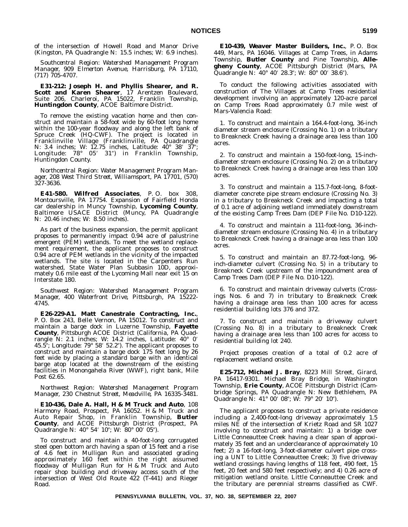of the intersection of Howell Road and Manor Drive (Kingston, PA Quadrangle N: 15.5 inches; W: 6.9 inches).

*Southcentral Region: Watershed Management Program Manager, 909 Elmerton Avenue, Harrisburg, PA 17110, (717) 705-4707.*

**E31-212: Joseph H. and Phyllis Shearer, and R. Scott and Karen Shearer**, 17 Arentzen Boulevard, Suite 206, Charleroi, PA 15022, Franklin Township, **Huntingdon County**, ACOE Baltimore District.

To remove the existing vacation home and then construct and maintain a 58-foot wide by 60-foot long home within the 100-year floodway and along the left bank of Spruce Creek (HQ-CWF). The project is located in Franklinville Village (Franklinville, PA Quadrangle N: 3.4 inches; W: 12.75 inches, Latitude: 40° 38′ 37″; Longitude: 78° 05′ 31″) in Franklin Township, Huntingdon County.

*Northcentral Region: Water Management Program Manager, 208 West Third Street, Williamsport, PA 17701, (570) 327-3636.*

**E41-580. Wilfred Associates**, P. O. box 308, Montoursville, PA 17754. Expansion of Fairfield Honda car dealership in Muncy Township, **Lycoming County**, Baltimore USACE District (Muncy, PA Quadrangle N: 20.46 inches; W: 8.50 inches).

As part of the business expansion, the permit applicant proposes to permanently impact 0.94 acre of palustrine emergent (PEM) wetlands. To meet the wetland replacement requirement, the applicant proposes to construct 0.94 acre of PEM wetlands in the vicinity of the impacted wetlands. The site is located in the Carpenters Run watershed, State Water Plan Subbasin 10D, approximately 0.6 mile east of the Lycoming Mall near exit 15 on Interstate 180.

*Southwest Region: Watershed Management Program Manager, 400 Waterfront Drive, Pittsburgh, PA 15222- 4745.*

**E26-229-A1. Matt Canestrale Contracting, Inc.**, P. O. Box 243, Belle Vernon, PA 15012. To construct and maintain a barge dock in Luzerne Township, **Fayette County**, Pittsburgh ACOE District (California, PA Quadrangle N: 2.1 inches; W: 14.2 inches, Latitude: 40° 0 45.5"; Longitude:  $79^{\circ}$  58' 52.2"). The applicant proposes to construct and maintain a barge dock 175 feet long by 26 feet wide by placing a standard barge with an identical barge atop located at the downstream of the existing facilities in Monongahela River (WWF), right bank, Mile Post 62.65.

*Northwest Region: Watershed Management Program Manager, 230 Chestnut Street, Meadville, PA 16335-3481.*

**E10-436, Dale A. Hall, H & M Truck and Auto**, 108 Harmony Road, Prospect, PA 16052. H & M Truck and Auto Repair Shop, in Franklin Township, **Butler County**, and ACOE Pittsburgh District (Prospect, PA Quadrangle N: 40° 54' 10"; W: 80° 00' 05").

To construct and maintain a 40-foot-long corrugated steel open bottom arch having a span of 15 feet and a rise of 4.6 feet in Mulligan Run and associated grading approximately 160 feet within the right assumed floodway of Mulligan Run for H & M Truck and Auto repair shop building and driveway access south of the intersection of West Old Route 422 (T-441) and Rieger Road.

**E10-439, Weaver Master Builders, Inc.**, P. O. Box 449, Mars, PA 16046. Villages at Camp Trees, in Adams Township, **Butler County** and Pine Township, **Allegheny County**, ACOE Pittsburgh District (Mars, PA Quadrangle N: 40° 40′ 28.3″; W: 80° 00′ 38.6″).

To conduct the following activities associated with construction of The Villages at Camp Trees residential development involving an approximately 120-acre parcel on Camp Trees Road approximately 0.7 mile west of Mars-Valencia Road:

1. To construct and maintain a 164.4-foot-long, 36-inch diameter stream enclosure (Crossing No. 1) on a tributary to Breakneck Creek having a drainage area less than 100 acres.

2. To construct and maintain a 150-foot-long, 15-inchdiameter stream enclosure (Crossing No. 2) on a tributary to Breakneck Creek having a drainage area less than 100 acres.

3. To construct and maintain a 115.7-foot-long, 8-footdiameter concrete pipe stream enclosure (Crossing No. 3) in a tributary to Breakneck Creek and impacting a total of 0.1 acre of adjoining wetland immediately downstream of the existing Camp Trees Dam (DEP File No. D10-122).

4. To construct and maintain a 111-foot-long, 36-inchdiameter stream enclosure (Crossing No. 4) in a tributary to Breakneck Creek having a drainage area less than 100 acres.

5. To construct and maintain an 87.72-foot-long, 96 inch-diameter culvert (Crossing No. 5) in a tributary to Breakneck Creek upstream of the impoundment area of Camp Trees Dam (DEP File No. D10-122).

6. To construct and maintain driveway culverts (Crossings Nos. 6 and 7) in tributary to Breakneck Creek having a drainage area less than 100 acres for access residential building lots 376 and 372.

7. To construct and maintain a driveway culvert (Crossing No. 8) in a tributary to Breakneck Creek having a drainage area less than 100 acres for access to residential building lot 240.

Project proposes creation of a total of 0.2 acre of replacement wetland onsite.

**E25-712, Michael J. Bray**, 8223 Mill Street, Girard, PA 16417-9301. Michael Bray Bridge, in Washington Township, **Erie County**, ACOE Pittsburgh District (Cambridge Springs, PA Quadrangle N: New Bethlehem, PA Quadrangle N: 41° 00' 08"; W: 79° 20' 10").

The applicant proposes to construct a private residence including a 2,400-foot-long driveway approximately 1.5 miles NE of the intersection of Krietz Road and SR 1027 involving to construct and maintain: 1) a bridge over Little Conneauttee Creek having a clear span of approximately 35 feet and an underclearance of approximately 10 feet; 2) a 16-foot-long, 3-foot-diameter culvert pipe crossing a UNT to Little Conneauttee Creek; 3) five driveway wetland crossings having lengths of 118 feet, 490 feet, 15 feet, 20 feet and 580 feet respectively; and 4) 0.26 acre of mitigation wetland onsite. Little Conneauttee Creek and the tributary are perennial streams classified as CWF.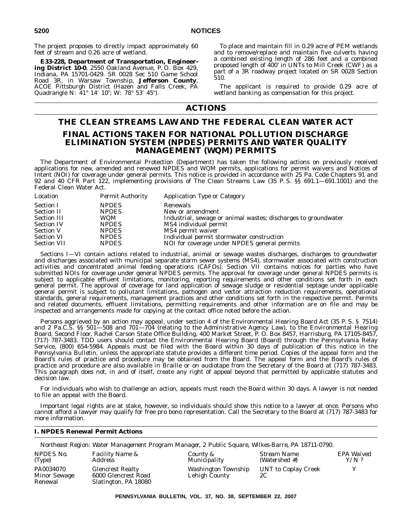The project proposes to directly impact approximately 60 feet of stream and 0.26 acre of wetland.

**E33-228, Department of Transportation, Engineering District 10-0**, 2550 Oakland Avenue, P. O. Box 429, Indiana, PA 15701-0429. SR 0028 Sec 510 Game School Road 3R, in Warsaw Township, **Jefferson County**, ACOE Pittsburgh District (Hazen and Falls Creek, PA Quadrangle N: 41° 14′ 10"; W: 78° 53′ 45").

To place and maintain fill in 0.29 acre of PEM wetlands and to remove/replace and maintain five culverts having a combined existing length of 286 feet and a combined proposed length of 400' in UNTs to Mill Creek (CWF) as a part of a 3R roadway project located on SR 0028 Section 510.

The applicant is required to provide 0.29 acre of wetland banking as compensation for this project.

# **ACTIONS**

# **THE CLEAN STREAMS LAW AND THE FEDERAL CLEAN WATER ACT FINAL ACTIONS TAKEN FOR NATIONAL POLLUTION DISCHARGE ELIMINATION SYSTEM (NPDES) PERMITS AND WATER QUALITY MANAGEMENT (WQM) PERMITS**

The Department of Environmental Protection (Department) has taken the following actions on previously received applications for new, amended and renewed NPDES and WQM permits, applications for permit waivers and Notices of Intent (NOI) for coverage under general permits. This notice is provided in accordance with 25 Pa. Code Chapters 91 and 92 and 40 CFR Part 122, implementing provisions of The Clean Streams Law (35 P. S. §§ 691.1—691.1001) and the Federal Clean Water Act.

| Location           | <b>Permit Authority</b> | Application Type or Category                                   |
|--------------------|-------------------------|----------------------------------------------------------------|
| <b>Section I</b>   | <b>NPDES</b>            | Renewals                                                       |
| <b>Section II</b>  | <b>NPDES</b>            | New or amendment                                               |
| <b>Section III</b> | WOM                     | Industrial, sewage or animal wastes; discharges to groundwater |
| <b>Section IV</b>  | <b>NPDES</b>            | MS4 individual permit                                          |
| <b>Section V</b>   | <b>NPDES</b>            | MS4 permit waiver                                              |
| <b>Section VI</b>  | <b>NPDES</b>            | Individual permit stormwater construction                      |
| <b>Section VII</b> | <b>NPDES</b>            | NOI for coverage under NPDES general permits                   |

Sections I—VI contain actions related to industrial, animal or sewage wastes discharges, discharges to groundwater and discharges associated with municipal separate storm sewer systems (MS4), stormwater associated with construction activities and concentrated animal feeding operations (CAFOs). Section VII contains notices for parties who have submitted NOIs for coverage under general NPDES permits. The approval for coverage under general NPDES permits is subject to applicable effluent limitations, monitoring, reporting requirements and other conditions set forth in each general permit. The approval of coverage for land application of sewage sludge or residential septage under applicable general permit is subject to pollutant limitations, pathogen and vector attraction reduction requirements, operational standards, general requirements, management practices and other conditions set forth in the respective permit. Permits and related documents, effluent limitations, permitting requirements and other information are on file and may be inspected and arrangements made for copying at the contact office noted before the action.

Persons aggrieved by an action may appeal, under section 4 of the Environmental Hearing Board Act (35 P. S. § 7514) and 2 Pa.C.S. §§ 501—508 and 701—704 (relating to the Administrative Agency Law), to the Environmental Hearing Board, Second Floor, Rachel Carson State Office Building, 400 Market Street, P. O. Box 8457, Harrisburg, PA 17105-8457, (717) 787-3483. TDD users should contact the Environmental Hearing Board (Board) through the Pennsylvania Relay Service, (800) 654-5984. Appeals must be filed with the Board within 30 days of publication of this notice in the Pennsylvania Bulletin, unless the appropriate statute provides a different time period. Copies of the appeal form and the Board's rules of practice and procedure may be obtained from the Board. The appeal form and the Board's rules of practice and procedure are also available in Braille or on audiotape from the Secretary of the Board at (717) 787-3483. This paragraph does not, in and of itself, create any right of appeal beyond that permitted by applicable statutes and decision law.

For individuals who wish to challenge an action, appeals must reach the Board within 30 days. A lawyer is not needed to file an appeal with the Board.

Important legal rights are at stake, however, so individuals should show this notice to a lawyer at once. Persons who cannot afford a lawyer may qualify for free pro bono representation. Call the Secretary to the Board at (717) 787-3483 for more information.

## **I. NPDES Renewal Permit Actions**

*Northeast Region: Water Management Program Manager, 2 Public Square, Wilkes-Barre, PA 18711-0790.*

| NPDES No.                                   | <i>Facility Name &amp;</i>                                             | County &                             | Stream Name               | EPA Waived |
|---------------------------------------------|------------------------------------------------------------------------|--------------------------------------|---------------------------|------------|
| (Tvpe)                                      | Address                                                                | Municipality                         | (Watershed #)             | $Y/N$ ?    |
| PA0034070<br><b>Minor Sewage</b><br>Renewal | <b>Glencrest Realty</b><br>6000 Glencrest Road<br>Slatington, PA 18080 | Washington Township<br>Lehigh County | UNT to Coplay Creek<br>2C |            |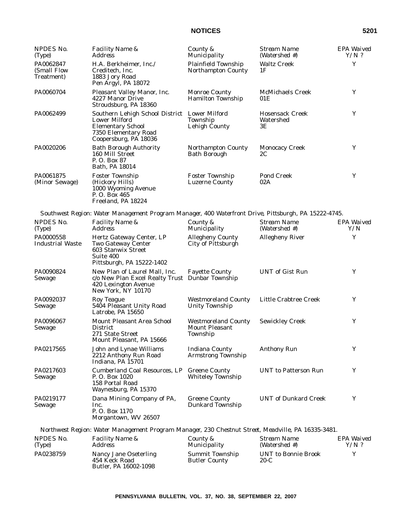| <b>NPDES No.</b><br>(Type)             | Facility Name &<br>Address                                                                                                                         | County &<br>Municipality                                        | <b>Stream Name</b><br>(Watershed #)       | EPA Waived<br>$Y/N$ ? |
|----------------------------------------|----------------------------------------------------------------------------------------------------------------------------------------------------|-----------------------------------------------------------------|-------------------------------------------|-----------------------|
| PA0062847<br>(Small Flow<br>Treatment) | H.A. Berkheimer, Inc./<br>Creditech, Inc.<br>1883 Jory Road<br>Pen Argyl, PA 18072                                                                 | Plainfield Township<br><b>Northampton County</b>                | <b>Waltz Creek</b><br>1F                  | Y                     |
| PA0060704                              | Pleasant Valley Manor, Inc.<br>4227 Manor Drive<br>Stroudsburg, PA 18360                                                                           | <b>Monroe County</b><br><b>Hamilton Township</b>                | <b>McMichaels Creek</b><br>01E            | Y                     |
| PA0062499                              | Southern Lehigh School District Lower Milford<br><b>Lower Milford</b><br><b>Elementary School</b><br>7350 Elementary Road<br>Coopersburg, PA 18036 | Township<br><b>Lehigh County</b>                                | <b>Hosensack Creek</b><br>Watershed<br>3Ε | Y                     |
| PA0020206                              | <b>Bath Borough Authority</b><br>160 Mill Street<br>P. O. Box 87<br>Bath, PA 18014                                                                 | <b>Northampton County</b><br><b>Bath Borough</b>                | <b>Monocacy Creek</b><br>2C               | Y                     |
| PA0061875<br>(Minor Sewage)            | <b>Foster Township</b><br>(Hickory Hills)<br>1000 Wyoming Avenue<br>P.O. Box 465<br>Freeland, PA 18224                                             | <b>Foster Township</b><br><b>Luzerne County</b>                 | Pond Creek<br>02A                         | Y                     |
|                                        | Southwest Region: Water Management Program Manager, 400 Waterfront Drive, Pittsburgh, PA 15222-4745.                                               |                                                                 |                                           |                       |
| NPDES No.<br>(Type)                    | Facility Name &<br><i>Address</i>                                                                                                                  | County &<br>Municipality                                        | <b>Stream Name</b><br>(Watershed #)       | EPA Waived<br>Y/N     |
| PA0000558<br><b>Industrial Waste</b>   | Hertz Gateway Center, LP<br><b>Two Gateway Center</b><br><b>603 Stanwix Street</b><br>Suite 400<br>Pittsburgh, PA 15222-1402                       | <b>Allegheny County</b><br>City of Pittsburgh                   | <b>Allegheny River</b>                    | Y                     |
| PA0090824<br>Sewage                    | New Plan of Laurel Mall, Inc.<br>c/o New Plan Excel Realty Trust Dunbar Township<br>420 Lexington Avenue<br>New York, NY 10170                     | <b>Fayette County</b>                                           | <b>UNT</b> of Gist Run                    | Y                     |
| PA0092037<br>Sewage                    | Roy Teague<br>5404 Pleasant Unity Road<br>Latrobe, PA 15650                                                                                        | <b>Westmoreland County</b><br><b>Unity Township</b>             | Little Crabtree Creek                     | Y                     |
| PA0096067<br>Sewage                    | Mount Pleasant Area School<br><b>District</b><br>271 State Street<br>Mount Pleasant, PA 15666                                                      | <b>Westmoreland County</b><br><b>Mount Pleasant</b><br>Township | <b>Sewickley Creek</b>                    | Y                     |
| PA0217565                              | John and Lynae Williams<br>2212 Anthony Run Road<br>Indiana, PA 15701                                                                              | <b>Indiana County</b><br><b>Armstrong Township</b>              | Anthony Run                               | Y                     |
| PA0217603<br>Sewage                    | <b>Cumberland Coal Resources, LP</b><br>P.O. Box 1020<br>158 Portal Road<br>Waynesburg, PA 15370                                                   | <b>Greene County</b><br><b>Whiteley Township</b>                | <b>UNT</b> to Patterson Run               | Y                     |
| PA0219177<br>Sewage                    | Dana Mining Company of PA,<br>Inc.<br>P.O. Box 1170<br>Morgantown, WV 26507                                                                        | <b>Greene County</b><br><b>Dunkard Township</b>                 | <b>UNT</b> of Dunkard Creek               | Y                     |

*Northwest Region: Water Management Program Manager, 230 Chestnut Street, Meadville, PA 16335-3481.*

| NPDES No. | <i>Facility Name &amp;</i>                                      | County &                                       | Stream Name                   | EPA Waived |
|-----------|-----------------------------------------------------------------|------------------------------------------------|-------------------------------|------------|
| (Tvpe)    | Address                                                         | Municipality                                   | (Watershed #)                 | $Y/N$ ?    |
| PA0238759 | Nancy Jane Oseterling<br>454 Keck Road<br>Butler, PA 16002-1098 | <b>Summit Township</b><br><b>Butler County</b> | UNT to Bonnie Brook<br>$20-C$ |            |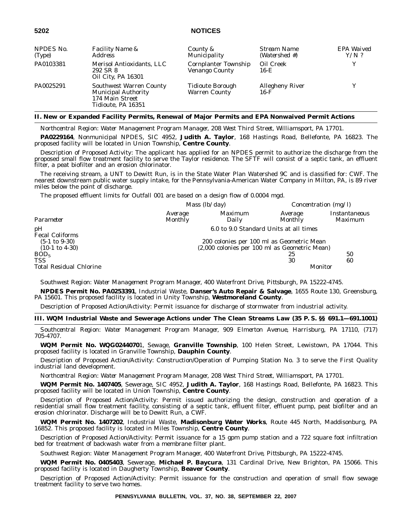| NPDES No. | <b>Facility Name &amp;</b>                                                                            | County &                                      | Stream Name                      | EPA Waived |
|-----------|-------------------------------------------------------------------------------------------------------|-----------------------------------------------|----------------------------------|------------|
| (Type)    | Address                                                                                               | Municipality                                  | (Watershed #)                    | $Y/N$ ?    |
| PA0103381 | Merisol Antioxidants, LLC<br>292 SR 8<br>Oil City, PA 16301                                           | <b>Cornplanter Township</b><br>Venango County | Oil Creek<br>16-E                | v          |
| PA0025291 | <b>Southwest Warren County</b><br><b>Municipal Authority</b><br>174 Main Street<br>Tidioute, PA 16351 | Tidioute Borough<br><b>Warren County</b>      | <b>Allegheny River</b><br>$16-F$ |            |

## **II. New or Expanded Facility Permits, Renewal of Major Permits and EPA Nonwaived Permit Actions**

*Northcentral Region: Water Management Program Manager, 208 West Third Street, Williamsport, PA 17701.*

**PA0229164**, Nonmunicipal NPDES, SIC 4952, **Judith A. Taylor**, 168 Hastings Road, Bellefonte, PA 16823. The proposed facility will be located in Union Township, **Centre County**.

Description of Proposed Activity: The applicant has applied for an NPDES permit to authorize the discharge from the proposed small flow treatment facility to serve the Taylor residence. The SFTF will consist of a septic tank, an effluent filter, a peat biofilter and an erosion chlorinator.

The receiving stream, a UNT to Dewitt Run, is in the State Water Plan Watershed 9C and is classified for: CWF. The nearest downstream public water supply intake, for the Pennsylvania-American Water Company in Milton, PA, is 89 river miles below the point of discharge.

The proposed effluent limits for Outfall 001 are based on a design flow of 0.0004 mgd.

|                                |                    | Mass $(lb/day)$                               | Concentration $(mg/l)$ |                          |
|--------------------------------|--------------------|-----------------------------------------------|------------------------|--------------------------|
| Parameter                      | Average<br>Monthly | Maximum<br>Daily                              | Average<br>Monthly     | Instantaneous<br>Maximum |
| pH<br>Fecal Coliforms          |                    | 6.0 to 9.0 Standard Units at all times        |                        |                          |
| $(5-1 \text{ to } 9-30)$       |                    | 200 colonies per 100 ml as Geometric Mean     |                        |                          |
| $(10-1 \text{ to } 4-30)$      |                    | (2,000 colonies per 100 ml as Geometric Mean) |                        |                          |
| BOD <sub>5</sub>               |                    |                                               | 25                     | 50                       |
| TSS                            |                    |                                               | 30                     | 60                       |
| <b>Total Residual Chlorine</b> |                    |                                               |                        | Monitor                  |

*Southwest Region: Water Management Program Manager, 400 Waterfront Drive, Pittsburgh, PA 15222-4745.*

**NPDES Permit No. PA0253391**, Industrial Waste, **Danser's Auto Repair & Salvage**, 1655 Route 130, Greensburg, PA 15601. This proposed facility is located in Unity Township, **Westmoreland County**.

Description of Proposed Action/Activity: Permit issuance for discharge of stormwater from industrial activity.

## **III. WQM Industrial Waste and Sewerage Actions under The Clean Streams Law (35 P. S. §§ 691.1—691.1001)**

*Southcentral Region: Water Management Program Manager, 909 Elmerton Avenue, Harrisburg, PA 17110, (717) 705-4707.*

**WQM Permit No. WQG0244070**1, Sewage, **Granville Township**, 100 Helen Street, Lewistown, PA 17044. This proposed facility is located in Granville Township, **Dauphin County**.

Description of Proposed Action/Activity: Construction/Operation of Pumping Station No. 3 to serve the First Quality industrial land development.

*Northcentral Region: Water Management Program Manager, 208 West Third Street, Williamsport, PA 17701.*

**WQM Permit No. 1407405**, Sewerage, SIC 4952, **Judith A. Taylor**, 168 Hastings Road, Bellefonte, PA 16823. This proposed facility will be located in Union Township, **Centre County**.

Description of Proposed Action/Activity: Permit issued authorizing the design, construction and operation of a residential small flow treatment facility, consisting of a septic tank, effluent filter, effluent pump, peat biofilter and an erosion chlorinator. Discharge will be to Dewitt Run, a CWF.

**WQM Permit No. 1407202**, Industrial Waste, **Madisonburg Water Works**, Route 445 North, Maddisonburg, PA 16852. This proposed facility is located in Miles Township, **Centre County**.

Description of Proposed Action/Activity: Permit issuance for a 15 gpm pump station and a 722 square foot infiltration bed for treatment of backwash water from a membrane filter plant.

*Southwest Region: Water Management Program Manager, 400 Waterfront Drive, Pittsburgh, PA 15222-4745.*

**WQM Permit No. 0405403**, Sewerage, **Michael P. Baycura**, 131 Cardinal Drive, New Brighton, PA 15066. This proposed facility is located in Daugherty Township, **Beaver County**.

Description of Proposed Action/Activity: Permit issuance for the construction and operation of small flow sewage treatment facility to serve two homes.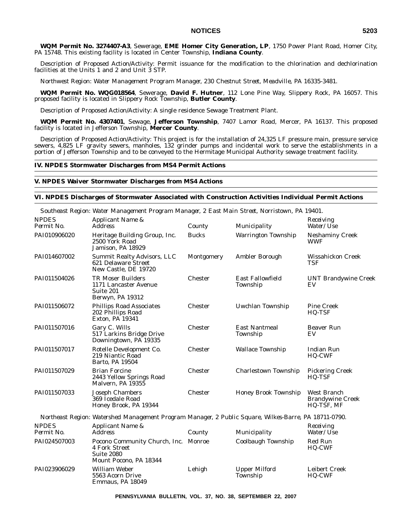**WQM Permit No. 3274407-A3**, Sewerage, **EME Homer City Generation, LP**, 1750 Power Plant Road, Homer City, PA 15748. This existing facility is located in Center Township, **Indiana County**.

Description of Proposed Action/Activity: Permit issuance for the modification to the chlorination and dechlorination facilities at the Units 1 and 2 and Unit 3 STP.

*Northwest Region: Water Management Program Manager, 230 Chestnut Street, Meadville, PA 16335-3481.*

**WQM Permit No. WQG018564**, Sewerage, **David F. Hutner**, 112 Lone Pine Way, Slippery Rock, PA 16057. This proposed facility is located in Slippery Rock Township, **Butler County**.

Description of Proposed Action/Activity: A single residence Sewage Treatment Plant.

**WQM Permit No. 4307401**, Sewage, **Jefferson Township**, 7407 Lamor Road, Mercer, PA 16137. This proposed facility is located in Jefferson Township, **Mercer County**.

Description of Proposed Action/Activity: This project is for the installation of 24,325 LF pressure main, pressure service sewers, 4,825 LF gravity sewers, manholes, 132 grinder pumps and incidental work to serve the establishments in a portion of Jefferson Township and to be conveyed to the Hermitage Municipal Authority sewage treatment facility.

#### **IV. NPDES Stormwater Discharges from MS4 Permit Actions**

#### **V. NPDES Waiver Stormwater Discharges from MS4 Actions**

#### **VI. NPDES Discharges of Stormwater Associated with Construction Activities Individual Permit Actions**

|                            | Southeast Region: Water Management Program Manager, 2 East Main Street, Norristown, PA 19401.         |              |                                     |                                                      |
|----------------------------|-------------------------------------------------------------------------------------------------------|--------------|-------------------------------------|------------------------------------------------------|
| <b>NPDES</b><br>Permit No. | Applicant Name &<br><b>Address</b>                                                                    | County       | Municipality                        | Receiving<br>Water/Use                               |
| PAI010906020               | Heritage Building Group, Inc.<br>2500 York Road<br>Jamison, PA 18929                                  | <b>Bucks</b> | <b>Warrington Township</b>          | <b>Neshaminy Creek</b><br><b>WWF</b>                 |
| PAI014607002               | <b>Summit Realty Advisors, LLC</b><br>621 Delaware Street<br>New Castle, DE 19720                     | Montgomery   | Ambler Borough                      | Wissahickon Creek<br><b>TSF</b>                      |
| PAI011504026               | <b>TR Moser Builders</b><br>1171 Lancaster Avenue<br>Suite 201<br>Berwyn, PA 19312                    | Chester      | <b>East Fallowfield</b><br>Township | <b>UNT Brandywine Creek</b><br>EV                    |
| PAI011506072               | <b>Phillips Road Associates</b><br>202 Phillips Road<br><b>Exton, PA 19341</b>                        | Chester      | Uwchlan Township                    | <b>Pine Creek</b><br>HQ-TSF                          |
| PAI011507016               | Gary C. Wills<br>517 Larkins Bridge Drive<br>Downingtown, PA 19335                                    | Chester      | <b>East Nantmeal</b><br>Township    | <b>Beaver Run</b><br>EV                              |
| PAI011507017               | Rotelle Development Co.<br>219 Niantic Road<br>Barto, PA 19504                                        | Chester      | <b>Wallace Township</b>             | <b>Indian Run</b><br>HQ-CWF                          |
| PAI011507029               | <b>Brian Forcine</b><br>2443 Yellow Springs Road<br>Malvern. PA 19355                                 | Chester      | <b>Charlestown Township</b>         | <b>Pickering Creek</b><br>HQ-TSF                     |
| PAI011507033               | <b>Joseph Chambers</b><br>369 Icedale Road<br>Honey Brook, PA 19344                                   | Chester      | <b>Honey Brook Township</b>         | West Branch<br><b>Brandywine Creek</b><br>HQ-TŠF, MF |
|                            | Northeast Region: Watershed Management Program Manager, 2 Public Square, Wilkes-Barre, PA 18711-0790. |              |                                     |                                                      |
| <b>NPDES</b><br>Permit No. | Applicant Name &<br><b>Address</b>                                                                    | County       | Municipality                        | Receiving<br>Water/Use                               |
| PAI024507003               | Pocono Community Church, Inc. Monroe<br>4 Fork Street<br><b>Suite 2080</b><br>Mount Pocono, PA 18344  |              | Coolbaugh Township                  | Red Run<br><b>HQ-CWF</b>                             |
| PAI023906029               | William Weber<br>5563 Acorn Drive<br>Emmaus, PA 18049                                                 | Lehigh       | <b>Upper Milford</b><br>Township    | <b>Leibert Creek</b><br><b>HQ-CWF</b>                |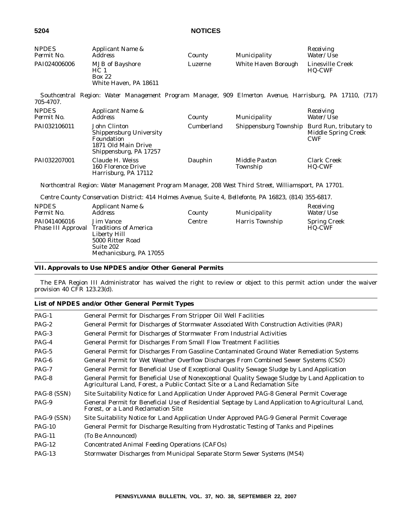| <b>NPDES</b><br>Permit No. | Applicant Name &<br><i>Address</i>                                                                            | County     | Municipality                     | Receiving<br>Water/Use                                             |
|----------------------------|---------------------------------------------------------------------------------------------------------------|------------|----------------------------------|--------------------------------------------------------------------|
| PAI024006006               | <b>MJB</b> of Bayshore<br>HC <sub>1</sub><br><b>Box 22</b><br>White Haven, PA 18611                           | Luzerne    | White Haven Borough              | Linesville Creek<br>HQ-CWF                                         |
| 705-4707.                  | Southcentral Region: Water Management Program Manager, 909 Elmerton Avenue, Harrisburg, PA 17110, (717)       |            |                                  |                                                                    |
| <b>NPDES</b><br>Permit No. | Applicant Name &<br><b>Address</b>                                                                            | County     | Municipality                     | Receiving<br>Water/Use                                             |
| PAI032106011               | John Clinton<br><b>Shippensburg University</b><br>Foundation<br>1871 Old Main Drive<br>Shippensburg, PA 17257 | Cumberland | Shippensburg Township            | Burd Run, tributary to<br><b>Middle Spring Creek</b><br><b>CWF</b> |
| PAI032207001               | Claude H. Weiss<br>160 Florence Drive<br>Harrisburg, PA 17112                                                 | Dauphin    | <b>Middle Paxton</b><br>Township | <b>Clark Creek</b><br>HQ-CWF                                       |
|                            | Northcentral Region: Water Management Program Manager, 208 West Third Street, Williamsport, PA 17701.         |            |                                  |                                                                    |
|                            | Centre County Conservation District: 414 Holmes Avenue, Suite 4, Bellefonte, PA 16823, (814) 355-6817.        |            |                                  |                                                                    |
| <b>NPDES</b>               | Applicant Name &                                                                                              |            |                                  | Receiving                                                          |

| . <i>.</i><br>Permit No. | <i>i ipprivame i rame</i> a<br>Address                                                                                                   | County | Municipality    | 1000011115<br><i>Water/Use</i> |
|--------------------------|------------------------------------------------------------------------------------------------------------------------------------------|--------|-----------------|--------------------------------|
| PAI041406016             | Jim Vance<br><b>Phase III Approval Traditions of America</b><br>Liberty Hill<br>5000 Ritter Road<br>Suite 202<br>Mechanicsburg, PA 17055 | Centre | Harris Township | <b>Spring Creek</b><br>HQ-CWF  |

# **VII. Approvals to Use NPDES and/or Other General Permits**

The EPA Region III Administrator has waived the right to review or object to this permit action under the waiver provision 40 CFR 123.23(d).

# **List of NPDES and/or Other General Permit Types**

| PAG-1       | General Permit for Discharges From Stripper Oil Well Facilities                                                                                                                 |
|-------------|---------------------------------------------------------------------------------------------------------------------------------------------------------------------------------|
| $PAG-2$     | General Permit for Discharges of Stormwater Associated With Construction Activities (PAR)                                                                                       |
| $PAG-3$     | General Permit for Discharges of Stormwater From Industrial Activities                                                                                                          |
| $PAG-4$     | General Permit for Discharges From Small Flow Treatment Facilities                                                                                                              |
| $PAG-5$     | General Permit for Discharges From Gasoline Contaminated Ground Water Remediation Systems                                                                                       |
| $PAG-6$     | General Permit for Wet Weather Overflow Discharges From Combined Sewer Systems (CSO)                                                                                            |
| $PAG-7$     | General Permit for Beneficial Use of Exceptional Quality Sewage Sludge by Land Application                                                                                      |
| $PAG-8$     | General Permit for Beneficial Use of Nonexceptional Quality Sewage Sludge by Land Application to<br>Agricultural Land, Forest, a Public Contact Site or a Land Reclamation Site |
| PAG-8 (SSN) | Site Suitability Notice for Land Application Under Approved PAG-8 General Permit Coverage                                                                                       |
| PAG-9       | General Permit for Beneficial Use of Residential Septage by Land Application to Agricultural Land,<br>Forest, or a Land Reclamation Site                                        |
| PAG-9 (SSN) | Site Suitability Notice for Land Application Under Approved PAG-9 General Permit Coverage                                                                                       |
| $PAG-10$    | General Permit for Discharge Resulting from Hydrostatic Testing of Tanks and Pipelines                                                                                          |
| $PAG-11$    | (To Be Announced)                                                                                                                                                               |
| $PAG-12$    | Concentrated Animal Feeding Operations (CAFOs)                                                                                                                                  |
| $PAG-13$    | Stormwater Discharges from Municipal Separate Storm Sewer Systems (MS4)                                                                                                         |
|             |                                                                                                                                                                                 |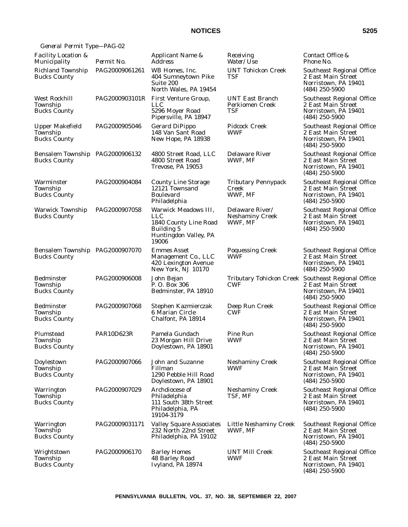| General Permit Type-PAG-02                                |                |                                                                                                                    |                                                      |                                                                                                                      |
|-----------------------------------------------------------|----------------|--------------------------------------------------------------------------------------------------------------------|------------------------------------------------------|----------------------------------------------------------------------------------------------------------------------|
| <b>Facility Location &amp;</b><br>Municipality            | Permit No.     | Applicant Name &<br><i>Address</i>                                                                                 | Receiving<br>Water/Use                               | Contact Office &<br>Phone No.                                                                                        |
| <b>Richland Township</b><br><b>Bucks County</b>           | PAG20009061261 | WB Homes, Inc.<br>404 Sumneytown Pike<br>Suite 200<br>North Wales, PA 19454                                        | <b>UNT Tohickon Creek</b><br>TSF                     | Southeast Regional Office<br>2 East Main Street<br>Norristown, PA 19401<br>$(484)$ 250-5900                          |
| West Rockhill<br>Township<br><b>Bucks County</b>          | PAG2000903101R | First Venture Group,<br><b>LLC</b><br>5296 Moyer Road<br>Pipersville, PA 18947                                     | <b>UNT East Branch</b><br>Perkiomen Creek<br>TSF     | Southeast Regional Office<br>2 East Main Street<br>Norristown, PA 19401<br>(484) 250-5900                            |
| <b>Upper Makefield</b><br>Township<br><b>Bucks County</b> | PAG2000905046  | <b>Gerard DiPippo</b><br>148 Van Sant Road<br>New Hope, PA 18938                                                   | <b>Pidcock Creek</b><br><b>WWF</b>                   | Southeast Regional Office<br>2 East Main Street<br>Norristown, PA 19401<br>$(484)$ 250-5900                          |
| Bensalem Township PAG2000906132<br><b>Bucks County</b>    |                | 4800 Street Road, LLC<br>4800 Street Road<br>Trevose, PA 19053                                                     | Delaware River<br>WWF, MF                            | Southeast Regional Office<br>2 East Main Street<br>Norristown, PA 19401<br>$(484)$ 250-5900                          |
| Warminster<br>Township<br><b>Bucks County</b>             | PAG2000904084  | <b>County Line Storage</b><br>12121 Townsand<br><b>Boulevard</b><br>Philadelphia                                   | <b>Tributary Pennypack</b><br>Creek<br>WWF, MF       | Southeast Regional Office<br>2 East Main Street<br>Norristown, PA 19401<br>$(484)$ 250-5900                          |
| Warwick Township<br><b>Bucks County</b>                   | PAG2000907058  | Warwick Meadows III,<br><b>LLC</b><br>1840 County Line Road<br><b>Building 5</b><br>Huntingdon Valley, PA<br>19006 | Delaware River/<br><b>Neshaminy Creek</b><br>WWF, MF | Southeast Regional Office<br>2 East Main Street<br>Norristown, PA 19401<br>$(484)$ 250-5900                          |
| Bensalem Township PAG2000907070<br><b>Bucks County</b>    |                | <b>Emmes Asset</b><br>Management Co., LLC<br>420 Lexington Avenue<br>New York, NJ 10170                            | <b>Poquessing Creek</b><br><b>WWF</b>                | Southeast Regional Office<br>2 East Main Street<br>Norristown, PA 19401<br>$(484)$ 250-5900                          |
| <b>Bedminster</b><br>Township<br><b>Bucks County</b>      | PAG2000906008  | John Bejan<br>P.O. Box 306<br>Bedminster, PA 18910                                                                 | <b>CWF</b>                                           | Tributary Tohickon Creek Southeast Regional Office<br>2 East Main Street<br>Norristown, PA 19401<br>$(484)$ 250-5900 |
| Bedminster<br>Township<br><b>Bucks County</b>             | PAG2000907068  | Stephen Kazmierczak<br>6 Marian Circle<br>Chalfont, PA 18914                                                       | Deep Run Creek<br><b>CWF</b>                         | Southeast Regional Office<br>2 East Main Street<br>Norristown, PA 19401<br>$(484)$ 250-5900                          |
| Plumstead<br>Township<br><b>Bucks County</b>              | PAR10D623R     | Pamela Gundach<br>23 Morgan Hill Drive<br>Doylestown, PA 18901                                                     | Pine Run<br><b>WWF</b>                               | Southeast Regional Office<br>2 East Main Street<br>Norristown, PA 19401<br>$(484)$ 250-5900                          |
| Doylestown<br>Township<br><b>Bucks County</b>             | PAG2000907066  | <b>John and Suzanne</b><br>Fillman<br>1290 Pebble Hill Road<br>Doylestown, PA 18901                                | <b>Neshaminy Creek</b><br><b>WWF</b>                 | Southeast Regional Office<br>2 East Main Street<br>Norristown, PA 19401<br>$(484)$ 250-5900                          |
| Warrington<br>Township<br><b>Bucks County</b>             | PAG2000907029  | Archdiocese of<br>Philadelphia<br>111 South 38th Street<br>Philadelphia, PA<br>19104-3179                          | <b>Neshaminy Creek</b><br>TSF, MF                    | Southeast Regional Office<br>2 East Main Street<br>Norristown, PA 19401<br>$(484)$ 250-5900                          |
| Warrington<br>Township<br><b>Bucks County</b>             | PAG20009031171 | <b>Valley Square Associates</b><br>232 North 22nd Street<br>Philadelphia, PA 19102                                 | Little Neshaminy Creek<br>WWF, MF                    | Southeast Regional Office<br>2 East Main Street<br>Norristown, PA 19401<br>$(484)$ 250-5900                          |
| Wrightstown<br>Township<br><b>Bucks County</b>            | PAG2000906170  | <b>Barley Homes</b><br>48 Barley Road<br>Ivyland, PA 18974                                                         | UNT Mill Creek<br><b>WWF</b>                         | Southeast Regional Office<br>2 East Main Street<br>Norristown, PA 19401<br>$(484)$ 250-5900                          |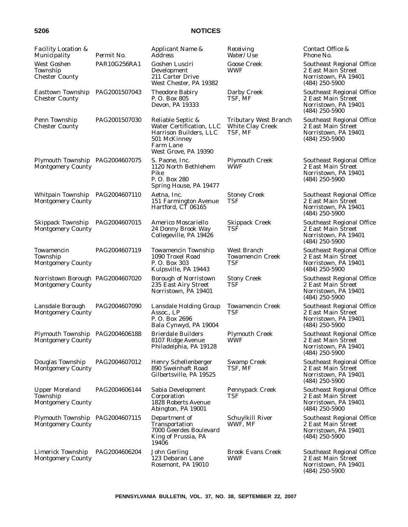| <b>Facility Location &amp;</b><br>Municipality                | Permit No.    | Applicant Name &<br>Address                                                                                                  | Receiving<br><i>Water/Use</i>                                      | Contact Office &<br>Phone No.                                                               |
|---------------------------------------------------------------|---------------|------------------------------------------------------------------------------------------------------------------------------|--------------------------------------------------------------------|---------------------------------------------------------------------------------------------|
| West Goshen<br>Township<br><b>Chester County</b>              | PAR10G256RA1  | Goshen Lusciri<br>Development<br>211 Carter Drive<br>West Chester, PA 19382                                                  | <b>Goose Creek</b><br>WWF                                          | Southeast Regional Office<br>2 East Main Street<br>Norristown, PA 19401<br>$(484)$ 250-5900 |
| <b>Easttown Township</b><br><b>Chester County</b>             | PAG2001507043 | <b>Theodore Babiry</b><br>P. O. Box 805<br>Devon, PA 19333                                                                   | Darby Creek<br>TSF, MF                                             | Southeast Regional Office<br>2 East Main Street<br>Norristown, PA 19401<br>$(484)$ 250-5900 |
| Penn Township<br><b>Chester County</b>                        | PAG2001507030 | Reliable Septic &<br>Water Certification, LLC<br>Harrison Builders, LLC<br>501 McKinney<br>Farm Lane<br>West Grove, PA 19390 | <b>Tributary West Branch</b><br><b>White Clay Creek</b><br>TSF, MF | Southeast Regional Office<br>2 East Main Street<br>Norristown, PA 19401<br>$(484)$ 250-5900 |
| Plymouth Township PAG2004607075<br><b>Montgomery County</b>   |               | S. Paone, Inc.<br>1120 North Bethlehem<br>Pike<br>P.O. Box 280<br>Spring House, PA 19477                                     | <b>Plymouth Creek</b><br>WWF                                       | Southeast Regional Office<br>2 East Main Street<br>Norristown, PA 19401<br>$(484)$ 250-5900 |
| Whitpain Township<br><b>Montgomery County</b>                 | PAG2004607110 | Aetna, Inc.<br>151 Farmington Avenue<br>Hartford, CT 06165                                                                   | <b>Stoney Creek</b><br>TSF                                         | Southeast Regional Office<br>2 East Main Street<br>Norristown, PA 19401<br>$(484)$ 250-5900 |
| Skippack Township<br><b>Montgomery County</b>                 | PAG2004607015 | Americo Moscariello<br>24 Donny Brook Way<br>Collegeville, PA 19426                                                          | <b>Skippack Creek</b><br>TSF                                       | Southeast Regional Office<br>2 East Main Street<br>Norristown, PA 19401<br>$(484)$ 250-5900 |
| Towamencin<br>Township<br><b>Montgomery County</b>            | PAG2004607119 | <b>Towamencin Township</b><br>1090 Troxel Road<br>P.O. Box 303<br>Kulpsville, PA 19443                                       | West Branch<br><b>Towamencin Creek</b><br>TSF                      | Southeast Regional Office<br>2 East Main Street<br>Norristown, PA 19401<br>$(484)$ 250-5900 |
| Norristown Borough PAG2004607020<br><b>Montgomery County</b>  |               | <b>Borough of Norristown</b><br>235 East Airy Street<br>Norristown, PA 19401                                                 | <b>Stony Creek</b><br>TSF                                          | Southeast Regional Office<br>2 East Main Street<br>Norristown, PA 19401<br>$(484)$ 250-5900 |
| Lansdale Borough<br><b>Montgomery County</b>                  | PAG2004607090 | Lansdale Holding Group<br>Assoc., LP<br>P.O. Box 2696<br>Bala Cynwyd, PA 19004                                               | <b>Towamencin Creek</b><br>TSF                                     | Southeast Regional Office<br>2 East Main Street<br>Norristown, PA 19401<br>$(484)$ 250-5900 |
| Plymouth Township PAG2004606188<br><b>Montgomery County</b>   |               | <b>Brierdale Builders</b><br>8107 Ridge Avenue<br>Philadelphia, PA 19128                                                     | <b>Plymouth Creek</b><br>WWF                                       | Southeast Regional Office<br>2 East Main Street<br>Norristown, PA 19401<br>$(484)$ 250-5900 |
| Douglas Township<br><b>Montgomery County</b>                  | PAG2004607012 | <b>Henry Schellenberger</b><br>890 Sweinhaft Road<br>Gilbertsville, PA 19525                                                 | <b>Swamp Creek</b><br>TSF, MF                                      | Southeast Regional Office<br>2 East Main Street<br>Norristown, PA 19401<br>$(484)$ 250-5900 |
| <b>Upper Moreland</b><br>Township<br><b>Montgomery County</b> | PAG2004606144 | Sabia Development<br>Corporation<br>1828 Roberts Avenue<br>Abington, PA 19001                                                | <b>Pennypack Creek</b><br>TSF                                      | Southeast Regional Office<br>2 East Main Street<br>Norristown, PA 19401<br>$(484)$ 250-5900 |
| Plymouth Township PAG2004607115<br>Montgomery County          |               | Department of<br>Transportation<br>7000 Geerdes Boulevard<br>King of Prussia, PA<br>19406                                    | Schuylkill River<br>WWF, MF                                        | Southeast Regional Office<br>2 East Main Street<br>Norristown, PA 19401<br>$(484)$ 250-5900 |
| Limerick Township<br><b>Montgomery County</b>                 | PAG2004606204 | John Gerling<br>123 Debaran Lane<br>Rosemont, PA 19010                                                                       | <b>Brook Evans Creek</b><br>WWF                                    | Southeast Regional Office<br>2 East Main Street<br>Norristown, PA 19401<br>$(484)$ 250-5900 |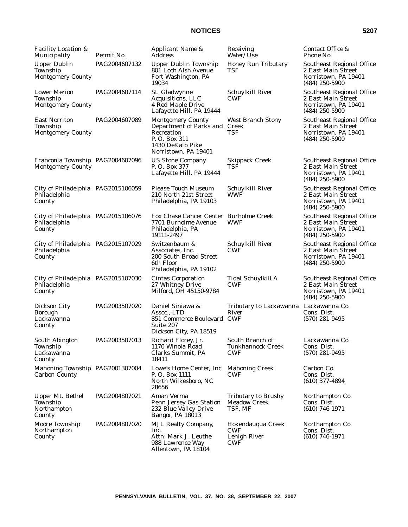| <b>Facility Location &amp;</b><br>Municipality               | Permit No.    | Applicant Name &<br><b>Address</b>                                                                                            | Receiving<br>Water/Use                                        | Contact Office &<br>Phone No.                                                               |
|--------------------------------------------------------------|---------------|-------------------------------------------------------------------------------------------------------------------------------|---------------------------------------------------------------|---------------------------------------------------------------------------------------------|
| <b>Upper Dublin</b><br>Township<br><b>Montgomery County</b>  | PAG2004607132 | <b>Upper Dublin Township</b><br>801 Loch Alsh Avenue<br>Fort Washington, PA<br>19034                                          | <b>Honey Run Tributary</b><br>TSF                             | Southeast Regional Office<br>2 East Main Street<br>Norristown, PA 19401<br>$(484)$ 250-5900 |
| <b>Lower Merion</b><br>Township<br><b>Montgomery County</b>  | PAG2004607114 | SL Gladwynne<br>Acquisitions, LLC<br>4 Red Maple Drive<br>Lafayette Hill, PA 19444                                            | Schuylkill River<br>CWF                                       | Southeast Regional Office<br>2 East Main Street<br>Norristown, PA 19401<br>$(484)$ 250-5900 |
| <b>East Norriton</b><br>Township<br><b>Montgomery County</b> | PAG2004607089 | <b>Montgomery County</b><br>Department of Parks and<br>Recreation<br>P.O. Box 311<br>1430 DeKalb Pike<br>Norristown, PA 19401 | <b>West Branch Stony</b><br>Creek<br>TSF                      | Southeast Regional Office<br>2 East Main Street<br>Norristown, PA 19401<br>$(484)$ 250-5900 |
| Franconia Township PAG2004607096<br><b>Montgomery County</b> |               | <b>US Stone Company</b><br>P.O. Box 377<br>Lafayette Hill, PA 19444                                                           | <b>Skippack Creek</b><br>TSF                                  | Southeast Regional Office<br>2 East Main Street<br>Norristown, PA 19401<br>$(484)$ 250-5900 |
| City of Philadelphia PAG2015106059<br>Philadelphia<br>County |               | <b>Please Touch Museum</b><br>210 North 21st Street<br>Philadelphia, PA 19103                                                 | Schuylkill River<br>WWF                                       | Southeast Regional Office<br>2 East Main Street<br>Norristown, PA 19401<br>$(484)$ 250-5900 |
| City of Philadelphia PAG2015106076<br>Philadelphia<br>County |               | Fox Chase Cancer Center Burholme Creek<br>7701 Burholme Avenue<br>Philadelphia, PA<br>19111-2497                              | WWF                                                           | Southeast Regional Office<br>2 East Main Street<br>Norristown, PA 19401<br>$(484)$ 250-5900 |
| City of Philadelphia PAG2015107029<br>Philadelphia<br>County |               | Switzenbaum &<br>Associates, Inc.<br>200 South Broad Street<br>6th Floor<br>Philadelphia, PA 19102                            | Schuylkill River<br><b>CWF</b>                                | Southeast Regional Office<br>2 East Main Street<br>Norristown, PA 19401<br>$(484)$ 250-5900 |
| City of Philadelphia PAG2015107030<br>Philadelphia<br>County |               | <b>Cintas Corporation</b><br>27 Whitney Drive<br>Milford, OH 45150-9784                                                       | Tidal Schuylkill A<br><b>CWF</b>                              | Southeast Regional Office<br>2 East Main Street<br>Norristown, PA 19401<br>$(484)$ 250-5900 |
| Dickson City<br><b>Borough</b><br>Lackawanna<br>County       | PAG2003507020 | Daniel Siniawa &<br>Assoc., LTD<br>851 Commerce Boulevard CWF<br>Suite 207<br>Dickson City, PA 18519                          | Tributary to Lackawanna Lackawanna Co.<br>River               | Cons. Dist.<br>$(570)$ 281-9495                                                             |
| <b>South Abington</b><br>Township<br>Lackawanna<br>County    | PAG2003507013 | Richard Florey, Jr.<br>1170 Winola Road<br>Clarks Summit, PA<br>18411                                                         | South Branch of<br><b>Tunkhannock Creek</b><br>CWF            | Lackawanna Co.<br>Cons. Dist.<br>$(570)$ 281-9495                                           |
| Mahoning Township PAG2001307004<br><b>Carbon County</b>      |               | Lowe's Home Center, Inc. Mahoning Creek<br>P. O. Box 1111<br>North Wilkesboro, NC<br>28656                                    | <b>CWF</b>                                                    | Carbon Co.<br>Cons. Dist.<br>$(610)$ 377-4894                                               |
| <b>Upper Mt. Bethel</b><br>Township<br>Northampton<br>County | PAG2004807021 | Aman Verma<br>Penn Jersey Gas Station<br>232 Blue Valley Drive<br>Bangor, PA 18013                                            | <b>Tributary to Brushy</b><br><b>Meadow Creek</b><br>TSF, MF  | Northampton Co.<br>Cons. Dist.<br>$(610)$ 746-1971                                          |
| Moore Township<br>Northampton<br>County                      | PAG2004807020 | <b>MJL Realty Company,</b><br>Inc.<br>Attn: Mark J. Leuthe<br>988 Lawrence Way<br>Allentown, PA 18104                         | Hokendauqua Creek<br><b>CWF</b><br>Lehigh River<br><b>CWF</b> | Northampton Co.<br>Cons. Dist.<br>$(610)$ 746-1971                                          |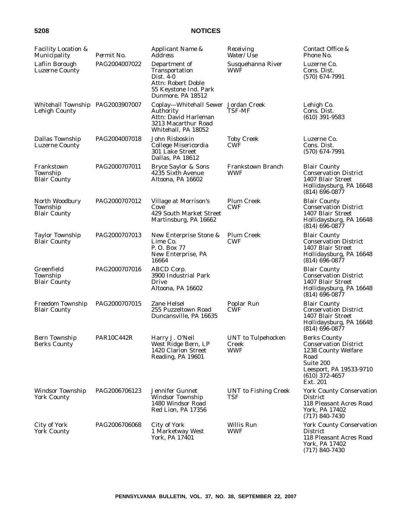| Facility Location &<br>Municipality               | Permit No.    | Applicant Name &<br><b>Address</b>                                                                                      | Receiving<br>Water/Use                    | Contact Office &<br>Phone No.                                                                                                                              |
|---------------------------------------------------|---------------|-------------------------------------------------------------------------------------------------------------------------|-------------------------------------------|------------------------------------------------------------------------------------------------------------------------------------------------------------|
| Laflin Borough<br><b>Luzerne County</b>           | PAG2004007022 | Department of<br>Transportation<br>Dist. 4-0<br><b>Attn: Robert Doble</b><br>55 Keystone Ind. Park<br>Dunmore, PA 18512 | Susquehanna River<br>WWF                  | Luzerne Co.<br>Cons. Dist.<br>$(570)$ 674-7991                                                                                                             |
| Whitehall Township PAG2003907007<br>Lehigh County |               | Coplay-Whitehall Sewer Jordan Creek<br>Authority<br>Attn: David Harleman<br>3213 Macarthur Road<br>Whitehall, PA 18052  | TSF-MF                                    | Lehigh Co.<br>Cons. Dist.<br>$(610)$ 391-9583                                                                                                              |
| Dallas Township<br>Luzerne County                 | PAG2004007018 | John Risboskin<br>College Misericordia<br>301 Lake Street<br>Dallas, PA 18612                                           | <b>Toby Creek</b><br><b>CWF</b>           | Luzerne Co.<br>Cons. Dist.<br>$(570)$ 674-7991                                                                                                             |
| Frankstown<br>Township<br>Blair County            | PAG2000707011 | Bryce Saylor & Sons<br>4235 Sixth Avenue<br>Altoona, PA 16602                                                           | <b>Frankstown Branch</b><br>WWF           | <b>Blair County</b><br><b>Conservation District</b><br>1407 Blair Street<br>Hollidaysburg, PA 16648<br>$(814)$ 696-0877                                    |
| North Woodbury<br>Township<br>Blair County        | PAG2000707012 | Village at Morrison's<br>Cove<br>429 South Market Street<br>Martinsburg, PA 16662                                       | <b>Plum Creek</b><br><b>CWF</b>           | <b>Blair County</b><br><b>Conservation District</b><br>1407 Blair Street<br>Hollidaysburg, PA 16648<br>$(814)$ 696-0877                                    |
| <b>Taylor Township</b><br><b>Blair County</b>     | PAG2000707013 | New Enterprise Stone &<br>Lime Co.<br>P. O. Box 77<br>New Enterprise, PA<br>16664                                       | <b>Plum Creek</b><br><b>CWF</b>           | <b>Blair County</b><br><b>Conservation District</b><br>1407 Blair Street<br>Hollidaysburg, PA 16648<br>$(814)$ 696-0877                                    |
| Greenfield<br>Township<br><b>Blair County</b>     | PAG2000707016 | ABCD Corp.<br>3900 Industrial Park<br>Drive<br>Altoona, PA 16602                                                        |                                           | <b>Blair County</b><br><b>Conservation District</b><br>1407 Blair Street<br>Hollidaysburg, PA 16648<br>$(814)$ 696-0877                                    |
| Freedom Township<br><b>Blair County</b>           | PAG2000707015 | Zane Helsel<br>255 Puzzeltown Road<br>Duncansville, PA 16635                                                            | Poplar Run<br><b>CWF</b>                  | <b>Blair County</b><br><b>Conservation District</b><br>1407 Blair Street<br>Hollidaysburg, PA 16648<br>$(814)$ 696-0877                                    |
| Bern Township<br><b>Berks County</b>              | PAR10C442R    | Harry J. O'Neil<br>West Ridge Bern, LP<br>1420 Clarion Street<br>Reading, PA 19601                                      | <b>UNT</b> to Tulpehocken<br>Creek<br>WWF | <b>Berks County</b><br><b>Conservation District</b><br>1238 County Welfare<br>Road<br>Suite 200<br>Leesport, PA 19533-9710<br>$(610)$ 372-4657<br>Ext. 201 |
| Windsor Township<br><b>York County</b>            | PAG2006706123 | Jennifer Gunnet<br><b>Windsor Township</b><br>1480 Windsor Road<br>Red Lion, PA 17356                                   | <b>UNT</b> to Fishing Creek<br><b>TSF</b> | <b>York County Conservation</b><br><b>District</b><br>118 Pleasant Acres Road<br>York, PA 17402<br>$(717)$ 840-7430                                        |
| City of York<br>York County                       | PAG2006706068 | City of York<br>1 Marketway West<br>York, PA 17401                                                                      | Willis Run<br><b>WWF</b>                  | <b>York County Conservation</b><br><b>District</b><br>118 Pleasant Acres Road<br>York, PA 17402                                                            |

(717) 840-7430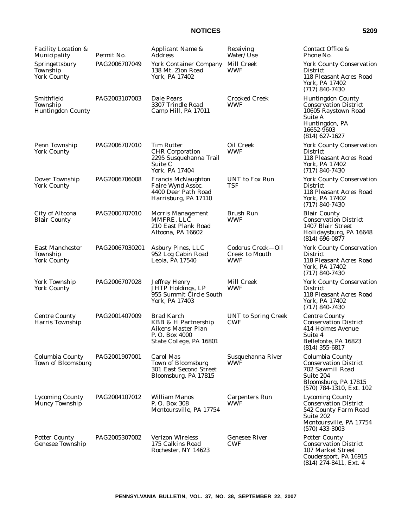| <b>Facility Location &amp;</b><br>Municipality           | Permit No.     | Applicant Name &<br>Address                                                                                 | Receiving<br>Water/Use                            | Contact Office &<br>Phone No.                                                                                                                  |
|----------------------------------------------------------|----------------|-------------------------------------------------------------------------------------------------------------|---------------------------------------------------|------------------------------------------------------------------------------------------------------------------------------------------------|
| Springettsbury<br>Township<br><b>York County</b>         | PAG2006707049  | <b>York Container Company</b><br>138 Mt. Zion Road<br>York, PA 17402                                        | Mill Creek<br>WWF                                 | <b>York County Conservation</b><br><b>District</b><br>118 Pleasant Acres Road<br>York. PA 17402<br>$(717) 840 - 7430$                          |
| Smithfield<br>Township<br><b>Huntingdon County</b>       | PAG2003107003  | Dale Pears<br>3307 Trindle Road<br>Camp Hill, PA 17011                                                      | <b>Crooked Creek</b><br>WWF                       | <b>Huntingdon County</b><br><b>Conservation District</b><br>10605 Raystown Road<br>Suite A<br>Huntingdon, PA<br>16652-9603<br>$(814)$ 627-1627 |
| Penn Township<br><b>York County</b>                      | PAG2006707010  | <b>Tim Rutter</b><br><b>CHR</b> Corporation<br>2295 Susquehanna Trail<br>Suite C<br>York, PA 17404          | Oil Creek<br>WWF                                  | <b>York County Conservation</b><br><b>District</b><br>118 Pleasant Acres Road<br>York, PA 17402<br>$(717) 840 - 7430$                          |
| Dover Township<br><b>York County</b>                     | PAG2006706008  | Francis McNaughton<br>Faire Wynd Assoc.<br>4400 Deer Path Road<br>Harrisburg, PA 17110                      | <b>UNT</b> to Fox Run<br>TSF                      | <b>York County Conservation</b><br><b>District</b><br>118 Pleasant Acres Road<br>York, PA 17402<br>$(717) 840 - 7430$                          |
| <b>City of Altoona</b><br><b>Blair County</b>            | PAG2000707010  | <b>Morris Management</b><br>MMFRE, LLC<br>210 East Plank Road<br>Altoona, PA 16602                          | <b>Brush Run</b><br>WWF                           | <b>Blair County</b><br><b>Conservation District</b><br>1407 Blair Street<br>Hollidaysburg, PA 16648<br>$(814) 696 - 0877$                      |
| <b>East Manchester</b><br>Township<br><b>York County</b> | PAG20067030201 | Asbury Pines, LLC<br>952 Log Cabin Road<br>Leola, PA 17540                                                  | Codorus Creek-Oil<br><b>Creek to Mouth</b><br>WWF | <b>York County Conservation</b><br><b>District</b><br>118 Pleasant Acres Road<br>York, PA 17402<br>$(717) 840 - 7430$                          |
| York Township<br><b>York County</b>                      | PAG2006707028  | <b>Jeffrey Henry</b><br>JHTP Holdings, LP<br>955 Summit Circle South<br>York, PA 17403                      | <b>Mill Creek</b><br><b>WWF</b>                   | <b>York County Conservation</b><br><b>District</b><br>118 Pleasant Acres Road<br>York, PA 17402<br>$(717) 840 - 7430$                          |
| <b>Centre County</b><br><b>Harris Township</b>           | PAG2001407009  | <b>Brad Karch</b><br>KBB & H Partnership<br>Aikens Master Plan<br>P. O. Box 4000<br>State College, PA 16801 | <b>UNT</b> to Spring Creek<br><b>CWF</b>          | <b>Centre County</b><br><b>Conservation District</b><br>414 Holmes Avenue<br>Suite 4<br>Bellefonte, PA 16823<br>$(814)$ 355-6817               |
| Columbia County<br>Town of Bloomsburg                    | PAG2001907001  | Carol Mas<br>Town of Bloomsburg<br>301 East Second Street<br>Bloomsburg, PA 17815                           | Susquehanna River<br>WWF                          | Columbia County<br><b>Conservation District</b><br>702 Sawmill Road<br>Suite 204<br>Bloomsburg, PA 17815<br>$(570)$ 784-1310, Ext. 102         |
| <b>Lycoming County</b><br><b>Muncy Township</b>          | PAG2004107012  | <b>William Manos</b><br>P.O. Box 308<br>Montoursville, PA 17754                                             | <b>Carpenters Run</b><br>WWF                      | <b>Lycoming County</b><br><b>Conservation District</b><br>542 County Farm Road<br>Suite 202<br>Montoursville, PA 17754<br>$(570)$ 433-3003     |
| <b>Potter County</b><br>Genesee Township                 | PAG2005307002  | <b>Verizon Wireless</b><br>175 Calkins Road<br>Rochester, NY 14623                                          | <b>Genesee River</b><br><b>CWF</b>                | <b>Potter County</b><br><b>Conservation District</b><br>107 Market Street<br>Coudersport, PA 16915<br>$(814)$ 274-8411, Ext. 4                 |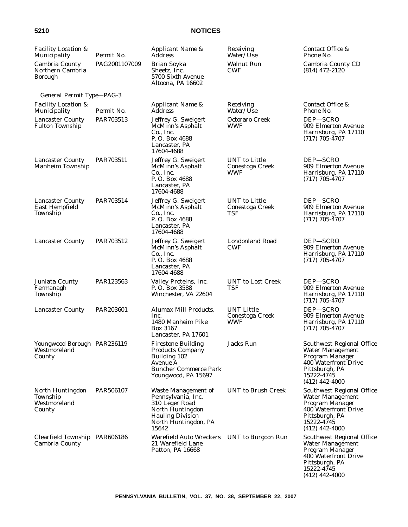| <b>Facility Location &amp;</b><br>Municipality         | Permit No.    | Applicant Name &<br><i>Address</i>                                                                                                          | Receiving<br><i>Water/Use</i>                      | Contact Office &<br>Phone No.                                                                                                                              |
|--------------------------------------------------------|---------------|---------------------------------------------------------------------------------------------------------------------------------------------|----------------------------------------------------|------------------------------------------------------------------------------------------------------------------------------------------------------------|
| Cambria County<br>Northern Cambria<br><b>Borough</b>   | PAG2001107009 | <b>Brian Soyka</b><br>Sheetz, Inc.<br>5700 Sixth Avenue<br>Altoona, PA 16602                                                                | <b>Walnut Run</b><br><b>CWF</b>                    | Cambria County CD<br>$(814)$ 472-2120                                                                                                                      |
| General Permit Type-PAG-3                              |               |                                                                                                                                             |                                                    |                                                                                                                                                            |
| <i>Facility Location &amp;</i><br>Municipality         | Permit No.    | Applicant Name &<br><b>Address</b>                                                                                                          | Receiving<br>Water/Use                             | Contact Office &<br>Phone No.                                                                                                                              |
| <b>Lancaster County</b><br><b>Fulton Township</b>      | PAR703513     | Jeffrey G. Sweigert<br>McMinn's Asphalt<br>Co., Inc.<br>P.O. Box 4688<br>Lancaster, PA<br>17604-4688                                        | Octoraro Creek<br><b>WWF</b>                       | DEP-SCRO<br>909 Elmerton Avenue<br>Harrisburg, PA 17110<br>$(717)$ 705-4707                                                                                |
| <b>Lancaster County</b><br>Manheim Township            | PAR703511     | Jeffrey G. Sweigert<br><b>McMinn's Asphalt</b><br>Co., Inc.<br>P. O. Box 4688<br>Lancaster, PA<br>17604-4688                                | UNT to Little<br>Conestoga Creek<br>WWF            | DEP-SCRO<br>909 Elmerton Avenue<br>Harrisburg, PA 17110<br>$(717)$ 705-4707                                                                                |
| <b>Lancaster County</b><br>East Hempfield<br>Township  | PAR703514     | Jeffrey G. Sweigert<br>McMinn's Asphalt<br>Co., Inc.<br>P.O. Box 4688<br>Lancaster, PA<br>17604-4688                                        | <b>UNT</b> to Little<br>Conestoga Creek<br>TSF     | DEP-SCRO<br>909 Elmerton Avenue<br>Harrisburg, PA 17110<br>$(717)$ 705-4707                                                                                |
| <b>Lancaster County</b>                                | PAR703512     | Jeffrey G. Sweigert<br>McMinn's Asphalt<br>Co., Inc.<br>P.O. Box 4688<br>Lancaster, PA<br>17604-4688                                        | Londonland Road<br><b>CWF</b>                      | DEP-SCRO<br>909 Elmerton Avenue<br>Harrisburg, PA 17110<br>$(717)$ 705-4707                                                                                |
| Juniata County<br>Fermanagh<br>Township                | PAR123563     | Valley Proteins, Inc.<br>P. O. Box 3588<br>Winchester, VA 22604                                                                             | <b>UNT</b> to Lost Creek<br>TSF                    | DEP-SCRO<br>909 Elmerton Avenue<br>Harrisburg, PA 17110<br>$(717)$ 705-4707                                                                                |
| <b>Lancaster County</b>                                | PAR203601     | Alumax Mill Products,<br>Inc.<br>1480 Manheim Pike<br>Box 3167<br>Lancaster, PA 17601                                                       | <b>UNT Little</b><br>Conestoga Creek<br><b>WWF</b> | DEP-SCRO<br>909 Elmerton Avenue<br>Harrisburg, PA 17110<br>$(717)$ 705-4707                                                                                |
| Youngwood Borough PAR236119<br>Westmoreland<br>County  |               | <b>Firestone Building</b><br><b>Products Company</b><br>Building 102<br>Avenue A<br><b>Buncher Commerce Park</b><br>Youngwood, PA 15697     | Jacks Run                                          | Southwest Regional Office<br><b>Water Management</b><br>Program Manager<br>400 Waterfront Drive<br>Pittsburgh, PA<br>15222-4745<br>$(412)$ 442-4000        |
| North Huntingdon<br>Township<br>Westmoreland<br>County | PAR506107     | Waste Management of<br>Pennsylvania, Inc.<br>310 Leger Road<br>North Huntingdon<br><b>Hauling Division</b><br>North Huntingdon, PA<br>15642 | <b>UNT</b> to Brush Creek                          | Southwest Regional Office<br>Water Management<br>Program Manager<br>400 Waterfront Drive<br>Pittsburgh, PA<br>15222-4745<br>$(412)$ 442-4000               |
| Clearfield Township PAR606186<br>Cambria County        |               | Warefield Auto Wreckers UNT to Burgoon Run<br>21 Warefield Lane<br>Patton, PA 16668                                                         |                                                    | <b>Southwest Regional Office</b><br><b>Water Management</b><br>Program Manager<br>400 Waterfront Drive<br>Pittsburgh, PA<br>15222-4745<br>$(412)$ 442-4000 |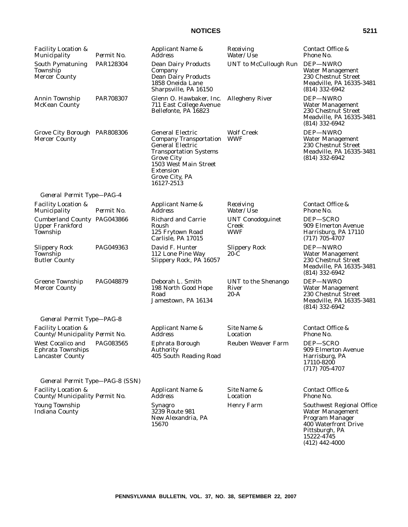| <b>Facility Location &amp;</b><br>Municipality                           | Permit No. | Applicant Name &<br>Address                                                                                                                                                                                            | Receiving<br>Water/Use                         | Contact Office &<br>Phone No.                                                                              |
|--------------------------------------------------------------------------|------------|------------------------------------------------------------------------------------------------------------------------------------------------------------------------------------------------------------------------|------------------------------------------------|------------------------------------------------------------------------------------------------------------|
| <b>South Pymatuning</b><br>Township<br>Mercer County                     | PAR128304  | <b>Dean Dairy Products</b><br>Company<br><b>Dean Dairy Products</b><br>1858 Oneida Lane<br>Sharpsville, PA 16150                                                                                                       | <b>UNT</b> to McCullough Run                   | DEP-NWRO<br><b>Water Management</b><br>230 Chestnut Street<br>Meadville, PA 16335-3481<br>$(814)$ 332-6942 |
| Annin Township<br><b>McKean County</b>                                   | PAR708307  | Glenn O. Hawbaker, Inc.<br>711 East College Avenue<br>Bellefonte, PA 16823                                                                                                                                             | <b>Allegheny River</b>                         | DEP-NWRO<br>Water Management<br>230 Chestnut Street<br>Meadville, PA 16335-3481<br>$(814)$ 332-6942        |
| Grove City Borough PAR808306<br><b>Mercer County</b>                     |            | <b>General Electric</b><br><b>Company Transportation</b><br><b>General Electric</b><br><b>Transportation Systems</b><br><b>Grove City</b><br>1503 West Main Street<br><b>Extension</b><br>Grove City, PA<br>16127-2513 | <b>Wolf Creek</b><br><b>WWF</b>                | DEP-NWRO<br>Water Management<br>230 Chestnut Street<br>Meadville, PA 16335-3481<br>$(814)$ 332-6942        |
| General Permit Type-PAG-4                                                |            |                                                                                                                                                                                                                        |                                                |                                                                                                            |
| <b>Facility Location &amp;</b><br>Municipality                           | Permit No. | Applicant Name &<br><b>Address</b>                                                                                                                                                                                     | Receiving<br>Water/Use                         | Contact Office &<br>Phone No.                                                                              |
| <b>Cumberland County PAG043866</b><br><b>Upper Frankford</b><br>Township |            | <b>Richard and Carrie</b><br>Roush<br>125 Frytown Road<br>Carlisle, PA 17015                                                                                                                                           | <b>UNT Conodoguinet</b><br>Creek<br><b>WWF</b> | DEP-SCRO<br>909 Elmerton Avenue<br>Harrisburg, PA 17110<br>$(717)$ 705-4707                                |
| <b>Slippery Rock</b><br>Township<br><b>Butler County</b>                 | PAG049363  | David F. Hunter<br>112 Lone Pine Way<br>Slippery Rock, PA 16057                                                                                                                                                        | <b>Slippery Rock</b><br>$20-C$                 | DEP-NWRO<br><b>Water Management</b><br>230 Chestnut Street<br>Meadville, PA 16335-3481<br>$(814)$ 332-6942 |
| Greene Township<br><b>Mercer County</b>                                  | PAG048879  | Deborah L. Smith<br>198 North Good Hope<br>Road<br>Jamestown, PA 16134                                                                                                                                                 | UNT to the Shenango<br>River<br>$20-A$         | DEP-NWRO<br>Water Management<br>230 Chestnut Street<br>Meadville, PA 16335-3481<br>$(814)$ 332-6942        |
| General Permit Type-PAG-8                                                |            |                                                                                                                                                                                                                        |                                                |                                                                                                            |
| <b>Facility Location &amp;</b><br>County/Municipality Permit No.         |            | Applicant Name &<br>Address                                                                                                                                                                                            | Site Name &<br>Location                        | Contact Office &<br>Phone No.                                                                              |
| West Cocalico and<br><b>Ephrata Townships</b><br><b>Lancaster County</b> | PAG083565  | Ephrata Borough<br>Authority<br>405 South Reading Road                                                                                                                                                                 | <b>Reuben Weaver Farm</b>                      | DEP-SCRO<br>909 Elmerton Avenue<br>Harrisburg, PA<br>17110-8200<br>$(717)$ 705-4707                        |
| General Permit Type-PAG-8 (SSN)                                          |            |                                                                                                                                                                                                                        |                                                |                                                                                                            |
| <b>Facility Location &amp;</b><br>County/Municipality Permit No.         |            | Applicant Name &<br>Address                                                                                                                                                                                            | Site Name &<br>Location                        | Contact Office &<br>Phone No.                                                                              |
| Young Township<br><b>Indiana County</b>                                  |            | <b>Synagro</b><br>3239 Route 981<br>New Alexandria, PA<br>15670                                                                                                                                                        | <b>Henry Farm</b>                              | Southwest Regional Office<br>Water Management<br>Program Manager<br>400 Waterfront Drive<br>Pittsburgh, PA |

**PENNSYLVANIA BULLETIN, VOL. 37, NO. 38, SEPTEMBER 22, 2007**

15222-4745 (412) 442-4000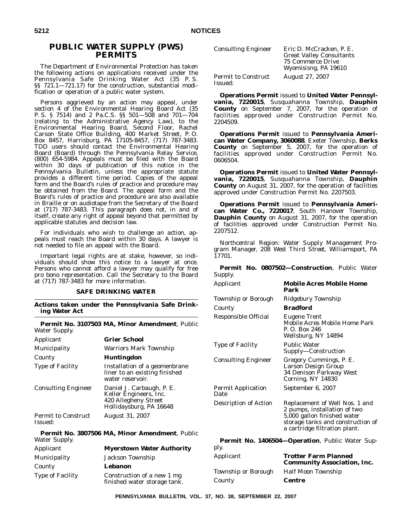# **PUBLIC WATER SUPPLY (PWS) PERMITS**

The Department of Environmental Protection has taken the following actions on applications received under the Pennsylvania Safe Drinking Water Act (35 P. S. §§ 721.1—721.17) for the construction, substantial modification or operation of a public water system.

Persons aggrieved by an action may appeal, under section 4 of the Environmental Hearing Board Act (35 P. S. § 7514) and 2 Pa.C.S. §§ 501—508 and 701—704 (relating to the Administrative Agency Law), to the Environmental Hearing Board, Second Floor, Rachel Carson State Office Building, 400 Market Street, P. O. Box 8457, Harrisburg, PA 17105-8457, (717) 787-3483. TDD users should contact the Environmental Hearing Board (Board) through the Pennsylvania Relay Service, (800) 654-5984. Appeals must be filed with the Board within 30 days of publication of this notice in the *Pennsylvania Bulletin*, unless the appropriate statute provides a different time period. Copies of the appeal form and the Board's rules of practice and procedure may be obtained from the Board. The appeal form and the Board's rules of practice and procedure are also available in Braille or on audiotape from the Secretary of the Board at (717) 787-3483. This paragraph does not, in and of itself, create any right of appeal beyond that permitted by applicable statutes and decision law.

For individuals who wish to challenge an action, appeals must reach the Board within 30 days. A lawyer is not needed to file an appeal with the Board.

Important legal rights are at stake, however, so individuals should show this notice to a lawyer at once. Persons who cannot afford a lawyer may qualify for free pro bono representation. Call the Secretary to the Board at (717) 787-3483 for more information.

#### **SAFE DRINKING WATER**

**Actions taken under the Pennsylvania Safe Drinking Water Act**

**Permit No. 3107503 MA, Minor Amendment**, Public Water Supply.

| Applicant                             | <b>Grier School</b>                                                                                    |
|---------------------------------------|--------------------------------------------------------------------------------------------------------|
| Municipality                          | Warriors Mark Township                                                                                 |
| County                                | <b>Huntingdon</b>                                                                                      |
| <b>Type of Facility</b>               | Installation of a geomenbrane<br>liner to an existing finished<br>water reservoir.                     |
| <b>Consulting Engineer</b>            | Daniel J. Carbaugh, P. E.<br>Keller Engineers, Inc.<br>420 Allegheny Street<br>Hollidaysburg, PA 16648 |
| <b>Permit to Construct</b><br>Issued: | August 31, 2007                                                                                        |
| Water Supply.                         | Permit No. 3807506 MA, Minor Amendment, Public                                                         |
| Applicant                             | <b>Myerstown Water Authority</b>                                                                       |
| Municipality                          | Jackson Township                                                                                       |
| County                                | Lebanon                                                                                                |

Type of Facility Construction of a new 1 mg

finished water storage tank.

| <b>Consulting Engineer</b>            | Eric D. McCracken, P. E.<br><b>Great Valley Consultants</b><br><b>75 Commerce Drive</b><br>Wyomisisng, PA 19610 |
|---------------------------------------|-----------------------------------------------------------------------------------------------------------------|
| <b>Permit to Construct</b><br>Issued: | <b>August 27, 2007</b>                                                                                          |

**Operations Permit** issued to **United Water Pennsylvania, 7220015**, Susquahanna Township, **Dauphin County** on September 7, 2007, for the operation of facilities approved under Construction Permit No. 2204509.

**Operations Permit** issued to **Pennsylvania American Water Company, 3060088**, Exeter Township, **Berks County** on September 5, 2007, for the operation of facilities approved under Construction Permit No. 0606504.

**Operations Permit** issued to **United Water Pennsylvania, 7220015**, Susquahanna Township, **Dauphin County** on August 31, 2007, for the operation of facilities approved under Construction Permit No. 2207503.

**Operations Permit** issued to **Pennsylvania American Water Co., 7220017**, South Hanover Township, **Dauphin County** on August 31, 2007, for the operation of facilities approved under Construction Permit No. 2207512.

*Northcentral Region: Water Supply Management Program Manager, 208 West Third Street, Williamsport, PA 17701.*

**Permit No. 0807502—Construction**, Public Water Supply.

| Applicant                                              | <b>Mobile Acres Mobile Home</b><br>Park                                                                                                                             |  |  |
|--------------------------------------------------------|---------------------------------------------------------------------------------------------------------------------------------------------------------------------|--|--|
| Township or Borough                                    | Ridgebury Township                                                                                                                                                  |  |  |
| County                                                 | <b>Bradford</b>                                                                                                                                                     |  |  |
| Responsible Official                                   | Eugene Trent<br>Mobile Acres Mobile Home Park<br>P. O. Box 246<br>Wellsburg, NY 14894                                                                               |  |  |
| <b>Type of Facility</b>                                | <b>Public Water</b><br>Supply-Construction                                                                                                                          |  |  |
| <b>Consulting Engineer</b>                             | Gregory Cummings, P. E.<br>Larson Design Group<br>34 Denison Parkway West<br>Corning, NY 14830                                                                      |  |  |
| <b>Permit Application</b><br>Date                      | September 6, 2007                                                                                                                                                   |  |  |
| Description of Action                                  | Replacement of Well Nos. 1 and<br>2 pumps, installation of two<br>5,000 gallon finished water<br>storage tanks and construction of<br>a cartridge filtration plant. |  |  |
| <b>Parmit No. 1406504 Congration</b> Public Water Sup- |                                                                                                                                                                     |  |  |

|                     | <b>Permit No. 1406504-Operation</b> , Public Water Sup-           |
|---------------------|-------------------------------------------------------------------|
| ply.                |                                                                   |
| Applicant           | <b>Trotter Farm Planned</b><br><b>Community Association, Inc.</b> |
| Township or Borough | <b>Half Moon Township</b>                                         |
| County              | <b>Centre</b>                                                     |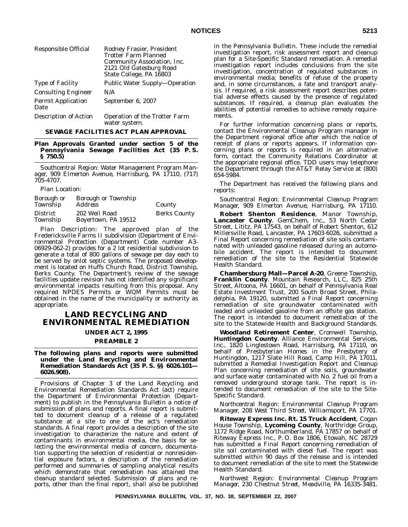| Responsible Official              | Rodney Frasier, President<br>Trotter Farm Planned<br>Community Association, Inc.<br>2121 Old Gatesburg Road<br>State College, PA 16803 |
|-----------------------------------|----------------------------------------------------------------------------------------------------------------------------------------|
| <b>Type of Facility</b>           | Public Water Supply—Operation                                                                                                          |
| <b>Consulting Engineer</b>        | N/A                                                                                                                                    |
| <b>Permit Application</b><br>Date | September 6, 2007                                                                                                                      |
| <b>Description of Action</b>      | <b>Operation of the Trotter Farm</b><br>water system.                                                                                  |

#### **SEWAGE FACILITIES ACT PLAN APPROVAL**

#### **Plan Approvals Granted under section 5 of the Pennsylvania Sewage Facilities Act (35 P. S. § 750.5)**

*Southcentral Region: Water Management Program Manager, 909 Elmerton Avenue, Harrisburg, PA 17110, (717) 705-4707.*

*Plan Location*:

| Borough or<br>Township | <b>Borough or Township</b><br><i>Address</i> | County              |
|------------------------|----------------------------------------------|---------------------|
| District<br>Township   | 202 Weil Road<br>Boyertown, PA 19512         | <b>Berks County</b> |

*Plan Description:* The approved plan of the Fredericksville Farms II subdivision (Department of Environmental Protection (Department) Code number A3- 06929-062-2) provides for a 2 lot residential subdivision to generate a total of 800 gallons of sewage per day each to be served by onlot septic systems. The proposed development is located on Huffs Church Road, District Township, Berks County. The Department's review of the sewage facilities update revision has not identified any significant environmental impacts resulting from this proposal. Any required NPDES Permits or WQM Permits must be obtained in the name of the municipality or authority as appropriate.

# **LAND RECYCLING AND ENVIRONMENTAL REMEDIATION**

**UNDER ACT 2, 1995**

### **PREAMBLE 2**

#### **The following plans and reports were submitted under the Land Recycling and Environmental Remediation Standards Act (35 P. S. §§ 6026.101— 6026.908).**

Provisions of Chapter 3 of the Land Recycling and Environmental Remediation Standards Act (act) require the Department of Environmental Protection (Department) to publish in the *Pennsylvania Bulletin* a notice of submission of plans and reports. A final report is submitted to document cleanup of a release of a regulated substance at a site to one of the act's remediation standards. A final report provides a description of the site investigation to characterize the nature and extent of contaminants in environmental media, the basis for selecting the environmental media of concern, documentation supporting the selection of residential or nonresidential exposure factors, a description of the remediation performed and summaries of sampling analytical results which demonstrate that remediation has attained the cleanup standard selected. Submission of plans and reports, other than the final report, shall also be published

in the *Pennsylvania Bulletin*. These include the remedial investigation report, risk assessment report and cleanup plan for a Site-Specific Standard remediation. A remedial investigation report includes conclusions from the site investigation, concentration of regulated substances in environmental media; benefits of refuse of the property and, in some circumstances, a fate and transport analysis. If required, a risk assessment report describes potential adverse effects caused by the presence of regulated substances. If required, a cleanup plan evaluates the abilities of potential remedies to achieve remedy requirements.

For further information concerning plans or reports, contact the Environmental Cleanup Program manager in the Department regional office after which the notice of receipt of plans or reports appears. If information concerning plans or reports is required in an alternative form, contact the Community Relations Coordinator at the appropriate regional office. TDD users may telephone the Department through the AT&T Relay Service at (800) 654-5984.

The Department has received the following plans and reports:

*Southcentral Region: Environmental Cleanup Program Manager, 909 Elmerton Avenue, Harrisburg, PA 17110.*

**Robert Shenton Residence**, Manor Township, **Lancaster County**. GemChem, Inc., 53 North Cedar Street, Lititz, PA 17543, on behalf of Robert Shenton, 612 Millersville Road, Lancaster, PA 17603-6026, submitted a Final Report concerning remediation of site soils contaminated with unleaded gasoline released during an automobile accident. The report is intended to document remediation of the site to the Residential Statewide Health Standard.

**Chambersburg Mall—Parcel A-20**, Greene Township, **Franklin County**. Mountain Research, LLC, 825 25th Street, Altoona, PA 16601, on behalf of Pennsylvania Real Estate Investment Trust, 200 South Broad Street, Philadelphia, PA 19120, submitted a Final Report concerning remediation of site groundwater contaminated with leaded and unleaded gasoline from an offsite gas station. The report is intended to document remediation of the site to the Statewide Health and Background Standards.

**Woodland Retirement Center**, Cromwell Township, **Huntingdon County**. Alliance Environmental Services, Inc., 1820 Linglestown Road, Harrisburg, PA 17110, on behalf of Presbyterian Homes in the Presbytery of Huntingdon, 1217 Slate Hill Road, Camp Hill, PA 17011, submitted a Remedial Investigation Report and Cleanup Plan concerning remediation of site soils, groundwater and surface water contaminated with No. 2 fuel oil from a removed underground storage tank. The report is intended to document remediation of the site to the Site-Specific Standard.

#### *Northcentral Region: Environmental Cleanup Program Manager, 208 West Third Street, Williamsport, PA 17701.*

**Riteway Express Inc. Rt. 15 Truck Accident**, Cogan House Township, **Lycoming County**, Northridge Group, 1172 Ridge Road, Northumberland, PA 17857 on behalf of Riteway Express Inc., P. O. Box 1806, Etowah, NC 28729 has submitted a Final Report concerning remediation of site soil contaminated with diesel fuel. The report was submitted within 90 days of the release and is intended to document remediation of the site to meet the Statewide Health Standard.

*Northwest Region: Environmental Cleanup Program Manager, 230 Chestnut Street, Meadville, PA 16335-3481.*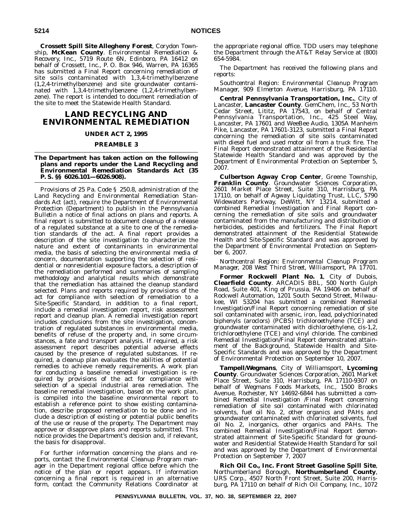**Crossett Spill Site Allegheny Forest**, Corydon Township, **McKean County**. Environmental Remediation & Recovery, Inc., 5719 Route 6N, Edinboro, PA 16412 on behalf of Crossett, Inc., P. O. Box 946, Warren, PA 16365 has submitted a Final Report concerning remediation of site soils contaminated with 1,3,4-trimethylbenzene (1,2,4-trimethylbenzene) and site groundwater contaminated with 1,3,4-trimethylbenzene (1,2,4-trimethylbenzene). The report is intended to document remediation of the site to meet the Statewide Health Standard.

# **LAND RECYCLING AND ENVIRONMENTAL REMEDIATION**

#### **UNDER ACT 2, 1995**

#### **PREAMBLE 3**

#### **The Department has taken action on the following plans and reports under the Land Recycling and Environmental Remediation Standards Act (35 P. S. §§ 6026.101—6026.908).**

Provisions of 25 Pa. Code § 250.8, administration of the Land Recycling and Environmental Remediation Standards Act (act), require the Department of Environmental Protection (Department) to publish in the *Pennsylvania Bulletin* a notice of final actions on plans and reports. A final report is submitted to document cleanup of a release of a regulated substance at a site to one of the remediation standards of the act. A final report provides a description of the site investigation to characterize the nature and extent of contaminants in environmental media, the basis of selecting the environmental media of concern, documentation supporting the selection of residential or nonresidential exposure factors, a description of the remediation performed and summaries of sampling methodology and analytical results which demonstrate that the remediation has attained the cleanup standard selected. Plans and reports required by provisions of the act for compliance with selection of remediation to a Site-Specific Standard, in addition to a final report, include a remedial investigation report, risk assessment report and cleanup plan. A remedial investigation report includes conclusions from the site investigation, concentration of regulated substances in environmental media, benefits of refuse of the property and, in some circumstances, a fate and transport analysis. If required, a risk assessment report describes potential adverse effects caused by the presence of regulated substances. If required, a cleanup plan evaluates the abilities of potential remedies to achieve remedy requirements. A work plan for conducting a baseline remedial investigation is required by provisions of the act for compliance with selection of a special industrial area remediation. The baseline remedial investigation, based on the work plan, is compiled into the baseline environmental report to establish a reference point to show existing contamination, describe proposed remediation to be done and include a description of existing or potential public benefits of the use or reuse of the property. The Department may approve or disapprove plans and reports submitted. This notice provides the Department's decision and, if relevant, the basis for disapproval.

For further information concerning the plans and reports, contact the Environmental Cleanup Program manager in the Department regional office before which the notice of the plan or report appears. If information concerning a final report is required in an alternative form, contact the Community Relations Coordinator at the appropriate regional office. TDD users may telephone the Department through the AT&T Relay Service at (800) 654-5984.

The Department has received the following plans and reports:

*Southcentral Region: Environmental Cleanup Program Manager, 909 Elmerton Avenue, Harrisburg, PA 17110.*

**Central Pennsylvania Transportation, Inc.**, City of Lancaster, **Lancaster County**. GemChem, Inc., 53 North Cedar Street, Lititz, PA 17543, on behalf of Central Pennsylvania Transportation, Inc., 425 Steel Way, Lancaster, PA 17601 and WeeBee Audio, 1305A Manheim Pike, Lancaster, PA 17601-3123, submitted a Final Report concerning the remediation of site soils contaminated with diesel fuel and used motor oil from a truck fire. The Final Report demonstrated attainment of the Residential Statewide Health Standard and was approved by the Department of Environmental Protection on September 5, 2007.

**Culbertson Agway Crop Center**, Greene Township, **Franklin County**. Groundwater Sciences Corporation, 2601 Market Place Street, Suite 310, Harrisburg, PA 17110, on behalf of Agway Liquidating Trust, LLC, 5790 Widewaters Parkway, DeWitt, NY 13214, submitted a combined Remedial Investigation and Final Report concerning the remediation of site soils and groundwater contaminated from the manufacturing and distribution of herbicides, pesticides and fertilizers. The Final Report demonstrated attainment of the Residential Statewide Health and Site-Specific Standard and was approved by the Department of Environmental Protection on September 6, 2007.

*Northcentral Region: Environmental Cleanup Program Manager, 208 West Third Street, Williamsport, PA 17701.*

**Former Rockwell Plant No. 1**, City of Dubois, **Clearfield County**. ARCADIS BBL, 500 North Gulph Road, Suite 401, King of Prussia, PA 19406 on behalf of Rockwell Automation, 1201 South Second Street, Milwaukee, WI 53204 has submitted a combined Remedial Investigation/Final Report concerning remediation of site soil contaminated with arsenic, iron, lead, polychlorinated biphenyls (aroclors) (PCBS) trichloroethylene (TCE) and groundwater contaminated with dichloroethylene, cis-1,2, trichloroethylene (TCE) and vinyl chloride. The combined Remedial Investigation/Final Report demonstrated attainment of the Background, Statewide Health and Site-Specific Standards and was approved by the Department of Environmental Protection on September 10, 2007.

**Tampell/Wegmans**, City of Williamsport, **Lycoming County**. Groundwater Sciences Corporation, 2601 Market Place Street, Suite 310, Harrisburg, PA 17110-9307 on behalf of Wegmans Foods Markets, Inc., 1500 Brooks Avenue, Rochester, NY 14692-6844 has submitted a combined Remedial Investigation /Final Report concerning remediation of site soil contaminated with chlorinated solvents, fuel oil No. 2, other organics and PAHs and groundwater contaminated with chlorinated solvents, fuel oil No. 2, inorganics, other organics and PAHs. The combined Remedial Investigation/Final Report demonstrated attainment of Site-Specific Standard for groundwater and Residential Statewide Health Standard for soil and was approved by the Department of Environmental Protection on September 7, 2007

**Rich Oil Co., Inc. Front Street Gasoline Spill Site**, Northumberland Borough, **Northumberland County**, URS Corp., 4507 North Front Street, Suite 200, Harrisburg, PA 17110 on behalf of Rich Oil Company, Inc., 1072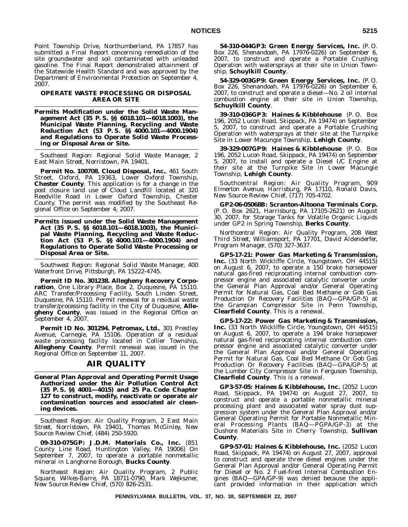Point Township Drive, Northumberland, PA 17857 has submitted a Final Report concerning remediation of the site groundwater and soil contaminated with unleaded gasoline. The Final Report demonstrated attainment of the Statewide Health Standard and was approved by the Department of Environmental Protection on September 4, 2007.

#### **OPERATE WASTE PROCESSING OR DISPOSAL AREA OR SITE**

**Permits Modification under the Solid Waste Management Act (35 P. S. §§ 6018.101—6018.1003), the Municipal Waste Planning, Recycling and Waste Reduction Act (53 P. S. §§ 4000.101—4000.1904) and Regulations to Operate Solid Waste Processing or Disposal Area or Site.**

*Southeast Region: Regional Solid Waste Manager, 2 East Main Street, Norristown, PA 19401.*

**Permit No. 100708. Cloud Disposal, Inc.**, 461 South Street, Oxford, PA 19363, Lower Oxford Township, **Chester County**. This application is for a change in the post closure land use of Cloud Landfill located at 320 Reedville Road in Lower Oxford Township, Chester County. The permit was modified by the Southeast Regional Office on September 4, 2007.

**Permits issued under the Solid Waste Management Act (35 P. S. §§ 6018.101—6018.1003), the Municipal Waste Planning, Recycling and Waste Reduction Act (53 P. S. §§ 4000.101—4000.1904) and Regulations to Operate Solid Waste Processing or Disposal Area or Site.**

*Southwest Region: Regional Solid Waste Manager, 400 Waterfront Drive, Pittsburgh, PA 15222-4745.*

**Permit ID No. 301238. Allegheny Recovery Corporation**, One Library Place, Box 2, Duquesne, PA 15110. ARC Transfer/Processing Facility, South Linden Street, Duquesne, PA 15110. Permit renewal for a residual waste transfer/processing facility in the City of Duquesne, **Allegheny County**, was issued in the Regional Office on September 4, 2007.

**Permit ID No. 301294. Petromax, Ltd.**, 301 Prestley Avenue, Carnegie, PA 15106. Operation of a residual waste processing facility located in Collier Township, **Allegheny County**. Permit renewal was issued in the Regional Office on September 11, 2007.

# **AIR QUALITY**

**General Plan Approval and Operating Permit Usage Authorized under the Air Pollution Control Act (35 P. S. §§ 4001—4015) and 25 Pa. Code Chapter 127 to construct, modify, reactivate or operate air contamination sources and associated air cleaning devices.**

*Southeast Region: Air Quality Program, 2 East Main Street, Norristown, PA 19401, Thomas McGinley, New Source Review Chief, (484) 250-5920.*

**09-310-075GP: J.D.M. Materials Co., Inc.** (851 County Line Road, Huntington Valley, PA 19006) On September 7, 2007, to operate a portable nonmetallic mineral in Langhorne Borough, **Bucks County**.

*Northeast Region: Air Quality Program, 2 Public Square, Wilkes-Barre, PA 18711-0790, Mark Wejkszner, New Source Review Chief, (570) 826-2531.*

**54-310-044GP3: Green Energy Services, Inc.** (P. O. Box 226, Shenandoah, PA 17976-0226) on September 6, 2007, to construct and operate a Portable Crushing Operation with watersprays at their site in Union Township, **Schuylkill County**.

**54-329-003GP9: Green Energy Services, Inc.** (P. O. Box 226, Shenandoah, PA 17976-0226) on September 6, 2007, to construct and operate a diesel—No. 2 oil internal combustion engine at their site in Union Township, **Schuylkill County**.

**39-310-036GP3: Haines & Kibblehouse** (P. O. Box 196, 2052 Lucon Road, Skippack, PA 19474) on September 5, 2007, to construct and operate a Portable Crushing Operation with watersprays at their site at the Turnpike Site in Lower Macungie Township, **Lehigh County**.

**39-329-007GP9: Haines & Kibblehouse** (P. O. Box 196, 2052 Lucon Road, Skippack, PA 19474) on September 5, 2007, to install and operate a Diesel I/C Engine at their site at the Turnpike Site in Lower Macungie Township, **Lehigh County**.

*Southcentral Region: Air Quality Program, 909 Elmerton Avenue, Harrisburg, PA 17110, Ronald Davis, New Source Review Chief, (717) 705-4702.*

**GP2-06-05068B: Scranton-Altoona Terminals Corp.** (P. O. Box 2621, Harrisburg, PA 17105-2621) on August 30, 2007, for Storage Tanks for Volatile Organic Liquids under GP2 in Spring Township, **Berks County**.

*Northcentral Region: Air Quality Program, 208 West Third Street, Williamsport, PA 17701, David Aldenderfer, Program Manager, (570) 327-3637.*

**GP5-17-21: Power Gas Marketing & Transmission, Inc.** (33 North Wickliffe Circle, Youngstown, OH 44515) on August 6, 2007, to operate a 150 brake horsepower natural gas-fired reciprocating internal combustion compressor engine and associated catalytic converter under the General Plan Approval and/or General Operating Permit for Natural Gas, Coal Bed Methane or Gob Gas Production Or Recovery Facilities (BAQ—GPA/GP-5) at the Grampian Compressor Site in Penn Township, **Clearfield County**. This is a renewal.

**GP5-17-22: Power Gas Marketing & Transmission, Inc.** (33 North Wickliffe Circle, Youngstown, OH 44515) on August 6, 2007, to operate a 194 brake horsepower natural gas-fired reciprocating internal combustion compressor engine and associated catalytic converter under the General Plan Approval and/or General Operating Permit for Natural Gas, Coal Bed Methane Or Gob Gas Production Or Recovery Facilities (BAQ—GPA/GP-5) at the Lumber City Compressor Site in Ferguson Township, **Clearfield County**. This is a renewal.

**GP3-57-05: Haines & Kibblehouse, Inc.** (2052 Lucon Road, Skippack, PA 19474) on August 27, 2007, to construct and operate a portable nonmetallic mineral processing plant and associated water spray dust suppression system under the General Plan Approval and/or General Operating Permit for Portable Nonmetallic Mineral Processing Plants (BAQ—PGPA/GP-3) at the Dushore Materials Site in Cherry Township, **Sullivan County**.

**GP9-57-01: Haines & Kibblehouse, Inc.** (2052 Lucon Road, Skippack, PA 19474) on August 27, 2007, approval to construct and operate three diesel engines under the General Plan Approval and/or General Operating Permit for Diesel or No. 2 Fuel-fired Internal Combustion Engines (BAQ—GPA/GP-9) was denied because the applicant provided information in their application which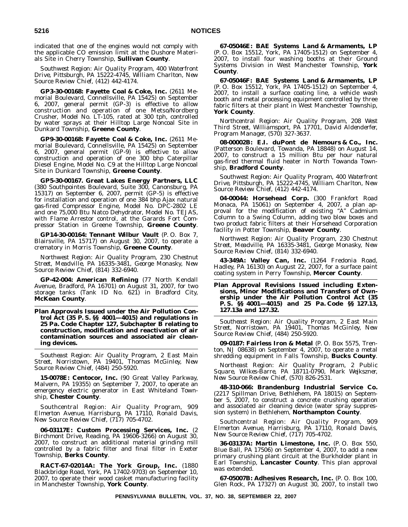indicated that one of the engines would not comply with the applicable CO emission limit at the Dushore Materials Site in Cherry Township, **Sullivan County**.

*Southwest Region: Air Quality Program, 400 Waterfront Drive, Pittsburgh, PA 15222-4745, William Charlton, New Source Review Chief, (412) 442-4174.*

**GP3-30-00168: Fayette Coal & Coke, Inc.** (2611 Memorial Boulevard, Connellsville, PA 15425) on September 6, 2007, general permit (GP-3) is effective to allow construction and operation of one Metso/Nordberg Crusher, Model No. LT-105, rated at 300 tph, controlled by water sprays at their Hilltop Large Noncoal Site in Dunkard Township, **Greene County**.

**GP9-30-00168: Fayette Coal & Coke, Inc.** (2611 Memorial Boulevard, Connellsville, PA 15425) on September 6, 2007, general permit (GP-9) is effective to allow construction and operation of one 300 bhp Caterpillar Diesel Engine, Model No. C9 at the Hilltop Large Noncoal Site in Dunkard Township, **Greene County**.

**GP5-30-00167. Great Lakes Energy Partners, LLC** (380 Southpointes Boulevard, Suite 300, Canonsburg, PA 15317) on September 6, 2007, permit (GP-5) is effective for installation and operation of one 384 bhp Ajax natural gas-fired Compressor Engine, Model No. DPC-2802 LE and one 75,000 Btu Natco Dehydrator, Model No. TEJAS, with Flame Arrestor control, at the Garards Fort Compressor Station in Greene Township, **Greene County**.

**GP14-30-00164: Tennant Wilbur Vault** (P. O. Box 7, Blairsville, PA 15717) on August 30, 2007, to operate a crematory in Morris Township, **Greene County**.

*Northwest Region: Air Quality Program, 230 Chestnut Street, Meadville, PA 16335-3481, George Monasky, New Source Review Chief, (814) 332-6940.*

**GP-42-004: American Refining** (77 North Kendall Avenue, Bradford, PA 16701) on August 31, 2007, for two storage tanks (Tank ID No. 621) in Bradford City, **McKean County**.

**Plan Approvals Issued under the Air Pollution Control Act (35 P. S. §§ 4001—4015) and regulations in 25 Pa. Code Chapter 127, Subchapter B relating to construction, modification and reactivation of air contamination sources and associated air cleaning devices.**

*Southeast Region: Air Quality Program, 2 East Main Street, Norristown, PA 19401, Thomas McGinley, New Source Review Chief, (484) 250-5920.*

**15-0078E: Centocor, Inc.** (90 Great Valley Parkway, Malvern, PA 19355) on September 7, 2007, to operate an emergency electric generator in East Whiteland Township, **Chester County**.

*Southcentral Region: Air Quality Program, 909 Elmerton Avenue, Harrisburg, PA 17110, Ronald Davis, New Source Review Chief, (717) 705-4702.*

**06-03117E: Custom Processing Services, Inc.** (2 Birchmont Drive, Reading, PA 19606-3266) on August 30, 2007, to construct an additional material grinding mill controlled by a fabric filter and final filter in Exeter Township, **Berks County**.

**RACT-67-02014A: The York Group, Inc.** (1880 Blackbridge Road, York, PA 17402-9703) on September 10, 2007, to operate their wood casket manufacturing facility in Manchester Township, **York County**.

**67-05046E: BAE Systems Land & Armaments, LP** (P. O. Box 15512, York, PA 17405-1512) on September 4, 2007, to install four washing booths at their Ground Systems Division in West Manchester Township, **York County**.

**67-05046F: BAE Systems Land & Armaments, LP** (P. O. Box 15512, York, PA 17405-1512) on September 4, 2007, to install a surface coating line, a vehicle wash booth and metal processing equipment controlled by three fabric filters at their plant in West Manchester Township, **York County**.

*Northcentral Region: Air Quality Program, 208 West Third Street, Williamsport, PA 17701, David Aldenderfer, Program Manager, (570) 327-3637.*

**08-00002B: E.I. duPont de Nemours & Co., Inc.** (Patterson Boulevard, Towanda, PA 18848) on August 14, 2007, to construct a 15 million Btu per hour natural gas-fired thermal fluid heater in North Towanda Township, **Bradford County**.

*Southwest Region: Air Quality Program, 400 Waterfront Drive, Pittsburgh, PA 15222-4745, William Charlton, New Source Review Chief, (412) 442-4174.*

**04-00044: Horsehead Corp.** (300 Frankfort Road Monaca, PA 15061) on September 4, 2007, a plan approval for the modification of existing "A" Cadmium Column to a Swing Column, adding two blow boxes and two product fabric filters at their Horsehead Corporation facility in Potter Township, **Beaver County**.

*Northwest Region: Air Quality Program, 230 Chestnut Street, Meadville, PA 16335-3481, George Monasky, New Source Review Chief, (814) 332-6940.*

**43-349A: Valley Can, Inc.** (1264 Fredonia Road, Hadley, PA 16130) on August 22, 2007, for a surface paint coating system in Perry Township, **Mercer County**.

**Plan Approval Revisions Issued including Extensions, Minor Modifications and Transfers of Ownership under the Air Pollution Control Act (35 P. S. §§ 4001—4015) and 25 Pa. Code §§ 127.13, 127.13a and 127.32.**

*Southeast Region: Air Quality Program, 2 East Main Street, Norristown, PA 19401, Thomas McGinley, New Source Review Chief, (484) 250-5920.*

**09-0187: Fairless Iron & Metal** (P. O. Box 5575, Trenton, NJ 08638) on September 4, 2007, to operate a metal shredding equipment in Falls Township, **Bucks County**.

*Northeast Region: Air Quality Program, 2 Public Square, Wilkes-Barre, PA 18711-0790, Mark Wejkszner, New Source Review Chief, (570) 826-2531.*

**48-310-066: Brandenburg Industrial Service Co.** (2217 Spillman Drive, Bethlehem, PA 18015) on September 5, 2007, to construct a concrete crushing operation and associated air cleaning device (water spray suppression system) in Bethlehem, **Northampton County**.

*Southcentral Region: Air Quality Program, 909 Elmerton Avenue, Harrisburg, PA 17110, Ronald Davis, New Source Review Chief, (717) 705-4702.*

**36-03137A: Martin Limestone, Inc.** (P. O. Box 550, Blue Ball, PA 17506) on September 4, 2007, to add a new primary crushing plant circuit at the Burkholder plant in Earl Township, **Lancaster County**. This plan approval was extended.

**67-05007B: Adhesives Research, Inc.** (P. O. Box 100, Glen Rock, PA 17327) on August 30, 2007, to install two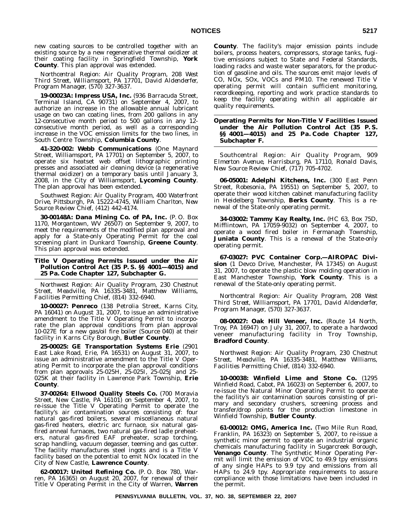new coating sources to be controlled together with an existing source by a new regenerative thermal oxidizer at their coating facility in Springfield Township, **York County**. This plan approval was extended.

*Northcentral Region: Air Quality Program, 208 West Third Street, Williamsport, PA 17701, David Aldenderfer, Program Manager, (570) 327-3637.*

**19-00023A: Impress USA, Inc.** (936 Barracuda Street, Terminal Island, CA 90731) on September 4, 2007, to authorize an increase in the allowable annual lubricant usage on two can coating lines, from 200 gallons in any 12-consecutive month period to 500 gallons in any 12 consecutive month period, as well as a corresponding increase in the VOC emission limits for the two lines, in South Centre Township, **Columbia County**.

**41-320-002: Webb Communications** (One Maynard Street, Williamsport, PA 17701) on September 5, 2007, to operate six heatset web offset lithographic printing presses and associated air cleaning device (a regenerative thermal oxidizer) on a temporary basis until January 3, 2008, in the City of Williamsport, **Lycoming County**. The plan approval has been extended.

*Southwest Region: Air Quality Program, 400 Waterfront Drive, Pittsburgh, PA 15222-4745, William Charlton, New Source Review Chief, (412) 442-4174.*

**30-00148A: Dana Mining Co. of PA, Inc.** (P. O. Box 1170, Morgantown, WV 26507) on September 9, 2007, to meet the requirements of the modified plan approval and apply for a State-only Operating Permit for the coal screening plant in Dunkard Township, **Greene County**. This plan approval was extended.

#### **Title V Operating Permits Issued under the Air Pollution Control Act (35 P. S. §§ 4001—4015) and 25 Pa. Code Chapter 127, Subchapter G.**

*Northwest Region: Air Quality Program, 230 Chestnut Street, Meadville, PA 16335-3481, Matthew Williams, Facilities Permitting Chief, (814) 332-6940.*

**10-00027: Penreco** (138 Petrolia Street, Karns City, PA 16041) on August 31, 2007, to issue an administrative amendment to the Title V Operating Permit to incorporate the plan approval conditions from plan approval 10-027E for a new gas/oil fire boiler (Source 040) at their facility in Karns City Borough, **Butler County**.

**25-00025: GE Transportation Systems Erie** (2901 East Lake Road, Erie, PA 16531) on August 31, 2007, to issue an administrative amendment to the Title V Operating Permit to incorporate the plan approval conditions from plan approvals 25-025H, 25-025I, 25-025J and 25- 025K at their facility in Lawrence Park Township, **Erie County**.

**37-00264: Ellwood Quality Steels Co.** (700 Moravia Street, New Castle, PA 16101) on September 4, 2007, to re-issue the Title V Operating Permit to operate the facility's air contamination sources consisting of: four natural gas-fired boilers, several miscellaneous natural gas-fired heaters, electric arc furnace, six natural gasfired anneal furnaces, two natural gas-fired ladle preheaters, natural gas-fired EAF preheater, scrap torching, scrap handling, vacuum degasser, teeming and gas cutter. The facility manufactures steel ingots and is a Title V facility based on the potential to emit NOx located in the City of New Castle, **Lawrence County**.

**62-00017: United Refining Co.** (P. O. Box 780, Warren, PA 16365) on August 20, 2007, for renewal of their Title V Operating Permit in the City of Warren, **Warren**

**County**. The facility's major emission points include boilers, process heaters, compressors, storage tanks, fugitive emissions subject to State and Federal Standards, loading racks and waste water separators, for the production of gasoline and oils. The sources emit major levels of CO, NOx, SOx, VOCs and PM10. The renewed Title V operating permit will contain sufficient monitoring, recordkeeping, reporting and work practice standards to keep the facility operating within all applicable air quality requirements.

**Operating Permits for Non-Title V Facilities Issued under the Air Pollution Control Act (35 P. S. §§ 4001—4015) and 25 Pa. Code Chapter 127, Subchapter F.**

*Southcentral Region: Air Quality Program, 909 Elmerton Avenue, Harrisburg, PA 17110, Ronald Davis, New Source Review Chief, (717) 705-4702.*

**06-05001: Adelphi Kitchens, Inc.** (300 East Penn Street, Robesonia, PA 19551) on September 5, 2007, to operate their wood kitchen cabinet manufacturing facility in Heidelberg Township, **Berks County**. This is a renewal of the State-only operating permit.

**34-03002: Tammy Kay Realty, Inc.** (HC 63, Box 75D, Mifflintown, PA 17059-9032) on September 4, 2007, to operate a wood fired boiler in Fermanagh Township, **Juniata County**. This is a renewal of the State-only operating permit.

**67-03027: PVC Container Corp.—AIROPAC Division** (1 Devco Drive, Manchester, PA 17345) on August 31, 2007, to operate the plastic blow molding operation in East Manchester Township, **York County**. This is a renewal of the State-only operating permit.

*Northcentral Region: Air Quality Program, 208 West Third Street, Williamsport, PA 17701, David Aldenderfer, Program Manager, (570) 327-3637.*

**08-00027: Oak Hill Veneer, Inc.** (Route 14 North, Troy, PA 16947) on July 31, 2007, to operate a hardwood veneer manufacturing facility in Troy Township, **Bradford County**.

*Northwest Region: Air Quality Program, 230 Chestnut Street, Meadville, PA 16335-3481, Matthew Williams, Facilities Permitting Chief, (814) 332-6940.*

**10-00038: Winfield Lime and Stone Co.** (1295 Winfield Road, Cabot, PA 16023) on September 6, 2007, to re-issue the Natural Minor Operating Permit to operate the facility's air contamination sources consisting of primary and secondary crushers, screening process and transfer/drop points for the production limestone in Winfield Township, **Butler County**.

**61-00012: OMG, America Inc.** (Two Mile Run Road, Franklin, PA 16323) on September 5, 2007, to re-issue a synthetic minor permit to operate an industrial organic chemicals manufacturing facility in Sugarcreek Borough, **Venango County**. The Synthetic Minor Operating Permit will limit the emission of VOC to 49.9 tpy emissions of any single HAPs to 9.9 tpy and emissions from all HAPs to 24.9 tpy. Appropriate requirements to assure compliance with those limitations have been included in the permit.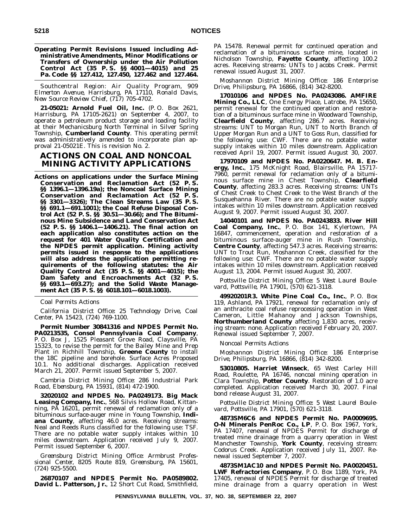**Operating Permit Revisions Issued including Administrative Amendments, Minor Modifications or Transfers of Ownership under the Air Pollution Control Act (35 P. S. §§ 4001—4015) and 25 Pa. Code §§ 127.412, 127.450, 127.462 and 127.464.**

*Southcentral Region: Air Quality Program, 909 Elmerton Avenue, Harrisburg, PA 17110, Ronald Davis, New Source Review Chief, (717) 705-4702.*

**21-05021: Arnold Fuel Oil, Inc.** (P. O. Box 2621, Harrisburg, PA 17105-2621) on September 4, 2007, to operate a petroleum product storage and loading facility at their Mechanicsburg North Terminal in Silver Spring Township, **Cumberland County**. This operating permit was administratively amended to incorporate plan approval 21-05021E. This is revision No. 2.

# **ACTIONS ON COAL AND NONCOAL MINING ACTIVITY APPLICATIONS**

**Actions on applications under the Surface Mining Conservation and Reclamation Act (52 P. S. §§ 1396.1—1396.19a); the Noncoal Surface Mining Conservation and Reclamation Act (52 P. S. §§ 3301—3326); The Clean Streams Law (35 P. S. §§ 691.1—691.1001); the Coal Refuse Disposal Control Act (52 P. S. §§ 30.51—30.66); and The Bituminous Mine Subsidence and Land Conservation Act (52 P. S. §§ 1406.1—1406.21). The final action on each application also constitutes action on the request for 401 Water Quality Certification and the NPDES permit application. Mining activity permits issued in response to the applications will also address the application permitting requirements of the following statutes: the Air Quality Control Act (35 P. S. §§ 4001—4015); the Dam Safety and Encroachments Act (32 P. S. §§ 693.1—693.27); and the Solid Waste Management Act (35 P. S. §§ 6018.101—6018.1003).**

*Coal Permits Actions*

*California District Office: 25 Technology Drive, Coal Center, PA 15423, (724) 769-1100.*

**Permit Number 30841316 and NPDES Permit No. PA0213535, Consol Pennsylvania Coal Company**, P. O. Box J, 1525 Pleasant Grove Road, Claysville, PA 15323, to revise the permit for the Bailey Mine and Prep Plant in Richhill Township, **Greene County** to install the 18C pipeline and borehole. Surface Acres Proposed 10.1. No additional discharges. Application received March 21, 2007. Permit issued September 5, 2007.

*Cambria District Mining Office: 286 Industrial Park Road, Ebensburg, PA 15931, (814) 472-1900.*

**32020102 and NPDES No. PA0249173. Big Mack Leasing Company, Inc.**, 568 Silvis Hollow Road, Kittanning, PA 16201, permit renewal of reclamation only of a bituminous surface-auger mine in Young Township, **Indiana County**, affecting 46.0 acres. Receiving streams: Neal and Reeds Runs classified for the following use: TSF. There are no potable water supply intakes within 10 miles downstream. Application received July 9, 2007. Permit issued September 6, 2007.

*Greensburg District Mining Office: Armbrust Professional Center, 8205 Route 819, Greensburg, PA 15601, (724) 925-5500.*

**26870107 and NPDES Permit No. PA0589802. David L. Patterson, Jr.**, 12 Short Cut Road, Smithfield, PA 15478. Renewal permit for continued operation and reclamation of a bituminous surface mine, located in Nicholson Township, **Fayette County**, affecting 100.2 acres. Receiving streams: UNTs to Jacobs Creek. Permit renewal issued August 31, 2007.

*Moshannon District Mining Office: 186 Enterprise Drive, Philipsburg, PA 16866, (814) 342-8200.*

**17010106 and NPDES No. PA0243086. AMFIRE Mining Co., LLC**, One Energy Place, Latrobe, PA 15650, permit renewal for the continued operation and restoration of a bituminous surface mine in Woodward Township, **Clearfield County**, affecting 286.7 acres. Receiving streams: UNT to Morgan Run, UNT to North Branch of Upper Morgan Run and a UNT to Goss Run, classified for the following use: CWF. There are no potable water supply intakes within 10 miles downstream. Application received April 19, 2007. Permit issued August 30, 2007.

**17970109 and NPDES No. PA0220647. M. B. Energy, Inc.**, 175 McKnight Road, Blairsville, PA 15717- 7960, permit renewal for reclamation only of a bituminous surface mine in Chest Township, **Clearfield County**, affecting 283.3 acres. Receiving streams: UNTs of Chest Creek to Chest Creek to the West Branch of the Susquehanna River. There are no potable water supply intakes within 10 miles downstream. Application received August 9, 2007. Permit issued August 30, 2007.

**14040101 and NPDES No. PA0243833. River Hill Coal Company, Inc.**, P. O. Box 141, Kylertown, PA 16847, commencement, operation and restoration of a bituminous surface-auger mine in Rush Township, **Centre County**, affecting 547.3 acres. Receiving streams: UNT to Trout Run, Moshannon Creek, classified for the following use: CWF. There are no potable water supply intakes within 10 miles downstream. Application received August 13, 2004. Permit issued August 30, 2007.

*Pottsville District Mining Office: 5 West Laurel Boulevard, Pottsville, PA 17901, (570) 621-3118.*

**49920201R3. White Pine Coal Co., Inc.**, P. O. Box 119, Ashland, PA 17921, renewal for reclamation only of an anthracite coal refuse reprocessing operation in West Cameron, Little Mahanoy and Jackson Townships, **Northumberland County** affecting 1,830 acres, receiving stream: none. Application received February 20, 2007. Renewal issued September 7, 2007.

*Noncoal Permits Actions*

*Moshannon District Mining Office: 186 Enterprise Drive, Philipsburg, PA 16866, (814) 342-8200.*

**53010805. Harriet Winseck**, 65 West Carley Hill Road, Roulette, PA 16746, noncoal mining operation in Clara Township, **Potter County**. Restoration of 1.0 acre completed. Application received March 30, 2007. Final bond release August 31, 2007.

*Pottsville District Mining Office: 5 West Laurel Boulevard, Pottsville, PA 17901, (570) 621-3118.*

**4873SM6C6 and NPDES Permit No. PA0009695. O-N Minerals PenRoc Co., LP**, P. O. Box 1967, York, PA 17407, renewal of NPDES Permit for discharge of treated mine drainage from a quarry operation in West Manchester Township, **York County**, receiving stream: Codorus Creek. Application received July 11, 2007. Renewal issued September 7, 2007.

**4873SM1AC10 and NPDES Permit No. PA0020451. LWF Refractories Company**, P. O. Box 1189, York, PA 17405, renewal of NPDES Permit for discharge of treated mine drainage from a quarry operation in West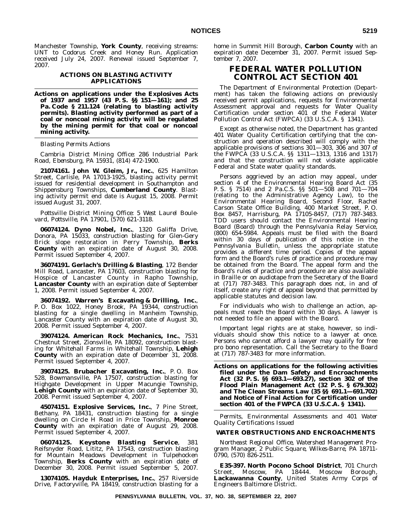Manchester Township, **York County**, receiving streams: UNT to Codorus Creek and Honey Run. Application received July 24, 2007. Renewal issued September 7, 2007.

#### **ACTIONS ON BLASTING ACTIVITY APPLICATIONS**

**Actions on applications under the Explosives Acts of 1937 and 1957 (43 P. S. §§ 151—161); and 25 Pa. Code § 211.124 (relating to blasting activity permits). Blasting activity performed as part of a coal or noncoal mining activity will be regulated by the mining permit for that coal or noncoal mining activity.**

#### *Blasting Permits Actions*

*Cambria District Mining Office: 286 Industrial Park Road, Ebensburg, PA 15931, (814) 472-1900.*

**21074161. John W. Gleim, Jr., Inc.**, 625 Hamilton Street, Carlisle, PA 17013-1925, blasting activity permit issued for residential development in Southampton and Shippensburg Townships, **Cumberland County**. Blasting activity permit end date is August 15, 2008. Permit issued August 31, 2007.

*Pottsville District Mining Office: 5 West Laurel Boulevard, Pottsville, PA 17901, (570) 621-3118.*

**06074124. Dyno Nobel, Inc.**, 1320 Galiffa Drive, Donora, PA 15033, construction blasting for Glen-Gery Brick slope restoration in Perry Township, **Berks County** with an expiration date of August 30, 2008. Permit issued September 4, 2007.

**36074191. Gerlach's Drilling & Blasting**, 172 Bender Mill Road, Lancaster, PA 17603, construction blasting for Hospice of Lancaster County in Rapho Township, **Lancaster County** with an expiration date of September 1, 2008. Permit issued September 4, 2007.

**36074192. Warren's Excavating & Drilling, Inc.**, P. O. Box 1022, Honey Brook, PA 19344, construction blasting for a single dwelling in Manheim Township, Lancaster County with an expiration date of August 30, 2008. Permit issued September 4, 2007.

**39074124. American Rock Mechanics, Inc.**, 7531 Chestnut Street, Zionsville, PA 18092, construction blasting for Whitehall Farms in Whitehall Township, **Lehigh County** with an expiration date of December 31, 2008. Permit issued September 4, 2007.

**39074125. Brubacher Excavating, Inc.**, P. O. Box 528, Bowmansville, PA 17507, construction blasting for Highgate Development in Upper Macungie Township, **Lehigh County** with an expiration date of September 30, 2008. Permit issued September 4, 2007.

**45074151. Explosive Services, Inc.**, 7 Pine Street, Bethany, PA 18431, construction blasting for a single dwelling on Circle H Road in Price Township, **Monroe County** with an expiration date of August 29, 2008. Permit issued September 4, 2007.

**06074125. Keystone Blasting Service**, 381 Reifsnyder Road, Lititz, PA 17543, construction blasting for Mountain Meadows Development in Tulpehocken Township, **Berks County** with an expiration date of December 30, 2008. Permit issued September 5, 2007.

**13074105. Hayduk Enterprises, Inc.**, 257 Riverside Drive, Factoryville, PA 18419, construction blasting for a home in Summit Hill Borough, **Carbon County** with an expiration date December 31, 2007. Permit issued September 7, 2007.

# **FEDERAL WATER POLLUTION CONTROL ACT SECTION 401**

The Department of Environmental Protection (Department) has taken the following actions on previously received permit applications, requests for Environmental Assessment approval and requests for Water Quality Certification under section 401 of the Federal Water Pollution Control Act (FWPCA) (33 U.S.C.A. § 1341).

Except as otherwise noted, the Department has granted 401 Water Quality Certification certifying that the construction and operation described will comply with the applicable provisions of sections 301—303, 306 and 307 of the FWPCA (33 U.S.C.A. §§ 1311—1313, 1316 and 1317) and that the construction will not violate applicable Federal and State water quality standards.

Persons aggrieved by an action may appeal, under section 4 of the Environmental Hearing Board Act (35 P. S. § 7514) and 2 Pa.C.S. §§ 501—508 and 701—704 (relating to the Administrative Agency Law), to the Environmental Hearing Board, Second Floor, Rachel Carson State Office Building, 400 Market Street, P. O. Box 8457, Harrisburg, PA 17105-8457, (717) 787-3483. TDD users should contact the Environmental Hearing Board (Board) through the Pennsylvania Relay Service, (800) 654-5984. Appeals must be filed with the Board within 30 days of publication of this notice in the *Pennsylvania Bulletin*, unless the appropriate statute provides a different time period. Copies of the appeal form and the Board's rules of practice and procedure may be obtained from the Board. The appeal form and the Board's rules of practice and procedure are also available in Braille or on audiotape from the Secretary of the Board at (717) 787-3483. This paragraph does not, in and of itself, create any right of appeal beyond that permitted by applicable statutes and decision law.

For individuals who wish to challenge an action, appeals must reach the Board within 30 days. A lawyer is not needed to file an appeal with the Board.

Important legal rights are at stake, however, so individuals should show this notice to a lawyer at once. Persons who cannot afford a lawyer may qualify for free pro bono representation. Call the Secretary to the Board at (717) 787-3483 for more information.

**Actions on applications for the following activities filed under the Dam Safety and Encroachments Act (32 P. S. §§ 693.1—693.27), section 302 of the Flood Plain Management Act (32 P. S. § 679.302) and The Clean Streams Law (35 §§ 691.1—691.702) and Notice of Final Action for Certification under section 401 of the FWPCA (33 U.S.C.A. § 1341).**

*Permits, Environmental Assessments and 401 Water Quality Certifications Issued*

# **WATER OBSTRUCTIONS AND ENCROACHMENTS**

*Northeast Regional Office, Watershed Management Program Manager, 2 Public Square, Wilkes-Barre, PA 18711- 0790, (570) 826-2511.*

**E35-397. North Pocono School District**, 701 Church Street, Moscow, PA 18444. Moscow Borough, **Lackawanna County**, United States Army Corps of Engineers Baltimore District.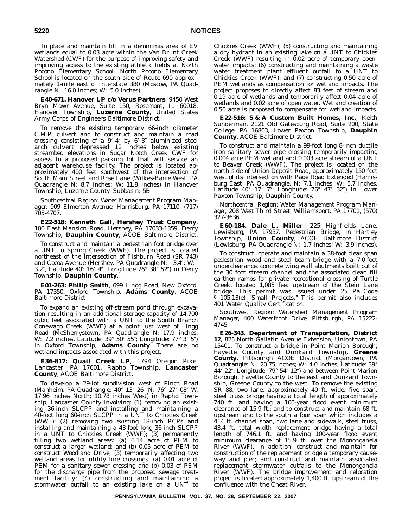To place and maintain fill in a deminimis area of EV wetlands equal to 0.03 acre within the Van Brunt Creek Watershed (CWF) for the purpose of improving safety and improving access to the existing athletic fields at North Pocono Elementary School. North Pocono Elementary School is located on the south side of Route 690 approximately 1-mile east of Interstate 380 (Moscow, PA Quadrangle N: 16.0 inches; W: 5.0 inches).

**E40-671. Hanover LP c/o Verus Partners**, 9450 West Bryn Mawr Avenue, Suite 150, Rosemont, IL 60018, Hanover Township, **Luzerne County**, United States Army Corps of Engineers Baltimore District.

To remove the existing temporary 66-inch diameter C.M.P. culvert and to construct and maintain a road crossing consisting of a 9'-4" by 6'-3" aluminized steel arch culvert depressed 12 inches below existing streambed elevations in Sugar Notch Creek CWF for access to a proposed parking lot that will service an adjacent warehouse facility. The project is located approximately 400 feet southwest of the intersection of South Main Street and Rose Lane (Wilkes-Barre West, PA Quadrangle N: 8.7 inches; W: 11.8 inches) in Hanover Township, Luzerne County. Subbasin: 5B

*Southcentral Region: Water Management Program Manager, 909 Elmerton Avenue, Harrisburg, PA 17110, (717) 705-4707.*

**E22-518: Kenneth Gall, Hershey Trust Company**, 100 East Mansion Road, Hershey, PA 17033-1359, Derry Township, **Dauphin County**, ACOE Baltimore District.

To construct and maintain a pedestrian foot bridge over a UNT to Spring Creek (WWF). The project is located northeast of the intersection of Fishburn Road (SR 743) and Cocoa Avenue (Hershey, PA Quadrangle N: 3.4"; W: 3.2", Latitude 40° 16′ 4"; Longitude 76° 38′ 52″) in Derry Township, **Dauphin County**.

**E01-263: Philip Smith**, 699 Lingg Road, New Oxford, PA 17350, Oxford Township, **Adams County**, ACOE Baltimore District

To expand an existing off-stream pond through excavation resulting in an additional storage capacity of 14,700 cubic feet associated with a UNT to the South Branch Conewago Creek (WWF) at a point just west of Lingg Road (McSherrystown, PA Quadrangle N: 17.9 inches; W: 7.2 inches, Latitude: 39° 50′ 55″; Longitude: 77° 3′ 5″) in Oxford Township, **Adams County**. There are no wetland impacts associated with this project.

**E36-817: Quail Creek LP**, 1794 Oregon Pike, Lancaster, PA 17601, Rapho Township, **Lancaster County**, ACOE Baltimore District.

To develop a 29-lot subdivision west of Pinch Road (Manheim, PA Quadrangle: 40° 13' 26" N; 76° 27' 08" W, 17.96 inches North; 10.78 inches West) in Rapho Township, Lancaster County involving: (1) removing an existing 36-inch SLCPP and installing and maintaining a 40-foot long 60-inch SLCPP in a UNT to Chickies Creek (WWF); (2) removing two existing 18-inch RCPs and installing and maintaining a 43-foot long 36-inch SLCPP in a UNT to Chickies Creek (WWF); (3) permanently filling two wetland areas: (a) 0.14 acre of PEM to construct a larger wetland; and (b) 0.05 acre of PEM to construct Woodland Drive, (3) temporarily affecting two wetland areas for utility line crossings: (a) 0.01 acre of PEM for a sanitary sewer crossing and (b) 0.03 of PEM for the discharge pipe from the proposed sewage treatment facility; (4) constructing and maintaining a stormwater outfall to an existing lake on a UNT to

Chickies Creek (WWF); (5) constructing and maintaining a dry hydrant in an existing lake on a UNT to Chickies Creek (WWF) resulting in  $0.02$  acre of temporary openwater impacts; (6) constructing and maintaining a waste water treatment plant effluent outfall to a UNT to Chickies Creek (WWF); and (7) constructing 0.50 acre of PEM wetlands as compensation for wetland impacts. The project proposes to directly affect 83 feet of stream and 0.19 acre of wetlands and temporarily affect 0.04 acre of wetlands and 0.02 acre of open water. Wetland creation of 0.50 acre is proposed to compensate for wetland impacts.

**E22-516: S & A Custom Built Homes, Inc.**, Keith Sunderman, 2121 Old Gatesburg Road, Suite 200, State College, PA 16803, Lower Paxton Township, **Dauphin County**, ACOE Baltimore District.

To construct and maintain a 99-foot long 8-inch ductile iron sanitary sewer pipe crossing temporarily impacting 0.004 acre PEM wetland and 0.003 acre stream of a UNT to Beaver Creek (WWF). The project is located on the north side of Union Deposit Road, approximately 150 feet west of its intersection with Page Road Extended (Harrisburg East, PA Quadrangle, N: 7.1 inches; W: 5.7 inches, Latitude 40° 17' 7"; Longitude: 76° 47' 32") in Lower Paxton Township, Dauphin County.

*Northcentral Region: Water Management Program Manager, 208 West Third Street, Williamsport, PA 17701, (570) 327-3636.*

**E60-184. Dale L. Miller**, 225 Highfields Lane, Lewisburg, PA 17937. Pedestrian Bridge, in Hartley Township, **Union County**, ACOE Baltimore District (Lewisburg, PA Quadrangle N: 1.7 inches; W: 3.9 inches).

To construct, operate and maintain a 38-foot clear span pedestrian wood and steel beam bridge with a 7.0-foot underclearance, concrete wing wall abutments built out of the 30 foot stream channel and the associated clean fill earthen ramps for private recreational crossing of Turtle Creek, located 1,085 feet upstream of the Stein Lane bridge. This permit was issued under 25 Pa. Code § 105.13(e) ''Small Projects.'' This permit also includes 401 Water Quality Certification.

*Southwest Region: Watershed Management Program Manager, 400 Waterfront Drive, Pittsburgh, PA 15222- 4745.*

**E26-343. Department of Transportation, District 12**, 825 North Gallatin Avenue Extension, Uniontown, PA 15401. To construct a bridge in Point Marion Borough, Fayette County and Dunkard Township, **Greene County**, Pittsburgh ACOE District (Morgantown, PA Quadrangle: N: 20.75 inches; W: 4.0 inches, Latitude: 39° 44′ 22″; Longitude: 79° 54′ 12″) and between Point Marion Borough, Fayette County to the east and Dunkard Township, Greene County to the west. To remove the existing SR 88, two lane, approximately 40 ft. wide, five span, steel truss bridge having a total length of approximately 740 ft. and having a 100-year flood event minimum clearance of 15.9 ft.; and to construct and maintain 68 ft. upstream and to the south a four span which includes a 414 ft. channel span, two lane and sidewalk, steel truss, 43.4 ft. total width replacement bridge having a total length of 746.1 ft. and having 100-year flood event minimum clearance of 15.9 ft. over the Monongahela River (WWF). In addition, construct and maintain for construction of the replacement bridge a temporary causeway and pier; and construct and maintain associated replacement stormwater outfalls to the Monongahela River (WWF). The bridge improvement and relocation project is located approximately 1,400 ft. upstream of the confluence with the Cheat River.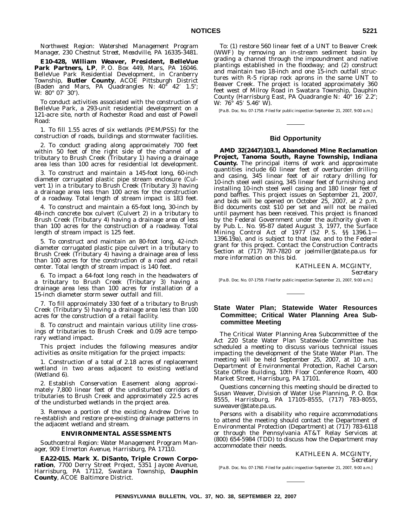*Northwest Region: Watershed Management Program Manager, 230 Chestnut Street, Meadville, PA 16335-3481.*

**E10-428, William Weaver, President, BelleVue Park Partners, LP**, P. O. Box 449, Mars, PA 16046. BelleVue Park Residential Development, in Cranberry Township, **Butler County**, ACOE Pittsburgh District (Baden and Mars, PA Quadrangles N:  $40^{\circ}$   $42'$  1.5"; W: 80° 07′ 30″).

To conduct activities associated with the construction of BelleVue Park, a 293-unit residential development on a 121-acre site, north of Rochester Road and east of Powell Road:

1. To fill 1.55 acres of six wetlands (PEM/PSS) for the construction of roads, buildings and stormwater facilities.

2. To conduct grading along approximately 700 feet within 50 feet of the right side of the channel of a tributary to Brush Creek (Tributary 1) having a drainage area less than 100 acres for residential lot development.

3. To construct and maintain a 145-foot long, 60-inch diameter corrugated plastic pipe stream enclosure (Culvert 1) in a tributary to Brush Creek (Tributary 3) having a drainage area less than 100 acres for the construction of a roadway. Total length of stream impact is 183 feet.

4. To construct and maintain a 65-foot long, 30-inch by 48-inch concrete box culvert (Culvert 2) in a tributary to Brush Creek (Tributary 4) having a drainage area of less than 100 acres for the construction of a roadway. Total length of stream impact is 125 feet.

5. To construct and maintain an 80-foot long, 42-inch diameter corrugated plastic pipe culvert in a tributary to Brush Creek (Tributary 4) having a drainage area of less than 100 acres for the construction of a road and retail center. Total length of stream impact is 140 feet.

6. To impact a 64-foot long reach in the headwaters of a tributary to Brush Creek (Tributary 3) having a drainage area less than 100 acres for installation of a 15-inch diameter storm sewer outfall and fill.

7. To fill approximately 330 feet of a tributary to Brush Creek (Tributary 5) having a drainage area less than 100 acres for the construction of a retail facility.

8. To construct and maintain various utility line crossings of tributaries to Brush Creek and 0.09 acre temporary wetland impact.

This project includes the following measures and/or activities as onsite mitigation for the project impacts:

1. Construction of a total of 2.18 acres of replacement wetland in two areas adjacent to existing wetland (Wetland 6).

2. Establish Conservation Easement along approximately 7,800 linear feet of the undisturbed corridors of tributaries to Brush Creek and approximately 22.5 acres of the undisturbed wetlands in the project area.

3. Remove a portion of the existing Andrew Drive to re-establish and restore pre-existing drainage patterns in the adjacent wetland and stream.

#### **ENVIRONMENTAL ASSESSMENTS**

*Southcentral Region: Water Management Program Manager, 909 Elmerton Avenue, Harrisburg, PA 17110.*

**EA22-015. Mark X. DiSanto, Triple Crown Corporation**, 7700 Derry Street Project, 5351 Jaycee Avenue, Harrisburg, PA 17112, Swatara Township, **Dauphin County**, ACOE Baltimore District.

To: (1) restore 560 linear feet of a UNT to Beaver Creek (WWF) by removing an in-stream sediment basin by grading a channel through the impoundment and native plantings established in the floodway; and (2) construct and maintain two 18-inch and one 15-inch outfall structures with R-5 riprap rock aprons in the same UNT to Beaver Creek. The project is located approximately 360 feet west of Milroy Road in Swatara Township, Dauphin County (Harrisburg East, PA Quadrangle N: 40° 16′ 2.2"; W:  $76^{\circ}$  45' 5.46" W).

[Pa.B. Doc. No. 07-1758. Filed for public inspection September 21, 2007, 9:00 a.m.]

#### **Bid Opportunity**

**AMD 32(2447)103.1, Abandoned Mine Reclamation Project, Tanoma South, Rayne Township, Indiana County.** The principal items of work and approximate quantities include 60 linear feet of overburden drilling and casing, 345 linear feet of air rotary drilling for 10-inch steel well casing, 345 linear feet of furnishing and installing 10-inch steel well casing and 180 linear feet of pond baffles. This project issues on September 21, 2007, and bids will be opened on October 25, 2007, at 2 p.m. Bid documents cost \$10 per set and will not be mailed until payment has been received. This project is financed by the Federal Government under the authority given it by Pub. L. No. 95-87 dated August 3, 1977, the Surface Mining Control Act of 1977 (52 P. S. §§ 1396.1— 1396.19a), and is subject to that law, and to the Federal grant for this project. Contact the Construction Contracts Section at (717) 787-7820 or joelmiller@state.pa.us for more information on this bid.

# KATHLEEN A. MCGINTY,

*Secretary*

[Pa.B. Doc. No. 07-1759. Filed for public inspection September 21, 2007, 9:00 a.m.]

## **State Water Plan; Statewide Water Resources Committee; Critical Water Planning Area Subcommittee Meeting**

The Critical Water Planning Area Subcommittee of the Act 220 State Water Plan Statewide Committee has scheduled a meeting to discuss various technical issues impacting the development of the State Water Plan. The meeting will be held September 25, 2007, at 10 a.m., Department of Environmental Protection, Rachel Carson State Office Building, 10th Floor Conference Room, 400 Market Street, Harrisburg, PA 17101.

Questions concerning this meeting should be directed to Susan Weaver, Division of Water Use Planning, P.O. Box 8555, Harrisburg, PA 17105-8555, (717) 783-8055, suweaver@state.pa.us.

Persons with a disability who require accommodations to attend the meeting should contact the Department of Environmental Protection (Department) at (717) 783-6118 or through the Pennsylvania AT&T Relay Services at (800) 654-5984 (TDD) to discuss how the Department may accommodate their needs.

> KATHLEEN A. MCGINTY, *Secretary*

[Pa.B. Doc. No. 07-1760. Filed for public inspection September 21, 2007, 9:00 a.m.]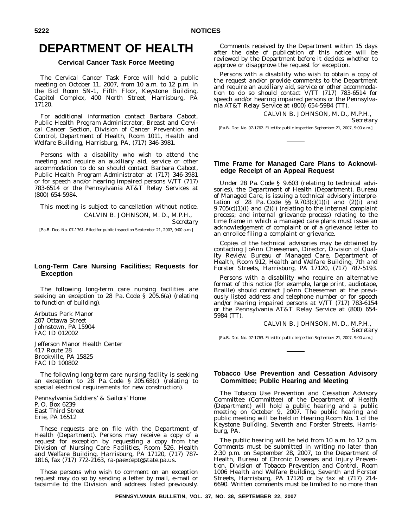# **DEPARTMENT OF HEALTH**

## **Cervical Cancer Task Force Meeting**

The Cervical Cancer Task Force will hold a public meeting on October 11, 2007, from 10 a.m. to 12 p.m. in the Bid Room 5N-1, Fifth Floor, Keystone Building, Capitol Complex, 400 North Street, Harrisburg, PA 17120.

For additional information contact Barbara Caboot, Public Health Program Administrator, Breast and Cervical Cancer Section, Division of Cancer Prevention and Control, Department of Health, Room 1011, Health and Welfare Building, Harrisburg, PA, (717) 346-3981.

Persons with a disability who wish to attend the meeting and require an auxiliary aid, service or other accommodation to do so should contact Barbara Caboot, Public Health Program Administrator at (717) 346-3981 or for speech and/or hearing impaired persons V/TT (717) 783-6514 or the Pennsylvania AT&T Relay Services at (800) 654-5984.

This meeting is subject to cancellation without notice. CALVIN B. JOHNSON, M. D., M.P.H., *Secretary*

[Pa.B. Doc. No. 07-1761. Filed for public inspection September 21, 2007, 9:00 a.m.]

## **Long-Term Care Nursing Facilities; Requests for Exception**

The following long-term care nursing facilities are seeking an exception to 28 Pa. Code § 205.6(a) (relating to function of building).

Arbutus Park Manor 207 Ottawa Street Johnstown, PA 15904 FAC ID 012002

Jefferson Manor Health Center 417 Route 28 Brookville, PA 15825 FAC ID 100802

The following long-term care nursing facility is seeking an exception to 28 Pa. Code § 205.68(c) (relating to special electrical requirements for new construction).

Pennsylvania Soldiers' & Sailors' Home P. O. Box 6239 East Third Street Erie, PA 16512

These requests are on file with the Department of Health (Department). Persons may receive a copy of a request for exception by requesting a copy from the Division of Nursing Care Facilities, Room 526, Health and Welfare Building, Harrisburg, PA 17120, (717) 787- 1816, fax (717) 772-2163, ra-paexcept@state.pa.us.

Those persons who wish to comment on an exception request may do so by sending a letter by mail, e-mail or facsimile to the Division and address listed previously.

Comments received by the Department within 15 days after the date of publication of this notice will be reviewed by the Department before it decides whether to approve or disapprove the request for exception.

Persons with a disability who wish to obtain a copy of the request and/or provide comments to the Department and require an auxiliary aid, service or other accommodation to do so should contact V/TT (717) 783-6514 for speech and/or hearing impaired persons or the Pennsylvania AT&T Relay Service at (800) 654-5984 (TT).

CALVIN B. JOHNSON, M. D., M.P.H.,

*Secretary*

[Pa.B. Doc. No. 07-1762. Filed for public inspection September 21, 2007, 9:00 a.m.]

## **Time Frame for Managed Care Plans to Acknowledge Receipt of an Appeal Request**

Under 28 Pa. Code § 9.603 (relating to technical advisories), the Department of Health (Department), Bureau of Managed Care, is issuing a technical advisory interpretation of 28 Pa. Code  $\S$ § 9.703(c)(1)(i) and (2)(i) and  $9.705(c)(1)(i)$  and  $(2)(i)$  (relating to the internal complaint process; and internal grievance process) relating to the time frame in which a managed care plans must issue an acknowledgement of complaint or of a grievance letter to an enrollee filing a complaint or grievance.

Copies of the technical advisories may be obtained by contacting JoAnn Cheeseman, Director, Division of Quality Review, Bureau of Managed Care, Department of Health, Room 912, Health and Welfare Building, 7th and Forster Streets, Harrisburg, PA 17120, (717) 787-5193.

Persons with a disability who require an alternative format of this notice (for example, large print, audiotape, Braille) should contact JoAnn Cheeseman at the previously listed address and telephone number or for speech and/or hearing impaired persons at V/TT (717) 783-6154 or the Pennsylvania AT&T Relay Service at (800) 654- 5984 (TT).

> CALVIN B. JOHNSON, M. D., M.P.H., *Secretary*

[Pa.B. Doc. No. 07-1763. Filed for public inspection September 21, 2007, 9:00 a.m.]

## **Tobacco Use Prevention and Cessation Advisory Committee; Public Hearing and Meeting**

The Tobacco Use Prevention and Cessation Advisory Committee (Committee) of the Department of Health (Department) will hold a public hearing and a public meeting on October 9, 2007. The public hearing and public meeting will be held in Hearing Room No. 1 of the Keystone Building, Seventh and Forster Streets, Harrisburg, PA.

The public hearing will be held from 10 a.m. to 12 p.m. Comments must be submitted in writing no later than 2:30 p.m. on September 28, 2007, to the Department of Health, Bureau of Chronic Diseases and Injury Prevention, Division of Tobacco Prevention and Control, Room 1006 Health and Welfare Building, Seventh and Forster Streets, Harrisburg, PA 17120 or by fax at (717) 214- 6690. Written comments must be limited to no more than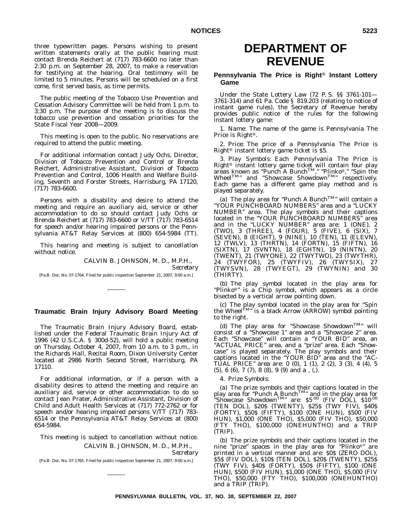three typewritten pages. Persons wishing to present written statements orally at the public hearing must contact Brenda Reichert at (717) 783-6600 no later than 2:30 p.m. on September 28, 2007, to make a reservation for testifying at the hearing. Oral testimony will be limited to 5 minutes. Persons will be scheduled on a first come, first served basis, as time permits.

The public meeting of the Tobacco Use Prevention and Cessation Advisory Committee will be held from 1 p.m. to 3:30 p.m. The purpose of the meeting is to discuss the tobacco use prevention and cessation priorities for the State Fiscal Year 2008—2009.

This meeting is open to the public. No reservations are required to attend the public meeting.

For additional information contact Judy Ochs, Director, Division of Tobacco Prevention and Control or Brenda Reichert, Administrative Assistant, Division of Tobacco Prevention and Control, 1006 Health and Welfare Building, Seventh and Forster Streets, Harrisburg, PA 17120, (717) 783-6600.

Persons with a disability and desire to attend the meeting and require an auxiliary aid, service or other accommodation to do so should contact Judy Ochs or Brenda Reichert at (717) 783-6600 or V/TT (717) 783-6514 for speech and/or hearing impaired persons or the Pennsylvania AT&T Relay Services at (800) 654-5984 (TT).

This hearing and meeting is subject to cancellation without notice.

CALVIN B. JOHNSON, M. D., M.P.H.,

*Secretary*

[Pa.B. Doc. No. 07-1764. Filed for public inspection September 21, 2007, 9:00 a.m.]

# **Traumatic Brain Injury Advisory Board Meeting**

The Traumatic Brain Injury Advisory Board, established under the Federal Traumatic Brain Injury Act of 1996 (42 U.S.C.A. § 300d-52), will hold a public meeting on Thursday, October 4, 2007, from 10 a.m. to 3 p.m., in the Richards Hall, Recital Room, Dixon University Center located at 2986 North Second Street, Harrisburg, PA 17110.

For additional information, or if a person with a disability desires to attend the meeting and require an auxiliary aid, service or other accommodation to do so contact Jean Prater, Administrative Assistant, Division of Child and Adult Health Services at (717) 772-2762 or for speech and/or hearing impaired persons V/TT (717) 783- 6514 or the Pennsylvania AT&T Relay Services at (800) 654-5984.

### This meeting is subject to cancellation without notice. CALVIN B. JOHNSON, M. D., M.P.H., *Secretary*

[Pa.B. Doc. No. 07-1765. Filed for public inspection September 21, 2007, 9:00 a.m.]

# **DEPARTMENT OF REVENUE**

## **Pennsylvania The Price is Right<sup>®</sup> Instant Lottery Game**

Under the State Lottery Law (72 P. S. §§ 3761-101— 3761-314) and 61 Pa. Code § 819.203 (relating to notice of instant game rules), the Secretary of Revenue hereby provides public notice of the rules for the following instant lottery game:

1. *Name*: The name of the game is Pennsylvania The Price is Right<sup>®</sup>.

2. *Price*: The price of a Pennsylvania The Price is Right<sup>®</sup> instant lottery game ticket is  $$5.$ 

3. *Play Symbols*: Each Pennsylvania The Price is Right® instant lottery game ticket will contain four play<br>areas known as "Punch A Bunch™," "Plinko®," "Spin the Wheel<sup>TM</sup>" and "Showcase Showdown<sup>TM</sup>" respectively. Each game has a different game play method and is played separately.

(a) The play area for "Punch A Bunch<sup>TM</sup>" will contain a ''YOUR PUNCHBOARD NUMBERS'' area and a ''LUCKY NUMBER'' area. The play symbols and their captions located in the "YOUR PUNCHBOARD NUMBERS" area and in the ''LUCKY NUMBER'' area are: 1 (ONE), 2 (TWO), 3 (THREE), 4 (FOUR), 5 (FIVE), 6 (SIX), 7 (SEVEN), 8 (EIGHT), 9 (NINE), 10 (TEN), 11 (ELEVN), 12 (TWLV), 13 (THRTN), 14 (FORTN), 15 (FIFTN), 16 (SIXTN), 17 (SVNTN), 18 (EGHTN), 19 (NINTN), 20 (TWENT), 21 (TWYONE), 22 (TWYTWO), 23 (TWYTHR), 24 (TWYFOR), 25 (TWYFIV), 26 (TWYSIX), 27 (TWYSVN), 28 (TWYEGT), 29 (TWYNIN) and 30 (THIRTY).

(b) The play symbol located in the play area for "Plinko<sup>®</sup>" is a Chip symbol, which appears as a circle bisected by a vertical arrow pointing down.

(c) The play symbol located in the play area for "Spin the Wheel<sup>TM</sup>" is a black Arrow (ARROW) symbol pointing to the right.

(d) The play area for "Showcase Showdown<sup>TM</sup>" will consist of a ''Showcase 1'' area and a ''Showcase 2'' area. Each "Showcase" will contain a "YOUR BID" area, an "ACTUAL PRICE" area, and a "prize" area. Each "Showcase'' is played separately. The play symbols and their captions located in the ''YOUR BID'' area and the ''AC-TUAL PRICE'' area are: 0 (0), 1 (1), 2 (2), 3 (3), 4 (4), 5 (5), 6 (6), 7 (7), 8 (8), 9 (9) and a , (,).

#### 4. *Prize Symbols*:

(a) The prize symbols and their captions located in the play area for "Punch A Bunch<sup>TM</sup>" and in the play area for "Showcase Showdown<sup>TM</sup>" are:  $$5\cdot^{00}$  (FIV DOL),  $$10\cdot^{00}$ (TEN DOL), \$20\$ (TWENTY), \$25\$ (TWY FIV), \$40\$ (FORTY), \$50\$ (FIFTY), \$100 (ONE HUN), \$500 (FIV HUN), \$1,000 (ONE THO), \$5,000 (FIV THO), \$50,000 (FTY THO), \$100,000 (ONEHUNTHO) and a TRIP (TRIP).

(b) The prize symbols and their captions located in the nine "prize" spaces in the play area for "Plinko®" are printed in a vertical manner and are: \$0\$ (ZERO DOL), \$5\$ (FIV DOL), \$10\$ (TEN DOL), \$20\$ (TWENTY), \$25\$ (TWY FIV), \$40\$ (FORTY), \$50\$ (FIFTY), \$100 (ONE HUN), \$500 (FIV HUN), \$1,000 (ONE THO), \$5,000 (FIV THO), \$50,000 (FTY THO), \$100,000 (ONEHUNTHO) and a TRIP (TRIP).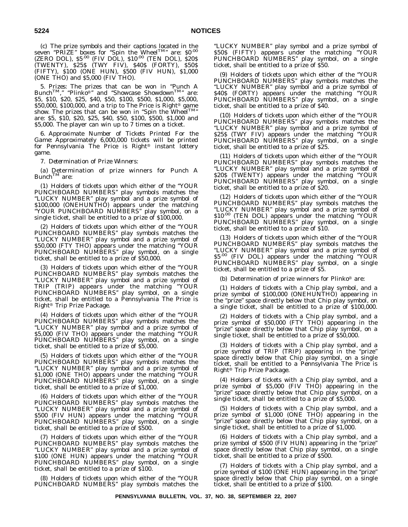(c) The prize symbols and their captions located in the seven "PRIZE" boxes for "Spin the Wheel<sup>TM</sup>" are: \$0.00 (ZERO DOL), \$5.00 (FIV DOL), \$10.00 (TEN DOL), \$20\$ (TWENTY), \$25\$ (TWY FIV), \$40\$ (FORTY), \$50\$ (FIFTY), \$100 (ONE HUN), \$500 (FIV HUN), \$1,000 (ONE THO) and \$5,000 (FIV THO).

5. *Prizes*: The prizes that can be won in "Punch A Bunch<sup>TM</sup>," "Plinko<sup>®</sup>" and "Showcase Showdown<sup>TM</sup>" are: \$5, \$10, \$20, \$25, \$40, \$50, \$100, \$500, \$1,000, \$5,000, \$50,000, \$100,000, and a trip to The Price is Right<sup>®</sup> game show. The prizes that can be won in "Spin the Wheel<sup>TM</sup>" are: \$5, \$10, \$20, \$25, \$40, \$50, \$100, \$500, \$1,000 and \$5,000. The player can win up to 7 times on a ticket.

6. *Approximate Number of Tickets Printed For the Game*: Approximately 6,000,000 tickets will be printed for Pennsylvania The Price is Right® instant lottery game.

7. *Determination of Prize Winners*:

(a) Determination of prize winners for Punch A  $Bunch^{TM}$  are:

(1) Holders of tickets upon which either of the ''YOUR PUNCHBOARD NUMBERS'' play symbols matches the ''LUCKY NUMBER'' play symbol and a prize symbol of \$100,000 (ONEHUNTHO) appears under the matching ''YOUR PUNCHBOARD NUMBERS'' play symbol, on a single ticket, shall be entitled to a prize of \$100,000.

(2) Holders of tickets upon which either of the ''YOUR PUNCHBOARD NUMBERS'' play symbols matches the ''LUCKY NUMBER'' play symbol and a prize symbol of \$50,000 (FTY THO) appears under the matching ''YOUR PUNCHBOARD NUMBERS'' play symbol, on a single ticket, shall be entitled to a prize of \$50,000.

(3) Holders of tickets upon which either of the ''YOUR PUNCHBOARD NUMBERS'' play symbols matches the ''LUCKY NUMBER'' play symbol and a prize symbol of TRIP (TRIP) appears under the matching ''YOUR PUNCHBOARD NUMBERS'' play symbol, on a single ticket, shall be entitled to a Pennsylvania The Price is Right® Trip Prize Package.

(4) Holders of tickets upon which either of the ''YOUR PUNCHBOARD NUMBERS'' play symbols matches the ''LUCKY NUMBER'' play symbol and a prize symbol of \$5,000 (FIV THO) appears under the matching ''YOUR PUNCHBOARD NUMBERS'' play symbol, on a single ticket, shall be entitled to a prize of \$5,000.

(5) Holders of tickets upon which either of the ''YOUR PUNCHBOARD NUMBERS'' play symbols matches the ''LUCKY NUMBER'' play symbol and a prize symbol of \$1,000 (ONE THO) appears under the matching ''YOUR PUNCHBOARD NUMBERS" play symbol, on a single ticket, shall be entitled to a prize of \$1,000.

(6) Holders of tickets upon which either of the ''YOUR PUNCHBOARD NUMBERS'' play symbols matches the ''LUCKY NUMBER'' play symbol and a prize symbol of \$500 (FIV HUN) appears under the matching ''YOUR PUNCHBOARD NUMBERS'' play symbol, on a single ticket, shall be entitled to a prize of \$500.

(7) Holders of tickets upon which either of the ''YOUR PUNCHBOARD NUMBERS'' play symbols matches the ''LUCKY NUMBER'' play symbol and a prize symbol of \$100 (ONE HUN) appears under the matching ''YOUR PUNCHBOARD NUMBERS" play symbol, on a single ticket, shall be entitled to a prize of \$100.

(8) Holders of tickets upon which either of the ''YOUR PUNCHBOARD NUMBERS'' play symbols matches the

''LUCKY NUMBER'' play symbol and a prize symbol of \$50\$ (FIFTY) appears under the matching ''YOUR PUNCHBOARD NUMBERS'' play symbol, on a single ticket, shall be entitled to a prize of \$50.

(9) Holders of tickets upon which either of the ''YOUR PUNCHBOARD NUMBERS'' play symbols matches the ''LUCKY NUMBER'' play symbol and a prize symbol of \$40\$ (FORTY) appears under the matching ''YOUR PUNCHBOARD NUMBERS" play symbol, on a single ticket, shall be entitled to a prize of \$40.

(10) Holders of tickets upon which either of the ''YOUR PUNCHBOARD NUMBERS'' play symbols matches the ''LUCKY NUMBER'' play symbol and a prize symbol of \$25\$ (TWY FIV) appears under the matching ''YOUR PUNCHBOARD NUMBERS" play symbol, on a single ticket, shall be entitled to a prize of \$25.

(11) Holders of tickets upon which either of the ''YOUR PUNCHBOARD NUMBERS'' play symbols matches the ''LUCKY NUMBER'' play symbol and a prize symbol of \$20\$ (TWENTY) appears under the matching ''YOUR PUNCHBOARD NUMBERS" play symbol, on a single ticket, shall be entitled to a prize of \$20.

(12) Holders of tickets upon which either of the ''YOUR PUNCHBOARD NUMBERS'' play symbols matches the ''LUCKY NUMBER'' play symbol and a prize symbol of \$10.00 (TEN DOL) appears under the matching ''YOUR PUNCHBOARD NUMBERS" play symbol, on a single ticket, shall be entitled to a prize of \$10.

(13) Holders of tickets upon which either of the ''YOUR PUNCHBOARD NUMBERS'' play symbols matches the ''LUCKY NUMBER'' play symbol and a prize symbol of \$5.00 (FIV DOL) appears under the matching ''YOUR PUNCHBOARD NUMBERS'' play symbol, on a single ticket, shall be entitled to a prize of \$5.

(b) Determination of prize winners for Plinko<sup>®</sup> are:

(1) Holders of tickets with a Chip play symbol, and a prize symbol of \$100,000 (ONEHUNTHO) appearing in the ''prize'' space directly below that Chip play symbol, on a single ticket, shall be entitled to a prize of \$100,000.

(2) Holders of tickets with a Chip play symbol, and a prize symbol of \$50,000 (FTY THO) appearing in the 'prize" space directly below that Chip play symbol, on a single ticket, shall be entitled to a prize of \$50,000.

(3) Holders of tickets with a Chip play symbol, and a prize symbol of TRIP (TRIP) appearing in the "prize" space directly below that Chip play symbol, on a single ticket, shall be entitled to a Pennsylvania The Price is Right<sup>®</sup> Trip Prize Package.

(4) Holders of tickets with a Chip play symbol, and a prize symbol of \$5,000 (FIV THO) appearing in the 'prize" space directly below that Chip play symbol, on a single ticket, shall be entitled to a prize of \$5,000.

(5) Holders of tickets with a Chip play symbol, and a prize symbol of \$1,000 (ONE THO) appearing in the 'prize" space directly below that Chip play symbol, on a single ticket, shall be entitled to a prize of \$1,000.

(6) Holders of tickets with a Chip play symbol, and a prize symbol of \$500 (FIV HUN) appearing in the ''prize'' space directly below that Chip play symbol, on a single ticket, shall be entitled to a prize of \$500.

(7) Holders of tickets with a Chip play symbol, and a prize symbol of \$100 (ONE HUN) appearing in the "prize" space directly below that Chip play symbol, on a single ticket, shall be entitled to a prize of \$100.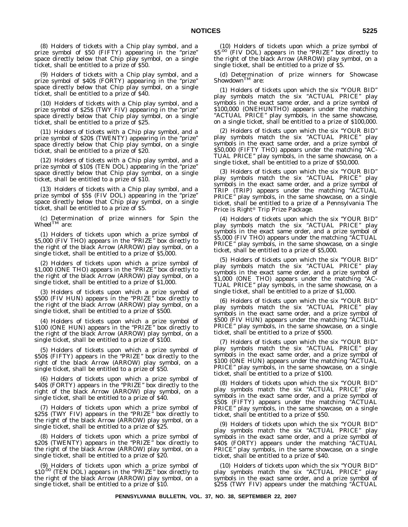(8) Holders of tickets with a Chip play symbol, and a prize symbol of \$50 (FIFTY) appearing in the ''prize'' space directly below that Chip play symbol, on a single ticket, shall be entitled to a prize of \$50.

(9) Holders of tickets with a Chip play symbol, and a prize symbol of \$40\$ (FORTY) appearing in the "prize" space directly below that Chip play symbol, on a single ticket, shall be entitled to a prize of \$40.

(10) Holders of tickets with a Chip play symbol, and a prize symbol of \$25\$ (TWY FIV) appearing in the ''prize'' space directly below that Chip play symbol, on a single ticket, shall be entitled to a prize of \$25.

(11) Holders of tickets with a Chip play symbol, and a prize symbol of \$20\$ (TWENTY) appearing in the ''prize'' space directly below that Chip play symbol, on a single ticket, shall be entitled to a prize of \$20.

(12) Holders of tickets with a Chip play symbol, and a prize symbol of \$10\$ (TEN DOL) appearing in the "prize" space directly below that Chip play symbol, on a single ticket, shall be entitled to a prize of \$10.

(13) Holders of tickets with a Chip play symbol, and a prize symbol of \$5\$ (FIV DOL) appearing in the ''prize'' space directly below that Chip play symbol, on a single ticket, shall be entitled to a prize of \$5.

(c) Determination of prize winners for Spin the Wheel $^{\text{TM}}$  are:

(1) Holders of tickets upon which a prize symbol of \$5,000 (FIV THO) appears in the ''PRIZE'' box directly to the right of the black Arrow (ARROW) play symbol, on a single ticket, shall be entitled to a prize of \$5,000.

(2) Holders of tickets upon which a prize symbol of \$1,000 (ONE THO) appears in the "PRIZE" box directly to the right of the black Arrow (ARROW) play symbol, on a single ticket, shall be entitled to a prize of \$1,000.

(3) Holders of tickets upon which a prize symbol of \$500 (FIV HUN) appears in the "PRIZE" box directly to the right of the black Arrow (ARROW) play symbol, on a single ticket, shall be entitled to a prize of \$500.

(4) Holders of tickets upon which a prize symbol of \$100 (ONE HUN) appears in the "PRIZE" box directly to the right of the black Arrow (ARROW) play symbol, on a single ticket, shall be entitled to a prize of \$100.

(5) Holders of tickets upon which a prize symbol of \$50\$ (FIFTY) appears in the ''PRIZE'' box directly to the right of the black Arrow (ARROW) play symbol, on a single ticket, shall be entitled to a prize of \$50.

(6) Holders of tickets upon which a prize symbol of \$40\$ (FORTY) appears in the "PRIZE" box directly to the right of the black Arrow (ARROW) play symbol, on a single ticket, shall be entitled to a prize of \$40.

(7) Holders of tickets upon which a prize symbol of \$25\$ (TWY FIV) appears in the "PRIZE" box directly to the right of the black Arrow (ARROW) play symbol, on a single ticket, shall be entitled to a prize of \$25.

(8) Holders of tickets upon which a prize symbol of \$20\$ (TWENTY) appears in the "PRIZE" box directly to the right of the black Arrow (ARROW) play symbol, on a single ticket, shall be entitled to a prize of \$20.

(9) Holders of tickets upon which a prize symbol of \$10.00 (TEN DOL) appears in the "PRIZE" box directly to the right of the black Arrow (ARROW) play symbol, on a single ticket, shall be entitled to a prize of \$10.

(10) Holders of tickets upon which a prize symbol of \$5.00 (FIV DOL) appears in the ''PRIZE'' box directly to the right of the black Arrow (ARROW) play symbol, on a single ticket, shall be entitled to a prize of \$5.

(d) Determination of prize winners for Showcase<br>Showdown<sup>TM</sup> are:

(1) Holders of tickets upon which the six ''YOUR BID'' play symbols match the six ''ACTUAL PRICE'' play symbols in the exact same order, and a prize symbol of \$100,000 (ONEHUNTHO) appears under the matching ''ACTUAL PRICE'' play symbols, in the same showcase, on a single ticket, shall be entitled to a prize of \$100,000.

(2) Holders of tickets upon which the six ''YOUR BID'' play symbols match the six "ACTUAL PRICE" play symbols in the exact same order, and a prize symbol of \$50,000 (FIFTY THO) appears under the matching ''AC-TUAL PRICE'' play symbols, in the same showcase, on a single ticket, shall be entitled to a prize of \$50,000.

(3) Holders of tickets upon which the six ''YOUR BID'' play symbols match the six ''ACTUAL PRICE'' play symbols in the exact same order, and a prize symbol of TRIP (TRIP) appears under the matching ''ACTUAL PRICE'' play symbols, in the same showcase, on a single ticket, shall be entitled to a prize of a Pennsylvania The Price is Right<sup>®</sup> Trip Prize Package.

(4) Holders of tickets upon which the six ''YOUR BID'' play symbols match the six "ACTUAL PRICE" play symbols in the exact same order, and a prize symbol of \$5,000 (FIV THO) appears under the matching ''ACTUAL PRICE" play symbols, in the same showcase, on a single ticket, shall be entitled to a prize of \$5,000.

(5) Holders of tickets upon which the six ''YOUR BID'' play symbols match the six ''ACTUAL PRICE'' play symbols in the exact same order, and a prize symbol of \$1,000 (ONE THO) appears under the matching "AC-TUAL PRICE'' play symbols, in the same showcase, on a single ticket, shall be entitled to a prize of \$1,000.

(6) Holders of tickets upon which the six ''YOUR BID'' play symbols match the six ''ACTUAL PRICE'' play symbols in the exact same order, and a prize symbol of \$500 (FIV HUN) appears under the matching ''ACTUAL PRICE" play symbols, in the same showcase, on a single ticket, shall be entitled to a prize of \$500.

(7) Holders of tickets upon which the six ''YOUR BID'' play symbols match the six "ACTUAL PRICE" play symbols in the exact same order, and a prize symbol of \$100 (ONE HUN) appears under the matching ''ACTUAL PRICE" play symbols, in the same showcase, on a single ticket, shall be entitled to a prize of \$100.

(8) Holders of tickets upon which the six ''YOUR BID'' play symbols match the six "ACTUAL PRICE" play symbols in the exact same order, and a prize symbol of \$50\$ (FIFTY) appears under the matching ''ACTUAL PRICE" play symbols, in the same showcase, on a single ticket, shall be entitled to a prize of \$50.

(9) Holders of tickets upon which the six ''YOUR BID'' play symbols match the six ''ACTUAL PRICE'' play symbols in the exact same order, and a prize symbol of \$40\$ (FORTY) appears under the matching ''ACTUAL PRICE" play symbols, in the same showcase, on a single ticket, shall be entitled to a prize of \$40.

(10) Holders of tickets upon which the six ''YOUR BID'' play symbols match the six ''ACTUAL PRICE'' play symbols in the exact same order, and a prize symbol of \$25\$ (TWY FIV) appears under the matching ''ACTUAL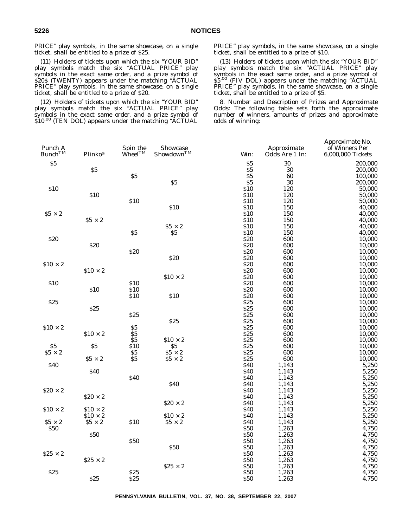PRICE'' play symbols, in the same showcase, on a single ticket, shall be entitled to a prize of \$25.

(11) Holders of tickets upon which the six ''YOUR BID'' play symbols match the six ''ACTUAL PRICE'' play symbols in the exact same order, and a prize symbol of \$20\$ (TWENTY) appears under the matching ''ACTUAL PRICE" play symbols, in the same showcase, on a single ticket, shall be entitled to a prize of \$20.

(12) Holders of tickets upon which the six ''YOUR BID'' play symbols match the six ''ACTUAL PRICE'' play symbols in the exact same order, and a prize symbol of  $$10^{.00}$  (TEN DOL) appears under the matching "ACTUAL

PRICE'' play symbols, in the same showcase, on a single ticket, shall be entitled to a prize of \$10.

(13) Holders of tickets upon which the six ''YOUR BID'' play symbols match the six "ACTUAL PRICE" play symbols in the exact same order, and a prize symbol of \$5.<sup>00</sup> (FIV DOL) appears under the matching "ACTUAL PRICE" play symbols, in the same showcase, on a single ticket, shall be entitled to a prize of \$5.

8. *Number and Description of Prizes and Approximate Odds*: The following table sets forth the approximate number of winners, amounts of prizes and approximate odds of winning:

| Punch A<br>$Bunch^{TM}$ | Plinko®         | Spin the<br>$\hat{W}$ hee $\hat{I^{TM}}$ | Showcase<br>$Show down^{TM}$    | Win:                    | Approximate<br>Odds Are 1 In: | Approximate No.<br>of Winners Per<br>6,000,000 Tickets |
|-------------------------|-----------------|------------------------------------------|---------------------------------|-------------------------|-------------------------------|--------------------------------------------------------|
| \$5                     |                 |                                          |                                 | \$5                     | 30                            | 200,000                                                |
|                         | \$5             |                                          |                                 | \$5                     | 30                            | 200,000                                                |
|                         |                 | $\$5$                                    |                                 | $\overline{\textbf{S}}$ | 60                            | 100,000                                                |
|                         |                 |                                          | \$5                             | \$5                     | 30                            | 200,000                                                |
| \$10                    |                 |                                          |                                 | \$10                    | 120                           | 50,000                                                 |
|                         | \$10            |                                          |                                 | \$10                    | 120                           | 50,000                                                 |
|                         |                 | \$10                                     |                                 | \$10                    | 120                           | 50,000                                                 |
|                         |                 |                                          | \$10                            | \$10                    | 150                           | 40,000                                                 |
| $$5 \times 2$$          |                 |                                          |                                 | \$10                    | 150                           | 40,000                                                 |
|                         | $$5 \times 2$   |                                          |                                 | \$10                    | 150                           | 40,000                                                 |
|                         |                 |                                          | $$5 \times 2$$                  | \$10                    | 150                           | 40,000                                                 |
|                         |                 | \$5                                      | \$5                             | <b>\$10</b>             | 150                           | 40,000                                                 |
| \$20                    |                 |                                          |                                 | \$20                    | 600                           | 10,000                                                 |
|                         | \$20            |                                          |                                 | \$20                    | 600                           | 10,000                                                 |
|                         |                 | \$20                                     |                                 | \$20                    | 600                           | 10,000                                                 |
|                         |                 |                                          | \$20                            | \$20                    | 600                           | 10,000                                                 |
| $$10 \times 2$          |                 |                                          |                                 | \$20                    | 600                           | 10,000                                                 |
|                         | $$10 \times 2$  |                                          |                                 | \$20                    | 600                           | 10,000                                                 |
|                         |                 |                                          | $$10 \times 2$                  | \$20                    | 600                           | 10,000                                                 |
| \$10                    |                 | \$10                                     |                                 | \$20                    | 600                           | 10,000                                                 |
|                         | \$10            | \$10                                     |                                 | \$20                    | 600                           | 10,000                                                 |
|                         |                 | \$10                                     | \$10                            | \$20                    | 600                           | 10,000                                                 |
| \$25                    |                 |                                          |                                 | \$25                    | 600                           | 10,000                                                 |
|                         | \$25            |                                          |                                 | \$25                    | 600                           | 10,000                                                 |
|                         |                 | \$25                                     |                                 | \$25                    | 600                           | 10,000                                                 |
|                         |                 |                                          | \$25                            | \$25                    | 600                           | 10,000                                                 |
| $$10 \times 2$          |                 | $\$5$                                    |                                 | \$25                    | 600                           | 10,000                                                 |
|                         | $$10 \times 2$  | \$5                                      |                                 | \$25                    | 600                           | 10,000                                                 |
|                         |                 | $\$5$                                    | $$10 \times 2$                  | \$25                    | 600                           | 10,000                                                 |
| \$5                     | \$5             | \$10                                     | \$5                             | \$25                    | 600                           | 10,000                                                 |
| $$5 \times 2$$          | $\$5 \times 2$  | \$5<br>\$5                               | $\$5 \times 2$<br>$$5 \times 2$ | \$25<br>\$25            | 600<br>600                    | 10,000<br>10,000                                       |
| \$40                    |                 |                                          |                                 | \$40                    | 1,143                         | 5,250                                                  |
|                         | \$40            |                                          |                                 | \$40                    | 1,143                         | 5,250                                                  |
|                         |                 | \$40                                     |                                 | \$40                    | 1,143                         | 5,250                                                  |
|                         |                 |                                          | \$40                            | \$40                    | 1,143                         | 5,250                                                  |
| $$20 \times 2$$         |                 |                                          |                                 | \$40                    | 1,143                         | 5,250                                                  |
|                         | $$20 \times 2$$ |                                          |                                 | \$40                    | 1,143                         | 5,250                                                  |
|                         |                 |                                          | $\$20 \times 2$                 | \$40                    | 1,143                         | 5,250                                                  |
| $$10 \times 2$$         | $$10 \times 2$$ |                                          |                                 | \$40                    | 1,143                         | 5,250                                                  |
|                         | $$10 \times 2$$ |                                          | $$10 \times 2$                  | \$40                    | 1,143                         | 5,250                                                  |
| $$5 \times 2$           | $$5 \times 2$$  | \$10                                     | $$5 \times 2$$                  | \$40                    | 1,143                         | 5,250                                                  |
| \$50                    |                 |                                          |                                 | \$50                    | 1,263                         | 4,750                                                  |
|                         | \$50            |                                          |                                 | \$50                    | 1,263                         | 4,750                                                  |
|                         |                 | \$50                                     |                                 | \$50                    | 1,263                         | 4,750                                                  |
|                         |                 |                                          | <b>\$50</b>                     | \$50                    | 1,263                         | 4,750                                                  |
| $$25 \times 2$$         |                 |                                          |                                 | \$50                    | 1,263                         | 4,750                                                  |
|                         | $$25 \times 2$  |                                          |                                 | \$50                    | 1,263                         | 4,750                                                  |
|                         |                 |                                          | $\$25 \times 2$                 | \$50                    | 1,263                         | 4,750                                                  |
| <b>\$25</b>             |                 | \$25                                     |                                 | \$50                    | 1,263                         | 4,750                                                  |
|                         | \$25            | \$25                                     |                                 | \$50                    | 1,263                         | 4,750                                                  |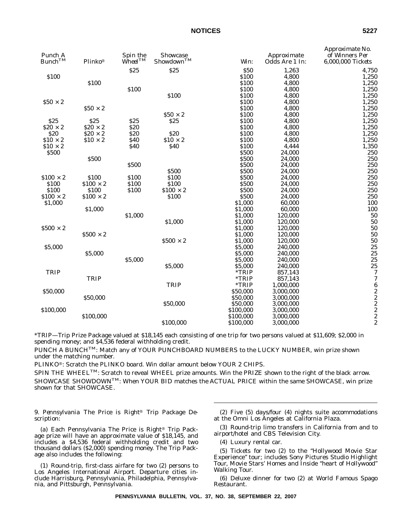| Punch A<br>$Bunch^{TM}$ | Plinko®         | Spin the<br>$\dot{W}$ heel $^{TM}$ | <b>Showcase</b><br>$Show down^{TM}$ | Win:      | Approximate<br>Odds Are 1 In: | Approximate No.<br>of Winners Per<br>6,000,000 Tickets |
|-------------------------|-----------------|------------------------------------|-------------------------------------|-----------|-------------------------------|--------------------------------------------------------|
|                         |                 | \$25                               | \$25                                | \$50      | 1,263                         | 4,750                                                  |
| \$100                   |                 |                                    |                                     | \$100     | 4,800                         | 1,250                                                  |
|                         | \$100           |                                    |                                     | \$100     | 4,800                         | 1,250                                                  |
|                         |                 | \$100                              |                                     | \$100     | 4,800                         | 1,250                                                  |
|                         |                 |                                    | \$100                               | \$100     | 4,800                         | 1,250                                                  |
| $$50 \times 2$$         |                 |                                    |                                     | \$100     | 4,800                         | 1,250                                                  |
|                         | $$50 \times 2$  |                                    |                                     | \$100     | 4,800                         | 1,250                                                  |
|                         |                 |                                    | $$50 \times 2$$                     | \$100     | 4,800                         | 1,250                                                  |
| \$25                    | \$25            | \$25                               | \$25                                | \$100     | 4,800                         | 1,250                                                  |
| $$20 \times 2$$         | $$20 \times 2$$ | \$20                               |                                     | \$100     | 4,800                         | 1,250                                                  |
| \$20                    | $\$20 \times 2$ | \$20                               | \$20                                | \$100     | 4,800                         | 1,250                                                  |
| $$10 \times 2$          | $$10 \times 2$$ | \$40                               | $$10 \times 2$                      | \$100     | 4,800                         | 1,250                                                  |
| $$10 \times 2$$         |                 | \$40                               | \$40                                | \$100     | 4,444                         | 1,350                                                  |
| \$500                   |                 |                                    |                                     | \$500     | 24,000                        | 250                                                    |
|                         | \$500           |                                    |                                     | \$500     | 24,000                        | 250                                                    |
|                         |                 | \$500                              |                                     | \$500     | 24,000                        | 250                                                    |
|                         |                 |                                    | \$500                               | \$500     | 24,000                        | 250                                                    |
| $$100 \times 2$         | \$100           | \$100                              | \$100                               | \$500     | 24,000                        | 250                                                    |
| \$100                   | $$100 \times 2$ | \$100                              | \$100                               | \$500     | 24,000                        | 250                                                    |
| \$100                   | \$100           | \$100                              | $$100 \times 2$                     | \$500     | 24,000                        | 250                                                    |
| $$100 \times 2$         | $$100 \times 2$ |                                    | \$100                               | \$500     | 24,000                        | 250                                                    |
| \$1,000                 |                 |                                    |                                     | \$1,000   | 60,000                        | 100                                                    |
|                         | \$1,000         |                                    |                                     | \$1,000   | 60,000                        | 100                                                    |
|                         |                 | \$1,000                            |                                     | \$1,000   | 120,000                       | 50                                                     |
|                         |                 |                                    | \$1,000                             | \$1,000   | 120,000                       | 50                                                     |
| $$500 \times 2$         |                 |                                    |                                     | \$1,000   | 120,000                       | 50                                                     |
|                         | $$500 \times 2$ |                                    |                                     | \$1,000   | 120,000                       | 50                                                     |
|                         |                 |                                    | $$500 \times 2$                     | \$1,000   | 120,000                       | 50                                                     |
| \$5,000                 |                 |                                    |                                     | \$5,000   | 240,000                       | 25                                                     |
|                         | \$5,000         |                                    |                                     | \$5,000   | 240,000                       | 25                                                     |
|                         |                 | \$5,000                            |                                     | \$5,000   | 240,000                       | 25                                                     |
|                         |                 |                                    | \$5,000                             | \$5,000   | 240,000                       | $\begin{array}{c} 25 \\ 7 \\ 7 \end{array}$            |
| <b>TRIP</b>             |                 |                                    |                                     | *TRIP     | 857,143                       |                                                        |
|                         | <b>TRIP</b>     |                                    |                                     | *TRIP     | 857,143                       |                                                        |
|                         |                 |                                    | <b>TRIP</b>                         | *TRIP     | 1,000,000                     |                                                        |
| \$50,000                |                 |                                    |                                     | \$50,000  | 3,000,000                     |                                                        |
|                         | \$50,000        |                                    |                                     | \$50,000  | 3,000,000                     |                                                        |
|                         |                 |                                    | \$50,000                            | \$50,000  | 3,000,000                     | $62222$<br>$222$                                       |
| \$100,000               |                 |                                    |                                     | \$100,000 | 3,000,000                     |                                                        |
|                         | \$100,000       |                                    |                                     | \$100,000 | 3,000,000                     |                                                        |
|                         |                 |                                    | \$100,000                           | \$100,000 | 3,000,000                     |                                                        |
|                         |                 |                                    |                                     |           |                               |                                                        |

\*TRIP—Trip Prize Package valued at \$18,145 each consisting of one trip for two persons valued at \$11,609; \$2,000 in spending money; and \$4,536 federal withholding credit.

PUNCH A BUNCH<sup>TM</sup>: Match any of YOUR PUNCHBOARD NUMBERS to the LUCKY NUMBER, win prize shown under the matching number.

PLINKO<sup>®</sup>: Scratch the PLINKO board. Win dollar amount below YOUR 2 CHIPS.

SPIN THE WHEEL<sup>TM</sup>: Scratch to reveal WHEEL prize amounts. Win the PRIZE shown to the right of the black arrow. SHOWCASE SHOWDOWN<sup>TM</sup>: When YOUR BID matches the ACTUAL PRICE within the same SHOWCASE, win prize shown for that SHOWCASE.

9. Pennsylvania The Price is Right<sup>®</sup> Trip Package De*scription*:

(a) Each Pennsylvania The Price is Right<sup>®</sup> Trip Package prize will have an approximate value of \$18,145, and includes a \$4,536 federal withholding credit and two thousand dollars (\$2,000) spending money. The Trip Package also includes the following:

(1) Round-trip, first-class airfare for two (2) persons to Los Angeles International Airport. Departure cities include Harrisburg, Pennsylvania, Philadelphia, Pennsylvania, and Pittsburgh, Pennsylvania.

(2) Five (5) days/four (4) nights suite accommodations at the Omni Los Angeles at California Plaza.

(3) Round-trip limo transfers in California from and to airport/hotel and CBS Television City.

(4) Luxury rental car.

(5) Tickets for two (2) to the ''Hollywood Movie Star Experience'' tour; includes Sony Pictures Studio Highlight Tour, Movie Stars' Homes and Inside ''heart of Hollywood'' Walking Tour.

(6) Deluxe dinner for two (2) at World Famous Spago Restaurant.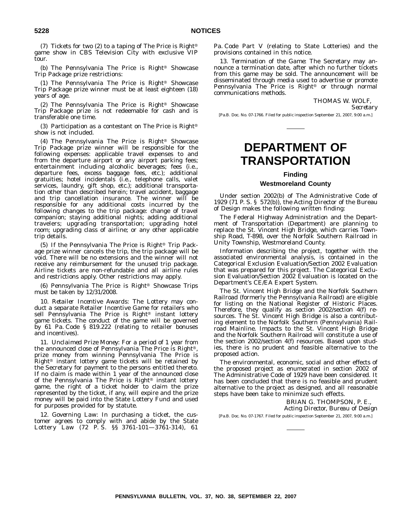(7) Tickets for two (2) to a taping of The Price is Right® game show in CBS Television City with exclusive VIP tour.

(b) The Pennsylvania The Price is Right<sup>®</sup> Showcase Trip Package prize restrictions:

(1) The Pennsylvania The Price is Right<sup>®</sup> Showcase Trip Package prize winner must be at least eighteen (18) years of age.

(2) The Pennsylvania The Price is Right<sup>®</sup> Showcase Trip Package prize is not redeemable for cash and is transferable one time.

(3) Participation as a contestant on The Price is Right<sup>®</sup> show is not included.

(4) The Pennsylvania The Price is Right<sup>®</sup> Showcase Trip Package prize winner will be responsible for the following expenses: applicable travel expenses to and from the departure airport or any airport parking fees; entertainment including alcoholic beverages; fees (i.e., departure fees, excess baggage fees, etc.); additional gratuities; hotel incidentals (i.e., telephone calls, valet services, laundry, gift shop, etc.); additional transportation other than described herein; travel accident, baggage and trip cancellation insurance. The winner will be responsible for any additional costs incurred by the following changes to the trip package: change of travel companion; staying additional nights; adding additional travelers; upgrading transportation; upgrading hotel room; upgrading class of airline; or any other applicable trip details.

(5) If the Pennsylvania The Price is Right<sup>®</sup> Trip Package prize winner cancels the trip, the trip package will be void. There will be no extensions and the winner will not receive any reimbursement for the unused trip package. Airline tickets are non-refundable and all airline rules and restrictions apply. Other restrictions may apply.

(6) Pennsylvania The Price is Right<sup>®</sup> Showcase Trips must be taken by 12/31/2008.

10. *Retailer Incentive Awards*: The Lottery may conduct a separate Retailer Incentive Game for retailers who sell Pennsylvania The Price is Right<sup>®</sup> instant lottery game tickets. The conduct of the game will be governed by 61 Pa. Code § 819.222 (relating to retailer bonuses and incentives).

11. *Unclaimed Prize Money*: For a period of 1 year from the announced close of Pennsylvania The Price is Right<sup>®</sup>, prize money from winning Pennsylvania The Price is Right<sup>®</sup> instant lottery game tickets will be retained by the Secretary for payment to the persons entitled thereto. If no claim is made within 1 year of the announced close of the Pennsylvania The Price is Right<sup>®</sup> instant lottery game, the right of a ticket holder to claim the prize represented by the ticket, if any, will expire and the prize money will be paid into the State Lottery Fund and used for purposes provided for by statute.

12. *Governing Law*: In purchasing a ticket, the customer agrees to comply with and abide by the State Lottery Law (72 P. S. §§ 3761-101—3761-314), 61

Pa. Code Part V (relating to State Lotteries) and the provisions contained in this notice.

13. *Termination of the Game*: The Secretary may announce a termination date, after which no further tickets from this game may be sold. The announcement will be disseminated through media used to advertise or promote Pennsylvania The Price is Right<sup>®</sup> or through normal communications methods.

> THOMAS W. WOLF, *Secretary*

[Pa.B. Doc. No. 07-1766. Filed for public inspection September 21, 2007, 9:00 a.m.]

# **DEPARTMENT OF TRANSPORTATION**

#### **Finding**

#### **Westmoreland County**

Under section 2002(b) of The Administrative Code of 1929 (71 P. S. § 572(b)), the Acting Director of the Bureau of Design makes the following written finding:

The Federal Highway Administration and the Department of Transportation (Department) are planning to replace the St. Vincent High Bridge, which carries Township Road, T-898, over the Norfolk Southern Railroad in Unity Township, Westmoreland County.

Information describing the project, together with the associated environmental analysis, is contained in the Categorical Exclusion Evaluation/Section 2002 Evaluation that was prepared for this project. The Categorical Exclusion Evaluation/Section 2002 Evaluation is located on the Department's CE/EA Expert System.

The St. Vincent High Bridge and the Norfolk Southern Railroad (formerly the Pennsylvania Railroad) are eligible for listing on the National Register of Historic Places. Therefore, they qualify as section 2002/section 4(f) resources. The St. Vincent High Bridge is also a contributing element to the Norfolk Southern (Pennsylvania) Railroad Mainline. Impacts to the St. Vincent High Bridge and the Norfolk Southern Railroad will constitute a use of the section 2002/section 4(f) resources. Based upon studies, there is no prudent and feasible alternative to the proposed action.

The environmental, economic, social and other effects of the proposed project as enumerated in section 2002 of The Administrative Code of 1929 have been considered. It has been concluded that there is no feasible and prudent alternative to the project as designed, and all reasonable steps have been take to minimize such effects.

> BRIAN G. THOMPSON, P. E., *Acting Director, Bureau of Design*

[Pa.B. Doc. No. 07-1767. Filed for public inspection September 21, 2007, 9:00 a.m.]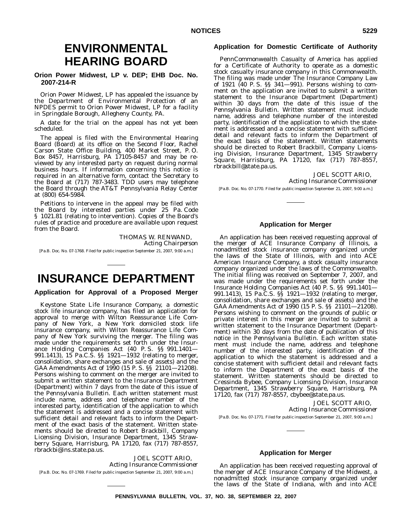# **ENVIRONMENTAL HEARING BOARD**

### **Orion Power Midwest, LP v. DEP; EHB Doc. No. 2007-214-R**

Orion Power Midwest, LP has appealed the issuance by the Department of Environmental Protection of an NPDES permit to Orion Power Midwest, LP for a facility in Springdale Borough, Allegheny County, PA.

A date for the trial on the appeal has not yet been scheduled.

The appeal is filed with the Environmental Hearing Board (Board) at its office on the Second Floor, Rachel Carson State Office Building, 400 Market Street, P. O. Box 8457, Harrisburg, PA 17105-8457 and may be reviewed by any interested party on request during normal business hours. If information concerning this notice is required in an alternative form, contact the Secretary to the Board at (717) 787-3483. TDD users may telephone the Board through the AT&T Pennsylvania Relay Center at (800) 654-5984.

Petitions to intervene in the appeal may be filed with the Board by interested parties under 25 Pa. Code § 1021.81 (relating to intervention). Copies of the Board's rules of practice and procedure are available upon request from the Board.

> THOMAS W. RENWAND, *Acting Chairperson*

[Pa.B. Doc. No. 07-1768. Filed for public inspection September 21, 2007, 9:00 a.m.]

# **INSURANCE DEPARTMENT**

**Application for Approval of a Proposed Merger**

Keystone State Life Insurance Company, a domestic stock life insurance company, has filed an application for approval to merge with Wilton Reassurance Life Company of New York, a New York domiciled stock life insurance company, with Wilton Reassurance Life Company of New York surviving the merger. The filing was made under the requirements set forth under the Insurance Holding Companies Act (40 P. S. §§ 991.1401— 991.1413), 15 Pa.C.S. §§ 1921—1932 (relating to merger, consolidation, share exchanges and sale of assets) and the GAA Amendments Act of 1990 (15 P. S. §§ 21101—21208). Persons wishing to comment on the merger are invited to submit a written statement to the Insurance Department (Department) within 7 days from the date of this issue of the *Pennsylvania Bulletin*. Each written statement must include name, address and telephone number of the interested party, identification of the application to which the statement is addressed and a concise statement with sufficient detail and relevant facts to inform the Department of the exact basis of the statement. Written statements should be directed to Robert Brackbill, Company Licensing Division, Insurance Department, 1345 Strawberry Square, Harrisburg, PA 17120, fax (717) 787-8557, rbrackbi@ins.state.pa.us.

JOEL SCOTT ARIO, *Acting Insurance Commissioner* [Pa.B. Doc. No. 07-1769. Filed for public inspection September 21, 2007, 9:00 a.m.]

#### **Application for Domestic Certificate of Authority**

PennCommonwealth Casualty of America has applied for a Certificate of Authority to operate as a domestic stock casualty insurance company in this Commonwealth. The filing was made under The Insurance Company Law of 1921 (40 P. S. §§ 341—991). Persons wishing to comment on the application are invited to submit a written statement to the Insurance Department (Department) within 30 days from the date of this issue of the *Pennsylvania Bulletin*. Written statement must include name, address and telephone number of the interested party, identification of the application to which the statement is addressed and a concise statement with sufficient detail and relevant facts to inform the Department of the exact basis of the statement. Written statements should be directed to Robert Brackbill, Company Licensing Division, Insurance Department, 1345 Strawberry Square, Harrisburg, PA 17120, fax (717) 787-8557, rbrackbill@state.pa.us.

#### JOEL SCOTT ARIO,

*Acting Insurance Commissioner* [Pa.B. Doc. No. 07-1770. Filed for public inspection September 21, 2007, 9:00 a.m.]

#### **Application for Merger**

An application has been received requesting approval of the merger of ACE Insurance Company of Illinois, a nonadmitted stock insurance company organized under the laws of the State of Illinois, with and into ACE American Insurance Company, a stock casualty insurance company organized under the laws of the Commonwealth. The initial filing was received on September 7, 2007, and was made under the requirements set forth under the Insurance Holding Companies Act (40 P. S. §§ 991.1401— 991.1413), 15 Pa.C.S. §§ 1921—1932 (relating to merger, consolidation, share exchanges and sale of assets) and the GAA Amendments Act of 1990 (15 P. S. §§ 21101—21208). Persons wishing to comment on the grounds of public or private interest in this merger are invited to submit a written statement to the Insurance Department (Department) within 30 days from the date of publication of this notice in the *Pennsylvania Bulletin*. Each written statement must include the name, address and telephone number of the interested party, identification of the application to which the statement is addressed and a concise statement with sufficient detail and relevant facts to inform the Department of the exact basis of the statement. Written statements should be directed to Cressinda Bybee, Company Licensing Division, Insurance Department, 1345 Strawberry Square, Harrisburg, PA 17120, fax (717) 787-8557, cbybee@state.pa.us.

> JOEL SCOTT ARIO, *Acting Insurance Commissioner*

[Pa.B. Doc. No. 07-1771. Filed for public inspection September 21, 2007, 9:00 a.m.]

#### **Application for Merger**

An application has been received requesting approval of the merger of ACE Insurance Company of the Midwest, a nonadmitted stock insurance company organized under the laws of the State of Indiana, with and into ACE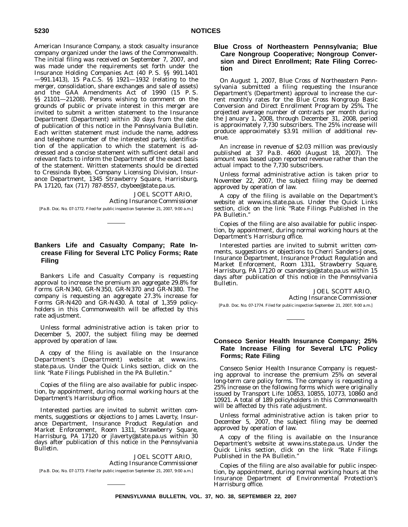American Insurance Company, a stock casualty insurance company organized under the laws of the Commonwealth. The initial filing was received on September 7, 2007, and was made under the requirements set forth under the Insurance Holding Companies Act (40 P. S. §§ 991.1401 —991.1413), 15 Pa.C.S. §§ 1921—1932 (relating to the merger, consolidation, share exchanges and sale of assets) and the GAA Amendments Act of 1990 (15 P. S. §§ 21101—21208). Persons wishing to comment on the grounds of public or private interest in this merger are invited to submit a written statement to the Insurance Department (Department) within 30 days from the date of publication of this notice in the *Pennsylvania Bulletin*. Each written statement must include the name, address and telephone number of the interested party, identification of the application to which the statement is addressed and a concise statement with sufficient detail and relevant facts to inform the Department of the exact basis of the statement. Written statements should be directed to Cressinda Bybee, Company Licensing Division, Insurance Department, 1345 Strawberry Square, Harrisburg, PA 17120, fax (717) 787-8557, cbybee@state.pa.us.

JOEL SCOTT ARIO, *Acting Insurance Commissioner* [Pa.B. Doc. No. 07-1772. Filed for public inspection September 21, 2007, 9:00 a.m.]

## **Bankers Life and Casualty Company; Rate Increase Filing for Several LTC Policy Forms; Rate Filing**

Bankers Life and Casualty Company is requesting approval to increase the premium an aggregate 29.8% for Forms GR-N340, GR-N350, GR-N370 and GR-N380. The company is requesting an aggregate 27.3% increase for Forms GR-N420 and GR-N430. A total of 1,359 policyholders in this Commonwealth will be affected by this rate adjustment.

Unless formal administrative action is taken prior to December 5, 2007, the subject filing may be deemed approved by operation of law.

A copy of the filing is available on the Insurance Department's (Department) website at www.ins. state.pa.us. Under the Quick Links section, click on the link ''Rate Filings Published in the PA Bulletin.''

Copies of the filing are also available for public inspection, by appointment, during normal working hours at the Department's Harrisburg office.

Interested parties are invited to submit written comments, suggestions or objections to James Laverty, Insurance Department, Insurance Product Regulation and Market Enforcement, Room 1311, Strawberry Square, Harrisburg, PA 17120 or jlaverty@state.pa.us within 30 days after publication of this notice in the *Pennsylvania Bulletin*.

JOEL SCOTT ARIO, *Acting Insurance Commissioner* [Pa.B. Doc. No. 07-1773. Filed for public inspection September 21, 2007, 9:00 a.m.]

## **Blue Cross of Northeastern Pennsylvania; Blue Care Nongroup Cooperative; Nongroup Conversion and Direct Enrollment; Rate Filing Correction**

On August 1, 2007, Blue Cross of Northeastern Pennsylvania submitted a filing requesting the Insurance Department's (Department) approval to increase the current monthly rates for the Blue Cross Nongroup Basic Conversion and Direct Enrollment Program by 25%. The projected average number of contracts per month during the January 1, 2008, through December 31, 2008, period is approximately 7,730 subscribers. The 25% increase will produce approximately \$3.91 million of additional revenue.

An increase in revenue of \$2.03 million was previously published at 37 Pa.B. 4600 (August 18, 2007). The amount was based upon reported revenue rather than the actual impact to the 7,730 subscribers.

Unless formal administrative action is taken prior to November 22, 2007, the subject filing may be deemed approved by operation of law.

A copy of the filing is available on the Department's website at www.ins.state.pa.us. Under the Quick Links section, click on the link ''Rate Filings Published in the PA Bulletin.''

Copies of the filing are also available for public inspection, by appointment, during normal working hours at the Department's Harrisburg office.

Interested parties are invited to submit written comments, suggestions or objections to Cherri Sanders-Jones, Insurance Department, Insurance Product Regulation and Market Enforcement, Room 1311, Strawberry Square, Harrisburg, PA 17120 or csandersjo@state.pa.us within 15 days after publication of this notice in the *Pennsylvania Bulletin*.

> JOEL SCOTT ARIO, *Acting Insurance Commissioner*

[Pa.B. Doc. No. 07-1774. Filed for public inspection September 21, 2007, 9:00 a.m.]

## **Conseco Senior Health Insurance Company; 25% Rate Increase Filing for Several LTC Policy Forms; Rate Filing**

Conseco Senior Health Insurance Company is requesting approval to increase the premium 25% on several long-term care policy forms. The company is requesting a 25% increase on the following forms which were originally issued by Transport Life: 10853, 10855, 10773, 10860 and 10921. A total of 189 policyholders in this Commonwealth will be affected by this rate adjustment.

Unless formal administrative action is taken prior to December 5, 2007, the subject filing may be deemed approved by operation of law.

A copy of the filing is available on the Insurance Department's website at www.ins.state.pa.us. Under the Quick Links section, click on the link ''Rate Filings Published in the PA Bulletin.''

Copies of the filing are also available for public inspection, by appointment, during normal working hours at the Insurance Department of Environmental Protection's Harrisburg office.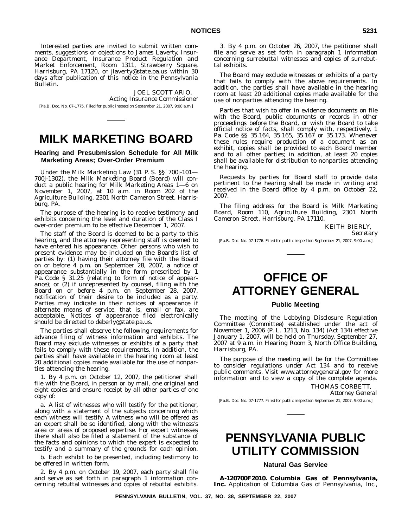Interested parties are invited to submit written comments, suggestions or objections to James Laverty, Insurance Department, Insurance Product Regulation and Market Enforcement, Room 1311, Strawberry Square, Harrisburg, PA 17120, or jlaverty@state.pa.us within 30 days after publication of this notice in the *Pennsylvania Bulletin*.

JOEL SCOTT ARIO, *Acting Insurance Commissioner* [Pa.B. Doc. No. 07-1775. Filed for public inspection September 21, 2007, 9:00 a.m.]

# **MILK MARKETING BOARD**

## **Hearing and Presubmission Schedule for All Milk Marketing Areas; Over-Order Premium**

Under the Milk Marketing Law (31 P. S. §§ 700j-101— 700j-1302), the Milk Marketing Board (Board) will conduct a public hearing for Milk Marketing Areas 1—6 on November 1, 2007, at 10 a.m. in Room 202 of the Agriculture Building, 2301 North Cameron Street, Harrisburg, PA.

The purpose of the hearing is to receive testimony and exhibits concerning the level and duration of the Class I over-order premium to be effective December 1, 2007.

The staff of the Board is deemed to be a party to this hearing, and the attorney representing staff is deemed to have entered his appearance. Other persons who wish to present evidence may be included on the Board's list of parties by: (1) having their attorney file with the Board on or before 4 p.m. on September 28, 2007, a notice of appearance substantially in the form prescribed by 1 Pa. Code § 31.25 (relating to form of notice of appearance); or (2) if unrepresented by counsel, filing with the Board on or before 4 p.m. on September 28, 2007, notification of their desire to be included as a party. Parties may indicate in their notices of appearance if alternate means of service, that is, email or fax, are acceptable. Notices of appearance filed electronically should be directed to deberly@state.pa.us.

The parties shall observe the following requirements for advance filing of witness information and exhibits. The Board may exclude witnesses or exhibits of a party that fails to comply with these requirements. In addition, the parties shall have available in the hearing room at least 20 additional copies made available for the use of nonparties attending the hearing.

1. By 4 p.m. on October 12, 2007, the petitioner shall file with the Board, in person or by mail, one original and eight copies and ensure receipt by all other parties of one copy of:

a. A list of witnesses who will testify for the petitioner, along with a statement of the subjects concerning which each witness will testify. A witness who will be offered as an expert shall be so identified, along with the witness's area or areas of proposed expertise. For expert witnesses there shall also be filed a statement of the substance of the facts and opinions to which the expert is expected to testify and a summary of the grounds for each opinion.

b. Each exhibit to be presented, including testimony to be offered in written form.

2. By 4 p.m. on October 19, 2007, each party shall file and serve as set forth in paragraph 1 information concerning rebuttal witnesses and copies of rebuttal exhibits.

3. By 4 p.m. on October 26, 2007, the petitioner shall file and serve as set forth in paragraph 1 information concerning surrebuttal witnesses and copies of surrebuttal exhibits.

The Board may exclude witnesses or exhibits of a party that fails to comply with the above requirements. In addition, the parties shall have available in the hearing room at least 20 additional copies made available for the use of nonparties attending the hearing.

Parties that wish to offer in evidence documents on file with the Board, public documents or records in other proceedings before the Board, or wish the Board to take official notice of facts, shall comply with, respectively, 1 Pa. Code §§ 35.164, 35.165, 35.167 or 35.173. Whenever these rules require production of a document as an exhibit, copies shall be provided to each Board member and to all other parties; in addition, at least 20 copies shall be available for distribution to nonparties attending the hearing.

Requests by parties for Board staff to provide data pertinent to the hearing shall be made in writing and received in the Board office by 4 p.m. on October 22, 2007.

The filing address for the Board is Milk Marketing Board, Room 110, Agriculture Building, 2301 North Cameron Street, Harrisburg, PA 17110.

KEITH BIERLY,

*Secretary*

[Pa.B. Doc. No. 07-1776. Filed for public inspection September 21, 2007, 9:00 a.m.]

# **OFFICE OF ATTORNEY GENERAL**

#### **Public Meeting**

The meeting of the Lobbying Disclosure Regulation Committee (Committee) established under the act of November 1, 2006 (P. L. 1213, No. 134) (Act 134) effective January 1, 2007, will be held on Thursday, September 27, 2007 at 9 a.m. in Hearing Room 3, North Office Building, Harrisburg, PA.

The purpose of the meeting will be for the Committee to consider regulations under Act 134 and to receive public comments. Visit www.attorneygeneral.gov for more information and to view a copy of the complete agenda.

THOMAS CORBETT,

*Attorney General*

[Pa.B. Doc. No. 07-1777. Filed for public inspection September 21, 2007, 9:00 a.m.]

# **PENNSYLVANIA PUBLIC UTILITY COMMISSION**

### **Natural Gas Service**

**A-120700F2010. Columbia Gas of Pennsylvania, Inc.** Application of Columbia Gas of Pennsylvania, Inc.,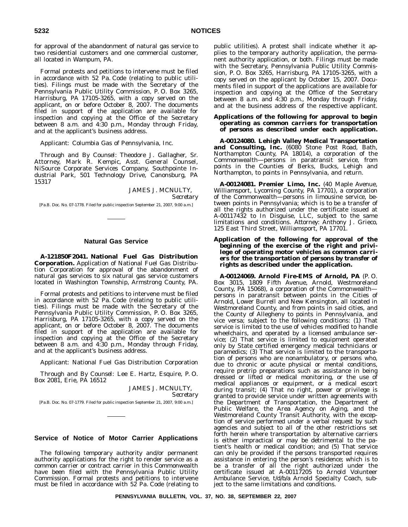for approval of the abandonment of natural gas service to two residential customers and one commercial customer, all located in Wampum, PA.

Formal protests and petitions to intervene must be filed in accordance with 52 Pa. Code (relating to public utilities). Filings must be made with the Secretary of the Pennsylvania Public Utility Commission, P. O. Box 3265, Harrisburg, PA 17105-3265, with a copy served on the applicant, on or before October 8, 2007. The documents filed in support of the application are available for inspection and copying at the Office of the Secretary between 8 a.m. and 4:30 p.m., Monday through Friday, and at the applicant's business address.

*Applicant*: Columbia Gas of Pennsylvania, Inc.

*Through and By Counsel*: Theodore J. Gallagher, Sr. Attorney, Mark R. Kempic, Asst. General Counsel, NiSource Corporate Services Company, Southpointe Industrial Park, 501 Technology Drive, Canonsburg, PA 15317

JAMES J. MCNULTY,

*Secretary*

[Pa.B. Doc. No. 07-1778. Filed for public inspection September 21, 2007, 9:00 a.m.]

## **Natural Gas Service**

**A-121850F2041. National Fuel Gas Distribution Corporation.** Application of National Fuel Gas Distribution Corporation for approval of the abandonment of natural gas services to six natural gas service customers located in Washington Township, Armstrong County, PA.

Formal protests and petitions to intervene must be filed in accordance with 52 Pa. Code (relating to public utilities). Filings must be made with the Secretary of the Pennsylvania Public Utility Commission, P. O. Box 3265, Harrisburg, PA 17105-3265, with a copy served on the applicant, on or before October 8, 2007. The documents filed in support of the application are available for inspection and copying at the Office of the Secretary between 8 a.m. and 4:30 p.m., Monday through Friday, and at the applicant's business address.

*Applicant*: National Fuel Gas Distribution Corporation

*Through and By Counsel*: Lee E. Hartz, Esquire, P. O. Box 2081, Erie, PA 16512

JAMES J. MCNULTY,

*Secretary*

[Pa.B. Doc. No. 07-1779. Filed for public inspection September 21, 2007, 9:00 a.m.]

### **Service of Notice of Motor Carrier Applications**

The following temporary authority and/or permanent authority applications for the right to render service as a common carrier or contract carrier in this Commonwealth have been filed with the Pennsylvania Public Utility Commission. Formal protests and petitions to intervene must be filed in accordance with 52 Pa. Code (relating to

public utilities). A protest shall indicate whether it applies to the temporary authority application, the permanent authority application, or both. Filings must be made with the Secretary, Pennsylvania Public Utility Commission, P. O. Box 3265, Harrisburg, PA 17105-3265, with a copy served on the applicant by October 15, 2007. Documents filed in support of the applications are available for inspection and copying at the Office of the Secretary between 8 a.m. and 4:30 p.m., Monday through Friday, and at the business address of the respective applicant.

#### **Applications of the following for approval to** *begin* **operating as** *common carriers* **for transportation of** *persons* **as described under each application.**

**A-00124080. Lehigh Valley Medical Transportation and Consulting, Inc.** (6080 Stone Post Road, Bath, Northampton County, PA 18014), a corporation of the Commonwealth—persons in paratransit service, from points in the Counties of Berks, Bucks, Lehigh and Northampton, to points in Pennsylvania, and return.

**A-00124081. Premier Limo, Inc.** (40 Maple Avenue, Williamsport, Lycoming County, PA 17701), a corporation of the Commonwealth—persons in limousine service, between points in Pennsylvania; which is to be a transfer of all the rights authorized under the certificate issued at A-00117432 to In Disguise, LLC, subject to the same limitations and conditions. *Attorney*: Anthony J. Grieco, 125 East Third Street, Williamsport, PA 17701.

#### **Application of the following for approval of the** *beginning* **of the exercise of the right and privilege of operating motor vehicles as** *common carriers* **for the transportation of** *persons by transfer of rights* **as described under the application.**

**A-00124069. Arnold Fire-EMS of Arnold, PA** (P. O. Box 3015, 1809 Fifth Avenue, Arnold, Westmoreland County, PA 15068), a corporation of the Commonwealth persons in paratransit between points in the Cities of Arnold, Lower Burrell and New Kensington, all located in Westmoreland County, and from points in said cities, and the County of Allegheny to points in Pennsylvania, and vice versa; subject to the following conditions: (1) That service is limited to the use of vehicles modified to handle wheelchairs, and operated by a licensed ambulance service; (2) That service is limited to equipment operated only by State certified emergency medical technicians or paramedics; (3) That service is limited to the transportation of persons who are nonambulatory, or persons who, due to chronic or acute physical or mental conditions, require pretrip preparations such as assistance in being dressed or lifted or medical monitoring, or the use of medical appliances or equipment, or a medical escort during transit; (4) That no right, power or privilege is granted to provide service under written agreements with the Department of Transportation, the Department of Public Welfare, the Area Agency on Aging, and the Westmoreland County Transit Authority, with the exception of service performed under a verbal request by such agencies and subject to all of the other restrictions set forth herein where transportation by alternative carriers is either impractical or may be detrimental to the patient's health or medical condition; and (5) That service can only be provided if the persons transported requires assistance in entering the person's residence; which is to be a transfer of all the right authorized under the certificate issued at A-00117205 to Arnold Volunteer Ambulance Service, t/d/b/a Arnold Specialty Coach, subject to the same limitations and conditions.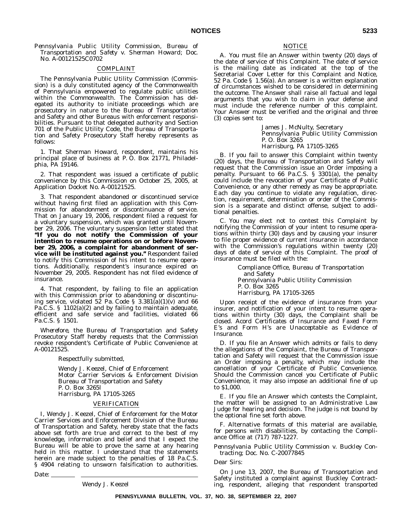*Pennsylvania Public Utility Commission, Bureau of Transportation and Safety v. Sherman Howard; Doc. No. A-00121525C0702*

### COMPLAINT

The Pennsylvania Public Utility Commission (Commission) is a duly constituted agency of the Commonwealth of Pennsylvania empowered to regulate public utilities within the Commonwealth. The Commission has delegated its authority to initiate proceedings which are prosecutory in nature to the Bureau of Transportation and Safety and other Bureaus with enforcement responsibilities. Pursuant to that delegated authority and Section 701 of the Public Utility Code, the Bureau of Transportation and Safety Prosecutory Staff hereby represents as follows:

1. That Sherman Howard, respondent, maintains his principal place of business at P. O. Box 21771, Philadelphia, PA 19146.

2. That respondent was issued a certificate of public convenience by this Commission on October 25, 2005, at Application Docket No. A-00121525.

3. That respondent abandoned or discontinued service without having first filed an application with this Commission for abandonment or discontinuance of service. That on January 19, 2006, respondent filed a request for a voluntary suspension, which was granted until November 29, 2006. The voluntary suspension letter stated that **''If you do not notify the Commission of your intention to resume operations on or before November 29, 2006, a complaint for abandonment of service will be instituted against you.''** Respondent failed to notify this Commission of his intent to resume operations. Additionally, respondent's insurance expired on November 29, 2005. Respondent has not filed evidence of insurance.

4. That respondent, by failing to file an application with this Commission prior to abandoning or discontinuing service, violated 52 Pa. Code §  $3.381(a)(1)(v)$  and 66 Pa.C.S. § 1102(a)(2) and by failing to maintain adequate, efficient and safe service and facilities, violated 66 Pa.C.S. § 1501.

*Wherefore*, the Bureau of Transportation and Safety Prosecutory Staff hereby requests that the Commission revoke respondent's Certificate of Public Convenience at A-00121525.

Respectfully submitted,

Wendy J. Keezel, Chief of Enforcement Motor Carrier Services & Enforcement Division Bureau of Transportation and Safety P. O. Box 3265l Harrisburg, PA 17105-3265

#### VERIFICATION

I, Wendy J. Keezel, Chief of Enforcement for the Motor Carrier Services and Enforcement Division of the Bureau of Transportation and Safety, hereby state that the facts above set forth are true and correct to the best of my knowledge, information and belief and that I expect the Bureau will be able to prove the same at any hearing held in this matter. I understand that the statements herein are made subject to the penalties of 18 Pa.C.S. § 4904 relating to unsworn falsification to authorities.

Date:

Wendy J. Keezel

#### NOTICE

A. You must file an Answer within twenty (20) days of the date of service of this Complaint. The date of service is the mailing date as indicated at the top of the Secretarial Cover Letter for this Complaint and Notice, 52 Pa. Code § 1.56(a). An answer is a written explanation of circumstances wished to be considered in determining the outcome. The Answer shall raise all factual and legal arguments that you wish to claim in your defense and must include the reference number of this complaint. Your Answer must be verified and the original and three (3) copies sent to:

> James J. McNulty, Secretary Pennsylvania Public Utility Commission P. O. Box 3265 Harrisburg, PA 17105-3265

B. If you fail to answer this Complaint within twenty (20) days, the Bureau of Transportation and Safety will request that the Commission issue an Order imposing a penalty. Pursuant to 66 Pa.C.S. § 3301(a), the penalty could include the revocation of your Certificate of Public Convenience, or any other remedy as may be appropriate. Each day you continue to violate any regulation, direction, requirement, determination or order of the Commission is a separate and distinct offense, subject to additional penalties.

C. You may elect not to contest this Complaint by notifying the Commission of your intent to resume operations within thirty (30) days and by causing your insurer to file proper evidence of current insurance in accordance with the Commission's regulations within twenty (20) days of date of service of this Complaint. The proof of insurance must be filed with the:

> Compliance Office, Bureau of Transportation and Safety Pennsylvania Public Utility Commission P. O. Box 3265 Harrisburg, PA 17105-3265

Upon receipt of the evidence of insurance from your insurer, and notification of your intent to resume operations within thirty (30) days, the Complaint shall be closed. *Acord Certificates of Insurance* and *Faxed Form E's* and *Form H's are Unacceptable as Evidence of Insurance.*

D. If you file an Answer which admits or fails to deny the allegations of the Complaint, the Bureau of Transportation and Safety will request that the Commission issue an Order imposing a penalty, which may include the cancellation of your Certificate of Public Convenience. Should the Commission cancel you Certificate of Public Convenience, it may also impose an additional fine of up to \$1,000.

E. If you file an Answer which contests the Complaint, the matter will be assigned to an Administrative Law Judge for hearing and decision. The judge is not bound by the optional fine set forth above.

F. Alternative formats of this material are available, for persons with disabilities, by contacting the Compliance Office at (717) 787-1227.

*Pennsylvania Public Utility Commission v. Buckley Contracting; Doc. No. C-20077845*

Dear Sirs:

On June 13, 2007, the Bureau of Transportation and Safety instituted a complaint against Buckley Contracting, respondent, alleging that respondent transported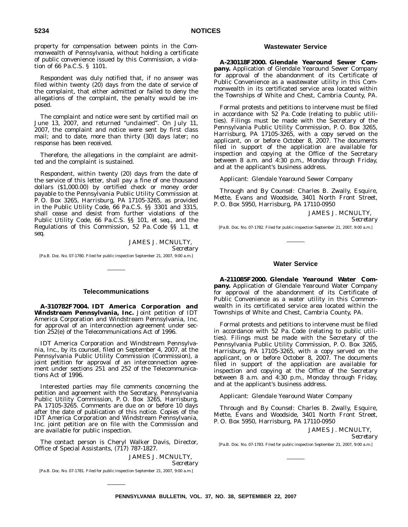property for compensation between points in the Commonwealth of Pennsylvania, without holding a certificate of public convenience issued by this Commission, a violation of 66 Pa.C.S. § 1101.

Respondent was duly notified that, if no answer was filed within twenty (20) days from the date of service of the complaint, that either admitted or failed to deny the allegations of the complaint, the penalty would be imposed.

The complaint and notice were sent by certified mail on June 13, 2007, and returned "unclaimed". On July 11, 2007, the complaint and notice were sent by first class mail; and to date, more than thirty (30) days later; no response has been received.

Therefore, the allegations in the complaint are admitted and the complaint is sustained.

Respondent, within twenty (20) days from the date of the service of this letter, shall pay a fine of one thousand dollars (\$1,000.00) by certified check or money order payable to the Pennsylvania Public Utility Commission at P. O. Box 3265, Harrisburg, PA 17105-3265, as provided in the Public Utility Code, 66 Pa.C.S. §§ 3301 and 3315, shall cease and desist from further violations of the Public Utility Code, 66 Pa.C.S. §§ 101, et seq., and the Regulations of this Commission, 52 Pa. Code §§ 1.1, *et seq*.

> JAMES J. MCNULTY, *Secretary*

[Pa.B. Doc. No. 07-1780. Filed for public inspection September 21, 2007, 9:00 a.m.]

#### **Telecommunications**

**A-310782F7004. IDT America Corporation and Windstream Pennsylvania, Inc.** Joint petition of IDT America Corporation and Windstream Pennsylvania, Inc. for approval of an interconnection agreement under section 252(e) of the Telecommunications Act of 1996.

IDT America Corporation and Windstream Pennsylvania, Inc., by its counsel, filed on September 4, 2007, at the Pennsylvania Public Utility Commission (Commission), a joint petition for approval of an interconnection agreement under sections 251 and 252 of the Telecommunications Act of 1996.

Interested parties may file comments concerning the petition and agreement with the Secretary, Pennsylvania Public Utility Commission, P.O. Box 3265, Harrisburg, PA 17105-3265. Comments are due on or before 10 days after the date of publication of this notice. Copies of the IDT America Corporation and Windstream Pennsylvania, Inc. joint petition are on file with the Commission and are available for public inspection.

The contact person is Cheryl Walker Davis, Director, Office of Special Assistants, (717) 787-1827.

JAMES J. MCNULTY,

*Secretary*

[Pa.B. Doc. No. 07-1781. Filed for public inspection September 21, 2007, 9:00 a.m.]

#### **Wastewater Service**

**A-230118F2000. Glendale Yearound Sewer Company.** Application of Glendale Yearound Sewer Company for approval of the abandonment of its Certificate of Public Convenience as a wastewater utility in this Commonwealth in its certificated service area located within the Townships of White and Chest, Cambria County, PA.

Formal protests and petitions to intervene must be filed in accordance with 52 Pa. Code (relating to public utilities). Filings must be made with the Secretary of the Pennsylvania Public Utility Commission, P. O. Box 3265, Harrisburg, PA 17105-3265, with a copy served on the applicant, on or before October 8, 2007. The documents filed in support of the application are available for inspection and copying at the Office of the Secretary between 8 a.m. and 4:30 p.m., Monday through Friday, and at the applicant's business address.

*Applicant*: Glendale Yearound Sewer Company

*Through and By Counsel*: Charles B. Zwally, Esquire, Mette, Evans and Woodside, 3401 North Front Street, P. O. Box 5950, Harrisburg, PA 17110-0950

JAMES J. MCNULTY,

*Secretary*

[Pa.B. Doc. No. 07-1782. Filed for public inspection September 21, 2007, 9:00 a.m.]

## **Water Service**

**A-211085F2000. Glendale Yearound Water Company.** Application of Glendale Yearound Water Company for approval of the abandonment of its Certificate of Public Convenience as a water utility in this Commonwealth in its certificated service area located within the Townships of White and Chest, Cambria County, PA.

Formal protests and petitions to intervene must be filed in accordance with 52 Pa. Code (relating to public utilities). Filings must be made with the Secretary of the Pennsylvania Public Utility Commission, P. O. Box 3265, Harrisburg, PA 17105-3265, with a copy served on the applicant, on or before October 8, 2007. The documents filed in support of the application are available for inspection and copying at the Office of the Secretary between 8 a.m. and 4:30 p.m., Monday through Friday, and at the applicant's business address.

*Applicant*: Glendale Yearound Water Company

*Through and By Counsel*: Charles B. Zwally, Esquire, Mette, Evans and Woodside, 3401 North Front Street, P. O. Box 5950, Harrisburg, PA 17110-0950

JAMES J. MCNULTY,

*Secretary*

[Pa.B. Doc. No. 07-1783. Filed for public inspection September 21, 2007, 9:00 a.m.]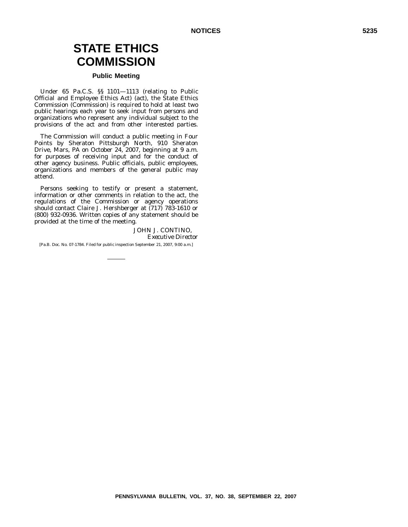# **STATE ETHICS COMMISSION**

# **Public Meeting**

Under 65 Pa.C.S. §§ 1101—1113 (relating to Public Official and Employee Ethics Act) (act), the State Ethics Commission (Commission) is required to hold at least two public hearings each year to seek input from persons and organizations who represent any individual subject to the provisions of the act and from other interested parties.

The Commission will conduct a public meeting in Four Points by Sheraton Pittsburgh North, 910 Sheraton Drive, Mars, PA on October 24, 2007, beginning at 9 a.m. for purposes of receiving input and for the conduct of other agency business. Public officials, public employees, organizations and members of the general public may attend.

Persons seeking to testify or present a statement, information or other comments in relation to the act, the regulations of the Commission or agency operations should contact Claire J. Hershberger at (717) 783-1610 or (800) 932-0936. Written copies of any statement should be provided at the time of the meeting.

> JOHN J. CONTINO, *Executive Director*

[Pa.B. Doc. No. 07-1784. Filed for public inspection September 21, 2007, 9:00 a.m.]